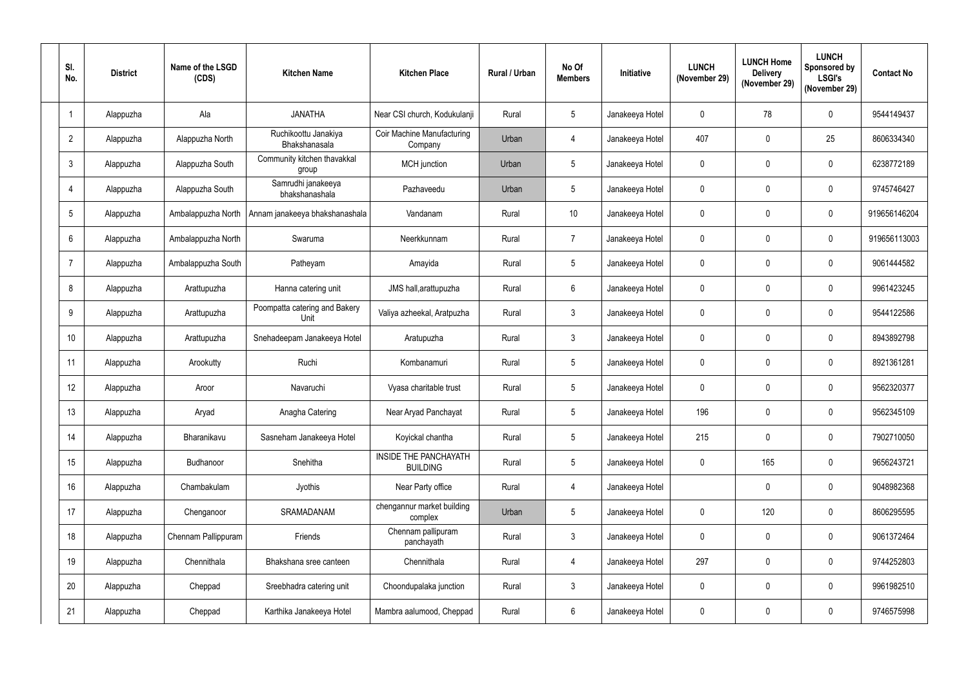| SI.<br>No.      | <b>District</b> | Name of the LSGD<br>(CDS) | <b>Kitchen Name</b>                   | <b>Kitchen Place</b>                     | <b>Rural / Urban</b> | No Of<br><b>Members</b> | <b>Initiative</b> | <b>LUNCH</b><br>(November 29) | <b>LUNCH Home</b><br><b>Delivery</b><br>(November 29) | <b>LUNCH</b><br>Sponsored by<br><b>LSGI's</b><br>(November 29) | <b>Contact No</b> |
|-----------------|-----------------|---------------------------|---------------------------------------|------------------------------------------|----------------------|-------------------------|-------------------|-------------------------------|-------------------------------------------------------|----------------------------------------------------------------|-------------------|
| 1               | Alappuzha       | Ala                       | <b>JANATHA</b>                        | Near CSI church, Kodukulanji             | Rural                | $5\phantom{.0}$         | Janakeeya Hotel   | $\mathbf 0$                   | 78                                                    | $\mathbf 0$                                                    | 9544149437        |
| $\overline{2}$  | Alappuzha       | Alappuzha North           | Ruchikoottu Janakiya<br>Bhakshanasala | Coir Machine Manufacturing<br>Company    | Urban                | 4                       | Janakeeya Hotel   | 407                           | $\mathbf 0$                                           | 25                                                             | 8606334340        |
| $\mathfrak{Z}$  | Alappuzha       | Alappuzha South           | Community kitchen thavakkal<br>group  | <b>MCH</b> junction                      | Urban                | $5\overline{)}$         | Janakeeya Hotel   | $\mathbf 0$                   | $\mathbf{0}$                                          | $\mathbf{0}$                                                   | 6238772189        |
| $\overline{4}$  | Alappuzha       | Alappuzha South           | Samrudhi janakeeya<br>bhakshanashala  | Pazhaveedu                               | Urban                | 5                       | Janakeeya Hotel   | $\boldsymbol{0}$              | $\mathbf 0$                                           | $\mathbf 0$                                                    | 9745746427        |
| $5\phantom{.0}$ | Alappuzha       | Ambalappuzha North        | Annam janakeeya bhakshanashala        | Vandanam                                 | Rural                | 10                      | Janakeeya Hotel   | $\mathbf 0$                   | $\mathbf{0}$                                          | $\mathbf 0$                                                    | 919656146204      |
| $6\phantom{.}$  | Alappuzha       | Ambalappuzha North        | Swaruma                               | Neerkkunnam                              | Rural                | $\overline{7}$          | Janakeeya Hotel   | $\mathbf 0$                   | $\mathbf{0}$                                          | $\mathbf 0$                                                    | 919656113003      |
| $\overline{7}$  | Alappuzha       | Ambalappuzha South        | Patheyam                              | Amayida                                  | Rural                | $5\phantom{.0}$         | Janakeeya Hotel   | $\boldsymbol{0}$              | $\mathbf{0}$                                          | $\mathbf 0$                                                    | 9061444582        |
| 8               | Alappuzha       | Arattupuzha               | Hanna catering unit                   | JMS hall, arattupuzha                    | Rural                | $6\phantom{.}$          | Janakeeya Hotel   | $\mathbf 0$                   | $\mathbf 0$                                           | $\mathbf{0}$                                                   | 9961423245        |
| 9               | Alappuzha       | Arattupuzha               | Poompatta catering and Bakery<br>Unit | Valiya azheekal, Aratpuzha               | Rural                | $\mathbf{3}$            | Janakeeya Hotel   | $\boldsymbol{0}$              | $\mathbf{0}$                                          | $\mathbf 0$                                                    | 9544122586        |
| 10 <sup>°</sup> | Alappuzha       | Arattupuzha               | Snehadeepam Janakeeya Hotel           | Aratupuzha                               | Rural                | 3                       | Janakeeya Hotel   | $\mathbf 0$                   | $\mathbf{0}$                                          | $\mathbf 0$                                                    | 8943892798        |
| 11              | Alappuzha       | Arookutty                 | Ruchi                                 | Kombanamuri                              | Rural                | $5\phantom{.0}$         | Janakeeya Hotel   | $\boldsymbol{0}$              | $\mathbf 0$                                           | $\mathbf 0$                                                    | 8921361281        |
| 12              | Alappuzha       | Aroor                     | Navaruchi                             | Vyasa charitable trust                   | Rural                | $5\overline{)}$         | Janakeeya Hotel   | $\mathbf 0$                   | $\mathbf{0}$                                          | $\mathbf 0$                                                    | 9562320377        |
| 13              | Alappuzha       | Aryad                     | Anagha Catering                       | Near Aryad Panchayat                     | Rural                | 5                       | Janakeeya Hotel   | 196                           | $\mathbf 0$                                           | $\mathbf 0$                                                    | 9562345109        |
| 14              | Alappuzha       | Bharanikavu               | Sasneham Janakeeya Hotel              | Koyickal chantha                         | Rural                | $5\phantom{.0}$         | Janakeeya Hotel   | 215                           | $\mathbf 0$                                           | $\pmb{0}$                                                      | 7902710050        |
| 15              | Alappuzha       | Budhanoor                 | Snehitha                              | INSIDE THE PANCHAYATH<br><b>BUILDING</b> | Rural                | $5\phantom{.0}$         | Janakeeya Hotel   | $\pmb{0}$                     | 165                                                   | $\pmb{0}$                                                      | 9656243721        |
| 16              | Alappuzha       | Chambakulam               | Jyothis                               | Near Party office                        | Rural                | 4                       | Janakeeya Hotel   |                               | $\mathbf 0$                                           | $\mathbf 0$                                                    | 9048982368        |
| 17              | Alappuzha       | Chenganoor                | SRAMADANAM                            | chengannur market building<br>complex    | Urban                | $\overline{5}$          | Janakeeya Hotel   | $\bf{0}$                      | 120                                                   | $\mathbf 0$                                                    | 8606295595        |
| 18              | Alappuzha       | Chennam Pallippuram       | Friends                               | Chennam pallipuram<br>panchayath         | Rural                | $\mathfrak{Z}$          | Janakeeya Hotel   | $\overline{0}$                | $\mathbf 0$                                           | $\pmb{0}$                                                      | 9061372464        |
| 19              | Alappuzha       | Chennithala               | Bhakshana sree canteen                | Chennithala                              | Rural                | 4                       | Janakeeya Hotel   | 297                           | $\pmb{0}$                                             | $\pmb{0}$                                                      | 9744252803        |
| 20              | Alappuzha       | Cheppad                   | Sreebhadra catering unit              | Choondupalaka junction                   | Rural                | $\mathbf{3}$            | Janakeeya Hotel   | $\pmb{0}$                     | 0                                                     | $\mathbf 0$                                                    | 9961982510        |
| 21              | Alappuzha       | Cheppad                   | Karthika Janakeeya Hotel              | Mambra aalumood, Cheppad                 | Rural                | 6                       | Janakeeya Hotel   | $\mathbf 0$                   | 0                                                     | $\boldsymbol{0}$                                               | 9746575998        |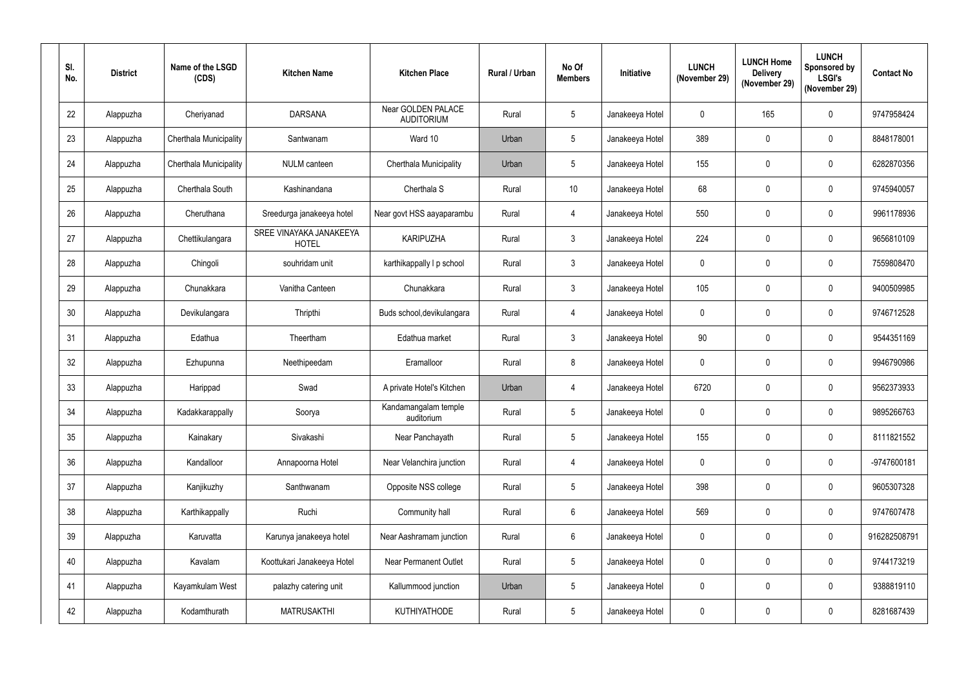| SI.<br>No. | <b>District</b> | Name of the LSGD<br>(CDS) | <b>Kitchen Name</b>                     | <b>Kitchen Place</b>                    | Rural / Urban | No Of<br><b>Members</b> | Initiative      | <b>LUNCH</b><br>(November 29) | <b>LUNCH Home</b><br><b>Delivery</b><br>(November 29) | <b>LUNCH</b><br><b>Sponsored by</b><br><b>LSGI's</b><br>(November 29) | <b>Contact No</b> |
|------------|-----------------|---------------------------|-----------------------------------------|-----------------------------------------|---------------|-------------------------|-----------------|-------------------------------|-------------------------------------------------------|-----------------------------------------------------------------------|-------------------|
| 22         | Alappuzha       | Cheriyanad                | <b>DARSANA</b>                          | Near GOLDEN PALACE<br><b>AUDITORIUM</b> | Rural         | $5\phantom{.0}$         | Janakeeya Hotel | $\mathbf 0$                   | 165                                                   | $\mathbf 0$                                                           | 9747958424        |
| 23         | Alappuzha       | Cherthala Municipality    | Santwanam                               | Ward 10                                 | Urban         | $5\phantom{.0}$         | Janakeeya Hotel | 389                           | $\mathbf 0$                                           | $\mathbf 0$                                                           | 8848178001        |
| 24         | Alappuzha       | Cherthala Municipality    | NULM canteen                            | Cherthala Municipality                  | Urban         | $5\phantom{.0}$         | Janakeeya Hotel | 155                           | $\mathbf 0$                                           | $\mathbf 0$                                                           | 6282870356        |
| 25         | Alappuzha       | Cherthala South           | Kashinandana                            | Cherthala S                             | Rural         | 10                      | Janakeeya Hotel | 68                            | $\mathbf 0$                                           | $\mathbf 0$                                                           | 9745940057        |
| 26         | Alappuzha       | Cheruthana                | Sreedurga janakeeya hotel               | Near govt HSS aayaparambu               | Rural         | 4                       | Janakeeya Hotel | 550                           | $\mathbf{0}$                                          | $\mathbf 0$                                                           | 9961178936        |
| 27         | Alappuzha       | Chettikulangara           | SREE VINAYAKA JANAKEEYA<br><b>HOTEL</b> | <b>KARIPUZHA</b>                        | Rural         | $\mathbf{3}$            | Janakeeya Hotel | 224                           | $\mathbf 0$                                           | $\mathbf 0$                                                           | 9656810109        |
| 28         | Alappuzha       | Chingoli                  | souhridam unit                          | karthikappally I p school               | Rural         | $\mathfrak{Z}$          | Janakeeya Hotel | $\mathbf 0$                   | $\mathbf 0$                                           | $\mathbf 0$                                                           | 7559808470        |
| 29         | Alappuzha       | Chunakkara                | Vanitha Canteen                         | Chunakkara                              | Rural         | $\mathfrak{Z}$          | Janakeeya Hotel | 105                           | $\mathbf 0$                                           | $\mathbf 0$                                                           | 9400509985        |
| 30         | Alappuzha       | Devikulangara             | Thripthi                                | Buds school, devikulangara              | Rural         | 4                       | Janakeeya Hotel | $\boldsymbol{0}$              | $\mathbf 0$                                           | $\mathbf 0$                                                           | 9746712528        |
| 31         | Alappuzha       | Edathua                   | Theertham                               | Edathua market                          | Rural         | $\mathbf{3}$            | Janakeeya Hotel | 90                            | $\mathbf 0$                                           | $\mathbf 0$                                                           | 9544351169        |
| 32         | Alappuzha       | Ezhupunna                 | Neethipeedam                            | Eramalloor                              | Rural         | 8                       | Janakeeya Hotel | $\boldsymbol{0}$              | $\mathbf 0$                                           | $\mathbf 0$                                                           | 9946790986        |
| 33         | Alappuzha       | Harippad                  | Swad                                    | A private Hotel's Kitchen               | Urban         | 4                       | Janakeeya Hotel | 6720                          | $\mathbf 0$                                           | $\mathbf 0$                                                           | 9562373933        |
| 34         | Alappuzha       | Kadakkarappally           | Soorya                                  | Kandamangalam temple<br>auditorium      | Rural         | $5\phantom{.0}$         | Janakeeya Hotel | $\mathbf 0$                   | $\mathbf 0$                                           | $\mathbf 0$                                                           | 9895266763        |
| 35         | Alappuzha       | Kainakary                 | Sivakashi                               | Near Panchayath                         | Rural         | $\overline{5}$          | Janakeeya Hotel | 155                           | $\pmb{0}$                                             | $\pmb{0}$                                                             | 8111821552        |
| 36         | Alappuzha       | Kandalloor                | Annapoorna Hotel                        | Near Velanchira junction                | Rural         | 4                       | Janakeeya Hotel | $\mathbf 0$                   | $\pmb{0}$                                             | $\pmb{0}$                                                             | -9747600181       |
| 37         | Alappuzha       | Kanjikuzhy                | Santhwanam                              | Opposite NSS college                    | Rural         | $5\phantom{.0}$         | Janakeeya Hotel | 398                           | $\mathbf 0$                                           | $\mathbf 0$                                                           | 9605307328        |
| 38         | Alappuzha       | Karthikappally            | Ruchi                                   | Community hall                          | Rural         | 6                       | Janakeeya Hotel | 569                           | $\mathbf 0$                                           | $\mathbf 0$                                                           | 9747607478        |
| 39         | Alappuzha       | Karuvatta                 | Karunya janakeeya hotel                 | Near Aashramam junction                 | Rural         | 6                       | Janakeeya Hotel | $\overline{0}$                | $\mathbf 0$                                           | $\mathbf 0$                                                           | 916282508791      |
| 40         | Alappuzha       | Kavalam                   | Koottukari Janakeeya Hotel              | <b>Near Permanent Outlet</b>            | Rural         | $5\phantom{.0}$         | Janakeeya Hotel | $\pmb{0}$                     | 0                                                     | $\mathbf 0$                                                           | 9744173219        |
| 41         | Alappuzha       | Kayamkulam West           | palazhy catering unit                   | Kallummood junction                     | Urban         | $5\overline{)}$         | Janakeeya Hotel | $\overline{0}$                | $\mathbf 0$                                           | $\pmb{0}$                                                             | 9388819110        |
| 42         | Alappuzha       | Kodamthurath              | <b>MATRUSAKTHI</b>                      | KUTHIYATHODE                            | Rural         | $5\phantom{.0}$         | Janakeeya Hotel | $\pmb{0}$                     | $\pmb{0}$                                             | $\boldsymbol{0}$                                                      | 8281687439        |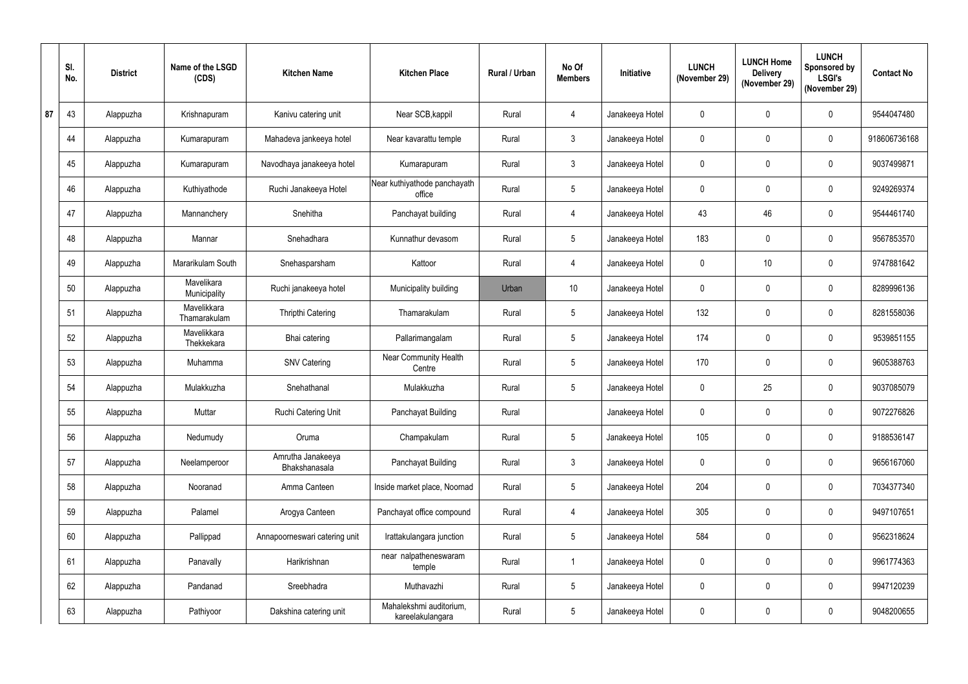|    | SI.<br>No. | <b>District</b> | Name of the LSGD<br>(CDS)   | <b>Kitchen Name</b>                | <b>Kitchen Place</b>                        | Rural / Urban | No Of<br><b>Members</b> | Initiative      | <b>LUNCH</b><br>(November 29) | <b>LUNCH Home</b><br><b>Delivery</b><br>(November 29) | <b>LUNCH</b><br>Sponsored by<br><b>LSGI's</b><br>(November 29) | <b>Contact No</b> |
|----|------------|-----------------|-----------------------------|------------------------------------|---------------------------------------------|---------------|-------------------------|-----------------|-------------------------------|-------------------------------------------------------|----------------------------------------------------------------|-------------------|
| 87 | 43         | Alappuzha       | Krishnapuram                | Kanivu catering unit               | Near SCB, kappil                            | Rural         | 4                       | Janakeeya Hotel | $\mathbf 0$                   | $\mathbf 0$                                           | $\mathbf 0$                                                    | 9544047480        |
|    | 44         | Alappuzha       | Kumarapuram                 | Mahadeva jankeeya hotel            | Near kavarattu temple                       | Rural         | 3                       | Janakeeya Hotel | $\mathbf 0$                   | $\mathbf 0$                                           | $\mathbf 0$                                                    | 918606736168      |
|    | 45         | Alappuzha       | Kumarapuram                 | Navodhaya janakeeya hotel          | Kumarapuram                                 | Rural         | $\mathbf{3}$            | Janakeeya Hotel | $\mathbf 0$                   | $\mathbf 0$                                           | $\mathbf 0$                                                    | 9037499871        |
|    | 46         | Alappuzha       | Kuthiyathode                | Ruchi Janakeeya Hotel              | Near kuthiyathode panchayath<br>office      | Rural         | $5\phantom{.0}$         | Janakeeya Hotel | $\mathbf 0$                   | $\mathbf 0$                                           | $\mathbf 0$                                                    | 9249269374        |
|    | 47         | Alappuzha       | Mannanchery                 | Snehitha                           | Panchayat building                          | Rural         | 4                       | Janakeeya Hotel | 43                            | 46                                                    | $\mathbf{0}$                                                   | 9544461740        |
|    | 48         | Alappuzha       | Mannar                      | Snehadhara                         | Kunnathur devasom                           | Rural         | 5 <sup>5</sup>          | Janakeeya Hotel | 183                           | $\mathbf 0$                                           | $\mathbf 0$                                                    | 9567853570        |
|    | 49         | Alappuzha       | Mararikulam South           | Snehasparsham                      | Kattoor                                     | Rural         | 4                       | Janakeeya Hotel | $\mathbf 0$                   | 10                                                    | $\mathbf 0$                                                    | 9747881642        |
|    | 50         | Alappuzha       | Mavelikara<br>Municipality  | Ruchi janakeeya hotel              | Municipality building                       | Urban         | 10 <sup>°</sup>         | Janakeeya Hotel | $\mathbf 0$                   | $\mathbf{0}$                                          | $\mathbf 0$                                                    | 8289996136        |
|    | 51         | Alappuzha       | Mavelikkara<br>Thamarakulam | <b>Thripthi Catering</b>           | Thamarakulam                                | Rural         | 5 <sup>5</sup>          | Janakeeya Hotel | 132                           | $\mathbf 0$                                           | $\mathbf 0$                                                    | 8281558036        |
|    | 52         | Alappuzha       | Mavelikkara<br>Thekkekara   | Bhai catering                      | Pallarimangalam                             | Rural         | $5\overline{)}$         | Janakeeya Hotel | 174                           | $\mathbf 0$                                           | $\mathbf{0}$                                                   | 9539851155        |
|    | 53         | Alappuzha       | Muhamma                     | <b>SNV Catering</b>                | <b>Near Community Health</b><br>Centre      | Rural         | 5 <sup>5</sup>          | Janakeeya Hotel | 170                           | $\mathbf 0$                                           | $\boldsymbol{0}$                                               | 9605388763        |
|    | 54         | Alappuzha       | Mulakkuzha                  | Snehathanal                        | Mulakkuzha                                  | Rural         | 5 <sup>5</sup>          | Janakeeya Hotel | $\mathbf{0}$                  | 25                                                    | $\mathbf{0}$                                                   | 9037085079        |
|    | 55         | Alappuzha       | Muttar                      | Ruchi Catering Unit                | Panchayat Building                          | Rural         |                         | Janakeeya Hotel | $\mathbf 0$                   | $\mathbf 0$                                           | $\mathbf 0$                                                    | 9072276826        |
|    | 56         | Alappuzha       | Nedumudy                    | Oruma                              | Champakulam                                 | Rural         | $5\overline{)}$         | Janakeeya Hotel | 105                           | $\pmb{0}$                                             | $\pmb{0}$                                                      | 9188536147        |
|    | 57         | Alappuzha       | Neelamperoor                | Amrutha Janakeeya<br>Bhakshanasala | Panchayat Building                          | Rural         | 3 <sup>1</sup>          | Janakeeya Hotel | $\mathbf 0$                   | $\mathbf 0$                                           | $\pmb{0}$                                                      | 9656167060        |
|    | 58         | Alappuzha       | Nooranad                    | Amma Canteen                       | Inside market place, Noornad                | Rural         | 5 <sup>5</sup>          | Janakeeya Hotel | 204                           | $\pmb{0}$                                             | $\mathbf 0$                                                    | 7034377340        |
|    | 59         | Alappuzha       | Palamel                     | Arogya Canteen                     | Panchayat office compound                   | Rural         | 4                       | Janakeeya Hotel | 305                           | $\mathbf 0$                                           | $\pmb{0}$                                                      | 9497107651        |
|    | 60         | Alappuzha       | Pallippad                   | Annapoorneswari catering unit      | Irattakulangara junction                    | Rural         | $5\overline{)}$         | Janakeeya Hotel | 584                           | $\mathbf 0$                                           | $\mathbf 0$                                                    | 9562318624        |
|    | 61         | Alappuzha       | Panavally                   | Harikrishnan                       | near nalpatheneswaram<br>temple             | Rural         |                         | Janakeeya Hotel | $\mathbf 0$                   | $\pmb{0}$                                             | $\pmb{0}$                                                      | 9961774363        |
|    | 62         | Alappuzha       | Pandanad                    | Sreebhadra                         | Muthavazhi                                  | Rural         | 5 <sub>5</sub>          | Janakeeya Hotel | $\mathbf 0$                   | $\pmb{0}$                                             | $\pmb{0}$                                                      | 9947120239        |
|    | 63         | Alappuzha       | Pathiyoor                   | Dakshina catering unit             | Mahalekshmi auditorium,<br>kareelakulangara | Rural         | 5 <sub>5</sub>          | Janakeeya Hotel | $\mathbf 0$                   | $\pmb{0}$                                             | $\boldsymbol{0}$                                               | 9048200655        |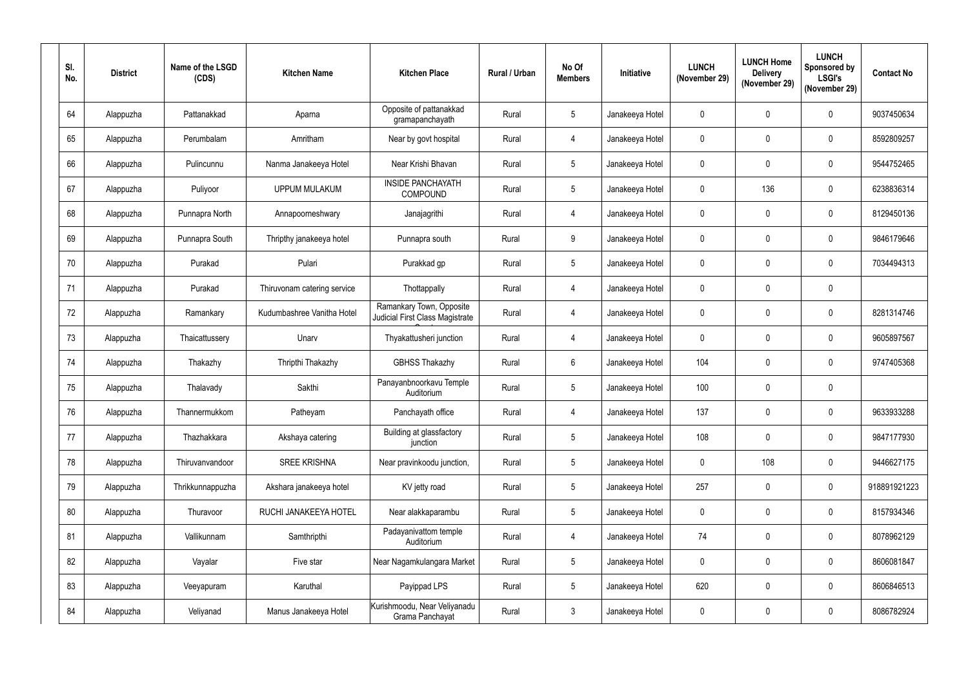| SI.<br>No. | <b>District</b> | Name of the LSGD<br>(CDS) | <b>Kitchen Name</b>         | <b>Kitchen Place</b>                                        | <b>Rural / Urban</b> | No Of<br><b>Members</b> | <b>Initiative</b> | <b>LUNCH</b><br>(November 29) | <b>LUNCH Home</b><br><b>Delivery</b><br>(November 29) | <b>LUNCH</b><br>Sponsored by<br><b>LSGI's</b><br>(November 29) | <b>Contact No</b> |
|------------|-----------------|---------------------------|-----------------------------|-------------------------------------------------------------|----------------------|-------------------------|-------------------|-------------------------------|-------------------------------------------------------|----------------------------------------------------------------|-------------------|
| 64         | Alappuzha       | Pattanakkad               | Aparna                      | Opposite of pattanakkad<br>gramapanchayath                  | Rural                | $5\phantom{.0}$         | Janakeeya Hotel   | $\mathbf 0$                   | $\mathbf{0}$                                          | $\mathbf 0$                                                    | 9037450634        |
| 65         | Alappuzha       | Perumbalam                | Amritham                    | Near by govt hospital                                       | Rural                | 4                       | Janakeeya Hotel   | $\mathbf 0$                   | $\mathbf 0$                                           | $\mathbf 0$                                                    | 8592809257        |
| 66         | Alappuzha       | Pulincunnu                | Nanma Janakeeya Hotel       | Near Krishi Bhavan                                          | Rural                | $5\phantom{.0}$         | Janakeeya Hotel   | $\mathbf 0$                   | $\mathbf 0$                                           | $\mathbf{0}$                                                   | 9544752465        |
| 67         | Alappuzha       | Puliyoor                  | <b>UPPUM MULAKUM</b>        | <b>INSIDE PANCHAYATH</b><br><b>COMPOUND</b>                 | Rural                | $5\overline{)}$         | Janakeeya Hotel   | $\boldsymbol{0}$              | 136                                                   | $\mathbf 0$                                                    | 6238836314        |
| 68         | Alappuzha       | Punnapra North            | Annapoorneshwary            | Janajagrithi                                                | Rural                | $\overline{4}$          | Janakeeya Hotel   | $\mathbf 0$                   | $\mathbf{0}$                                          | $\mathbf 0$                                                    | 8129450136        |
| 69         | Alappuzha       | Punnapra South            | Thripthy janakeeya hotel    | Punnapra south                                              | Rural                | 9                       | Janakeeya Hotel   | $\mathbf 0$                   | $\mathbf 0$                                           | $\mathbf 0$                                                    | 9846179646        |
| 70         | Alappuzha       | Purakad                   | Pulari                      | Purakkad gp                                                 | Rural                | $5\phantom{.0}$         | Janakeeya Hotel   | $\boldsymbol{0}$              | $\mathbf{0}$                                          | $\mathbf 0$                                                    | 7034494313        |
| 71         | Alappuzha       | Purakad                   | Thiruvonam catering service | Thottappally                                                | Rural                | 4                       | Janakeeya Hotel   | $\mathbf 0$                   | $\mathbf 0$                                           | $\mathbf 0$                                                    |                   |
| 72         | Alappuzha       | Ramankary                 | Kudumbashree Vanitha Hotel  | Ramankary Town, Opposite<br>Judicial First Class Magistrate | Rural                | 4                       | Janakeeya Hotel   | $\boldsymbol{0}$              | $\mathbf 0$                                           | $\mathbf 0$                                                    | 8281314746        |
| 73         | Alappuzha       | Thaicattussery            | Unarv                       | Thyakattusheri junction                                     | Rural                | 4                       | Janakeeya Hotel   | $\mathbf 0$                   | $\mathbf{0}$                                          | $\mathbf 0$                                                    | 9605897567        |
| 74         | Alappuzha       | Thakazhy                  | Thripthi Thakazhy           | <b>GBHSS Thakazhy</b>                                       | Rural                | 6                       | Janakeeya Hotel   | 104                           | $\mathbf 0$                                           | $\mathbf 0$                                                    | 9747405368        |
| 75         | Alappuzha       | Thalavady                 | Sakthi                      | Panayanbnoorkavu Temple<br>Auditorium                       | Rural                | $5\overline{)}$         | Janakeeya Hotel   | 100                           | $\mathbf 0$                                           | $\mathbf 0$                                                    |                   |
| 76         | Alappuzha       | Thannermukkom             | Patheyam                    | Panchayath office                                           | Rural                | 4                       | Janakeeya Hotel   | 137                           | $\mathbf 0$                                           | $\mathbf 0$                                                    | 9633933288        |
| 77         | Alappuzha       | Thazhakkara               | Akshaya catering            | Building at glassfactory<br>junction                        | Rural                | $5\phantom{.0}$         | Janakeeya Hotel   | 108                           | $\mathbf 0$                                           | $\pmb{0}$                                                      | 9847177930        |
| 78         | Alappuzha       | Thiruvanvandoor           | <b>SREE KRISHNA</b>         | Near pravinkoodu junction,                                  | Rural                | $5\phantom{.0}$         | Janakeeya Hotel   | $\pmb{0}$                     | 108                                                   | $\pmb{0}$                                                      | 9446627175        |
| 79         | Alappuzha       | Thrikkunnappuzha          | Akshara janakeeya hotel     | KV jetty road                                               | Rural                | $5\phantom{.0}$         | Janakeeya Hotel   | 257                           | $\mathbf 0$                                           | $\mathbf 0$                                                    | 918891921223      |
| 80         | Alappuzha       | Thuravoor                 | RUCHI JANAKEEYA HOTEL       | Near alakkaparambu                                          | Rural                | $\overline{5}$          | Janakeeya Hotel   | $\bf{0}$                      | 0                                                     | $\mathbf 0$                                                    | 8157934346        |
| 81         | Alappuzha       | Vallikunnam               | Samthripthi                 | Padayanivattom temple<br>Auditorium                         | Rural                | 4                       | Janakeeya Hotel   | 74                            | $\mathbf 0$                                           | $\mathbf 0$                                                    | 8078962129        |
| 82         | Alappuzha       | Vayalar                   | Five star                   | Near Nagamkulangara Market                                  | Rural                | $5\phantom{.0}$         | Janakeeya Hotel   | $\bf{0}$                      | $\pmb{0}$                                             | $\pmb{0}$                                                      | 8606081847        |
| 83         | Alappuzha       | Veeyapuram                | Karuthal                    | Payippad LPS                                                | Rural                | $5\overline{)}$         | Janakeeya Hotel   | 620                           | 0                                                     | $\mathbf 0$                                                    | 8606846513        |
| 84         | Alappuzha       | Veliyanad                 | Manus Janakeeya Hotel       | Kurishmoodu, Near Veliyanadu<br>Grama Panchayat             | Rural                | $\mathfrak{Z}$          | Janakeeya Hotel   | $\mathbf 0$                   | 0                                                     | $\boldsymbol{0}$                                               | 8086782924        |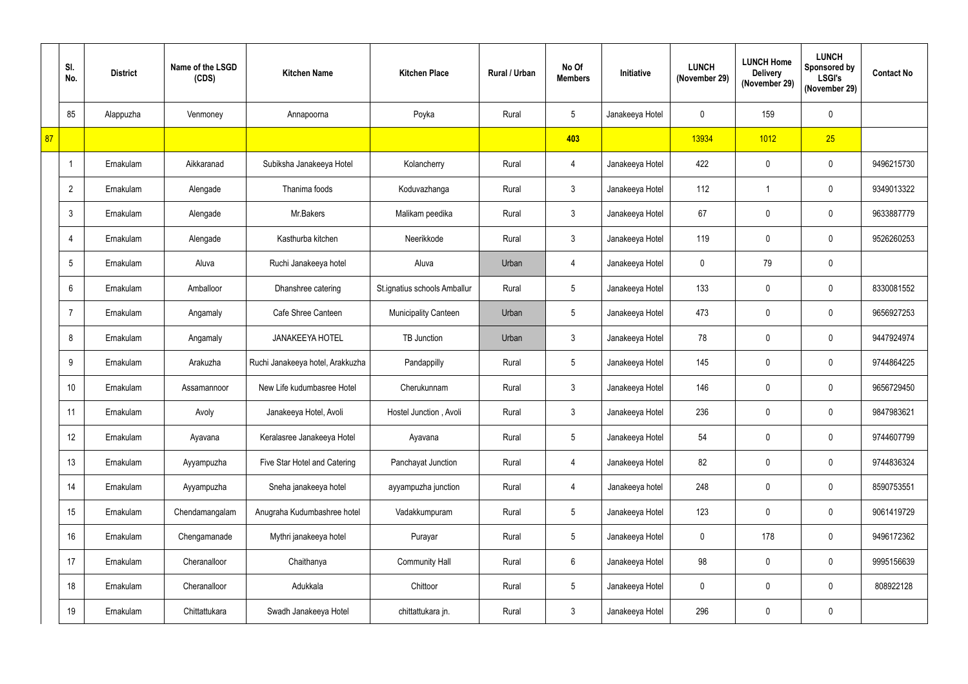|    | SI.<br>No.      | <b>District</b> | Name of the LSGD<br>(CDS) | <b>Kitchen Name</b>              | <b>Kitchen Place</b>         | Rural / Urban | No Of<br><b>Members</b> | Initiative      | <b>LUNCH</b><br>(November 29) | <b>LUNCH Home</b><br><b>Delivery</b><br>(November 29) | <b>LUNCH</b><br>Sponsored by<br><b>LSGI's</b><br>(November 29) | <b>Contact No</b> |
|----|-----------------|-----------------|---------------------------|----------------------------------|------------------------------|---------------|-------------------------|-----------------|-------------------------------|-------------------------------------------------------|----------------------------------------------------------------|-------------------|
|    | 85              | Alappuzha       | Venmoney                  | Annapoorna                       | Poyka                        | Rural         | 5 <sup>5</sup>          | Janakeeya Hotel | $\mathbf 0$                   | 159                                                   | $\mathbf 0$                                                    |                   |
| 87 |                 |                 |                           |                                  |                              |               | 403                     |                 | 13934                         | 1012                                                  | 25                                                             |                   |
|    | -1              | Ernakulam       | Aikkaranad                | Subiksha Janakeeya Hotel         | Kolancherry                  | Rural         | 4                       | Janakeeya Hotel | 422                           | $\mathbf 0$                                           | $\mathbf 0$                                                    | 9496215730        |
|    | $\overline{2}$  | Ernakulam       | Alengade                  | Thanima foods                    | Koduvazhanga                 | Rural         | $\mathbf{3}$            | Janakeeya Hotel | 112                           |                                                       | $\mathbf 0$                                                    | 9349013322        |
|    | 3               | Ernakulam       | Alengade                  | Mr.Bakers                        | Malikam peedika              | Rural         | $\mathbf{3}$            | Janakeeya Hotel | 67                            | $\mathbf 0$                                           | $\mathbf{0}$                                                   | 9633887779        |
|    |                 | Ernakulam       | Alengade                  | Kasthurba kitchen                | Neerikkode                   | Rural         | 3                       | Janakeeya Hotel | 119                           | $\mathbf 0$                                           | $\mathbf 0$                                                    | 9526260253        |
|    | 5               | Ernakulam       | Aluva                     | Ruchi Janakeeya hotel            | Aluva                        | Urban         | 4                       | Janakeeya Hotel | $\mathbf{0}$                  | 79                                                    | $\mathbf 0$                                                    |                   |
|    | 6               | Ernakulam       | Amballoor                 | Dhanshree catering               | St.ignatius schools Amballur | Rural         | $5\phantom{.0}$         | Janakeeya Hotel | 133                           | $\mathbf 0$                                           | $\mathbf 0$                                                    | 8330081552        |
|    |                 | Ernakulam       | Angamaly                  | Cafe Shree Canteen               | <b>Municipality Canteen</b>  | Urban         | 5 <sup>5</sup>          | Janakeeya Hotel | 473                           | $\mathbf 0$                                           | $\mathbf 0$                                                    | 9656927253        |
|    | 8               | Ernakulam       | Angamaly                  | <b>JANAKEEYA HOTEL</b>           | <b>TB Junction</b>           | Urban         | 3                       | Janakeeya Hotel | 78                            | $\mathbf 0$                                           | $\mathbf 0$                                                    | 9447924974        |
|    | 9               | Ernakulam       | Arakuzha                  | Ruchi Janakeeya hotel, Arakkuzha | Pandappilly                  | Rural         | 5 <sup>5</sup>          | Janakeeya Hotel | 145                           | $\mathbf 0$                                           | $\mathbf 0$                                                    | 9744864225        |
|    | 10 <sup>°</sup> | Ernakulam       | Assamannoor               | New Life kudumbasree Hotel       | Cherukunnam                  | Rural         | 3 <sup>1</sup>          | Janakeeya Hotel | 146                           | $\boldsymbol{0}$                                      | $\mathbf{0}$                                                   | 9656729450        |
|    | 11              | Ernakulam       | Avoly                     | Janakeeya Hotel, Avoli           | Hostel Junction, Avoli       | Rural         | $\mathbf{3}$            | Janakeeya Hotel | 236                           | $\mathbf 0$                                           | $\mathbf 0$                                                    | 9847983621        |
|    | 12              | Ernakulam       | Ayavana                   | Keralasree Janakeeya Hotel       | Ayavana                      | Rural         | $5\overline{)}$         | Janakeeya Hotel | 54                            | $\pmb{0}$                                             | $\pmb{0}$                                                      | 9744607799        |
|    | 13              | Ernakulam       | Ayyampuzha                | Five Star Hotel and Catering     | Panchayat Junction           | Rural         | $\overline{4}$          | Janakeeya Hotel | 82                            | $\pmb{0}$                                             | $\mathbf 0$                                                    | 9744836324        |
|    | 14              | Ernakulam       | Ayyampuzha                | Sneha janakeeya hotel            | ayyampuzha junction          | Rural         | 4                       | Janakeeya hotel | 248                           | $\mathbf 0$                                           | $\mathbf 0$                                                    | 8590753551        |
|    | 15              | Ernakulam       | Chendamangalam            | Anugraha Kudumbashree hotel      | Vadakkumpuram                | Rural         | 5 <sub>5</sub>          | Janakeeya Hotel | 123                           | $\pmb{0}$                                             | $\mathbf 0$                                                    | 9061419729        |
|    | 16              | Ernakulam       | Chengamanade              | Mythri janakeeya hotel           | Purayar                      | Rural         | 5 <sub>5</sub>          | Janakeeya Hotel | $\mathbf 0$                   | 178                                                   | $\mathbf 0$                                                    | 9496172362        |
|    | 17              | Ernakulam       | Cheranalloor              | Chaithanya                       | <b>Community Hall</b>        | Rural         | $6\overline{6}$         | Janakeeya Hotel | 98                            | $\pmb{0}$                                             | $\mathbf 0$                                                    | 9995156639        |
|    | 18              | Ernakulam       | Cheranalloor              | Adukkala                         | Chittoor                     | Rural         | 5 <sub>5</sub>          | Janakeeya Hotel | $\mathbf 0$                   | $\pmb{0}$                                             | $\mathbf 0$                                                    | 808922128         |
|    | 19              | Ernakulam       | Chittattukara             | Swadh Janakeeya Hotel            | chittattukara jn.            | Rural         | 3 <sup>1</sup>          | Janakeeya Hotel | 296                           | $\pmb{0}$                                             | $\pmb{0}$                                                      |                   |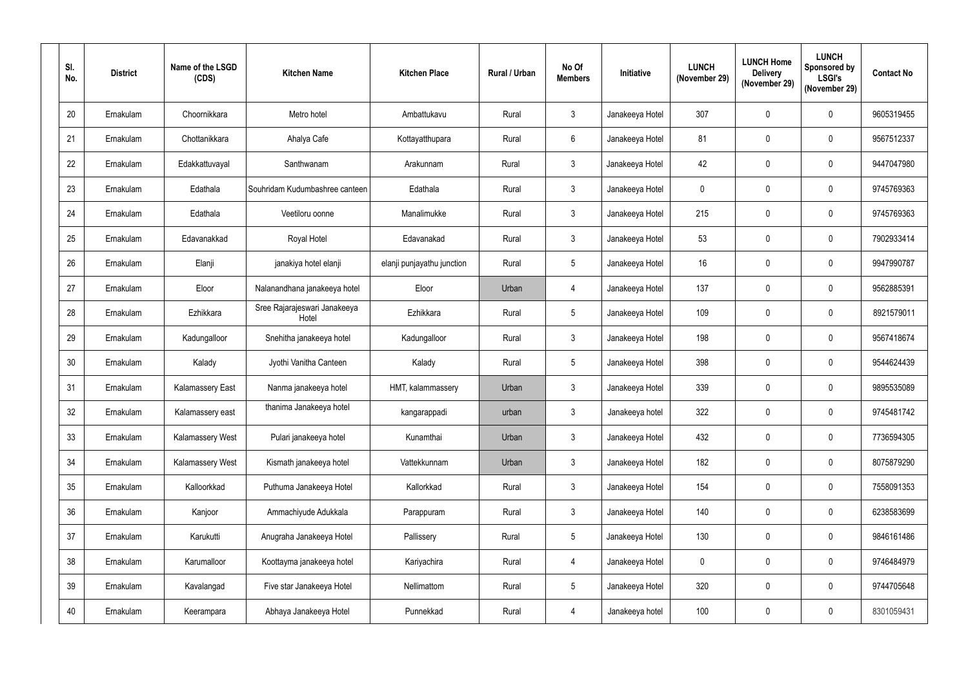| SI.<br>No. | <b>District</b> | Name of the LSGD<br>(CDS) | <b>Kitchen Name</b>                   | <b>Kitchen Place</b>       | Rural / Urban | No Of<br><b>Members</b> | Initiative      | <b>LUNCH</b><br>(November 29) | <b>LUNCH Home</b><br><b>Delivery</b><br>(November 29) | <b>LUNCH</b><br><b>Sponsored by</b><br><b>LSGI's</b><br>(November 29) | <b>Contact No</b> |
|------------|-----------------|---------------------------|---------------------------------------|----------------------------|---------------|-------------------------|-----------------|-------------------------------|-------------------------------------------------------|-----------------------------------------------------------------------|-------------------|
| 20         | Ernakulam       | Choornikkara              | Metro hotel                           | Ambattukavu                | Rural         | $\mathbf{3}$            | Janakeeya Hotel | 307                           | $\mathbf{0}$                                          | $\mathbf 0$                                                           | 9605319455        |
| 21         | Ernakulam       | Chottanikkara             | Ahalya Cafe                           | Kottayatthupara            | Rural         | $6\overline{6}$         | Janakeeya Hotel | 81                            | $\mathbf 0$                                           | $\mathbf 0$                                                           | 9567512337        |
| 22         | Ernakulam       | Edakkattuvayal            | Santhwanam                            | Arakunnam                  | Rural         | $\mathbf{3}$            | Janakeeya Hotel | 42                            | $\mathbf 0$                                           | $\mathbf 0$                                                           | 9447047980        |
| 23         | Ernakulam       | Edathala                  | Souhridam Kudumbashree canteen        | Edathala                   | Rural         | $\mathbf{3}$            | Janakeeya Hotel | $\mathbf 0$                   | $\mathbf 0$                                           | $\mathbf 0$                                                           | 9745769363        |
| 24         | Ernakulam       | Edathala                  | Veetiloru oonne                       | Manalimukke                | Rural         | $\mathfrak{Z}$          | Janakeeya Hotel | 215                           | $\mathbf{0}$                                          | $\mathbf 0$                                                           | 9745769363        |
| 25         | Ernakulam       | Edavanakkad               | Royal Hotel                           | Edavanakad                 | Rural         | $\mathbf{3}$            | Janakeeya Hotel | 53                            | $\mathbf 0$                                           | $\mathbf 0$                                                           | 7902933414        |
| 26         | Ernakulam       | Elanji                    | janakiya hotel elanji                 | elanji punjayathu junction | Rural         | $5\phantom{.0}$         | Janakeeya Hotel | 16                            | $\mathbf 0$                                           | $\mathbf 0$                                                           | 9947990787        |
| 27         | Ernakulam       | Eloor                     | Nalanandhana janakeeya hotel          | Eloor                      | Urban         | 4                       | Janakeeya Hotel | 137                           | $\mathbf 0$                                           | $\mathbf 0$                                                           | 9562885391        |
| 28         | Ernakulam       | Ezhikkara                 | Sree Rajarajeswari Janakeeya<br>Hotel | Ezhikkara                  | Rural         | $5\phantom{.0}$         | Janakeeya Hotel | 109                           | $\mathbf 0$                                           | $\mathbf 0$                                                           | 8921579011        |
| 29         | Ernakulam       | Kadungalloor              | Snehitha janakeeya hotel              | Kadungalloor               | Rural         | $\mathfrak{Z}$          | Janakeeya Hotel | 198                           | $\mathbf 0$                                           | $\mathbf 0$                                                           | 9567418674        |
| 30         | Ernakulam       | Kalady                    | Jyothi Vanitha Canteen                | Kalady                     | Rural         | $5\phantom{.0}$         | Janakeeya Hotel | 398                           | $\mathbf 0$                                           | $\mathbf 0$                                                           | 9544624439        |
| 31         | Ernakulam       | <b>Kalamassery East</b>   | Nanma janakeeya hotel                 | HMT, kalammassery          | Urban         | 3 <sup>1</sup>          | Janakeeya Hotel | 339                           | $\mathbf 0$                                           | $\mathbf 0$                                                           | 9895535089        |
| 32         | Ernakulam       | Kalamassery east          | thanima Janakeeya hotel               | kangarappadi               | urban         | $\mathbf{3}$            | Janakeeya hotel | 322                           | $\mathbf 0$                                           | $\mathbf 0$                                                           | 9745481742        |
| 33         | Ernakulam       | Kalamassery West          | Pulari janakeeya hotel                | Kunamthai                  | Urban         | $\mathfrak{Z}$          | Janakeeya Hotel | 432                           | $\pmb{0}$                                             | $\pmb{0}$                                                             | 7736594305        |
| 34         | Ernakulam       | Kalamassery West          | Kismath janakeeya hotel               | Vattekkunnam               | Urban         | $\mathbf{3}$            | Janakeeya Hotel | 182                           | $\pmb{0}$                                             | $\pmb{0}$                                                             | 8075879290        |
| 35         | Ernakulam       | Kalloorkkad               | Puthuma Janakeeya Hotel               | Kallorkkad                 | Rural         | $\mathbf{3}$            | Janakeeya Hotel | 154                           | $\mathbf 0$                                           | $\mathbf 0$                                                           | 7558091353        |
| 36         | Ernakulam       | Kanjoor                   | Ammachiyude Adukkala                  | Parappuram                 | Rural         | $\mathbf{3}$            | Janakeeya Hotel | 140                           | $\mathbf 0$                                           | $\mathbf 0$                                                           | 6238583699        |
| 37         | Ernakulam       | Karukutti                 | Anugraha Janakeeya Hotel              | Pallissery                 | Rural         | $\overline{5}$          | Janakeeya Hotel | 130                           | $\mathbf 0$                                           | $\mathbf 0$                                                           | 9846161486        |
| 38         | Ernakulam       | Karumalloor               | Koottayma janakeeya hotel             | Kariyachira                | Rural         | 4                       | Janakeeya Hotel | $\bf{0}$                      | 0                                                     | $\mathbf 0$                                                           | 9746484979        |
| 39         | Ernakulam       | Kavalangad                | Five star Janakeeya Hotel             | Nellimattom                | Rural         | $5\overline{)}$         | Janakeeya Hotel | 320                           | $\mathbf 0$                                           | $\mathbf 0$                                                           | 9744705648        |
| 40         | Ernakulam       | Keerampara                | Abhaya Janakeeya Hotel                | Punnekkad                  | Rural         | 4                       | Janakeeya hotel | 100                           | $\pmb{0}$                                             | $\boldsymbol{0}$                                                      | 8301059431        |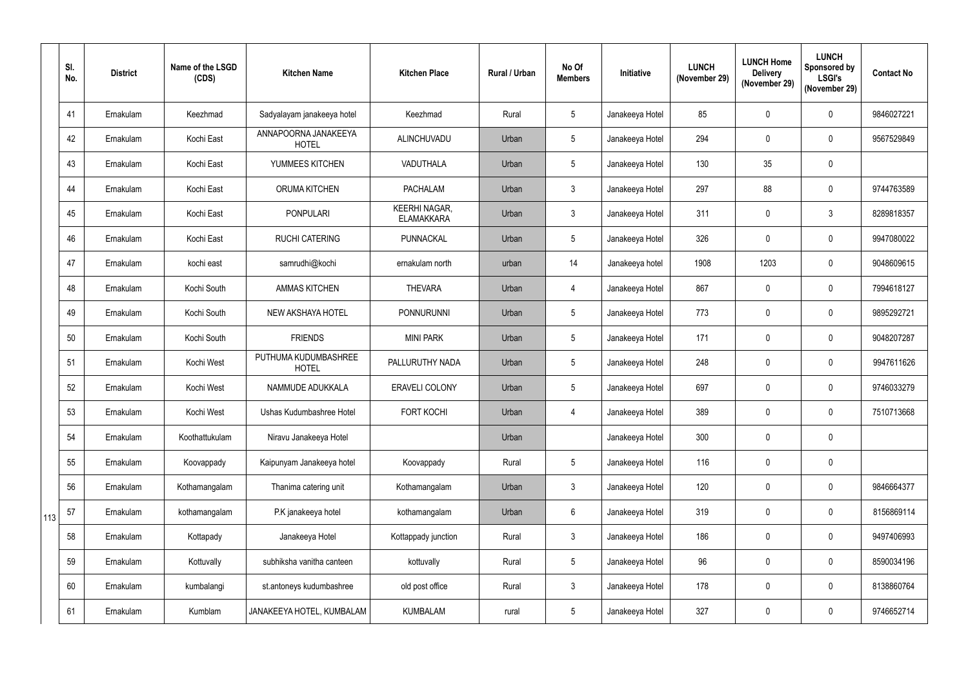|     | SI.<br>No. | <b>District</b> | Name of the LSGD<br>(CDS) | <b>Kitchen Name</b>                  | <b>Kitchen Place</b>                      | Rural / Urban | No Of<br><b>Members</b> | Initiative      | <b>LUNCH</b><br>(November 29) | <b>LUNCH Home</b><br><b>Delivery</b><br>(November 29) | <b>LUNCH</b><br>Sponsored by<br><b>LSGI's</b><br>(November 29) | <b>Contact No</b> |
|-----|------------|-----------------|---------------------------|--------------------------------------|-------------------------------------------|---------------|-------------------------|-----------------|-------------------------------|-------------------------------------------------------|----------------------------------------------------------------|-------------------|
|     | 41         | Ernakulam       | Keezhmad                  | Sadyalayam janakeeya hotel           | Keezhmad                                  | Rural         | 5 <sup>5</sup>          | Janakeeya Hotel | 85                            | $\mathbf 0$                                           | $\mathbf 0$                                                    | 9846027221        |
|     | 42         | Ernakulam       | Kochi East                | ANNAPOORNA JANAKEEYA<br><b>HOTEL</b> | ALINCHUVADU                               | Urban         | 5 <sup>5</sup>          | Janakeeya Hotel | 294                           | $\mathbf 0$                                           | $\mathbf 0$                                                    | 9567529849        |
|     | 43         | Ernakulam       | Kochi East                | YUMMEES KITCHEN                      | VADUTHALA                                 | Urban         | 5 <sup>5</sup>          | Janakeeya Hotel | 130                           | 35                                                    | $\mathbf 0$                                                    |                   |
|     | 44         | Ernakulam       | Kochi East                | <b>ORUMA KITCHEN</b>                 | <b>PACHALAM</b>                           | Urban         | 3                       | Janakeeya Hotel | 297                           | 88                                                    | $\mathbf 0$                                                    | 9744763589        |
|     | 45         | Ernakulam       | Kochi East                | <b>PONPULARI</b>                     | <b>KEERHI NAGAR,</b><br><b>ELAMAKKARA</b> | Urban         | 3 <sup>1</sup>          | Janakeeya Hotel | 311                           | $\mathbf 0$                                           | $\mathbf{3}$                                                   | 8289818357        |
|     | 46         | Ernakulam       | Kochi East                | <b>RUCHI CATERING</b>                | PUNNACKAL                                 | Urban         | 5 <sup>5</sup>          | Janakeeya Hotel | 326                           | $\mathbf 0$                                           | $\mathbf 0$                                                    | 9947080022        |
|     | 47         | Ernakulam       | kochi east                | samrudhi@kochi                       | ernakulam north                           | urban         | 14                      | Janakeeya hotel | 1908                          | 1203                                                  | $\mathbf{0}$                                                   | 9048609615        |
|     | 48         | Ernakulam       | Kochi South               | <b>AMMAS KITCHEN</b>                 | <b>THEVARA</b>                            | Urban         | $\overline{4}$          | Janakeeya Hotel | 867                           | $\mathbf 0$                                           | $\mathbf 0$                                                    | 7994618127        |
|     | 49         | Ernakulam       | Kochi South               | NEW AKSHAYA HOTEL                    | <b>PONNURUNNI</b>                         | Urban         | 5 <sub>5</sub>          | Janakeeya Hotel | 773                           | $\mathbf 0$                                           | $\mathbf 0$                                                    | 9895292721        |
|     | 50         | Ernakulam       | Kochi South               | <b>FRIENDS</b>                       | <b>MINI PARK</b>                          | Urban         | 5 <sup>5</sup>          | Janakeeya Hotel | 171                           | $\mathbf 0$                                           | $\mathbf{0}$                                                   | 9048207287        |
|     | 51         | Ernakulam       | Kochi West                | PUTHUMA KUDUMBASHREE<br><b>HOTEL</b> | PALLURUTHY NADA                           | Urban         | 5 <sup>5</sup>          | Janakeeya Hotel | 248                           | $\mathbf 0$                                           | $\mathbf 0$                                                    | 9947611626        |
|     | 52         | Ernakulam       | Kochi West                | NAMMUDE ADUKKALA                     | <b>ERAVELI COLONY</b>                     | Urban         | 5 <sup>5</sup>          | Janakeeya Hotel | 697                           | $\boldsymbol{0}$                                      | $\mathbf{0}$                                                   | 9746033279        |
|     | 53         | Ernakulam       | Kochi West                | Ushas Kudumbashree Hotel             | FORT KOCHI                                | Urban         | 4                       | Janakeeya Hotel | 389                           | $\pmb{0}$                                             | $\mathbf 0$                                                    | 7510713668        |
|     | 54         | Ernakulam       | Koothattukulam            | Niravu Janakeeya Hotel               |                                           | Urban         |                         | Janakeeya Hotel | 300                           | $\pmb{0}$                                             | $\pmb{0}$                                                      |                   |
|     | 55         | Ernakulam       | Koovappady                | Kaipunyam Janakeeya hotel            | Koovappady                                | Rural         | 5 <sub>5</sub>          | Janakeeya Hotel | 116                           | $\pmb{0}$                                             | $\pmb{0}$                                                      |                   |
|     | 56         | Ernakulam       | Kothamangalam             | Thanima catering unit                | Kothamangalam                             | Urban         | 3                       | Janakeeya Hotel | 120                           | $\pmb{0}$                                             | $\pmb{0}$                                                      | 9846664377        |
| 113 | 57         | Ernakulam       | kothamangalam             | P.K janakeeya hotel                  | kothamangalam                             | Urban         | $6\overline{6}$         | Janakeeya Hotel | 319                           | $\pmb{0}$                                             | $\mathbf 0$                                                    | 8156869114        |
|     | 58         | Ernakulam       | Kottapady                 | Janakeeya Hotel                      | Kottappady junction                       | Rural         | 3 <sup>1</sup>          | Janakeeya Hotel | 186                           | $\pmb{0}$                                             | $\mathbf 0$                                                    | 9497406993        |
|     | 59         | Ernakulam       | Kottuvally                | subhiksha vanitha canteen            | kottuvally                                | Rural         | 5 <sub>5</sub>          | Janakeeya Hotel | 96                            | $\pmb{0}$                                             | $\pmb{0}$                                                      | 8590034196        |
|     | 60         | Ernakulam       | kumbalangi                | st.antoneys kudumbashree             | old post office                           | Rural         | $\mathbf{3}$            | Janakeeya Hotel | 178                           | $\pmb{0}$                                             | $\pmb{0}$                                                      | 8138860764        |
|     | 61         | Ernakulam       | Kumblam                   | JANAKEEYA HOTEL, KUMBALAM            | <b>KUMBALAM</b>                           | rural         | 5 <sub>5</sub>          | Janakeeya Hotel | 327                           | $\pmb{0}$                                             | $\boldsymbol{0}$                                               | 9746652714        |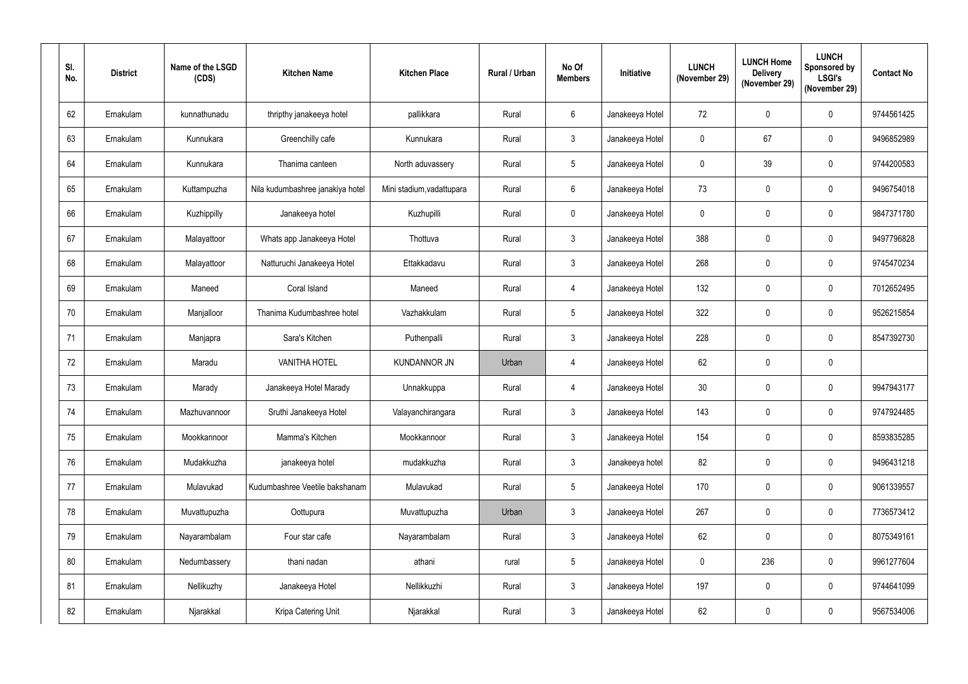| SI.<br>No. | <b>District</b> | Name of the LSGD<br>(CDS) | <b>Kitchen Name</b>              | <b>Kitchen Place</b>      | <b>Rural / Urban</b> | No Of<br><b>Members</b> | Initiative      | <b>LUNCH</b><br>(November 29) | <b>LUNCH Home</b><br><b>Delivery</b><br>(November 29) | <b>LUNCH</b><br>Sponsored by<br><b>LSGI's</b><br>(November 29) | <b>Contact No</b> |
|------------|-----------------|---------------------------|----------------------------------|---------------------------|----------------------|-------------------------|-----------------|-------------------------------|-------------------------------------------------------|----------------------------------------------------------------|-------------------|
| 62         | Ernakulam       | kunnathunadu              | thripthy janakeeya hotel         | pallikkara                | Rural                | 6                       | Janakeeya Hotel | 72                            | $\mathbf 0$                                           | $\mathbf 0$                                                    | 9744561425        |
| 63         | Ernakulam       | Kunnukara                 | Greenchilly cafe                 | Kunnukara                 | Rural                | 3 <sup>1</sup>          | Janakeeya Hotel | $\boldsymbol{0}$              | 67                                                    | $\mathbf 0$                                                    | 9496852989        |
| 64         | Ernakulam       | Kunnukara                 | Thanima canteen                  | North aduvassery          | Rural                | $5\phantom{.0}$         | Janakeeya Hotel | $\mathbf 0$                   | 39                                                    | $\mathbf 0$                                                    | 9744200583        |
| 65         | Ernakulam       | Kuttampuzha               | Nila kudumbashree janakiya hotel | Mini stadium, vadattupara | Rural                | $6\phantom{.}6$         | Janakeeya Hotel | 73                            | $\mathbf 0$                                           | $\mathbf 0$                                                    | 9496754018        |
| 66         | Ernakulam       | Kuzhippilly               | Janakeeya hotel                  | Kuzhupilli                | Rural                | $\mathbf 0$             | Janakeeya Hotel | $\mathbf 0$                   | $\mathbf 0$                                           | $\mathbf 0$                                                    | 9847371780        |
| 67         | Ernakulam       | Malayattoor               | Whats app Janakeeya Hotel        | Thottuva                  | Rural                | $\mathbf{3}$            | Janakeeya Hotel | 388                           | $\mathbf 0$                                           | $\mathbf 0$                                                    | 9497796828        |
| 68         | Ernakulam       | Malayattoor               | Natturuchi Janakeeya Hotel       | Ettakkadavu               | Rural                | $\mathfrak{Z}$          | Janakeeya Hotel | 268                           | 0                                                     | $\mathbf 0$                                                    | 9745470234        |
| 69         | Ernakulam       | Maneed                    | Coral Island                     | Maneed                    | Rural                | 4                       | Janakeeya Hotel | 132                           | $\mathbf 0$                                           | $\mathbf 0$                                                    | 7012652495        |
| 70         | Ernakulam       | Manjalloor                | Thanima Kudumbashree hotel       | Vazhakkulam               | Rural                | $5\phantom{.0}$         | Janakeeya Hotel | 322                           | $\mathbf 0$                                           | $\mathbf 0$                                                    | 9526215854        |
| 71         | Ernakulam       | Manjapra                  | Sara's Kitchen                   | Puthenpalli               | Rural                | $\mathbf{3}$            | Janakeeya Hotel | 228                           | $\mathbf{0}$                                          | $\mathbf 0$                                                    | 8547392730        |
| 72         | Ernakulam       | Maradu                    | <b>VANITHA HOTEL</b>             | <b>KUNDANNOR JN</b>       | Urban                | 4                       | Janakeeya Hotel | 62                            | $\mathbf 0$                                           | $\mathbf 0$                                                    |                   |
| 73         | Ernakulam       | Marady                    | Janakeeya Hotel Marady           | Unnakkuppa                | Rural                | 4                       | Janakeeya Hotel | 30 <sup>°</sup>               | $\mathbf 0$                                           | $\mathbf 0$                                                    | 9947943177        |
| 74         | Ernakulam       | Mazhuvannoor              | Sruthi Janakeeya Hotel           | Valayanchirangara         | Rural                | $\mathbf{3}$            | Janakeeya Hotel | 143                           | $\mathbf 0$                                           | $\mathbf 0$                                                    | 9747924485        |
| 75         | Ernakulam       | Mookkannoor               | Mamma's Kitchen                  | Mookkannoor               | Rural                | $\mathfrak{Z}$          | Janakeeya Hotel | 154                           | $\pmb{0}$                                             | $\pmb{0}$                                                      | 8593835285        |
| 76         | Ernakulam       | Mudakkuzha                | janakeeya hotel                  | mudakkuzha                | Rural                | $\mathbf{3}$            | Janakeeya hotel | 82                            | $\pmb{0}$                                             | $\pmb{0}$                                                      | 9496431218        |
| 77         | Ernakulam       | Mulavukad                 | Kudumbashree Veetile bakshanam   | Mulavukad                 | Rural                | $5\phantom{.0}$         | Janakeeya Hotel | 170                           | $\mathbf 0$                                           | $\mathbf 0$                                                    | 9061339557        |
| 78         | Ernakulam       | Muvattupuzha              | Oottupura                        | Muvattupuzha              | Urban                | $\mathbf{3}$            | Janakeeya Hotel | 267                           | $\mathbf 0$                                           | $\mathbf 0$                                                    | 7736573412        |
| 79         | Ernakulam       | Nayarambalam              | Four star cafe                   | Nayarambalam              | Rural                | $\mathbf{3}$            | Janakeeya Hotel | 62                            | $\mathbf 0$                                           | $\mathbf 0$                                                    | 8075349161        |
| 80         | Ernakulam       | Nedumbassery              | thani nadan                      | athani                    | rural                | $5\phantom{.0}$         | Janakeeya Hotel | $\pmb{0}$                     | 236                                                   | $\boldsymbol{0}$                                               | 9961277604        |
| 81         | Ernakulam       | Nellikuzhy                | Janakeeya Hotel                  | Nellikkuzhi               | Rural                | $\mathbf{3}$            | Janakeeya Hotel | 197                           | $\mathbf 0$                                           | $\pmb{0}$                                                      | 9744641099        |
| 82         | Ernakulam       | Njarakkal                 | Kripa Catering Unit              | Njarakkal                 | Rural                | $\mathbf{3}$            | Janakeeya Hotel | 62                            | $\pmb{0}$                                             | $\boldsymbol{0}$                                               | 9567534006        |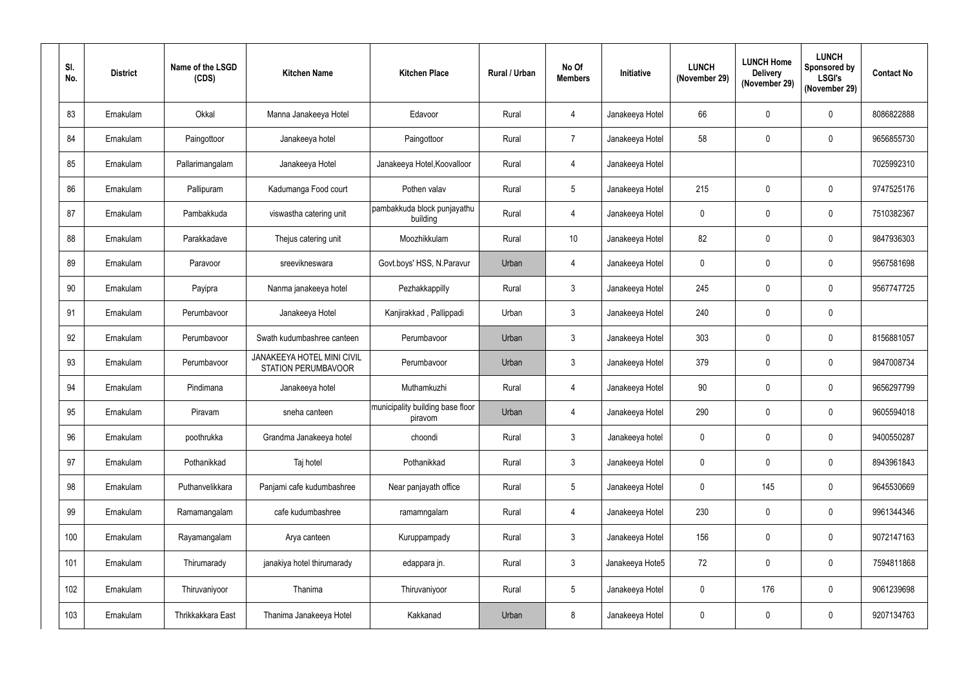| SI.<br>No. | <b>District</b> | Name of the LSGD<br>(CDS) | <b>Kitchen Name</b>                                      | <b>Kitchen Place</b>                        | Rural / Urban | No Of<br><b>Members</b> | Initiative      | <b>LUNCH</b><br>(November 29) | <b>LUNCH Home</b><br><b>Delivery</b><br>(November 29) | <b>LUNCH</b><br><b>Sponsored by</b><br><b>LSGI's</b><br>(November 29) | <b>Contact No</b> |
|------------|-----------------|---------------------------|----------------------------------------------------------|---------------------------------------------|---------------|-------------------------|-----------------|-------------------------------|-------------------------------------------------------|-----------------------------------------------------------------------|-------------------|
| 83         | Ernakulam       | Okkal                     | Manna Janakeeya Hotel                                    | Edavoor                                     | Rural         | 4                       | Janakeeya Hotel | 66                            | $\mathbf 0$                                           | $\mathbf 0$                                                           | 8086822888        |
| 84         | Ernakulam       | Paingottoor               | Janakeeya hotel                                          | Paingottoor                                 | Rural         | $\overline{7}$          | Janakeeya Hotel | 58                            | $\mathbf 0$                                           | $\mathbf 0$                                                           | 9656855730        |
| 85         | Ernakulam       | Pallarimangalam           | Janakeeya Hotel                                          | Janakeeya Hotel, Koovalloor                 | Rural         | 4                       | Janakeeya Hotel |                               |                                                       |                                                                       | 7025992310        |
| 86         | Ernakulam       | Pallipuram                | Kadumanga Food court                                     | Pothen valav                                | Rural         | $5\phantom{.0}$         | Janakeeya Hotel | 215                           | $\mathbf 0$                                           | $\mathbf 0$                                                           | 9747525176        |
| 87         | Ernakulam       | Pambakkuda                | viswastha catering unit                                  | pambakkuda block punjayathu<br>building     | Rural         | 4                       | Janakeeya Hotel | $\mathbf 0$                   | $\mathbf 0$                                           | $\mathbf 0$                                                           | 7510382367        |
| 88         | Ernakulam       | Parakkadave               | Thejus catering unit                                     | Moozhikkulam                                | Rural         | 10                      | Janakeeya Hotel | 82                            | $\mathbf 0$                                           | $\mathbf 0$                                                           | 9847936303        |
| 89         | Ernakulam       | Paravoor                  | sreevikneswara                                           | Govt.boys' HSS, N.Paravur                   | Urban         | 4                       | Janakeeya Hotel | $\mathbf 0$                   | $\mathbf 0$                                           | $\mathbf 0$                                                           | 9567581698        |
| 90         | Ernakulam       | Payipra                   | Nanma janakeeya hotel                                    | Pezhakkappilly                              | Rural         | $\mathfrak{Z}$          | Janakeeya Hotel | 245                           | $\mathbf 0$                                           | $\mathbf 0$                                                           | 9567747725        |
| 91         | Ernakulam       | Perumbavoor               | Janakeeya Hotel                                          | Kanjirakkad, Pallippadi                     | Urban         | $\mathbf{3}$            | Janakeeya Hotel | 240                           | $\mathbf 0$                                           | $\mathbf 0$                                                           |                   |
| 92         | Ernakulam       | Perumbavoor               | Swath kudumbashree canteen                               | Perumbavoor                                 | Urban         | 3 <sup>1</sup>          | Janakeeya Hotel | 303                           | $\mathbf 0$                                           | $\mathbf 0$                                                           | 8156881057        |
| 93         | Ernakulam       | Perumbavoor               | JANAKEEYA HOTEL MINI CIVIL<br><b>STATION PERUMBAVOOR</b> | Perumbavoor                                 | Urban         | $\mathbf{3}$            | Janakeeya Hotel | 379                           | $\mathbf 0$                                           | $\mathbf 0$                                                           | 9847008734        |
| 94         | Ernakulam       | Pindimana                 | Janakeeya hotel                                          | Muthamkuzhi                                 | Rural         | 4                       | Janakeeya Hotel | 90                            | $\mathbf 0$                                           | $\mathbf 0$                                                           | 9656297799        |
| 95         | Ernakulam       | Piravam                   | sneha canteen                                            | municipality building base floor<br>piravom | Urban         | 4                       | Janakeeya Hotel | 290                           | $\mathbf 0$                                           | $\mathbf 0$                                                           | 9605594018        |
| 96         | Ernakulam       | poothrukka                | Grandma Janakeeya hotel                                  | choondi                                     | Rural         | $\mathbf{3}$            | Janakeeya hotel | $\mathbf 0$                   | $\pmb{0}$                                             | $\mathbf 0$                                                           | 9400550287        |
| 97         | Ernakulam       | Pothanikkad               | Taj hotel                                                | Pothanikkad                                 | Rural         | $\mathbf{3}$            | Janakeeya Hotel | $\mathbf 0$                   | $\pmb{0}$                                             | $\mathbf 0$                                                           | 8943961843        |
| 98         | Ernakulam       | Puthanvelikkara           | Panjami cafe kudumbashree                                | Near panjayath office                       | Rural         | $5\phantom{.0}$         | Janakeeya Hotel | $\mathbf 0$                   | 145                                                   | $\mathbf 0$                                                           | 9645530669        |
| 99         | Ernakulam       | Ramamangalam              | cafe kudumbashree                                        | ramamngalam                                 | Rural         | $\overline{4}$          | Janakeeya Hotel | 230                           | $\mathbf 0$                                           | $\mathbf 0$                                                           | 9961344346        |
| 100        | Ernakulam       | Rayamangalam              | Arya canteen                                             | Kuruppampady                                | Rural         | $\mathfrak{Z}$          | Janakeeya Hotel | 156                           | $\mathbf 0$                                           | $\mathbf 0$                                                           | 9072147163        |
| 101        | Ernakulam       | Thirumarady               | janakiya hotel thirumarady                               | edappara jn.                                | Rural         | $\mathfrak{Z}$          | Janakeeya Hote5 | 72                            | $\mathbf 0$                                           | $\mathbf 0$                                                           | 7594811868        |
| 102        | Ernakulam       | Thiruvaniyoor             | Thanima                                                  | Thiruvaniyoor                               | Rural         | $5\phantom{.0}$         | Janakeeya Hotel | $\bf{0}$                      | 176                                                   | $\mathbf 0$                                                           | 9061239698        |
| 103        | Ernakulam       | Thrikkakkara East         | Thanima Janakeeya Hotel                                  | Kakkanad                                    | Urban         | 8                       | Janakeeya Hotel | $\bf{0}$                      | $\pmb{0}$                                             | $\boldsymbol{0}$                                                      | 9207134763        |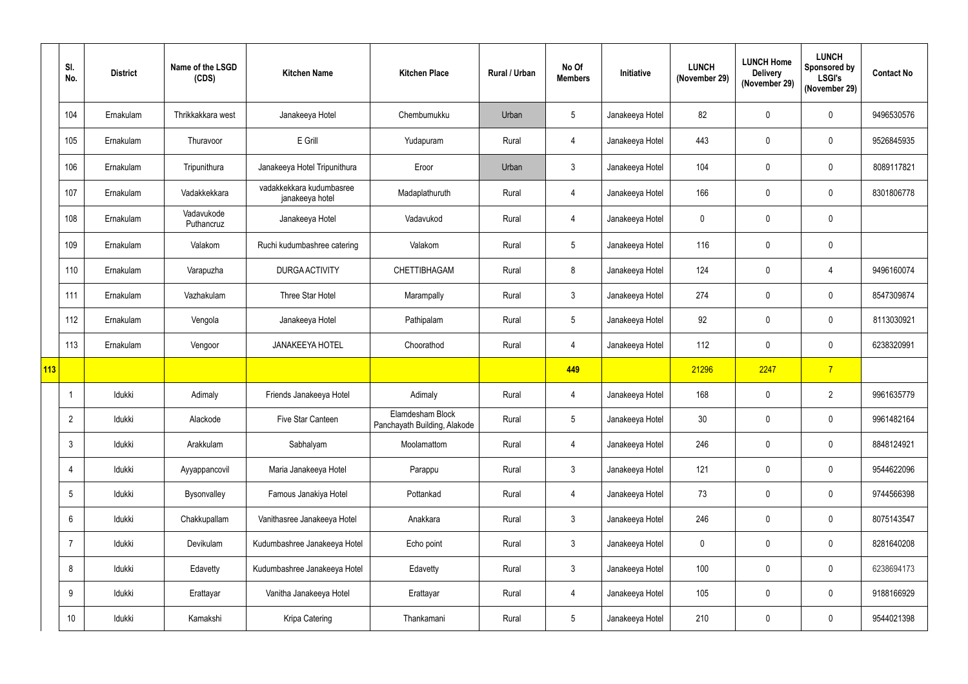|            | SI.<br>No.      | <b>District</b> | Name of the LSGD<br>(CDS) | <b>Kitchen Name</b>                         | <b>Kitchen Place</b>                             | <b>Rural / Urban</b> | No Of<br><b>Members</b> | Initiative      | <b>LUNCH</b><br>(November 29) | <b>LUNCH Home</b><br><b>Delivery</b><br>(November 29) | <b>LUNCH</b><br><b>Sponsored by</b><br><b>LSGI's</b><br>(November 29) | <b>Contact No</b> |
|------------|-----------------|-----------------|---------------------------|---------------------------------------------|--------------------------------------------------|----------------------|-------------------------|-----------------|-------------------------------|-------------------------------------------------------|-----------------------------------------------------------------------|-------------------|
|            | 104             | Ernakulam       | Thrikkakkara west         | Janakeeya Hotel                             | Chembumukku                                      | Urban                | $5\phantom{.0}$         | Janakeeya Hotel | 82                            | $\mathbf 0$                                           | $\mathbf 0$                                                           | 9496530576        |
|            | 105             | Ernakulam       | Thuravoor                 | E Grill                                     | Yudapuram                                        | Rural                | 4                       | Janakeeya Hotel | 443                           | $\mathbf 0$                                           | $\mathbf 0$                                                           | 9526845935        |
|            | 106             | Ernakulam       | Tripunithura              | Janakeeya Hotel Tripunithura                | Eroor                                            | Urban                | $\mathbf{3}$            | Janakeeya Hotel | 104                           | $\mathbf 0$                                           | $\mathbf 0$                                                           | 8089117821        |
|            | 107             | Ernakulam       | Vadakkekkara              | vadakkekkara kudumbasree<br>janakeeya hotel | Madaplathuruth                                   | Rural                | 4                       | Janakeeya Hotel | 166                           | $\mathbf 0$                                           | $\mathbf 0$                                                           | 8301806778        |
|            | 108             | Ernakulam       | Vadavukode<br>Puthancruz  | Janakeeya Hotel                             | Vadavukod                                        | Rural                | 4                       | Janakeeya Hotel | $\mathbf 0$                   | $\mathbf 0$                                           | $\mathbf 0$                                                           |                   |
|            | 109             | Ernakulam       | Valakom                   | Ruchi kudumbashree catering                 | Valakom                                          | Rural                | $5\overline{)}$         | Janakeeya Hotel | 116                           | $\mathbf 0$                                           | $\boldsymbol{0}$                                                      |                   |
|            | 110             | Ernakulam       | Varapuzha                 | <b>DURGA ACTIVITY</b>                       | CHETTIBHAGAM                                     | Rural                | 8                       | Janakeeya Hotel | 124                           | $\mathbf 0$                                           | 4                                                                     | 9496160074        |
|            | 111             | Ernakulam       | Vazhakulam                | Three Star Hotel                            | Marampally                                       | Rural                | $\mathbf{3}$            | Janakeeya Hotel | 274                           | $\mathbf 0$                                           | $\boldsymbol{0}$                                                      | 8547309874        |
|            | 112             | Ernakulam       | Vengola                   | Janakeeya Hotel                             | Pathipalam                                       | Rural                | 5 <sup>5</sup>          | Janakeeya Hotel | 92                            | $\mathbf 0$                                           | $\mathbf 0$                                                           | 8113030921        |
|            | 113             | Ernakulam       | Vengoor                   | <b>JANAKEEYA HOTEL</b>                      | Choorathod                                       | Rural                | 4                       | Janakeeya Hotel | 112                           | $\mathbf 0$                                           | $\mathbf 0$                                                           | 6238320991        |
| <b>113</b> |                 |                 |                           |                                             |                                                  |                      | 449                     |                 | 21296                         | 2247                                                  | $\overline{7}$                                                        |                   |
|            |                 | Idukki          | Adimaly                   | Friends Janakeeya Hotel                     | Adimaly                                          | Rural                | 4                       | Janakeeya Hotel | 168                           | $\mathbf 0$                                           | $\overline{2}$                                                        | 9961635779        |
|            | $\overline{2}$  | Idukki          | Alackode                  | Five Star Canteen                           | Elamdesham Block<br>Panchayath Building, Alakode | Rural                | $5\phantom{.0}$         | Janakeeya Hotel | 30                            | $\mathbf 0$                                           | $\mathbf 0$                                                           | 9961482164        |
|            | $\mathbf{3}$    | Idukki          | Arakkulam                 | Sabhalyam                                   | Moolamattom                                      | Rural                | $\overline{4}$          | Janakeeya Hotel | 246                           | $\pmb{0}$                                             | $\pmb{0}$                                                             | 8848124921        |
|            | 4               | Idukki          | Ayyappancovil             | Maria Janakeeya Hotel                       | Parappu                                          | Rural                | 3 <sup>1</sup>          | Janakeeya Hotel | 121                           | $\mathbf 0$                                           | $\mathbf 0$                                                           | 9544622096        |
|            | $5\overline{)}$ | Idukki          | Bysonvalley               | Famous Janakiya Hotel                       | Pottankad                                        | Rural                | $\overline{4}$          | Janakeeya Hotel | 73                            | $\mathbf 0$                                           | $\mathbf 0$                                                           | 9744566398        |
|            | $6\overline{6}$ | Idukki          | Chakkupallam              | Vanithasree Janakeeya Hotel                 | Anakkara                                         | Rural                | 3 <sup>1</sup>          | Janakeeya Hotel | 246                           | $\mathbf 0$                                           | $\mathbf 0$                                                           | 8075143547        |
|            | $\overline{7}$  | Idukki          | Devikulam                 | Kudumbashree Janakeeya Hotel                | Echo point                                       | Rural                | 3 <sup>1</sup>          | Janakeeya Hotel | $\mathbf 0$                   | $\mathbf 0$                                           | $\pmb{0}$                                                             | 8281640208        |
|            | 8               | Idukki          | Edavetty                  | Kudumbashree Janakeeya Hotel                | Edavetty                                         | Rural                | 3 <sup>1</sup>          | Janakeeya Hotel | 100                           | $\pmb{0}$                                             | $\pmb{0}$                                                             | 6238694173        |
|            | 9               | Idukki          | Erattayar                 | Vanitha Janakeeya Hotel                     | Erattayar                                        | Rural                | 4                       | Janakeeya Hotel | 105                           | $\mathbf 0$                                           | $\mathbf 0$                                                           | 9188166929        |
|            | 10              | Idukki          | Kamakshi                  | Kripa Catering                              | Thankamani                                       | Rural                | 5 <sub>5</sub>          | Janakeeya Hotel | 210                           | $\pmb{0}$                                             | $\boldsymbol{0}$                                                      | 9544021398        |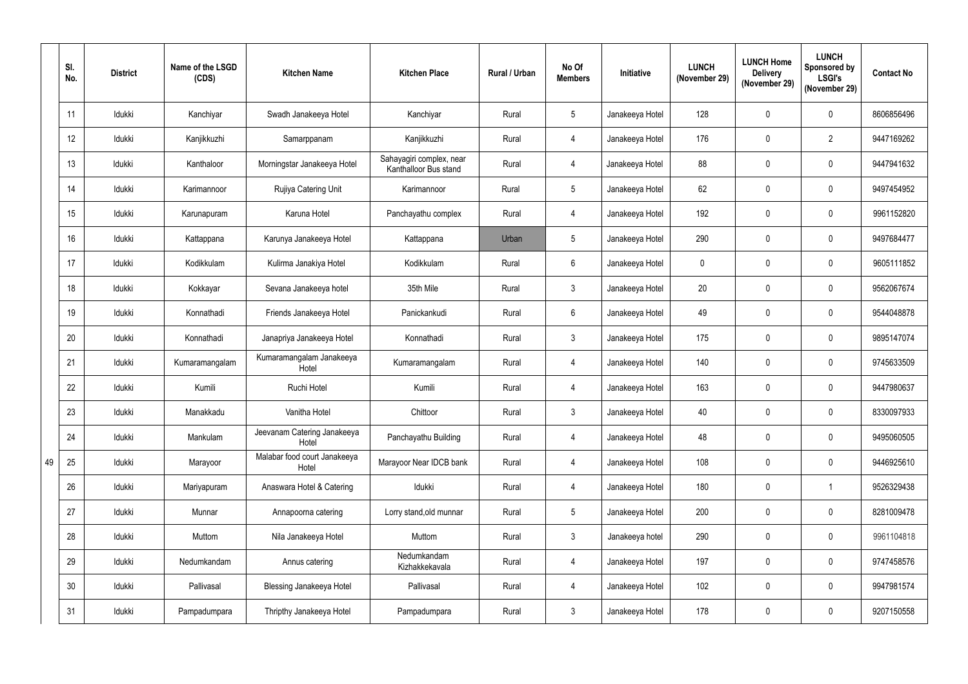|    | SI.<br>No. | <b>District</b> | Name of the LSGD<br>(CDS) | <b>Kitchen Name</b>                   | <b>Kitchen Place</b>                              | Rural / Urban | No Of<br><b>Members</b> | Initiative      | <b>LUNCH</b><br>(November 29) | <b>LUNCH Home</b><br><b>Delivery</b><br>(November 29) | <b>LUNCH</b><br>Sponsored by<br><b>LSGI's</b><br>(November 29) | <b>Contact No</b> |
|----|------------|-----------------|---------------------------|---------------------------------------|---------------------------------------------------|---------------|-------------------------|-----------------|-------------------------------|-------------------------------------------------------|----------------------------------------------------------------|-------------------|
|    | 11         | Idukki          | Kanchiyar                 | Swadh Janakeeya Hotel                 | Kanchiyar                                         | Rural         | 5 <sup>5</sup>          | Janakeeya Hotel | 128                           | $\mathbf 0$                                           | $\mathbf 0$                                                    | 8606856496        |
|    | 12         | Idukki          | Kanjikkuzhi               | Samarppanam                           | Kanjikkuzhi                                       | Rural         | 4                       | Janakeeya Hotel | 176                           | $\mathbf 0$                                           | $\overline{2}$                                                 | 9447169262        |
|    | 13         | Idukki          | Kanthaloor                | Morningstar Janakeeya Hotel           | Sahayagiri complex, near<br>Kanthalloor Bus stand | Rural         | 4                       | Janakeeya Hotel | 88                            | $\mathbf 0$                                           | $\mathbf 0$                                                    | 9447941632        |
|    | 14         | Idukki          | Karimannoor               | Rujiya Catering Unit                  | Karimannoor                                       | Rural         | 5 <sup>5</sup>          | Janakeeya Hotel | 62                            | $\mathbf 0$                                           | $\mathbf 0$                                                    | 9497454952        |
|    | 15         | Idukki          | Karunapuram               | Karuna Hotel                          | Panchayathu complex                               | Rural         | 4                       | Janakeeya Hotel | 192                           | $\mathbf 0$                                           | $\mathbf{0}$                                                   | 9961152820        |
|    | 16         | Idukki          | Kattappana                | Karunya Janakeeya Hotel               | Kattappana                                        | Urban         | 5 <sup>5</sup>          | Janakeeya Hotel | 290                           | $\mathbf 0$                                           | $\mathbf 0$                                                    | 9497684477        |
|    | 17         | Idukki          | Kodikkulam                | Kulirma Janakiya Hotel                | Kodikkulam                                        | Rural         | $6\overline{6}$         | Janakeeya Hotel | $\mathbf 0$                   | $\mathbf 0$                                           | $\mathbf{0}$                                                   | 9605111852        |
|    | 18         | Idukki          | Kokkayar                  | Sevana Janakeeya hotel                | 35th Mile                                         | Rural         | $\mathbf{3}$            | Janakeeya Hotel | 20                            | $\mathbf{0}$                                          | $\mathbf 0$                                                    | 9562067674        |
|    | 19         | Idukki          | Konnathadi                | Friends Janakeeya Hotel               | Panickankudi                                      | Rural         | $6\overline{6}$         | Janakeeya Hotel | 49                            | $\mathbf 0$                                           | $\mathbf 0$                                                    | 9544048878        |
|    | 20         | Idukki          | Konnathadi                | Janapriya Janakeeya Hotel             | Konnathadi                                        | Rural         | $\mathbf{3}$            | Janakeeya Hotel | 175                           | $\mathbf 0$                                           | $\mathbf{0}$                                                   | 9895147074        |
|    | 21         | Idukki          | Kumaramangalam            | Kumaramangalam Janakeeya<br>Hotel     | Kumaramangalam                                    | Rural         | 4                       | Janakeeya Hotel | 140                           | $\mathbf 0$                                           | $\mathbf 0$                                                    | 9745633509        |
|    | 22         | Idukki          | Kumili                    | Ruchi Hotel                           | Kumili                                            | Rural         | 4                       | Janakeeya Hotel | 163                           | $\mathbf 0$                                           | $\mathbf{0}$                                                   | 9447980637        |
|    | 23         | Idukki          | Manakkadu                 | Vanitha Hotel                         | Chittoor                                          | Rural         | $\mathbf{3}$            | Janakeeya Hotel | 40                            | $\mathbf 0$                                           | $\mathbf 0$                                                    | 8330097933        |
|    | 24         | Idukki          | Mankulam                  | Jeevanam Catering Janakeeya<br>Hotel  | Panchayathu Building                              | Rural         | $\overline{4}$          | Janakeeya Hotel | 48                            | $\pmb{0}$                                             | $\pmb{0}$                                                      | 9495060505        |
| 49 | 25         | Idukki          | Marayoor                  | Malabar food court Janakeeya<br>Hotel | Marayoor Near IDCB bank                           | Rural         | $\overline{4}$          | Janakeeya Hotel | 108                           | $\pmb{0}$                                             | $\pmb{0}$                                                      | 9446925610        |
|    | 26         | Idukki          | Mariyapuram               | Anaswara Hotel & Catering             | Idukki                                            | Rural         | 4                       | Janakeeya Hotel | 180                           | $\pmb{0}$                                             | $\overline{1}$                                                 | 9526329438        |
|    | 27         | Idukki          | Munnar                    | Annapoorna catering                   | Lorry stand, old munnar                           | Rural         | 5 <sub>5</sub>          | Janakeeya Hotel | 200                           | $\pmb{0}$                                             | $\mathbf 0$                                                    | 8281009478        |
|    | 28         | Idukki          | Muttom                    | Nila Janakeeya Hotel                  | Muttom                                            | Rural         | 3 <sup>1</sup>          | Janakeeya hotel | 290                           | $\pmb{0}$                                             | $\mathbf 0$                                                    | 9961104818        |
|    | 29         | Idukki          | Nedumkandam               | Annus catering                        | Nedumkandam<br>Kizhakkekavala                     | Rural         | $\overline{4}$          | Janakeeya Hotel | 197                           | $\pmb{0}$                                             | $\mathbf 0$                                                    | 9747458576        |
|    | 30         | Idukki          | Pallivasal                | <b>Blessing Janakeeya Hotel</b>       | Pallivasal                                        | Rural         | $\overline{4}$          | Janakeeya Hotel | 102                           | $\pmb{0}$                                             | $\pmb{0}$                                                      | 9947981574        |
|    | 31         | Idukki          | Pampadumpara              | Thripthy Janakeeya Hotel              | Pampadumpara                                      | Rural         | 3 <sup>1</sup>          | Janakeeya Hotel | 178                           | $\pmb{0}$                                             | $\boldsymbol{0}$                                               | 9207150558        |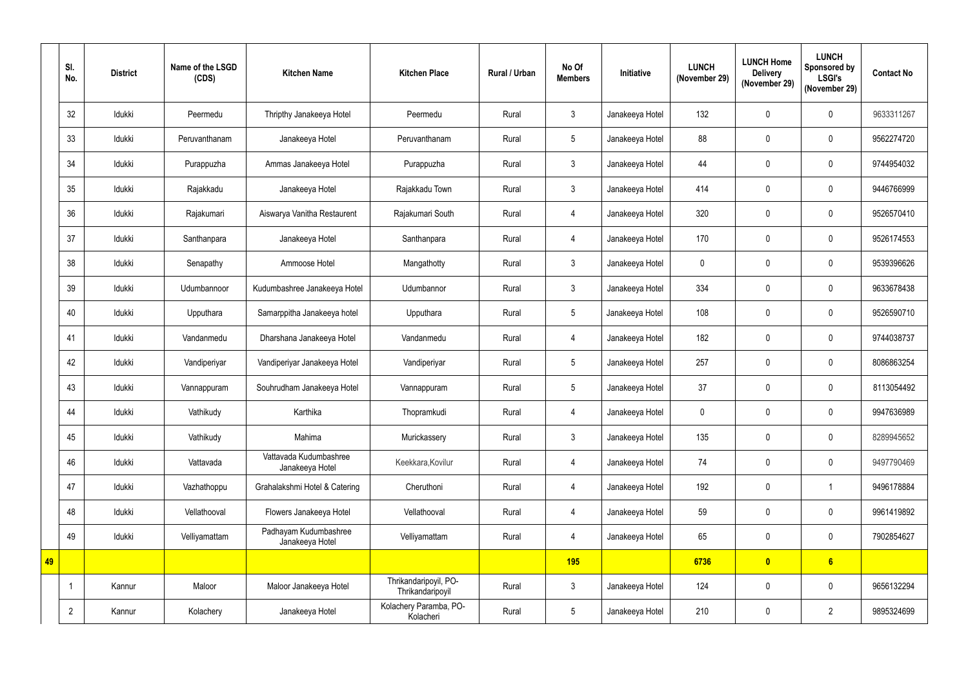|    | SI.<br>No.     | <b>District</b> | Name of the LSGD<br>(CDS) | <b>Kitchen Name</b>                       | <b>Kitchen Place</b>                      | Rural / Urban | No Of<br><b>Members</b> | Initiative      | <b>LUNCH</b><br>(November 29) | <b>LUNCH Home</b><br><b>Delivery</b><br>(November 29) | <b>LUNCH</b><br><b>Sponsored by</b><br><b>LSGI's</b><br>(November 29) | <b>Contact No</b> |
|----|----------------|-----------------|---------------------------|-------------------------------------------|-------------------------------------------|---------------|-------------------------|-----------------|-------------------------------|-------------------------------------------------------|-----------------------------------------------------------------------|-------------------|
|    | 32             | Idukki          | Peermedu                  | Thripthy Janakeeya Hotel                  | Peermedu                                  | Rural         | 3 <sup>1</sup>          | Janakeeya Hotel | 132                           | $\mathbf 0$                                           | $\mathbf 0$                                                           | 9633311267        |
|    | 33             | Idukki          | Peruvanthanam             | Janakeeya Hotel                           | Peruvanthanam                             | Rural         | 5 <sup>5</sup>          | Janakeeya Hotel | 88                            | $\mathbf 0$                                           | $\mathbf 0$                                                           | 9562274720        |
|    | 34             | Idukki          | Purappuzha                | Ammas Janakeeya Hotel                     | Purappuzha                                | Rural         | 3 <sup>1</sup>          | Janakeeya Hotel | 44                            | $\mathbf 0$                                           | $\mathbf 0$                                                           | 9744954032        |
|    | 35             | Idukki          | Rajakkadu                 | Janakeeya Hotel                           | Rajakkadu Town                            | Rural         | 3 <sup>1</sup>          | Janakeeya Hotel | 414                           | $\mathbf 0$                                           | $\mathbf 0$                                                           | 9446766999        |
|    | 36             | Idukki          | Rajakumari                | Aiswarya Vanitha Restaurent               | Rajakumari South                          | Rural         | 4                       | Janakeeya Hotel | 320                           | $\boldsymbol{0}$                                      | $\mathbf 0$                                                           | 9526570410        |
|    | 37             | Idukki          | Santhanpara               | Janakeeya Hotel                           | Santhanpara                               | Rural         |                         | Janakeeya Hotel | 170                           | $\mathbf 0$                                           | $\mathbf 0$                                                           | 9526174553        |
|    | 38             | Idukki          | Senapathy                 | Ammoose Hotel                             | Mangathotty                               | Rural         | 3 <sup>1</sup>          | Janakeeya Hotel | $\mathbf 0$                   | $\mathbf 0$                                           | $\mathbf 0$                                                           | 9539396626        |
|    | 39             | Idukki          | Udumbannoor               | Kudumbashree Janakeeya Hotel              | Udumbannor                                | Rural         | $\mathbf{3}$            | Janakeeya Hotel | 334                           | $\mathbf 0$                                           | $\mathbf 0$                                                           | 9633678438        |
|    | 40             | Idukki          | Upputhara                 | Samarppitha Janakeeya hotel               | Upputhara                                 | Rural         | 5 <sup>1</sup>          | Janakeeya Hotel | 108                           | $\mathbf 0$                                           | $\mathbf 0$                                                           | 9526590710        |
|    | 41             | Idukki          | Vandanmedu                | Dharshana Janakeeya Hotel                 | Vandanmedu                                | Rural         | 4                       | Janakeeya Hotel | 182                           | $\mathbf 0$                                           | $\mathbf 0$                                                           | 9744038737        |
|    | 42             | Idukki          | Vandiperiyar              | Vandiperiyar Janakeeya Hotel              | Vandiperiyar                              | Rural         | 5 <sup>1</sup>          | Janakeeya Hotel | 257                           | $\mathbf 0$                                           | $\mathbf 0$                                                           | 8086863254        |
|    | 43             | Idukki          | Vannappuram               | Souhrudham Janakeeya Hotel                | Vannappuram                               | Rural         | 5 <sup>5</sup>          | Janakeeya Hotel | 37                            | $\boldsymbol{0}$                                      | $\mathbf{0}$                                                          | 8113054492        |
|    | 44             | Idukki          | Vathikudy                 | Karthika                                  | Thopramkudi                               | Rural         | 4                       | Janakeeya Hotel | $\boldsymbol{0}$              | $\mathbf 0$                                           | $\mathbf 0$                                                           | 9947636989        |
|    | 45             | Idukki          | Vathikudy                 | Mahima                                    | Murickassery                              | Rural         | 3 <sup>1</sup>          | Janakeeya Hotel | 135                           | $\pmb{0}$                                             | $\pmb{0}$                                                             | 8289945652        |
|    | 46             | Idukki          | Vattavada                 | Vattavada Kudumbashree<br>Janakeeya Hotel | Keekkara, Kovilur                         | Rural         | 4                       | Janakeeya Hotel | 74                            | $\pmb{0}$                                             | $\pmb{0}$                                                             | 9497790469        |
|    | 47             | Idukki          | Vazhathoppu               | Grahalakshmi Hotel & Catering             | Cheruthoni                                | Rural         | 4                       | Janakeeya Hotel | 192                           | $\pmb{0}$                                             | $\overline{1}$                                                        | 9496178884        |
|    | 48             | Idukki          | Vellathooval              | Flowers Janakeeya Hotel                   | Vellathooval                              | Rural         | $\overline{4}$          | Janakeeya Hotel | 59                            | $\pmb{0}$                                             | $\mathbf 0$                                                           | 9961419892        |
|    | 49             | Idukki          | Velliyamattam             | Padhayam Kudumbashree<br>Janakeeya Hotel  | Velliyamattam                             | Rural         | 4                       | Janakeeya Hotel | 65                            | $\pmb{0}$                                             | $\mathbf 0$                                                           | 7902854627        |
| 49 |                |                 |                           |                                           |                                           |               | <b>195</b>              |                 | 6736                          | $\overline{\mathbf{0}}$                               | 6 <sup>1</sup>                                                        |                   |
|    |                | Kannur          | Maloor                    | Maloor Janakeeya Hotel                    | Thrikandaripoyil, PO-<br>Thrikandaripoyil | Rural         | 3                       | Janakeeya Hotel | 124                           | $\pmb{0}$                                             | $\pmb{0}$                                                             | 9656132294        |
|    | $\overline{2}$ | Kannur          | Kolachery                 | Janakeeya Hotel                           | Kolachery Paramba, PO-<br>Kolacheri       | Rural         | 5 <sub>5</sub>          | Janakeeya Hotel | 210                           | $\pmb{0}$                                             | $\overline{2}$                                                        | 9895324699        |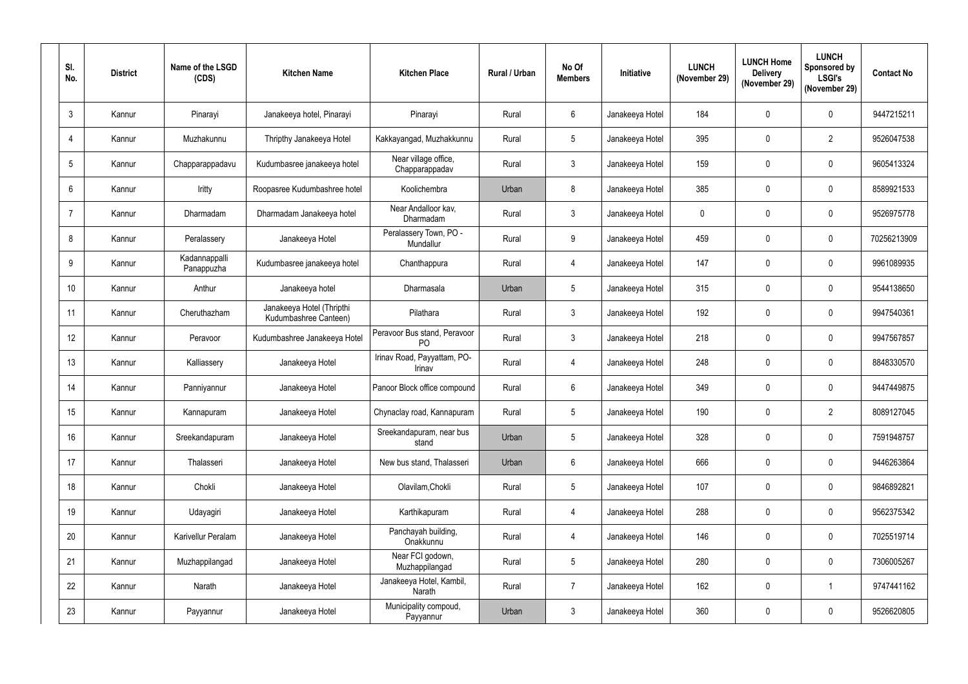| SI.<br>No.       | <b>District</b> | Name of the LSGD<br>(CDS)   | <b>Kitchen Name</b>                                | <b>Kitchen Place</b>                           | <b>Rural / Urban</b> | No Of<br><b>Members</b> | Initiative      | <b>LUNCH</b><br>(November 29) | <b>LUNCH Home</b><br><b>Delivery</b><br>(November 29) | <b>LUNCH</b><br>Sponsored by<br><b>LSGI's</b><br>(November 29) | <b>Contact No</b> |
|------------------|-----------------|-----------------------------|----------------------------------------------------|------------------------------------------------|----------------------|-------------------------|-----------------|-------------------------------|-------------------------------------------------------|----------------------------------------------------------------|-------------------|
| $\mathfrak{Z}$   | Kannur          | Pinarayi                    | Janakeeya hotel, Pinarayi                          | Pinarayi                                       | Rural                | 6                       | Janakeeya Hotel | 184                           | $\mathbf{0}$                                          | $\mathbf 0$                                                    | 9447215211        |
| $\overline{4}$   | Kannur          | Muzhakunnu                  | Thripthy Janakeeya Hotel                           | Kakkayangad, Muzhakkunnu                       | Rural                | 5 <sup>5</sup>          | Janakeeya Hotel | 395                           | $\mathbf 0$                                           | $\overline{2}$                                                 | 9526047538        |
| 5                | Kannur          | Chapparappadavu             | Kudumbasree janakeeya hotel                        | Near village office,<br>Chapparappadav         | Rural                | $\mathfrak{Z}$          | Janakeeya Hotel | 159                           | $\mathbf 0$                                           | $\mathbf{0}$                                                   | 9605413324        |
| 6                | Kannur          | Iritty                      | Roopasree Kudumbashree hotel                       | Koolichembra                                   | Urban                | 8                       | Janakeeya Hotel | 385                           | $\mathbf 0$                                           | $\mathbf 0$                                                    | 8589921533        |
| $\overline{7}$   | Kannur          | Dharmadam                   | Dharmadam Janakeeya hotel                          | Near Andalloor kav,<br>Dharmadam               | Rural                | $\mathbf{3}$            | Janakeeya Hotel | $\mathbf 0$                   | $\mathbf{0}$                                          | $\mathbf 0$                                                    | 9526975778        |
| 8                | Kannur          | Peralassery                 | Janakeeya Hotel                                    | Peralassery Town, PO -<br>Mundallur            | Rural                | 9                       | Janakeeya Hotel | 459                           | $\mathbf 0$                                           | $\mathbf 0$                                                    | 70256213909       |
| 9                | Kannur          | Kadannappalli<br>Panappuzha | Kudumbasree janakeeya hotel                        | Chanthappura                                   | Rural                | 4                       | Janakeeya Hotel | 147                           | $\mathbf 0$                                           | $\mathbf 0$                                                    | 9961089935        |
| 10               | Kannur          | Anthur                      | Janakeeya hotel                                    | Dharmasala                                     | Urban                | $5\phantom{.0}$         | Janakeeya Hotel | 315                           | $\mathbf{0}$                                          | $\mathbf 0$                                                    | 9544138650        |
| 11               | Kannur          | Cheruthazham                | Janakeeya Hotel (Thripthi<br>Kudumbashree Canteen) | Pilathara                                      | Rural                | 3 <sup>1</sup>          | Janakeeya Hotel | 192                           | $\mathbf 0$                                           | $\mathbf{0}$                                                   | 9947540361        |
| 12               | Kannur          | Peravoor                    | Kudumbashree Janakeeya Hotel                       | Peravoor Bus stand, Peravoor<br>P <sub>O</sub> | Rural                | $\mathbf{3}$            | Janakeeya Hotel | 218                           | $\mathbf{0}$                                          | $\mathbf 0$                                                    | 9947567857        |
| 13               | Kannur          | Kalliassery                 | Janakeeya Hotel                                    | Irinav Road, Payyattam, PO-<br>Irinav          | Rural                | 4                       | Janakeeya Hotel | 248                           | $\mathbf 0$                                           | $\mathbf 0$                                                    | 8848330570        |
| 14               | Kannur          | Panniyannur                 | Janakeeya Hotel                                    | Panoor Block office compound                   | Rural                | $6^{\circ}$             | Janakeeya Hotel | 349                           | $\mathbf 0$                                           | $\mathbf 0$                                                    | 9447449875        |
| 15 <sub>15</sub> | Kannur          | Kannapuram                  | Janakeeya Hotel                                    | Chynaclay road, Kannapuram                     | Rural                | $5\overline{)}$         | Janakeeya Hotel | 190                           | $\mathbf 0$                                           | $\overline{2}$                                                 | 8089127045        |
| 16               | Kannur          | Sreekandapuram              | Janakeeya Hotel                                    | Sreekandapuram, near bus<br>stand              | Urban                | $5\phantom{.0}$         | Janakeeya Hotel | 328                           | $\pmb{0}$                                             | $\pmb{0}$                                                      | 7591948757        |
| 17               | Kannur          | Thalasseri                  | Janakeeya Hotel                                    | New bus stand, Thalasseri                      | Urban                | $6\phantom{.0}$         | Janakeeya Hotel | 666                           | $\pmb{0}$                                             | $\pmb{0}$                                                      | 9446263864        |
| 18               | Kannur          | Chokli                      | Janakeeya Hotel                                    | Olavilam, Chokli                               | Rural                | $5\phantom{.0}$         | Janakeeya Hotel | 107                           | $\mathbf 0$                                           | $\mathbf 0$                                                    | 9846892821        |
| 19               | Kannur          | Udayagiri                   | Janakeeya Hotel                                    | Karthikapuram                                  | Rural                | 4                       | Janakeeya Hotel | 288                           | $\mathbf 0$                                           | $\mathbf 0$                                                    | 9562375342        |
| 20               | Kannur          | Karivellur Peralam          | Janakeeya Hotel                                    | Panchayah building,<br>Onakkunnu               | Rural                | 4                       | Janakeeya Hotel | 146                           | $\mathbf 0$                                           | $\mathbf 0$                                                    | 7025519714        |
| 21               | Kannur          | Muzhappilangad              | Janakeeya Hotel                                    | Near FCI godown,<br>Muzhappilangad             | Rural                | 5 <sub>5</sub>          | Janakeeya Hotel | 280                           | $\pmb{0}$                                             | $\mathbf 0$                                                    | 7306005267        |
| 22               | Kannur          | Narath                      | Janakeeya Hotel                                    | Janakeeya Hotel, Kambil,<br>Narath             | Rural                | $\overline{7}$          | Janakeeya Hotel | 162                           | $\pmb{0}$                                             | $\overline{1}$                                                 | 9747441162        |
| 23               | Kannur          | Payyannur                   | Janakeeya Hotel                                    | Municipality compoud,<br>Payyannur             | Urban                | $\mathfrak{Z}$          | Janakeeya Hotel | 360                           | $\pmb{0}$                                             | $\boldsymbol{0}$                                               | 9526620805        |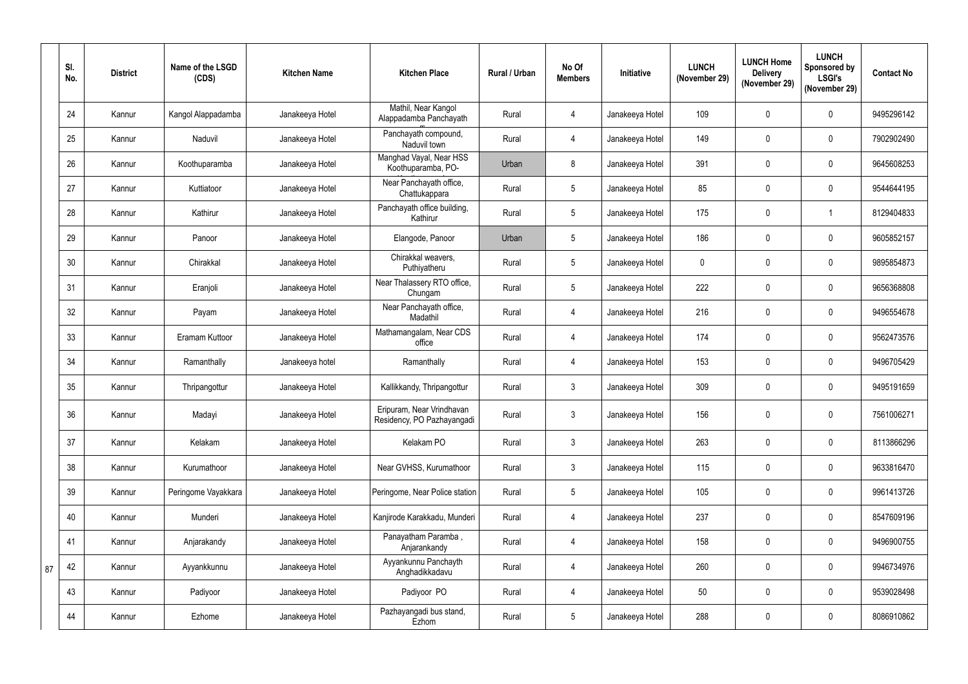|    | SI.<br>No. | <b>District</b> | Name of the LSGD<br>(CDS) | <b>Kitchen Name</b> | <b>Kitchen Place</b>                                    | Rural / Urban | No Of<br><b>Members</b> | Initiative      | <b>LUNCH</b><br>(November 29) | <b>LUNCH Home</b><br><b>Delivery</b><br>(November 29) | <b>LUNCH</b><br><b>Sponsored by</b><br><b>LSGI's</b><br>(November 29) | <b>Contact No</b> |
|----|------------|-----------------|---------------------------|---------------------|---------------------------------------------------------|---------------|-------------------------|-----------------|-------------------------------|-------------------------------------------------------|-----------------------------------------------------------------------|-------------------|
|    | 24         | Kannur          | Kangol Alappadamba        | Janakeeya Hotel     | Mathil, Near Kangol<br>Alappadamba Panchayath           | Rural         | 4                       | Janakeeya Hotel | 109                           | $\mathbf 0$                                           | $\mathbf 0$                                                           | 9495296142        |
|    | 25         | Kannur          | Naduvil                   | Janakeeya Hotel     | Panchayath compound,<br>Naduvil town                    | Rural         | 4                       | Janakeeya Hotel | 149                           | $\mathbf 0$                                           | $\mathbf 0$                                                           | 7902902490        |
|    | 26         | Kannur          | Koothuparamba             | Janakeeya Hotel     | Manghad Vayal, Near HSS<br>Koothuparamba, PO-           | Urban         | 8                       | Janakeeya Hotel | 391                           | $\mathbf 0$                                           | $\mathbf 0$                                                           | 9645608253        |
|    | 27         | Kannur          | Kuttiatoor                | Janakeeya Hotel     | Near Panchayath office,<br>Chattukappara                | Rural         | 5 <sup>5</sup>          | Janakeeya Hotel | 85                            | $\mathbf 0$                                           | $\mathbf 0$                                                           | 9544644195        |
|    | 28         | Kannur          | Kathirur                  | Janakeeya Hotel     | Panchayath office building,<br>Kathirur                 | Rural         | 5 <sup>5</sup>          | Janakeeya Hotel | 175                           | $\mathbf 0$                                           | $\overline{\mathbf{1}}$                                               | 8129404833        |
|    | 29         | Kannur          | Panoor                    | Janakeeya Hotel     | Elangode, Panoor                                        | Urban         | 5 <sup>5</sup>          | Janakeeya Hotel | 186                           | $\mathbf 0$                                           | $\mathbf 0$                                                           | 9605852157        |
|    | 30         | Kannur          | Chirakkal                 | Janakeeya Hotel     | Chirakkal weavers,<br>Puthiyatheru                      | Rural         | 5 <sup>5</sup>          | Janakeeya Hotel | $\mathbf 0$                   | $\mathbf 0$                                           | $\mathbf 0$                                                           | 9895854873        |
|    | 31         | Kannur          | Eranjoli                  | Janakeeya Hotel     | Near Thalassery RTO office,<br>Chungam                  | Rural         | 5 <sup>5</sup>          | Janakeeya Hotel | 222                           | $\mathbf 0$                                           | $\mathbf 0$                                                           | 9656368808        |
|    | 32         | Kannur          | Payam                     | Janakeeya Hotel     | Near Panchayath office,<br>Madathil                     | Rural         | 4                       | Janakeeya Hotel | 216                           | $\mathbf 0$                                           | $\mathbf 0$                                                           | 9496554678        |
|    | 33         | Kannur          | Eramam Kuttoor            | Janakeeya Hotel     | Mathamangalam, Near CDS<br>office                       | Rural         | 4                       | Janakeeya Hotel | 174                           | $\mathbf 0$                                           | $\pmb{0}$                                                             | 9562473576        |
|    | 34         | Kannur          | Ramanthally               | Janakeeya hotel     | Ramanthally                                             | Rural         | 4                       | Janakeeya Hotel | 153                           | $\pmb{0}$                                             | $\mathbf 0$                                                           | 9496705429        |
|    | 35         | Kannur          | Thripangottur             | Janakeeya Hotel     | Kallikkandy, Thripangottur                              | Rural         | 3 <sup>1</sup>          | Janakeeya Hotel | 309                           | $\boldsymbol{0}$                                      | $\mathbf 0$                                                           | 9495191659        |
|    | 36         | Kannur          | Madayi                    | Janakeeya Hotel     | Eripuram, Near Vrindhavan<br>Residency, PO Pazhayangadi | Rural         | $\mathfrak{Z}$          | Janakeeya Hotel | 156                           | $\mathbf 0$                                           | $\mathbf 0$                                                           | 7561006271        |
|    | 37         | Kannur          | Kelakam                   | Janakeeya Hotel     | Kelakam PO                                              | Rural         | 3 <sup>1</sup>          | Janakeeya Hotel | 263                           | $\pmb{0}$                                             | $\pmb{0}$                                                             | 8113866296        |
|    | 38         | Kannur          | Kurumathoor               | Janakeeya Hotel     | Near GVHSS, Kurumathoor                                 | Rural         | 3 <sup>1</sup>          | Janakeeya Hotel | 115                           | $\pmb{0}$                                             | $\mathbf 0$                                                           | 9633816470        |
|    | 39         | Kannur          | Peringome Vayakkara       | Janakeeya Hotel     | Peringome, Near Police station                          | Rural         | 5 <sup>5</sup>          | Janakeeya Hotel | 105                           | $\pmb{0}$                                             | $\mathbf 0$                                                           | 9961413726        |
|    | 40         | Kannur          | Munderi                   | Janakeeya Hotel     | Kanjirode Karakkadu, Munderi                            | Rural         | $\overline{4}$          | Janakeeya Hotel | 237                           | $\pmb{0}$                                             | $\mathbf 0$                                                           | 8547609196        |
|    | 41         | Kannur          | Anjarakandy               | Janakeeya Hotel     | Panayatham Paramba,<br>Anjarankandy                     | Rural         | $\overline{4}$          | Janakeeya Hotel | 158                           | $\pmb{0}$                                             | $\pmb{0}$                                                             | 9496900755        |
| 87 | 42         | Kannur          | Ayyankkunnu               | Janakeeya Hotel     | Ayyankunnu Panchayth<br>Anghadikkadavu                  | Rural         | $\overline{4}$          | Janakeeya Hotel | 260                           | $\pmb{0}$                                             | $\mathbf 0$                                                           | 9946734976        |
|    | 43         | Kannur          | Padiyoor                  | Janakeeya Hotel     | Padiyoor PO                                             | Rural         | $\overline{4}$          | Janakeeya Hotel | 50                            | $\pmb{0}$                                             | $\pmb{0}$                                                             | 9539028498        |
|    | 44         | Kannur          | Ezhome                    | Janakeeya Hotel     | Pazhayangadi bus stand,<br>Ezhom                        | Rural         | 5 <sub>5</sub>          | Janakeeya Hotel | 288                           | $\pmb{0}$                                             | $\boldsymbol{0}$                                                      | 8086910862        |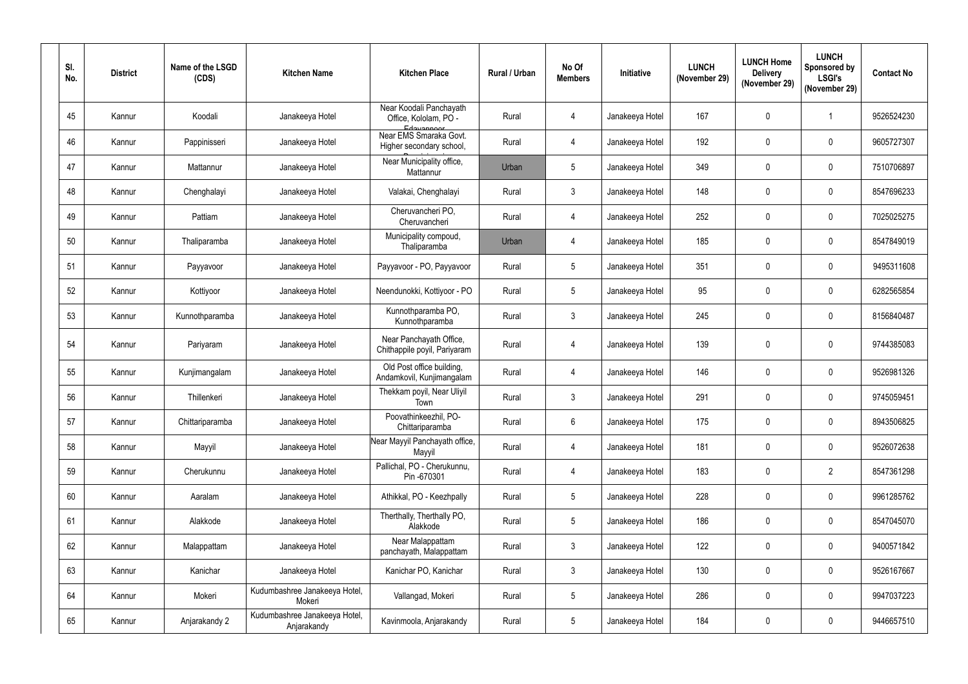| SI.<br>No. | <b>District</b> | Name of the LSGD<br>(CDS) | <b>Kitchen Name</b>                          | <b>Kitchen Place</b>                                           | Rural / Urban | No Of<br><b>Members</b> | Initiative      | <b>LUNCH</b><br>(November 29) | <b>LUNCH Home</b><br><b>Delivery</b><br>(November 29) | <b>LUNCH</b><br>Sponsored by<br><b>LSGI's</b><br>(November 29) | <b>Contact No</b> |
|------------|-----------------|---------------------------|----------------------------------------------|----------------------------------------------------------------|---------------|-------------------------|-----------------|-------------------------------|-------------------------------------------------------|----------------------------------------------------------------|-------------------|
| 45         | Kannur          | Koodali                   | Janakeeya Hotel                              | Near Koodali Panchayath<br>Office, Kololam, PO -<br>Edavannoor | Rural         | 4                       | Janakeeya Hotel | 167                           | $\mathbf 0$                                           |                                                                | 9526524230        |
| 46         | Kannur          | Pappinisseri              | Janakeeya Hotel                              | Near EMS Smaraka Govt.<br>Higher secondary school,             | Rural         | 4                       | Janakeeya Hotel | 192                           | $\mathbf 0$                                           | $\mathbf 0$                                                    | 9605727307        |
| 47         | Kannur          | Mattannur                 | Janakeeya Hotel                              | Near Municipality office,<br>Mattannur                         | Urban         | $5\phantom{.0}$         | Janakeeya Hotel | 349                           | $\mathbf 0$                                           | $\boldsymbol{0}$                                               | 7510706897        |
| 48         | Kannur          | Chenghalayi               | Janakeeya Hotel                              | Valakai, Chenghalayi                                           | Rural         | $\mathfrak{Z}$          | Janakeeya Hotel | 148                           | $\mathbf 0$                                           | $\mathbf 0$                                                    | 8547696233        |
| 49         | Kannur          | Pattiam                   | Janakeeya Hotel                              | Cheruvancheri PO,<br>Cheruvancheri                             | Rural         | 4                       | Janakeeya Hotel | 252                           | $\mathbf 0$                                           | $\mathbf 0$                                                    | 7025025275        |
| 50         | Kannur          | Thaliparamba              | Janakeeya Hotel                              | Municipality compoud,<br>Thaliparamba                          | Urban         | 4                       | Janakeeya Hotel | 185                           | $\mathbf 0$                                           | $\mathbf 0$                                                    | 8547849019        |
| 51         | Kannur          | Payyavoor                 | Janakeeya Hotel                              | Payyavoor - PO, Payyavoor                                      | Rural         | 5                       | Janakeeya Hotel | 351                           | 0                                                     | $\mathbf 0$                                                    | 9495311608        |
| 52         | Kannur          | Kottiyoor                 | Janakeeya Hotel                              | Neendunokki, Kottiyoor - PO                                    | Rural         | $5\phantom{.0}$         | Janakeeya Hotel | 95                            | $\boldsymbol{0}$                                      | $\boldsymbol{0}$                                               | 6282565854        |
| 53         | Kannur          | Kunnothparamba            | Janakeeya Hotel                              | Kunnothparamba PO,<br>Kunnothparamba                           | Rural         | $\mathbf{3}$            | Janakeeya Hotel | 245                           | $\mathbf 0$                                           | $\mathbf 0$                                                    | 8156840487        |
| 54         | Kannur          | Pariyaram                 | Janakeeya Hotel                              | Near Panchayath Office,<br>Chithappile poyil, Pariyaram        | Rural         | 4                       | Janakeeya Hotel | 139                           | 0                                                     | $\mathbf 0$                                                    | 9744385083        |
| 55         | Kannur          | Kunjimangalam             | Janakeeya Hotel                              | Old Post office building,<br>Andamkovil, Kunjimangalam         | Rural         | 4                       | Janakeeya Hotel | 146                           | 0                                                     | $\boldsymbol{0}$                                               | 9526981326        |
| 56         | Kannur          | Thillenkeri               | Janakeeya Hotel                              | Thekkam poyil, Near Uliyil<br>Town                             | Rural         | 3                       | Janakeeya Hotel | 291                           | $\mathbf 0$                                           | $\mathbf 0$                                                    | 9745059451        |
| 57         | Kannur          | Chittariparamba           | Janakeeya Hotel                              | Poovathinkeezhil, PO-<br>Chittariparamba                       | Rural         | $6\overline{6}$         | Janakeeya Hotel | 175                           | 0                                                     | $\mathbf 0$                                                    | 8943506825        |
| 58         | Kannur          | Mayyil                    | Janakeeya Hotel                              | Near Mayyil Panchayath office,<br>Mayyil                       | Rural         | 4                       | Janakeeya Hotel | 181                           | $\mathbf 0$                                           | $\mathbf 0$                                                    | 9526072638        |
| 59         | Kannur          | Cherukunnu                | Janakeeya Hotel                              | Pallichal, PO - Cherukunnu,<br>Pin -670301                     | Rural         | 4                       | Janakeeya Hotel | 183                           | $\pmb{0}$                                             | $\overline{2}$                                                 | 8547361298        |
| 60         | Kannur          | Aaralam                   | Janakeeya Hotel                              | Athikkal, PO - Keezhpally                                      | Rural         | $5\phantom{.0}$         | Janakeeya Hotel | 228                           | $\mathbf 0$                                           | $\pmb{0}$                                                      | 9961285762        |
| 61         | Kannur          | Alakkode                  | Janakeeya Hotel                              | Therthally, Therthally PO,<br>Alakkode                         | Rural         | $5\phantom{.0}$         | Janakeeya Hotel | 186                           | $\pmb{0}$                                             | $\mathbf 0$                                                    | 8547045070        |
| 62         | Kannur          | Malappattam               | Janakeeya Hotel                              | Near Malappattam<br>panchayath, Malappattam                    | Rural         | $3\phantom{.0}$         | Janakeeya Hotel | 122                           | $\pmb{0}$                                             | $\mathbf 0$                                                    | 9400571842        |
| 63         | Kannur          | Kanichar                  | Janakeeya Hotel                              | Kanichar PO, Kanichar                                          | Rural         | $\mathfrak{Z}$          | Janakeeya Hotel | 130                           | $\mathbf 0$                                           | $\mathbf 0$                                                    | 9526167667        |
| 64         | Kannur          | Mokeri                    | Kudumbashree Janakeeya Hotel,<br>Mokeri      | Vallangad, Mokeri                                              | Rural         | $5\overline{)}$         | Janakeeya Hotel | 286                           | $\pmb{0}$                                             | $\pmb{0}$                                                      | 9947037223        |
| 65         | Kannur          | Anjarakandy 2             | Kudumbashree Janakeeya Hotel,<br>Anjarakandy | Kavinmoola, Anjarakandy                                        | Rural         | $5\phantom{.0}$         | Janakeeya Hotel | 184                           | 0                                                     | $\pmb{0}$                                                      | 9446657510        |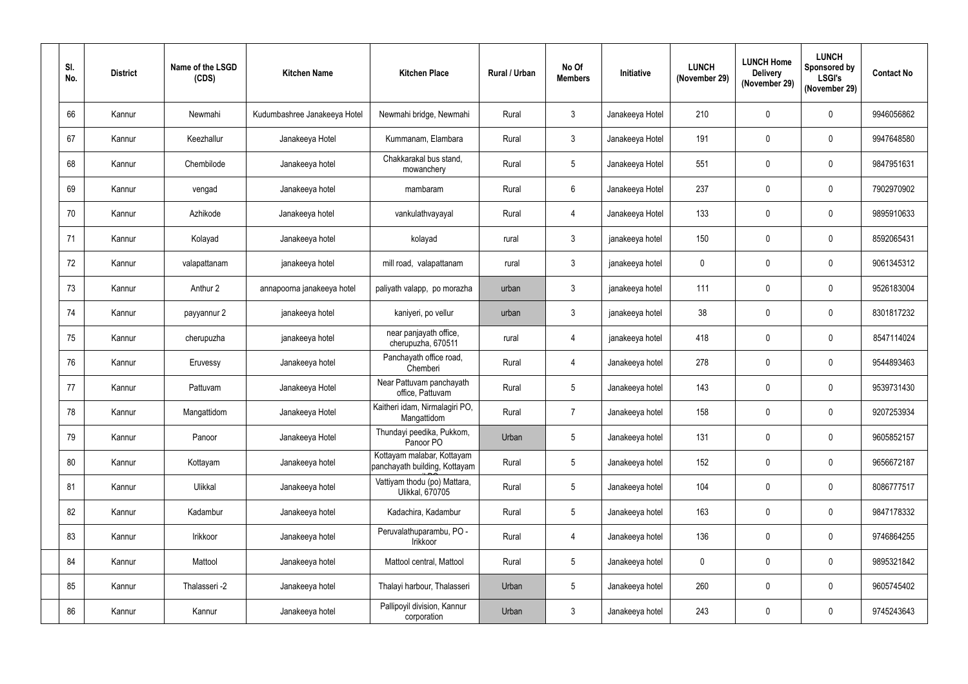| SI.<br>No. | <b>District</b> | Name of the LSGD<br>(CDS) | <b>Kitchen Name</b>          | <b>Kitchen Place</b>                                        | Rural / Urban | No Of<br><b>Members</b> | <b>Initiative</b> | <b>LUNCH</b><br>(November 29) | <b>LUNCH Home</b><br><b>Delivery</b><br>(November 29) | <b>LUNCH</b><br><b>Sponsored by</b><br><b>LSGI's</b><br>(November 29) | <b>Contact No</b> |
|------------|-----------------|---------------------------|------------------------------|-------------------------------------------------------------|---------------|-------------------------|-------------------|-------------------------------|-------------------------------------------------------|-----------------------------------------------------------------------|-------------------|
| 66         | Kannur          | Newmahi                   | Kudumbashree Janakeeya Hotel | Newmahi bridge, Newmahi                                     | Rural         | 3                       | Janakeeya Hotel   | 210                           | $\boldsymbol{0}$                                      | $\mathbf 0$                                                           | 9946056862        |
| 67         | Kannur          | Keezhallur                | Janakeeya Hotel              | Kummanam, Elambara                                          | Rural         | $3\phantom{.0}$         | Janakeeya Hotel   | 191                           | $\pmb{0}$                                             | $\mathbf 0$                                                           | 9947648580        |
| 68         | Kannur          | Chembilode                | Janakeeya hotel              | Chakkarakal bus stand,<br>mowanchery                        | Rural         | $5\overline{)}$         | Janakeeya Hotel   | 551                           | $\mathbf 0$                                           | $\mathbf 0$                                                           | 9847951631        |
| 69         | Kannur          | vengad                    | Janakeeya hotel              | mambaram                                                    | Rural         | $6\phantom{.0}$         | Janakeeya Hotel   | 237                           | $\pmb{0}$                                             | $\mathbf 0$                                                           | 7902970902        |
| 70         | Kannur          | Azhikode                  | Janakeeya hotel              | vankulathvayayal                                            | Rural         | 4                       | Janakeeya Hotel   | 133                           | $\mathbf 0$                                           | $\mathbf 0$                                                           | 9895910633        |
| 71         | Kannur          | Kolayad                   | Janakeeya hotel              | kolayad                                                     | rural         | 3                       | janakeeya hotel   | 150                           | $\pmb{0}$                                             | $\mathbf 0$                                                           | 8592065431        |
| 72         | Kannur          | valapattanam              | janakeeya hotel              | mill road, valapattanam                                     | rural         | $3\phantom{.0}$         | janakeeya hotel   | $\mathbf 0$                   | $\mathbf 0$                                           | $\mathbf 0$                                                           | 9061345312        |
| 73         | Kannur          | Anthur 2                  | annapoorna janakeeya hotel   | paliyath valapp, po morazha                                 | urban         | $\mathbf{3}$            | janakeeya hotel   | 111                           | $\mathbf 0$                                           | $\mathbf 0$                                                           | 9526183004        |
| 74         | Kannur          | payyannur 2               | janakeeya hotel              | kaniyeri, po vellur                                         | urban         | $3\phantom{.0}$         | janakeeya hotel   | 38                            | $\pmb{0}$                                             | $\mathbf 0$                                                           | 8301817232        |
| 75         | Kannur          | cherupuzha                | janakeeya hotel              | near panjayath office,<br>cherupuzha, 670511                | rural         | 4                       | janakeeya hotel   | 418                           | $\mathbf 0$                                           | $\mathbf 0$                                                           | 8547114024        |
| 76         | Kannur          | Eruvessy                  | Janakeeya hotel              | Panchayath office road,<br>Chemberi                         | Rural         | 4                       | Janakeeya hotel   | 278                           | $\mathbf 0$                                           | $\mathbf 0$                                                           | 9544893463        |
| 77         | Kannur          | Pattuvam                  | Janakeeya Hotel              | Near Pattuvam panchayath<br>office, Pattuvam                | Rural         | 5 <sub>5</sub>          | Janakeeya hotel   | 143                           | $\pmb{0}$                                             | $\mathbf 0$                                                           | 9539731430        |
| 78         | Kannur          | Mangattidom               | Janakeeya Hotel              | Kaitheri idam, Nirmalagiri PO,<br>Mangattidom               | Rural         | 7                       | Janakeeya hotel   | 158                           | $\pmb{0}$                                             | $\mathbf 0$                                                           | 9207253934        |
| 79         | Kannur          | Panoor                    | Janakeeya Hotel              | Thundayi peedika, Pukkom,<br>Panoor PO                      | Urban         | $5\overline{)}$         | Janakeeya hotel   | 131                           | $\mathbf 0$                                           | $\mathbf 0$                                                           | 9605852157        |
| 80         | Kannur          | Kottayam                  | Janakeeya hotel              | Kottayam malabar, Kottayam<br>panchayath building, Kottayam | Rural         | 5 <sub>5</sub>          | Janakeeya hotel   | 152                           | $\mathbf 0$                                           | $\mathbf 0$                                                           | 9656672187        |
| 81         | Kannur          | Ulikkal                   | Janakeeya hotel              | Vattiyam thodu (po) Mattara,<br>Ulikkal, 670705             | Rural         | $5\overline{)}$         | Janakeeya hotel   | 104                           | $\mathbf 0$                                           | $\mathbf 0$                                                           | 8086777517        |
| 82         | Kannur          | Kadambur                  | Janakeeya hotel              | Kadachira, Kadambur                                         | Rural         | $5\overline{)}$         | Janakeeya hotel   | 163                           | $\pmb{0}$                                             | $\mathbf 0$                                                           | 9847178332        |
| 83         | Kannur          | Irikkoor                  | Janakeeya hotel              | Peruvalathuparambu, PO -<br>Irikkoor                        | Rural         | 4                       | Janakeeya hotel   | 136                           | $\pmb{0}$                                             | $\mathbf 0$                                                           | 9746864255        |
| 84         | Kannur          | Mattool                   | Janakeeya hotel              | Mattool central, Mattool                                    | Rural         | $5\overline{)}$         | Janakeeya hotel   | $\mathbf 0$                   | $\pmb{0}$                                             | $\mathbf 0$                                                           | 9895321842        |
| 85         | Kannur          | Thalasseri -2             | Janakeeya hotel              | Thalayi harbour, Thalasseri                                 | Urban         | $5\overline{)}$         | Janakeeya hotel   | 260                           | $\pmb{0}$                                             | $\boldsymbol{0}$                                                      | 9605745402        |
| 86         | Kannur          | Kannur                    | Janakeeya hotel              | Pallipoyil division, Kannur<br>corporation                  | Urban         | 3 <sup>1</sup>          | Janakeeya hotel   | 243                           | $\mathbf 0$                                           | $\boldsymbol{0}$                                                      | 9745243643        |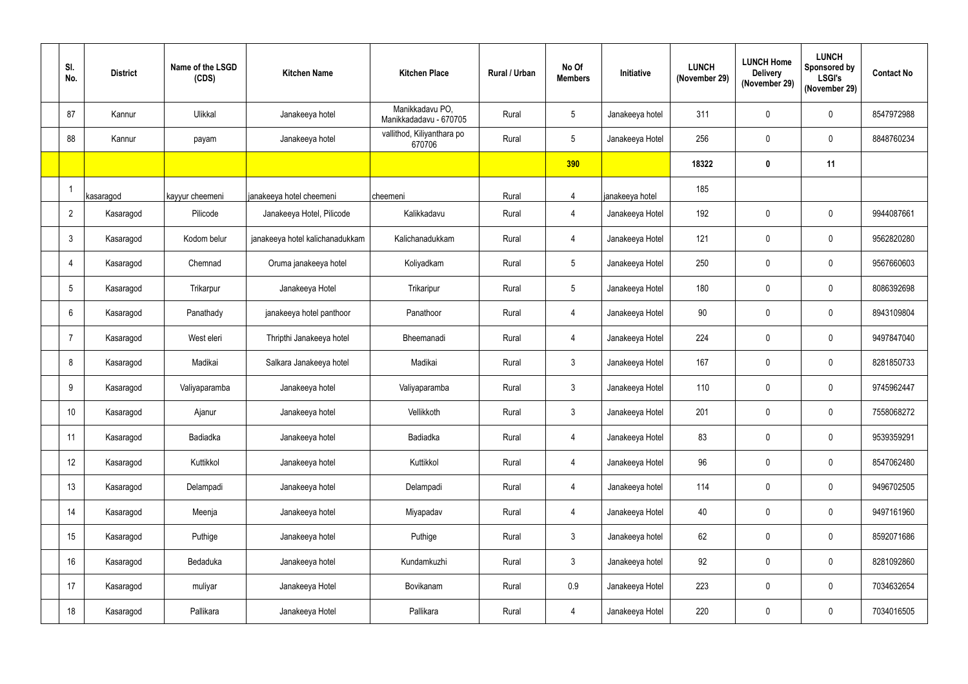| SI.<br>No.      | <b>District</b> | Name of the LSGD<br>(CDS) | <b>Kitchen Name</b>             | <b>Kitchen Place</b>                      | Rural / Urban | No Of<br><b>Members</b> | Initiative      | <b>LUNCH</b><br>(November 29) | <b>LUNCH Home</b><br><b>Delivery</b><br>(November 29) | <b>LUNCH</b><br>Sponsored by<br><b>LSGI's</b><br>(November 29) | <b>Contact No</b> |
|-----------------|-----------------|---------------------------|---------------------------------|-------------------------------------------|---------------|-------------------------|-----------------|-------------------------------|-------------------------------------------------------|----------------------------------------------------------------|-------------------|
| 87              | Kannur          | Ulikkal                   | Janakeeya hotel                 | Manikkadavu PO,<br>Manikkadadavu - 670705 | Rural         | 5                       | Janakeeya hotel | 311                           | $\mathbf 0$                                           | $\overline{0}$                                                 | 8547972988        |
| 88              | Kannur          | payam                     | Janakeeya hotel                 | vallithod, Kiliyanthara po<br>670706      | Rural         | 5                       | Janakeeya Hotel | 256                           | $\mathbf 0$                                           | $\mathbf 0$                                                    | 8848760234        |
|                 |                 |                           |                                 |                                           |               | 390                     |                 | 18322                         | $\mathbf 0$                                           | 11                                                             |                   |
|                 | kasaragod       | kayyur cheemeni           | janakeeya hotel cheemeni        | cheemeni                                  | Rural         | $\overline{4}$          | janakeeya hotel | 185                           |                                                       |                                                                |                   |
| $\overline{2}$  | Kasaragod       | Pilicode                  | Janakeeya Hotel, Pilicode       | Kalikkadavu                               | Rural         | 4                       | Janakeeya Hotel | 192                           | $\mathbf 0$                                           | $\overline{0}$                                                 | 9944087661        |
| $\mathbf{3}$    | Kasaragod       | Kodom belur               | janakeeya hotel kalichanadukkam | Kalichanadukkam                           | Rural         | 4                       | Janakeeya Hotel | 121                           | $\mathbf 0$                                           | $\mathbf 0$                                                    | 9562820280        |
| 4               | Kasaragod       | Chemnad                   | Oruma janakeeya hotel           | Koliyadkam                                | Rural         | 5 <sup>5</sup>          | Janakeeya Hotel | 250                           | $\mathbf 0$                                           | $\mathbf 0$                                                    | 9567660603        |
| 5               | Kasaragod       | Trikarpur                 | Janakeeya Hotel                 | Trikaripur                                | Rural         | 5                       | Janakeeya Hotel | 180                           | $\mathbf 0$                                           | $\overline{0}$                                                 | 8086392698        |
| 6               | Kasaragod       | Panathady                 | janakeeya hotel panthoor        | Panathoor                                 | Rural         | 4                       | Janakeeya Hotel | 90                            | $\pmb{0}$                                             | $\overline{0}$                                                 | 8943109804        |
| -7              | Kasaragod       | West eleri                | Thripthi Janakeeya hotel        | Bheemanadi                                | Rural         | 4                       | Janakeeya Hotel | 224                           | $\mathbf 0$                                           | $\overline{0}$                                                 | 9497847040        |
| 8               | Kasaragod       | Madikai                   | Salkara Janakeeya hotel         | Madikai                                   | Rural         | 3 <sup>1</sup>          | Janakeeya Hotel | 167                           | $\mathbf 0$                                           | $\overline{0}$                                                 | 8281850733        |
| 9               | Kasaragod       | Valiyaparamba             | Janakeeya hotel                 | Valiyaparamba                             | Rural         | 3 <sup>1</sup>          | Janakeeya Hotel | 110                           | $\mathbf 0$                                           | $\overline{0}$                                                 | 9745962447        |
| 10 <sup>°</sup> | Kasaragod       | Ajanur                    | Janakeeya hotel                 | Vellikkoth                                | Rural         | $\mathfrak{Z}$          | Janakeeya Hotel | 201                           | $\mathbf 0$                                           | $\mathbf 0$                                                    | 7558068272        |
| 11              | Kasaragod       | Badiadka                  | Janakeeya hotel                 | Badiadka                                  | Rural         | 4                       | Janakeeya Hotel | 83                            | $\mathbf 0$                                           | $\pmb{0}$                                                      | 9539359291        |
| 12              | Kasaragod       | Kuttikkol                 | Janakeeya hotel                 | Kuttikkol                                 | Rural         | 4                       | Janakeeya Hotel | 96                            | $\mathbf 0$                                           | $\mathbf 0$                                                    | 8547062480        |
| 13              | Kasaragod       | Delampadi                 | Janakeeya hotel                 | Delampadi                                 | Rural         | 4                       | Janakeeya hotel | 114                           | $\mathbf 0$                                           | $\overline{0}$                                                 | 9496702505        |
| 14              | Kasaragod       | Meenja                    | Janakeeya hotel                 | Miyapadav                                 | Rural         | 4                       | Janakeeya Hotel | 40                            | $\mathbf 0$                                           | $\pmb{0}$                                                      | 9497161960        |
| 15              | Kasaragod       | Puthige                   | Janakeeya hotel                 | Puthige                                   | Rural         | $\mathfrak{Z}$          | Janakeeya hotel | 62                            | $\mathbf 0$                                           | $\mathbf 0$                                                    | 8592071686        |
| 16              | Kasaragod       | Bedaduka                  | Janakeeya hotel                 | Kundamkuzhi                               | Rural         | $\mathfrak{Z}$          | Janakeeya hotel | 92                            | $\mathbf 0$                                           | $\pmb{0}$                                                      | 8281092860        |
| 17              | Kasaragod       | muliyar                   | Janakeeya Hotel                 | Bovikanam                                 | Rural         | 0.9                     | Janakeeya Hotel | 223                           | $\mathbf 0$                                           | $\mathbf 0$                                                    | 7034632654        |
| 18              | Kasaragod       | Pallikara                 | Janakeeya Hotel                 | Pallikara                                 | Rural         | 4                       | Janakeeya Hotel | 220                           | $\pmb{0}$                                             | $\boldsymbol{0}$                                               | 7034016505        |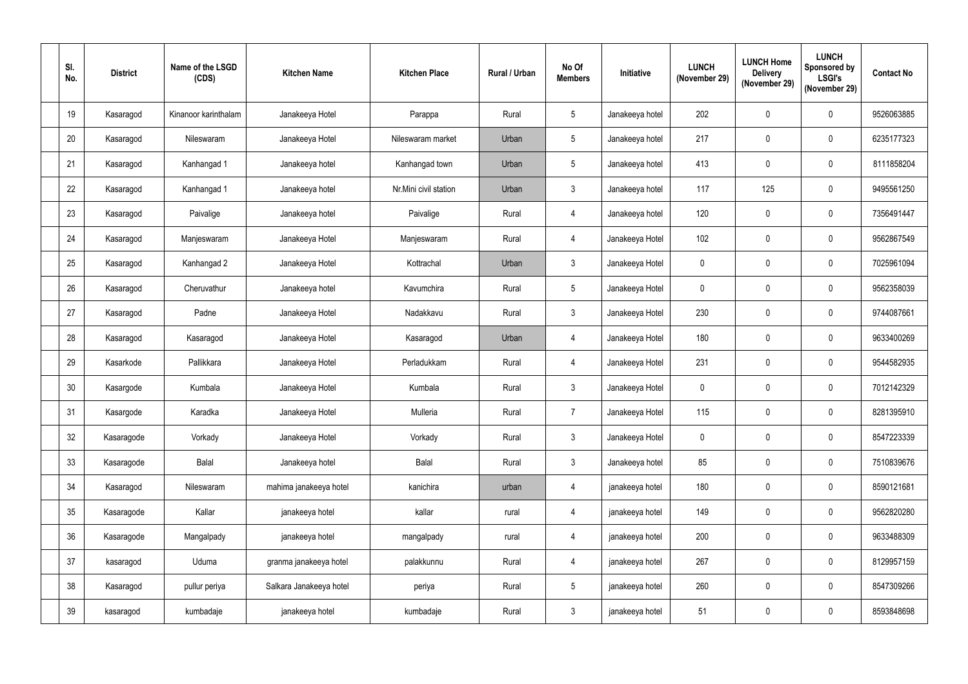| SI.<br>No. | <b>District</b> | Name of the LSGD<br>(CDS) | <b>Kitchen Name</b>     | <b>Kitchen Place</b>  | <b>Rural / Urban</b> | No Of<br><b>Members</b> | Initiative      | <b>LUNCH</b><br>(November 29) | <b>LUNCH Home</b><br><b>Delivery</b><br>(November 29) | <b>LUNCH</b><br>Sponsored by<br><b>LSGI's</b><br>(November 29) | <b>Contact No</b> |
|------------|-----------------|---------------------------|-------------------------|-----------------------|----------------------|-------------------------|-----------------|-------------------------------|-------------------------------------------------------|----------------------------------------------------------------|-------------------|
| 19         | Kasaragod       | Kinanoor karinthalam      | Janakeeya Hotel         | Parappa               | Rural                | 5                       | Janakeeya hotel | 202                           | 0                                                     | $\overline{0}$                                                 | 9526063885        |
| 20         | Kasaragod       | Nileswaram                | Janakeeya Hotel         | Nileswaram market     | Urban                | 5                       | Janakeeya hotel | 217                           | $\mathbf 0$                                           | $\overline{0}$                                                 | 6235177323        |
| 21         | Kasaragod       | Kanhangad 1               | Janakeeya hotel         | Kanhangad town        | Urban                | 5                       | Janakeeya hotel | 413                           | $\mathbf 0$                                           | $\overline{0}$                                                 | 8111858204        |
| 22         | Kasaragod       | Kanhangad 1               | Janakeeya hotel         | Nr.Mini civil station | Urban                | $\mathfrak{Z}$          | Janakeeya hotel | 117                           | 125                                                   | $\mathbf 0$                                                    | 9495561250        |
| 23         | Kasaragod       | Paivalige                 | Janakeeya hotel         | Paivalige             | Rural                | 4                       | Janakeeya hotel | 120                           | 0                                                     | $\overline{0}$                                                 | 7356491447        |
| 24         | Kasaragod       | Manjeswaram               | Janakeeya Hotel         | Manjeswaram           | Rural                | 4                       | Janakeeya Hotel | 102                           | $\mathbf 0$                                           | $\mathbf 0$                                                    | 9562867549        |
| 25         | Kasaragod       | Kanhangad 2               | Janakeeya Hotel         | Kottrachal            | Urban                | $\mathfrak{Z}$          | Janakeeya Hotel | $\mathbf{0}$                  | 0                                                     | $\overline{0}$                                                 | 7025961094        |
| 26         | Kasaragod       | Cheruvathur               | Janakeeya hotel         | Kavumchira            | Rural                | 5                       | Janakeeya Hotel | $\mathbf 0$                   | $\mathbf 0$                                           | $\overline{0}$                                                 | 9562358039        |
| 27         | Kasaragod       | Padne                     | Janakeeya Hotel         | Nadakkavu             | Rural                | $\mathfrak{Z}$          | Janakeeya Hotel | 230                           | $\mathbf 0$                                           | $\mathbf 0$                                                    | 9744087661        |
| 28         | Kasaragod       | Kasaragod                 | Janakeeya Hotel         | Kasaragod             | Urban                | 4                       | Janakeeya Hotel | 180                           | 0                                                     | $\overline{0}$                                                 | 9633400269        |
| 29         | Kasarkode       | Pallikkara                | Janakeeya Hotel         | Perladukkam           | Rural                | 4                       | Janakeeya Hotel | 231                           | $\mathbf 0$                                           | $\overline{0}$                                                 | 9544582935        |
| 30         | Kasargode       | Kumbala                   | Janakeeya Hotel         | Kumbala               | Rural                | 3 <sup>1</sup>          | Janakeeya Hotel | $\mathbf 0$                   | $\mathbf 0$                                           | $\overline{0}$                                                 | 7012142329        |
| 31         | Kasargode       | Karadka                   | Janakeeya Hotel         | Mulleria              | Rural                | $\overline{7}$          | Janakeeya Hotel | 115                           | $\mathbf 0$                                           | $\mathbf 0$                                                    | 8281395910        |
| 32         | Kasaragode      | Vorkady                   | Janakeeya Hotel         | Vorkady               | Rural                | $\mathfrak{Z}$          | Janakeeya Hotel | $\pmb{0}$                     | $\mathbf 0$                                           | $\pmb{0}$                                                      | 8547223339        |
| 33         | Kasaragode      | Balal                     | Janakeeya hotel         | <b>Balal</b>          | Rural                | $\mathfrak{Z}$          | Janakeeya hotel | 85                            | $\mathbf 0$                                           | $\pmb{0}$                                                      | 7510839676        |
| 34         | Kasaragod       | Nileswaram                | mahima janakeeya hotel  | kanichira             | urban                | 4                       | janakeeya hotel | 180                           | $\mathbf 0$                                           | $\mathbf 0$                                                    | 8590121681        |
| 35         | Kasaragode      | Kallar                    | janakeeya hotel         | kallar                | rural                | $\overline{4}$          | janakeeya hotel | 149                           | $\mathbf 0$                                           | $\mathbf 0$                                                    | 9562820280        |
| 36         | Kasaragode      | Mangalpady                | janakeeya hotel         | mangalpady            | rural                | 4                       | janakeeya hotel | 200                           | $\mathbf 0$                                           | $\pmb{0}$                                                      | 9633488309        |
| 37         | kasaragod       | Uduma                     | granma janakeeya hotel  | palakkunnu            | Rural                | 4                       | janakeeya hotel | 267                           | $\mathbf 0$                                           | $\pmb{0}$                                                      | 8129957159        |
| 38         | Kasaragod       | pullur periya             | Salkara Janakeeya hotel | periya                | Rural                | $5\phantom{.0}$         | janakeeya hotel | 260                           | $\mathbf 0$                                           | $\pmb{0}$                                                      | 8547309266        |
| 39         | kasaragod       | kumbadaje                 | janakeeya hotel         | kumbadaje             | Rural                | $\mathfrak{Z}$          | janakeeya hotel | 51                            | $\mathbf 0$                                           | $\boldsymbol{0}$                                               | 8593848698        |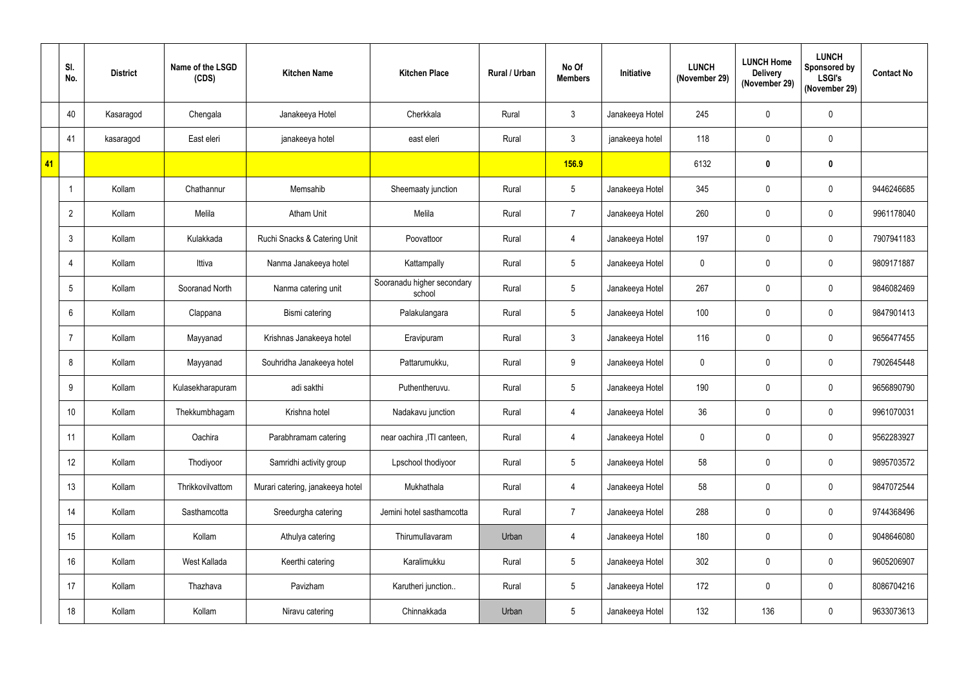|    | SI.<br>No.     | <b>District</b> | Name of the LSGD<br>(CDS) | <b>Kitchen Name</b>              | <b>Kitchen Place</b>                 | Rural / Urban | No Of<br><b>Members</b> | Initiative      | <b>LUNCH</b><br>(November 29) | <b>LUNCH Home</b><br><b>Delivery</b><br>(November 29) | <b>LUNCH</b><br><b>Sponsored by</b><br><b>LSGI's</b><br>(November 29) | <b>Contact No</b> |
|----|----------------|-----------------|---------------------------|----------------------------------|--------------------------------------|---------------|-------------------------|-----------------|-------------------------------|-------------------------------------------------------|-----------------------------------------------------------------------|-------------------|
|    | 40             | Kasaragod       | Chengala                  | Janakeeya Hotel                  | Cherkkala                            | Rural         | 3 <sup>1</sup>          | Janakeeya Hotel | 245                           | $\mathbf 0$                                           | $\mathbf 0$                                                           |                   |
|    | 41             | kasaragod       | East eleri                | janakeeya hotel                  | east eleri                           | Rural         | 3 <sup>1</sup>          | janakeeya hotel | 118                           | $\mathbf 0$                                           | $\mathbf 0$                                                           |                   |
| 41 |                |                 |                           |                                  |                                      |               | <b>156.9</b>            |                 | 6132                          | $\mathbf 0$                                           | $\mathbf 0$                                                           |                   |
|    |                | Kollam          | Chathannur                | Memsahib                         | Sheemaaty junction                   | Rural         | 5 <sup>5</sup>          | Janakeeya Hotel | 345                           | $\mathbf 0$                                           | $\mathbf 0$                                                           | 9446246685        |
|    | $\overline{2}$ | Kollam          | Melila                    | <b>Atham Unit</b>                | Melila                               | Rural         | $\overline{7}$          | Janakeeya Hotel | 260                           | $\mathbf 0$                                           | $\mathbf 0$                                                           | 9961178040        |
|    | 3              | Kollam          | Kulakkada                 | Ruchi Snacks & Catering Unit     | Poovattoor                           | Rural         | 4                       | Janakeeya Hotel | 197                           | $\mathbf 0$                                           | $\mathbf 0$                                                           | 7907941183        |
|    | 4              | Kollam          | Ittiva                    | Nanma Janakeeya hotel            | Kattampally                          | Rural         | 5 <sup>5</sup>          | Janakeeya Hotel | $\mathbf 0$                   | $\mathbf 0$                                           | $\mathbf 0$                                                           | 9809171887        |
|    | 5              | Kollam          | Sooranad North            | Nanma catering unit              | Sooranadu higher secondary<br>school | Rural         | 5 <sup>1</sup>          | Janakeeya Hotel | 267                           | $\mathbf 0$                                           | $\mathbf 0$                                                           | 9846082469        |
|    | 6              | Kollam          | Clappana                  | Bismi catering                   | Palakulangara                        | Rural         | 5 <sup>1</sup>          | Janakeeya Hotel | 100                           | $\mathbf 0$                                           | $\mathbf 0$                                                           | 9847901413        |
|    |                | Kollam          | Mayyanad                  | Krishnas Janakeeya hotel         | Eravipuram                           | Rural         | 3 <sup>1</sup>          | Janakeeya Hotel | 116                           | $\mathbf 0$                                           | $\mathbf 0$                                                           | 9656477455        |
|    | 8              | Kollam          | Mayyanad                  | Souhridha Janakeeya hotel        | Pattarumukku,                        | Rural         | 9                       | Janakeeya Hotel | $\mathbf 0$                   | $\mathbf 0$                                           | $\mathbf 0$                                                           | 7902645448        |
|    | 9              | Kollam          | Kulasekharapuram          | adi sakthi                       | Puthentheruvu.                       | Rural         | 5 <sup>5</sup>          | Janakeeya Hotel | 190                           | $\mathbf 0$                                           | $\mathbf 0$                                                           | 9656890790        |
|    | 10             | Kollam          | Thekkumbhagam             | Krishna hotel                    | Nadakavu junction                    | Rural         | 4                       | Janakeeya Hotel | 36                            | $\pmb{0}$                                             | $\mathbf 0$                                                           | 9961070031        |
|    | 11             | Kollam          | Oachira                   | Parabhramam catering             | near oachira , ITI canteen,          | Rural         | $\overline{4}$          | Janakeeya Hotel | $\pmb{0}$                     | $\pmb{0}$                                             | $\pmb{0}$                                                             | 9562283927        |
|    | 12             | Kollam          | Thodiyoor                 | Samridhi activity group          | Lpschool thodiyoor                   | Rural         | 5 <sub>5</sub>          | Janakeeya Hotel | 58                            | $\pmb{0}$                                             | $\pmb{0}$                                                             | 9895703572        |
|    | 13             | Kollam          | Thrikkovilvattom          | Murari catering, janakeeya hotel | Mukhathala                           | Rural         | $\overline{4}$          | Janakeeya Hotel | 58                            | $\pmb{0}$                                             | $\pmb{0}$                                                             | 9847072544        |
|    | 14             | Kollam          | Sasthamcotta              | Sreedurgha catering              | Jemini hotel sasthamcotta            | Rural         | $7^{\circ}$             | Janakeeya Hotel | 288                           | $\pmb{0}$                                             | $\mathbf 0$                                                           | 9744368496        |
|    | 15             | Kollam          | Kollam                    | Athulya catering                 | Thirumullavaram                      | Urban         | 4                       | Janakeeya Hotel | 180                           | $\pmb{0}$                                             | $\mathbf 0$                                                           | 9048646080        |
|    | 16             | Kollam          | West Kallada              | Keerthi catering                 | Karalimukku                          | Rural         | $5\phantom{.0}$         | Janakeeya Hotel | 302                           | $\pmb{0}$                                             | $\pmb{0}$                                                             | 9605206907        |
|    | 17             | Kollam          | Thazhava                  | Pavizham                         | Karutheri junction                   | Rural         | 5 <sub>5</sub>          | Janakeeya Hotel | 172                           | $\pmb{0}$                                             | $\pmb{0}$                                                             | 8086704216        |
|    | 18             | Kollam          | Kollam                    | Niravu catering                  | Chinnakkada                          | Urban         | 5 <sub>5</sub>          | Janakeeya Hotel | 132                           | 136                                                   | $\boldsymbol{0}$                                                      | 9633073613        |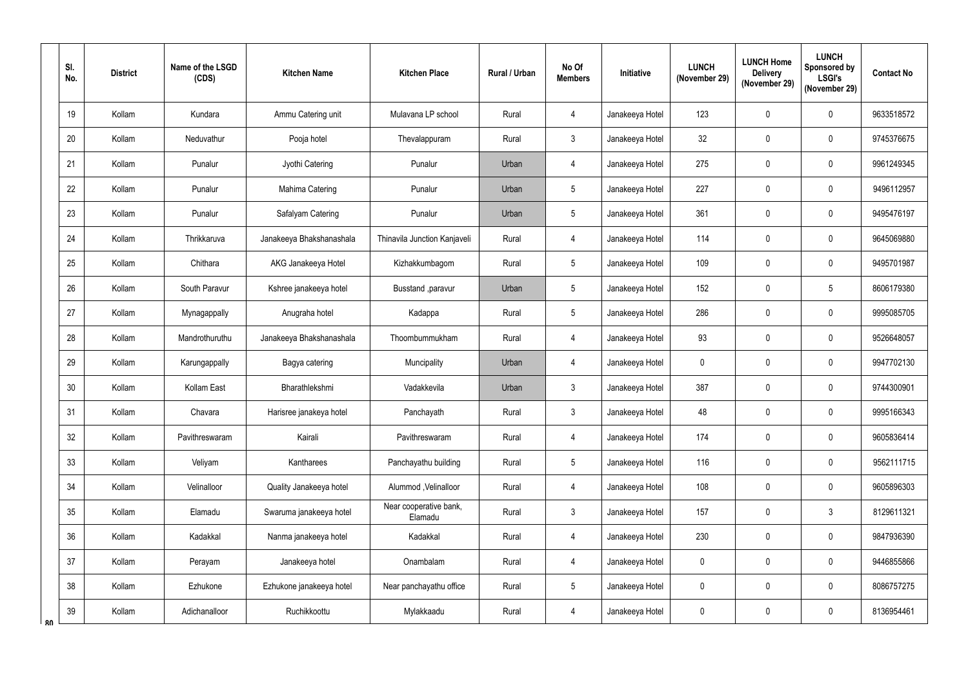| SI.<br>No. | <b>District</b> | Name of the LSGD<br>(CDS) | <b>Kitchen Name</b>      | <b>Kitchen Place</b>              | Rural / Urban | No Of<br><b>Members</b> | Initiative      | <b>LUNCH</b><br>(November 29) | <b>LUNCH Home</b><br><b>Delivery</b><br>(November 29) | <b>LUNCH</b><br>Sponsored by<br><b>LSGI's</b><br>(November 29) | <b>Contact No</b> |
|------------|-----------------|---------------------------|--------------------------|-----------------------------------|---------------|-------------------------|-----------------|-------------------------------|-------------------------------------------------------|----------------------------------------------------------------|-------------------|
| 19         | Kollam          | Kundara                   | Ammu Catering unit       | Mulavana LP school                | Rural         | 4                       | Janakeeya Hotel | 123                           | $\mathbf 0$                                           | $\mathbf 0$                                                    | 9633518572        |
| 20         | Kollam          | Neduvathur                | Pooja hotel              | Thevalappuram                     | Rural         | 3 <sup>1</sup>          | Janakeeya Hotel | 32                            | 0                                                     | $\mathbf 0$                                                    | 9745376675        |
| 21         | Kollam          | Punalur                   | Jyothi Catering          | Punalur                           | Urban         | $\overline{4}$          | Janakeeya Hotel | 275                           | $\mathbf 0$                                           | $\mathbf 0$                                                    | 9961249345        |
| 22         | Kollam          | Punalur                   | Mahima Catering          | Punalur                           | Urban         | $\overline{5}$          | Janakeeya Hotel | 227                           | $\mathbf 0$                                           | $\mathbf 0$                                                    | 9496112957        |
| 23         | Kollam          | Punalur                   | Safalyam Catering        | Punalur                           | Urban         | 5                       | Janakeeya Hotel | 361                           | 0                                                     | $\mathbf{0}$                                                   | 9495476197        |
| 24         | Kollam          | Thrikkaruva               | Janakeeya Bhakshanashala | Thinavila Junction Kanjaveli      | Rural         | $\overline{4}$          | Janakeeya Hotel | 114                           | 0                                                     | $\mathbf 0$                                                    | 9645069880        |
| 25         | Kollam          | Chithara                  | AKG Janakeeya Hotel      | Kizhakkumbagom                    | Rural         | $5\phantom{.0}$         | Janakeeya Hotel | 109                           | $\mathbf 0$                                           | $\mathbf 0$                                                    | 9495701987        |
| 26         | Kollam          | South Paravur             | Kshree janakeeya hotel   | Busstand , paravur                | Urban         | $\overline{5}$          | Janakeeya Hotel | 152                           | $\mathbf 0$                                           | 5                                                              | 8606179380        |
| 27         | Kollam          | Mynagappally              | Anugraha hotel           | Kadappa                           | Rural         | $5\overline{)}$         | Janakeeya Hotel | 286                           | 0                                                     | $\mathbf 0$                                                    | 9995085705        |
| 28         | Kollam          | Mandrothuruthu            | Janakeeya Bhakshanashala | Thoombummukham                    | Rural         | $\overline{4}$          | Janakeeya Hotel | 93                            | $\mathbf 0$                                           | $\mathbf{0}$                                                   | 9526648057        |
| 29         | Kollam          | Karungappally             | Bagya catering           | Muncipality                       | Urban         | 4                       | Janakeeya Hotel | $\mathbf 0$                   | 0                                                     | $\mathbf 0$                                                    | 9947702130        |
| 30         | Kollam          | Kollam East               | Bharathlekshmi           | Vadakkevila                       | Urban         | 3 <sup>1</sup>          | Janakeeya Hotel | 387                           | $\mathbf 0$                                           | $\mathbf{0}$                                                   | 9744300901        |
| 31         | Kollam          | Chavara                   | Harisree janakeya hotel  | Panchayath                        | Rural         | $\mathbf{3}$            | Janakeeya Hotel | 48                            | $\mathbf 0$                                           | $\mathbf 0$                                                    | 9995166343        |
| 32         | Kollam          | Pavithreswaram            | Kairali                  | Pavithreswaram                    | Rural         | $\overline{4}$          | Janakeeya Hotel | 174                           | $\pmb{0}$                                             | $\pmb{0}$                                                      | 9605836414        |
| 33         | Kollam          | Veliyam                   | Kantharees               | Panchayathu building              | Rural         | $5\overline{)}$         | Janakeeya Hotel | 116                           | $\pmb{0}$                                             | $\pmb{0}$                                                      | 9562111715        |
| 34         | Kollam          | Velinalloor               | Quality Janakeeya hotel  | Alummod, Velinalloor              | Rural         | $\overline{4}$          | Janakeeya Hotel | 108                           | $\mathbf 0$                                           | $\mathbf 0$                                                    | 9605896303        |
| 35         | Kollam          | Elamadu                   | Swaruma janakeeya hotel  | Near cooperative bank,<br>Elamadu | Rural         | 3 <sup>1</sup>          | Janakeeya Hotel | 157                           | $\pmb{0}$                                             | $\mathfrak{Z}$                                                 | 8129611321        |
| 36         | Kollam          | Kadakkal                  | Nanma janakeeya hotel    | Kadakkal                          | Rural         | $\overline{4}$          | Janakeeya Hotel | 230                           | $\mathbf 0$                                           | $\mathbf 0$                                                    | 9847936390        |
| 37         | Kollam          | Perayam                   | Janakeeya hotel          | Onambalam                         | Rural         | 4                       | Janakeeya Hotel | $\mathbf 0$                   | $\pmb{0}$                                             | $\mathbf 0$                                                    | 9446855866        |
| 38         | Kollam          | Ezhukone                  | Ezhukone janakeeya hotel | Near panchayathu office           | Rural         | $5\overline{)}$         | Janakeeya Hotel | 0                             | $\pmb{0}$                                             | $\pmb{0}$                                                      | 8086757275        |
| 39<br>ጸበ   | Kollam          | Adichanalloor             | Ruchikkoottu             | Mylakkaadu                        | Rural         | 4                       | Janakeeya Hotel | $\bf{0}$                      | 0                                                     | $\boldsymbol{0}$                                               | 8136954461        |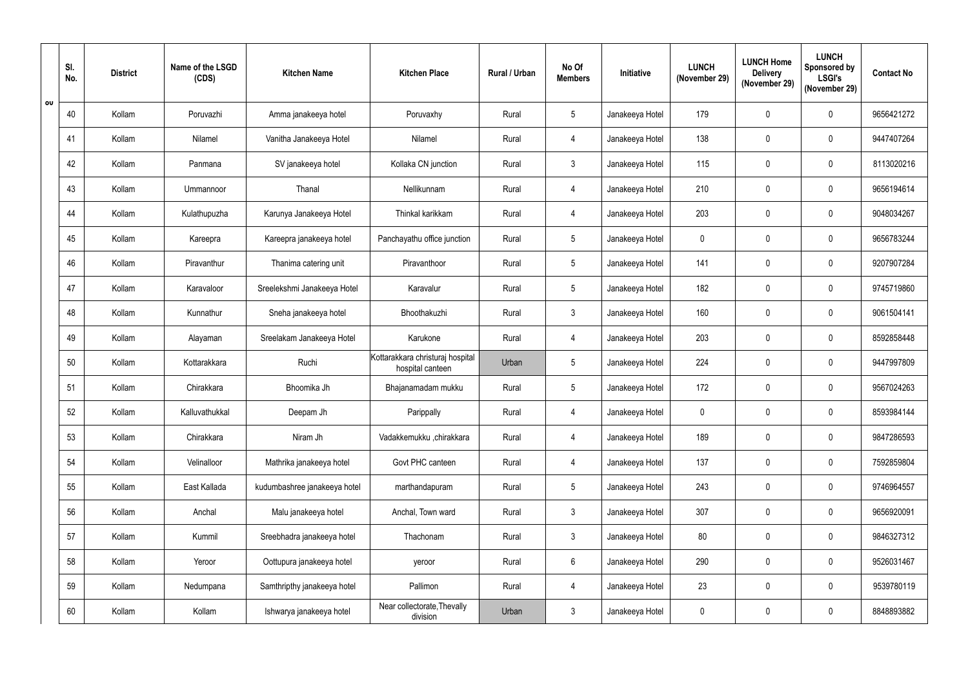|    | SI.<br>No. | <b>District</b> | Name of the LSGD<br>(CDS) | <b>Kitchen Name</b>          | <b>Kitchen Place</b>                                 | Rural / Urban | No Of<br><b>Members</b> | Initiative      | <b>LUNCH</b><br>(November 29) | <b>LUNCH Home</b><br><b>Delivery</b><br>(November 29) | <b>LUNCH</b><br>Sponsored by<br><b>LSGI's</b><br>(November 29) | <b>Contact No</b> |
|----|------------|-----------------|---------------------------|------------------------------|------------------------------------------------------|---------------|-------------------------|-----------------|-------------------------------|-------------------------------------------------------|----------------------------------------------------------------|-------------------|
| OU | 40         | Kollam          | Poruvazhi                 | Amma janakeeya hotel         | Poruvaxhy                                            | Rural         | 5                       | Janakeeya Hotel | 179                           | $\mathbf 0$                                           | $\mathbf 0$                                                    | 9656421272        |
|    | 41         | Kollam          | Nilamel                   | Vanitha Janakeeya Hotel      | Nilamel                                              | Rural         | 4                       | Janakeeya Hotel | 138                           | 0                                                     | $\mathbf 0$                                                    | 9447407264        |
|    | 42         | Kollam          | Panmana                   | SV janakeeya hotel           | Kollaka CN junction                                  | Rural         | $\mathbf{3}$            | Janakeeya Hotel | 115                           | $\mathbf 0$                                           | $\mathbf 0$                                                    | 8113020216        |
|    | 43         | Kollam          | Ummannoor                 | Thanal                       | Nellikunnam                                          | Rural         | 4                       | Janakeeya Hotel | 210                           | $\mathbf 0$                                           | $\mathbf 0$                                                    | 9656194614        |
|    | 44         | Kollam          | Kulathupuzha              | Karunya Janakeeya Hotel      | Thinkal karikkam                                     | Rural         | 4                       | Janakeeya Hotel | 203                           | 0                                                     | $\mathbf{0}$                                                   | 9048034267        |
|    | 45         | Kollam          | Kareepra                  | Kareepra janakeeya hotel     | Panchayathu office junction                          | Rural         | $5\overline{)}$         | Janakeeya Hotel | $\mathbf 0$                   | $\mathbf 0$                                           | $\mathbf 0$                                                    | 9656783244        |
|    | 46         | Kollam          | Piravanthur               | Thanima catering unit        | Piravanthoor                                         | Rural         | $5\overline{)}$         | Janakeeya Hotel | 141                           | $\mathbf 0$                                           | $\mathbf 0$                                                    | 9207907284        |
|    | 47         | Kollam          | Karavaloor                | Sreelekshmi Janakeeya Hotel  | Karavalur                                            | Rural         | $5\phantom{.0}$         | Janakeeya Hotel | 182                           | $\mathbf 0$                                           | $\mathbf 0$                                                    | 9745719860        |
|    | 48         | Kollam          | Kunnathur                 | Sneha janakeeya hotel        | Bhoothakuzhi                                         | Rural         | 3 <sup>1</sup>          | Janakeeya Hotel | 160                           | 0                                                     | $\mathbf 0$                                                    | 9061504141        |
|    | 49         | Kollam          | Alayaman                  | Sreelakam Janakeeya Hotel    | Karukone                                             | Rural         | 4                       | Janakeeya Hotel | 203                           | $\mathbf 0$                                           | $\mathbf{0}$                                                   | 8592858448        |
|    | 50         | Kollam          | Kottarakkara              | Ruchi                        | Kottarakkara christuraj hospital<br>hospital canteen | Urban         | $5\overline{)}$         | Janakeeya Hotel | 224                           | 0                                                     | $\boldsymbol{0}$                                               | 9447997809        |
|    | 51         | Kollam          | Chirakkara                | Bhoomika Jh                  | Bhajanamadam mukku                                   | Rural         | 5 <sup>5</sup>          | Janakeeya Hotel | 172                           | $\mathbf 0$                                           | $\mathbf{0}$                                                   | 9567024263        |
|    | 52         | Kollam          | Kalluvathukkal            | Deepam Jh                    | Parippally                                           | Rural         | 4                       | Janakeeya Hotel | $\mathbf 0$                   | 0                                                     | $\mathbf 0$                                                    | 8593984144        |
|    | 53         | Kollam          | Chirakkara                | Niram Jh                     | Vadakkemukku ,chirakkara                             | Rural         | 4                       | Janakeeya Hotel | 189                           | $\pmb{0}$                                             | $\pmb{0}$                                                      | 9847286593        |
|    | 54         | Kollam          | Velinalloor               | Mathrika janakeeya hotel     | Govt PHC canteen                                     | Rural         | $\overline{4}$          | Janakeeya Hotel | 137                           | $\pmb{0}$                                             | $\pmb{0}$                                                      | 7592859804        |
|    | 55         | Kollam          | East Kallada              | kudumbashree janakeeya hotel | marthandapuram                                       | Rural         | $5\phantom{.0}$         | Janakeeya Hotel | 243                           | $\mathbf 0$                                           | $\mathbf 0$                                                    | 9746964557        |
|    | 56         | Kollam          | Anchal                    | Malu janakeeya hotel         | Anchal, Town ward                                    | Rural         | 3 <sup>7</sup>          | Janakeeya Hotel | 307                           | $\pmb{0}$                                             | $\bf{0}$                                                       | 9656920091        |
|    | 57         | Kollam          | Kummil                    | Sreebhadra janakeeya hotel   | Thachonam                                            | Rural         | 3 <sup>1</sup>          | Janakeeya Hotel | 80                            | 0                                                     | $\mathbf 0$                                                    | 9846327312        |
|    | 58         | Kollam          | Yeroor                    | Oottupura janakeeya hotel    | yeroor                                               | Rural         | $6\phantom{.}$          | Janakeeya Hotel | 290                           | $\pmb{0}$                                             | $\pmb{0}$                                                      | 9526031467        |
|    | 59         | Kollam          | Nedumpana                 | Samthripthy janakeeya hotel  | Pallimon                                             | Rural         | $\overline{4}$          | Janakeeya Hotel | 23                            | $\pmb{0}$                                             | $\mathbf 0$                                                    | 9539780119        |
|    | 60         | Kollam          | Kollam                    | Ishwarya janakeeya hotel     | Near collectorate, Thevally<br>division              | Urban         | $\mathbf{3}$            | Janakeeya Hotel | $\mathbf 0$                   | 0                                                     | $\boldsymbol{0}$                                               | 8848893882        |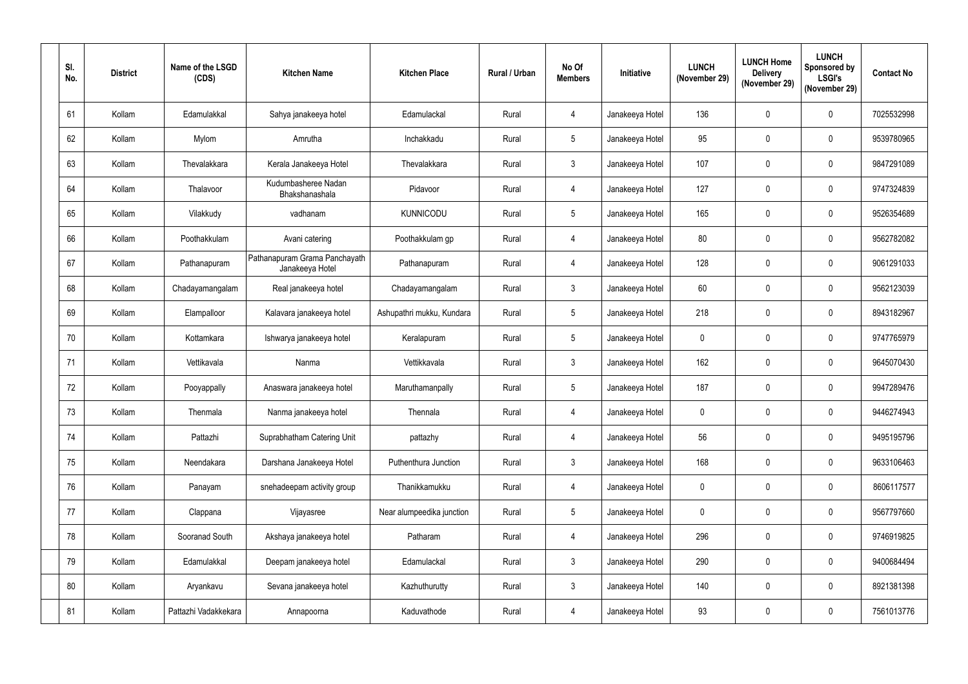| SI.<br>No. | <b>District</b> | Name of the LSGD<br>(CDS) | <b>Kitchen Name</b>                              | <b>Kitchen Place</b>      | Rural / Urban | No Of<br><b>Members</b> | <b>Initiative</b> | <b>LUNCH</b><br>(November 29) | <b>LUNCH Home</b><br><b>Delivery</b><br>(November 29) | <b>LUNCH</b><br>Sponsored by<br><b>LSGI's</b><br>(November 29) | <b>Contact No</b> |
|------------|-----------------|---------------------------|--------------------------------------------------|---------------------------|---------------|-------------------------|-------------------|-------------------------------|-------------------------------------------------------|----------------------------------------------------------------|-------------------|
| 61         | Kollam          | Edamulakkal               | Sahya janakeeya hotel                            | Edamulackal               | Rural         |                         | Janakeeya Hotel   | 136                           | $\mathbf 0$                                           | $\mathbf 0$                                                    | 7025532998        |
| 62         | Kollam          | Mylom                     | Amrutha                                          | Inchakkadu                | Rural         | 5 <sup>5</sup>          | Janakeeya Hotel   | 95                            | $\mathbf 0$                                           | $\mathbf 0$                                                    | 9539780965        |
| 63         | Kollam          | Thevalakkara              | Kerala Janakeeya Hotel                           | Thevalakkara              | Rural         | $\mathbf{3}$            | Janakeeya Hotel   | 107                           | $\mathbf 0$                                           | $\mathbf 0$                                                    | 9847291089        |
| 64         | Kollam          | Thalavoor                 | Kudumbasheree Nadan<br>Bhakshanashala            | Pidavoor                  | Rural         | 4                       | Janakeeya Hotel   | 127                           | $\mathbf 0$                                           | $\mathbf 0$                                                    | 9747324839        |
| 65         | Kollam          | Vilakkudy                 | vadhanam                                         | <b>KUNNICODU</b>          | Rural         | 5 <sup>5</sup>          | Janakeeya Hotel   | 165                           | 0                                                     | $\mathbf 0$                                                    | 9526354689        |
| 66         | Kollam          | Poothakkulam              | Avani catering                                   | Poothakkulam qp           | Rural         |                         | Janakeeya Hotel   | 80                            | $\mathbf 0$                                           | $\mathbf 0$                                                    | 9562782082        |
| 67         | Kollam          | Pathanapuram              | Pathanapuram Grama Panchayath<br>Janakeeya Hotel | Pathanapuram              | Rural         | 4                       | Janakeeya Hotel   | 128                           | $\mathbf 0$                                           | $\mathbf 0$                                                    | 9061291033        |
| 68         | Kollam          | Chadayamangalam           | Real janakeeya hotel                             | Chadayamangalam           | Rural         | $\mathbf{3}$            | Janakeeya Hotel   | 60                            | $\mathbf 0$                                           | $\mathbf 0$                                                    | 9562123039        |
| 69         | Kollam          | Elampalloor               | Kalavara janakeeya hotel                         | Ashupathri mukku, Kundara | Rural         | $5\overline{)}$         | Janakeeya Hotel   | 218                           | $\boldsymbol{0}$                                      | $\mathbf 0$                                                    | 8943182967        |
| 70         | Kollam          | Kottamkara                | Ishwarya janakeeya hotel                         | Keralapuram               | Rural         | 5 <sup>5</sup>          | Janakeeya Hotel   | $\mathbf{0}$                  | $\mathbf 0$                                           | $\overline{0}$                                                 | 9747765979        |
| 71         | Kollam          | Vettikavala               | Nanma                                            | Vettikkavala              | Rural         | 3                       | Janakeeya Hotel   | 162                           | $\boldsymbol{0}$                                      | $\mathbf 0$                                                    | 9645070430        |
| 72         | Kollam          | Pooyappally               | Anaswara janakeeya hotel                         | Maruthamanpally           | Rural         | 5 <sup>5</sup>          | Janakeeya Hotel   | 187                           | $\mathbf 0$                                           | $\overline{0}$                                                 | 9947289476        |
| 73         | Kollam          | Thenmala                  | Nanma janakeeya hotel                            | Thennala                  | Rural         | 4                       | Janakeeya Hotel   | $\mathbf 0$                   | $\pmb{0}$                                             | $\mathbf 0$                                                    | 9446274943        |
| 74         | Kollam          | Pattazhi                  | Suprabhatham Catering Unit                       | pattazhy                  | Rural         | 4                       | Janakeeya Hotel   | 56                            | $\pmb{0}$                                             | $\mathbf 0$                                                    | 9495195796        |
| 75         | Kollam          | Neendakara                | Darshana Janakeeya Hotel                         | Puthenthura Junction      | Rural         | $3\phantom{.0}$         | Janakeeya Hotel   | 168                           | $\boldsymbol{0}$                                      | $\pmb{0}$                                                      | 9633106463        |
| 76         | Kollam          | Panayam                   | snehadeepam activity group                       | Thanikkamukku             | Rural         | 4                       | Janakeeya Hotel   | $\mathbf 0$                   | $\mathbf 0$                                           | $\mathbf 0$                                                    | 8606117577        |
| 77         | Kollam          | Clappana                  | Vijayasree                                       | Near alumpeedika junction | Rural         | $5\phantom{.0}$         | Janakeeya Hotel   | $\mathbf 0$                   | $\boldsymbol{0}$                                      | $\mathbf 0$                                                    | 9567797660        |
| 78         | Kollam          | Sooranad South            | Akshaya janakeeya hotel                          | Patharam                  | Rural         | 4                       | Janakeeya Hotel   | 296                           | $\pmb{0}$                                             | $\mathbf 0$                                                    | 9746919825        |
| 79         | Kollam          | Edamulakkal               | Deepam janakeeya hotel                           | Edamulackal               | Rural         | 3 <sup>1</sup>          | Janakeeya Hotel   | 290                           | $\pmb{0}$                                             | $\boldsymbol{0}$                                               | 9400684494        |
| 80         | Kollam          | Aryankavu                 | Sevana janakeeya hotel                           | Kazhuthurutty             | Rural         | $3\phantom{.0}$         | Janakeeya Hotel   | 140                           | $\pmb{0}$                                             | $\mathbf 0$                                                    | 8921381398        |
| 81         | Kollam          | Pattazhi Vadakkekara      | Annapoorna                                       | Kaduvathode               | Rural         | 4                       | Janakeeya Hotel   | 93                            | $\pmb{0}$                                             | $\boldsymbol{0}$                                               | 7561013776        |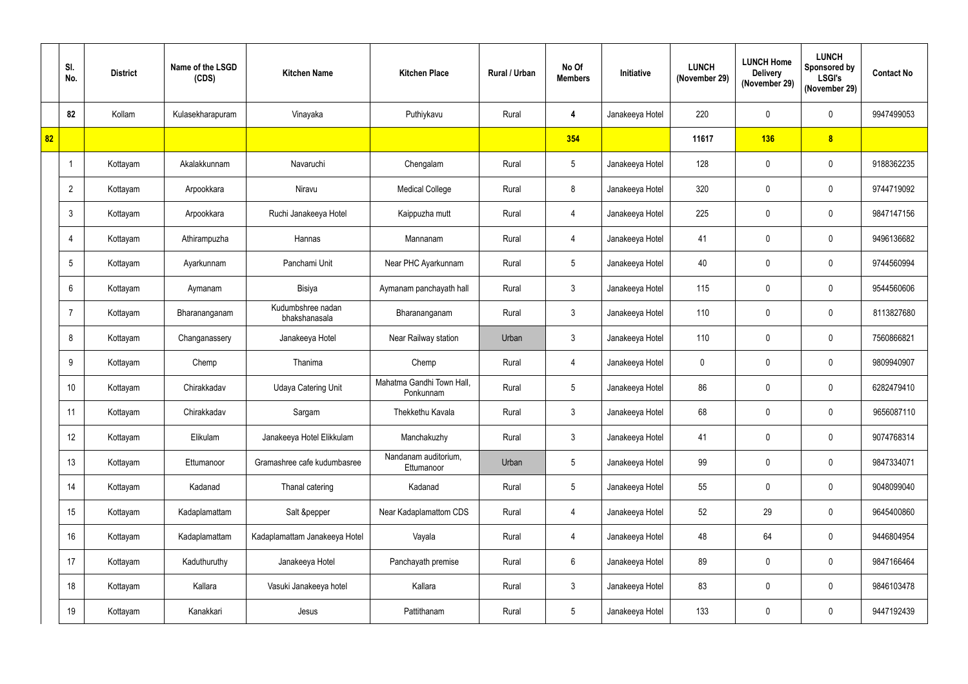|                 | SI.<br>No.     | <b>District</b> | Name of the LSGD<br>(CDS) | <b>Kitchen Name</b>                | <b>Kitchen Place</b>                   | Rural / Urban | No Of<br><b>Members</b> | Initiative      | <b>LUNCH</b><br>(November 29) | <b>LUNCH Home</b><br><b>Delivery</b><br>(November 29) | <b>LUNCH</b><br><b>Sponsored by</b><br><b>LSGI's</b><br>(November 29) | <b>Contact No</b> |
|-----------------|----------------|-----------------|---------------------------|------------------------------------|----------------------------------------|---------------|-------------------------|-----------------|-------------------------------|-------------------------------------------------------|-----------------------------------------------------------------------|-------------------|
|                 | 82             | Kollam          | Kulasekharapuram          | Vinayaka                           | Puthiykavu                             | Rural         | 4                       | Janakeeya Hotel | 220                           | $\mathbf 0$                                           | $\mathbf 0$                                                           | 9947499053        |
| 82 <sub>2</sub> |                |                 |                           |                                    |                                        |               | 354                     |                 | 11617                         | 136                                                   | $\boldsymbol{8}$                                                      |                   |
|                 |                | Kottayam        | Akalakkunnam              | Navaruchi                          | Chengalam                              | Rural         | $5\phantom{.0}$         | Janakeeya Hotel | 128                           | $\mathbf 0$                                           | $\mathbf 0$                                                           | 9188362235        |
|                 | $\overline{2}$ | Kottayam        | Arpookkara                | Niravu                             | <b>Medical College</b>                 | Rural         | 8                       | Janakeeya Hotel | 320                           | $\pmb{0}$                                             | $\pmb{0}$                                                             | 9744719092        |
|                 | $\mathbf{3}$   | Kottayam        | Arpookkara                | Ruchi Janakeeya Hotel              | Kaippuzha mutt                         | Rural         | $\overline{4}$          | Janakeeya Hotel | 225                           | $\mathbf 0$                                           | $\mathbf 0$                                                           | 9847147156        |
|                 | $\overline{4}$ | Kottayam        | Athirampuzha              | Hannas                             | Mannanam                               | Rural         | 4                       | Janakeeya Hotel | 41                            | $\mathbf 0$                                           | $\mathbf 0$                                                           | 9496136682        |
|                 | 5              | Kottayam        | Ayarkunnam                | Panchami Unit                      | Near PHC Ayarkunnam                    | Rural         | 5                       | Janakeeya Hotel | 40                            | $\mathbf 0$                                           | $\mathbf 0$                                                           | 9744560994        |
|                 | 6              | Kottayam        | Aymanam                   | Bisiya                             | Aymanam panchayath hall                | Rural         | 3 <sup>1</sup>          | Janakeeya Hotel | 115                           | $\mathbf 0$                                           | $\mathbf 0$                                                           | 9544560606        |
|                 |                | Kottayam        | Bharananganam             | Kudumbshree nadan<br>bhakshanasala | Bharananganam                          | Rural         | 3 <sup>1</sup>          | Janakeeya Hotel | 110                           | $\mathbf 0$                                           | $\mathbf 0$                                                           | 8113827680        |
|                 | 8              | Kottayam        | Changanassery             | Janakeeya Hotel                    | Near Railway station                   | Urban         | 3                       | Janakeeya Hotel | 110                           | $\mathbf 0$                                           | $\mathbf 0$                                                           | 7560866821        |
|                 | 9              | Kottayam        | Chemp                     | Thanima                            | Chemp                                  | Rural         | 4                       | Janakeeya Hotel | $\mathbf 0$                   | $\mathbf 0$                                           | $\mathbf 0$                                                           | 9809940907        |
|                 | 10             | Kottayam        | Chirakkadav               | <b>Udaya Catering Unit</b>         | Mahatma Gandhi Town Hall,<br>Ponkunnam | Rural         | 5 <sup>5</sup>          | Janakeeya Hotel | 86                            | $\mathbf 0$                                           | $\mathbf 0$                                                           | 6282479410        |
|                 | 11             | Kottayam        | Chirakkadav               | Sargam                             | Thekkethu Kavala                       | Rural         | 3 <sup>1</sup>          | Janakeeya Hotel | 68                            | $\pmb{0}$                                             | $\pmb{0}$                                                             | 9656087110        |
|                 | 12             | Kottayam        | Elikulam                  | Janakeeya Hotel Elikkulam          | Manchakuzhy                            | Rural         | 3 <sup>1</sup>          | Janakeeya Hotel | 41                            | $\pmb{0}$                                             | $\pmb{0}$                                                             | 9074768314        |
|                 | 13             | Kottayam        | Ettumanoor                | Gramashree cafe kudumbasree        | Nandanam auditorium,<br>Ettumanoor     | Urban         | 5 <sub>5</sub>          | Janakeeya Hotel | 99                            | $\pmb{0}$                                             | $\pmb{0}$                                                             | 9847334071        |
|                 | 14             | Kottayam        | Kadanad                   | Thanal catering                    | Kadanad                                | Rural         | 5 <sub>5</sub>          | Janakeeya Hotel | 55                            | $\pmb{0}$                                             | $\mathbf 0$                                                           | 9048099040        |
|                 | 15             | Kottayam        | Kadaplamattam             | Salt &pepper                       | Near Kadaplamattom CDS                 | Rural         | $\overline{4}$          | Janakeeya Hotel | 52                            | 29                                                    | $\mathbf 0$                                                           | 9645400860        |
|                 | 16             | Kottayam        | Kadaplamattam             | Kadaplamattam Janakeeya Hotel      | Vayala                                 | Rural         | $\overline{4}$          | Janakeeya Hotel | 48                            | 64                                                    | $\mathbf 0$                                                           | 9446804954        |
|                 | 17             | Kottayam        | Kaduthuruthy              | Janakeeya Hotel                    | Panchayath premise                     | Rural         | $6\overline{6}$         | Janakeeya Hotel | 89                            | $\pmb{0}$                                             | $\pmb{0}$                                                             | 9847166464        |
|                 | 18             | Kottayam        | Kallara                   | Vasuki Janakeeya hotel             | Kallara                                | Rural         | 3 <sup>1</sup>          | Janakeeya Hotel | 83                            | $\pmb{0}$                                             | $\mathbf 0$                                                           | 9846103478        |
|                 | 19             | Kottayam        | Kanakkari                 | Jesus                              | Pattithanam                            | Rural         | 5 <sub>5</sub>          | Janakeeya Hotel | 133                           | $\pmb{0}$                                             | $\boldsymbol{0}$                                                      | 9447192439        |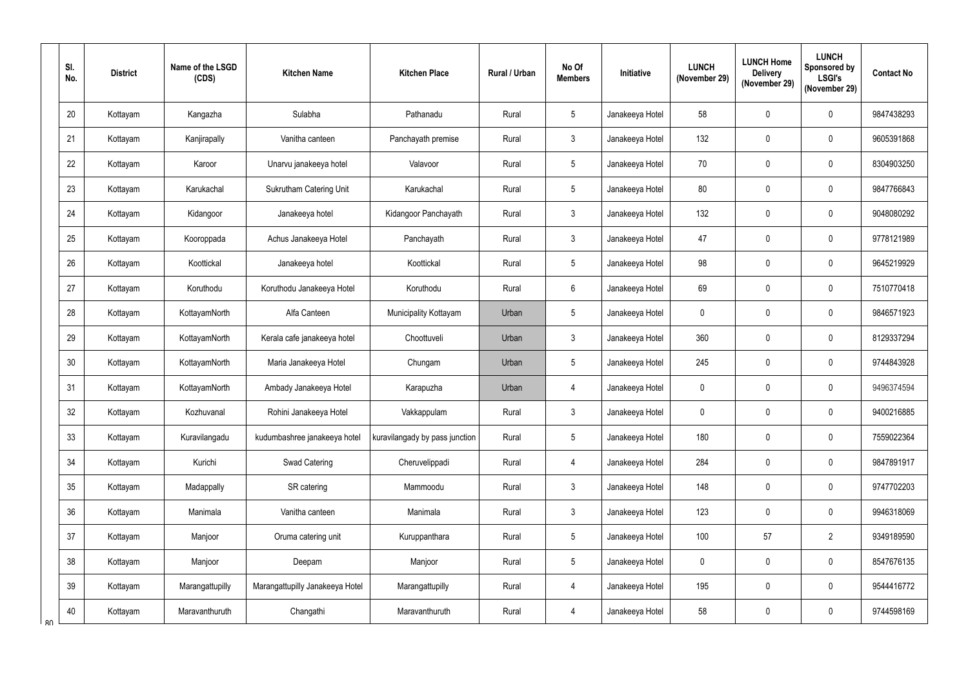|    | SI.<br>No. | <b>District</b> | Name of the LSGD<br>(CDS) | <b>Kitchen Name</b>             | <b>Kitchen Place</b>           | Rural / Urban | No Of<br><b>Members</b> | Initiative      | <b>LUNCH</b><br>(November 29) | <b>LUNCH Home</b><br><b>Delivery</b><br>(November 29) | <b>LUNCH</b><br><b>Sponsored by</b><br><b>LSGI's</b><br>(November 29) | <b>Contact No</b> |
|----|------------|-----------------|---------------------------|---------------------------------|--------------------------------|---------------|-------------------------|-----------------|-------------------------------|-------------------------------------------------------|-----------------------------------------------------------------------|-------------------|
|    | 20         | Kottayam        | Kangazha                  | Sulabha                         | Pathanadu                      | Rural         | $5\phantom{.0}$         | Janakeeya Hotel | 58                            | $\mathbf 0$                                           | $\mathbf 0$                                                           | 9847438293        |
|    | 21         | Kottayam        | Kanjirapally              | Vanitha canteen                 | Panchayath premise             | Rural         | $\mathbf{3}$            | Janakeeya Hotel | 132                           | $\mathbf 0$                                           | $\mathbf 0$                                                           | 9605391868        |
|    | 22         | Kottayam        | Karoor                    | Unarvu janakeeya hotel          | Valavoor                       | Rural         | $5\phantom{.0}$         | Janakeeya Hotel | 70                            | $\mathbf 0$                                           | $\mathbf 0$                                                           | 8304903250        |
|    | 23         | Kottayam        | Karukachal                | <b>Sukrutham Catering Unit</b>  | Karukachal                     | Rural         | $5\phantom{.0}$         | Janakeeya Hotel | 80                            | $\mathbf 0$                                           | $\mathbf 0$                                                           | 9847766843        |
|    | 24         | Kottayam        | Kidangoor                 | Janakeeya hotel                 | Kidangoor Panchayath           | Rural         | $\mathbf{3}$            | Janakeeya Hotel | 132                           | $\mathbf 0$                                           | $\mathbf 0$                                                           | 9048080292        |
|    | 25         | Kottayam        | Kooroppada                | Achus Janakeeya Hotel           | Panchayath                     | Rural         | $\mathbf{3}$            | Janakeeya Hotel | 47                            | $\mathbf 0$                                           | $\mathbf 0$                                                           | 9778121989        |
|    | 26         | Kottayam        | Koottickal                | Janakeeya hotel                 | Koottickal                     | Rural         | $5\overline{)}$         | Janakeeya Hotel | 98                            | $\mathbf 0$                                           | $\mathbf 0$                                                           | 9645219929        |
|    | 27         | Kottayam        | Koruthodu                 | Koruthodu Janakeeya Hotel       | Koruthodu                      | Rural         | $6\phantom{.}6$         | Janakeeya Hotel | 69                            | $\mathbf 0$                                           | $\mathbf 0$                                                           | 7510770418        |
|    | 28         | Kottayam        | KottayamNorth             | Alfa Canteen                    | Municipality Kottayam          | Urban         | $5\phantom{.0}$         | Janakeeya Hotel | $\mathbf 0$                   | $\mathbf 0$                                           | $\mathbf 0$                                                           | 9846571923        |
|    | 29         | Kottayam        | KottayamNorth             | Kerala cafe janakeeya hotel     | Choottuveli                    | Urban         | 3                       | Janakeeya Hotel | 360                           | $\mathbf 0$                                           | $\mathbf 0$                                                           | 8129337294        |
|    | 30         | Kottayam        | KottayamNorth             | Maria Janakeeya Hotel           | Chungam                        | Urban         | 5                       | Janakeeya Hotel | 245                           | $\mathbf 0$                                           | $\mathbf 0$                                                           | 9744843928        |
|    | 31         | Kottayam        | KottayamNorth             | Ambady Janakeeya Hotel          | Karapuzha                      | Urban         | 4                       | Janakeeya Hotel | $\mathbf 0$                   | $\mathbf 0$                                           | $\mathbf 0$                                                           | 9496374594        |
|    | 32         | Kottayam        | Kozhuvanal                | Rohini Janakeeya Hotel          | Vakkappulam                    | Rural         | $\mathbf{3}$            | Janakeeya Hotel | $\mathbf 0$                   | $\mathbf 0$                                           | $\mathbf 0$                                                           | 9400216885        |
|    | 33         | Kottayam        | Kuravilangadu             | kudumbashree janakeeya hotel    | kuravilangady by pass junction | Rural         | $5\phantom{.0}$         | Janakeeya Hotel | 180                           | $\mathbf 0$                                           | $\pmb{0}$                                                             | 7559022364        |
|    | 34         | Kottayam        | Kurichi                   | Swad Catering                   | Cheruvelippadi                 | Rural         | 4                       | Janakeeya Hotel | 284                           | $\pmb{0}$                                             | $\mathbf 0$                                                           | 9847891917        |
|    | 35         | Kottayam        | Madappally                | SR catering                     | Mammoodu                       | Rural         | $\mathbf{3}$            | Janakeeya Hotel | 148                           | $\pmb{0}$                                             | $\mathbf 0$                                                           | 9747702203        |
|    | 36         | Kottayam        | Manimala                  | Vanitha canteen                 | Manimala                       | Rural         | 3 <sup>1</sup>          | Janakeeya Hotel | 123                           | 0                                                     | $\pmb{0}$                                                             | 9946318069        |
|    | 37         | Kottayam        | Manjoor                   | Oruma catering unit             | Kuruppanthara                  | Rural         | $5\phantom{.0}$         | Janakeeya Hotel | 100                           | 57                                                    | $\overline{2}$                                                        | 9349189590        |
|    | 38         | Kottayam        | Manjoor                   | Deepam                          | Manjoor                        | Rural         | 5 <sub>5</sub>          | Janakeeya Hotel | $\mathbf 0$                   | $\pmb{0}$                                             | $\boldsymbol{0}$                                                      | 8547676135        |
|    | 39         | Kottayam        | Marangattupilly           | Marangattupilly Janakeeya Hotel | Marangattupilly                | Rural         | 4                       | Janakeeya Hotel | 195                           | $\pmb{0}$                                             | $\pmb{0}$                                                             | 9544416772        |
| R۷ | 40         | Kottayam        | Maravanthuruth            | Changathi                       | Maravanthuruth                 | Rural         | 4                       | Janakeeya Hotel | 58                            | $\pmb{0}$                                             | $\boldsymbol{0}$                                                      | 9744598169        |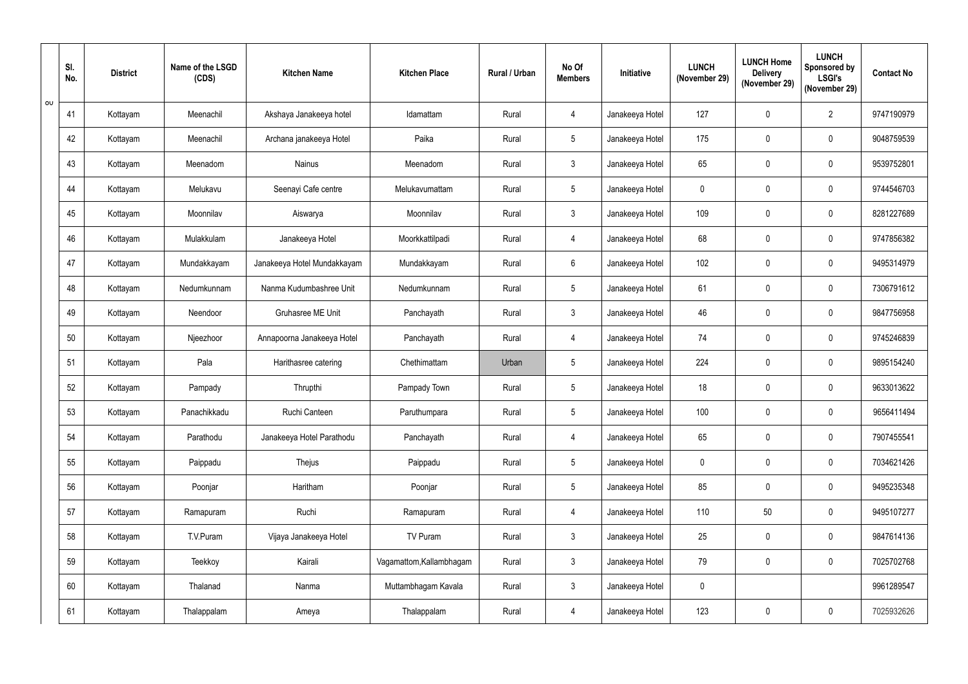|          | SI.<br>No. | <b>District</b> | Name of the LSGD<br>(CDS) | <b>Kitchen Name</b>         | <b>Kitchen Place</b>     | Rural / Urban | No Of<br><b>Members</b> | Initiative      | <b>LUNCH</b><br>(November 29) | <b>LUNCH Home</b><br><b>Delivery</b><br>(November 29) | <b>LUNCH</b><br><b>Sponsored by</b><br><b>LSGI's</b><br>(November 29) | <b>Contact No</b> |
|----------|------------|-----------------|---------------------------|-----------------------------|--------------------------|---------------|-------------------------|-----------------|-------------------------------|-------------------------------------------------------|-----------------------------------------------------------------------|-------------------|
| $\sigma$ | 41         | Kottayam        | Meenachil                 | Akshaya Janakeeya hotel     | Idamattam                | Rural         | 4                       | Janakeeya Hotel | 127                           | $\mathbf 0$                                           | $\overline{2}$                                                        | 9747190979        |
|          | 42         | Kottayam        | Meenachil                 | Archana janakeeya Hotel     | Paika                    | Rural         | $5\phantom{.0}$         | Janakeeya Hotel | 175                           | $\mathbf 0$                                           | $\mathbf 0$                                                           | 9048759539        |
|          | 43         | Kottayam        | Meenadom                  | <b>Nainus</b>               | Meenadom                 | Rural         | $\mathfrak{Z}$          | Janakeeya Hotel | 65                            | $\mathbf 0$                                           | $\mathbf 0$                                                           | 9539752801        |
|          | 44         | Kottayam        | Melukavu                  | Seenayi Cafe centre         | Melukavumattam           | Rural         | $5\overline{)}$         | Janakeeya Hotel | $\mathbf 0$                   | $\mathbf 0$                                           | $\mathbf 0$                                                           | 9744546703        |
|          | 45         | Kottayam        | Moonnilav                 | Aiswarya                    | Moonnilav                | Rural         | $\mathbf{3}$            | Janakeeya Hotel | 109                           | $\mathbf 0$                                           | $\mathbf 0$                                                           | 8281227689        |
|          | 46         | Kottayam        | Mulakkulam                | Janakeeya Hotel             | Moorkkattilpadi          | Rural         | 4                       | Janakeeya Hotel | 68                            | $\mathbf 0$                                           | $\mathbf 0$                                                           | 9747856382        |
|          | 47         | Kottayam        | Mundakkayam               | Janakeeya Hotel Mundakkayam | Mundakkayam              | Rural         | 6                       | Janakeeya Hotel | 102                           | $\mathbf 0$                                           | $\mathbf 0$                                                           | 9495314979        |
|          | 48         | Kottayam        | Nedumkunnam               | Nanma Kudumbashree Unit     | Nedumkunnam              | Rural         | $5\overline{)}$         | Janakeeya Hotel | 61                            | $\mathbf 0$                                           | $\mathbf 0$                                                           | 7306791612        |
|          | 49         | Kottayam        | Neendoor                  | Gruhasree ME Unit           | Panchayath               | Rural         | $\mathbf{3}$            | Janakeeya Hotel | 46                            | $\mathbf 0$                                           | $\mathbf 0$                                                           | 9847756958        |
|          | 50         | Kottayam        | Njeezhoor                 | Annapoorna Janakeeya Hotel  | Panchayath               | Rural         | 4                       | Janakeeya Hotel | 74                            | $\mathbf 0$                                           | $\mathbf 0$                                                           | 9745246839        |
|          | 51         | Kottayam        | Pala                      | Harithasree catering        | Chethimattam             | Urban         | $5\phantom{.0}$         | Janakeeya Hotel | 224                           | $\mathbf 0$                                           | $\mathbf 0$                                                           | 9895154240        |
|          | 52         | Kottayam        | Pampady                   | Thrupthi                    | Pampady Town             | Rural         | $5\overline{)}$         | Janakeeya Hotel | 18                            | $\mathbf 0$                                           | $\mathbf 0$                                                           | 9633013622        |
|          | 53         | Kottayam        | Panachikkadu              | Ruchi Canteen               | Paruthumpara             | Rural         | $5\phantom{.0}$         | Janakeeya Hotel | 100                           | $\mathbf 0$                                           | $\mathbf 0$                                                           | 9656411494        |
|          | 54         | Kottayam        | Parathodu                 | Janakeeya Hotel Parathodu   | Panchayath               | Rural         | 4                       | Janakeeya Hotel | 65                            | $\mathbf 0$                                           | $\mathbf 0$                                                           | 7907455541        |
|          | 55         | Kottayam        | Paippadu                  | Thejus                      | Paippadu                 | Rural         | $5\phantom{.0}$         | Janakeeya Hotel | $\mathbf 0$                   | $\pmb{0}$                                             | $\mathbf 0$                                                           | 7034621426        |
|          | 56         | Kottayam        | Poonjar                   | Haritham                    | Poonjar                  | Rural         | $5\phantom{.0}$         | Janakeeya Hotel | 85                            | $\mathbf 0$                                           | $\mathbf 0$                                                           | 9495235348        |
|          | 57         | Kottayam        | Ramapuram                 | Ruchi                       | Ramapuram                | Rural         | 4                       | Janakeeya Hotel | 110                           | 50                                                    | $\mathbf 0$                                                           | 9495107277        |
|          | 58         | Kottayam        | T.V.Puram                 | Vijaya Janakeeya Hotel      | TV Puram                 | Rural         | 3 <sup>1</sup>          | Janakeeya Hotel | 25                            | $\pmb{0}$                                             | $\mathbf 0$                                                           | 9847614136        |
|          | 59         | Kottayam        | Teekkoy                   | Kairali                     | Vagamattom, Kallambhagam | Rural         | 3 <sup>7</sup>          | Janakeeya Hotel | 79                            | $\pmb{0}$                                             | $\pmb{0}$                                                             | 7025702768        |
|          | 60         | Kottayam        | Thalanad                  | Nanma                       | Muttambhagam Kavala      | Rural         | 3 <sup>1</sup>          | Janakeeya Hotel | $\overline{0}$                |                                                       |                                                                       | 9961289547        |
|          | 61         | Kottayam        | Thalappalam               | Ameya                       | Thalappalam              | Rural         | 4                       | Janakeeya Hotel | 123                           | $\mathbf 0$                                           | $\pmb{0}$                                                             | 7025932626        |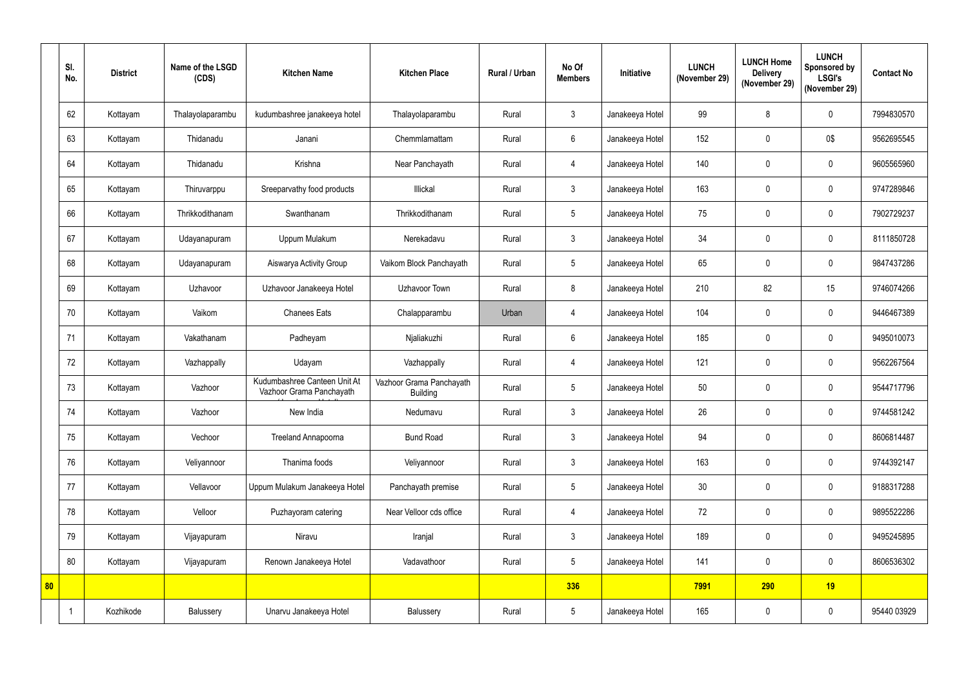|    | SI.<br>No. | <b>District</b> | Name of the LSGD<br>(CDS) | <b>Kitchen Name</b>                                      | <b>Kitchen Place</b>                        | Rural / Urban | No Of<br><b>Members</b> | Initiative      | <b>LUNCH</b><br>(November 29) | <b>LUNCH Home</b><br><b>Delivery</b><br>(November 29) | <b>LUNCH</b><br>Sponsored by<br><b>LSGI's</b><br>(November 29) | <b>Contact No</b> |
|----|------------|-----------------|---------------------------|----------------------------------------------------------|---------------------------------------------|---------------|-------------------------|-----------------|-------------------------------|-------------------------------------------------------|----------------------------------------------------------------|-------------------|
|    | 62         | Kottayam        | Thalayolaparambu          | kudumbashree janakeeya hotel                             | Thalayolaparambu                            | Rural         | 3                       | Janakeeya Hotel | 99                            | 8                                                     | $\mathbf 0$                                                    | 7994830570        |
|    | 63         | Kottayam        | Thidanadu                 | Janani                                                   | Chemmlamattam                               | Rural         | $6\overline{6}$         | Janakeeya Hotel | 152                           | $\mathbf 0$                                           | 0\$                                                            | 9562695545        |
|    | 64         | Kottayam        | Thidanadu                 | Krishna                                                  | Near Panchayath                             | Rural         | $\overline{4}$          | Janakeeya Hotel | 140                           | $\mathbf 0$                                           | $\mathbf 0$                                                    | 9605565960        |
|    | 65         | Kottayam        | Thiruvarppu               | Sreeparvathy food products                               | Illickal                                    | Rural         | $\mathbf{3}$            | Janakeeya Hotel | 163                           | $\mathbf 0$                                           | $\mathbf 0$                                                    | 9747289846        |
|    | 66         | Kottayam        | Thrikkodithanam           | Swanthanam                                               | Thrikkodithanam                             | Rural         | 5 <sup>5</sup>          | Janakeeya Hotel | 75                            | $\mathbf 0$                                           | $\mathbf 0$                                                    | 7902729237        |
|    | 67         | Kottayam        | Udayanapuram              | Uppum Mulakum                                            | Nerekadavu                                  | Rural         | 3                       | Janakeeya Hotel | 34                            | $\mathbf 0$                                           | $\mathbf 0$                                                    | 8111850728        |
|    | 68         | Kottayam        | Udayanapuram              | Aiswarya Activity Group                                  | Vaikom Block Panchayath                     | Rural         | 5 <sup>5</sup>          | Janakeeya Hotel | 65                            | $\mathbf 0$                                           | $\mathbf{0}$                                                   | 9847437286        |
|    | 69         | Kottayam        | Uzhavoor                  | Uzhavoor Janakeeya Hotel                                 | Uzhavoor Town                               | Rural         | 8                       | Janakeeya Hotel | 210                           | 82                                                    | 15                                                             | 9746074266        |
|    | 70         | Kottayam        | Vaikom                    | <b>Chanees Eats</b>                                      | Chalapparambu                               | Urban         | 4                       | Janakeeya Hotel | 104                           | $\mathbf 0$                                           | $\mathbf 0$                                                    | 9446467389        |
|    | 71         | Kottayam        | Vakathanam                | Padheyam                                                 | Njaliakuzhi                                 | Rural         | $6^{\circ}$             | Janakeeya Hotel | 185                           | $\mathbf 0$                                           | $\mathbf{0}$                                                   | 9495010073        |
|    | 72         | Kottayam        | Vazhappally               | Udayam                                                   | Vazhappally                                 | Rural         | 4                       | Janakeeya Hotel | 121                           | $\mathbf 0$                                           | $\mathbf 0$                                                    | 9562267564        |
|    | 73         | Kottayam        | Vazhoor                   | Kudumbashree Canteen Unit At<br>Vazhoor Grama Panchayath | Vazhoor Grama Panchayath<br><b>Building</b> | Rural         | 5 <sup>5</sup>          | Janakeeya Hotel | 50                            | $\mathbf 0$                                           | $\mathbf{0}$                                                   | 9544717796        |
|    | 74         | Kottayam        | Vazhoor                   | New India                                                | Nedumavu                                    | Rural         | 3 <sup>1</sup>          | Janakeeya Hotel | 26                            | $\pmb{0}$                                             | $\mathbf 0$                                                    | 9744581242        |
|    | 75         | Kottayam        | Vechoor                   | Treeland Annapoorna                                      | <b>Bund Road</b>                            | Rural         | 3 <sup>1</sup>          | Janakeeya Hotel | 94                            | $\pmb{0}$                                             | $\pmb{0}$                                                      | 8606814487        |
|    | 76         | Kottayam        | Veliyannoor               | Thanima foods                                            | Veliyannoor                                 | Rural         | 3                       | Janakeeya Hotel | 163                           | $\pmb{0}$                                             | $\pmb{0}$                                                      | 9744392147        |
|    | 77         | Kottayam        | Vellavoor                 | Uppum Mulakum Janakeeya Hotel                            | Panchayath premise                          | Rural         | 5 <sub>5</sub>          | Janakeeya Hotel | 30                            | $\pmb{0}$                                             | $\mathbf 0$                                                    | 9188317288        |
|    | 78         | Kottayam        | Velloor                   | Puzhayoram catering                                      | Near Velloor cds office                     | Rural         | $\overline{4}$          | Janakeeya Hotel | 72                            | $\pmb{0}$                                             | $\mathbf 0$                                                    | 9895522286        |
|    | 79         | Kottayam        | Vijayapuram               | Niravu                                                   | Iranjal                                     | Rural         | 3 <sup>1</sup>          | Janakeeya Hotel | 189                           | $\pmb{0}$                                             | $\mathbf 0$                                                    | 9495245895        |
|    | 80         | Kottayam        | Vijayapuram               | Renown Janakeeya Hotel                                   | Vadavathoor                                 | Rural         | $5\phantom{.0}$         | Janakeeya Hotel | 141                           | $\pmb{0}$                                             | $\pmb{0}$                                                      | 8606536302        |
| 80 |            |                 |                           |                                                          |                                             |               | 336                     |                 | 7991                          | 290                                                   | 19                                                             |                   |
|    |            | Kozhikode       | Balussery                 | Unarvu Janakeeya Hotel                                   | Balussery                                   | Rural         | 5 <sub>5</sub>          | Janakeeya Hotel | 165                           | $\pmb{0}$                                             | $\pmb{0}$                                                      | 95440 03929       |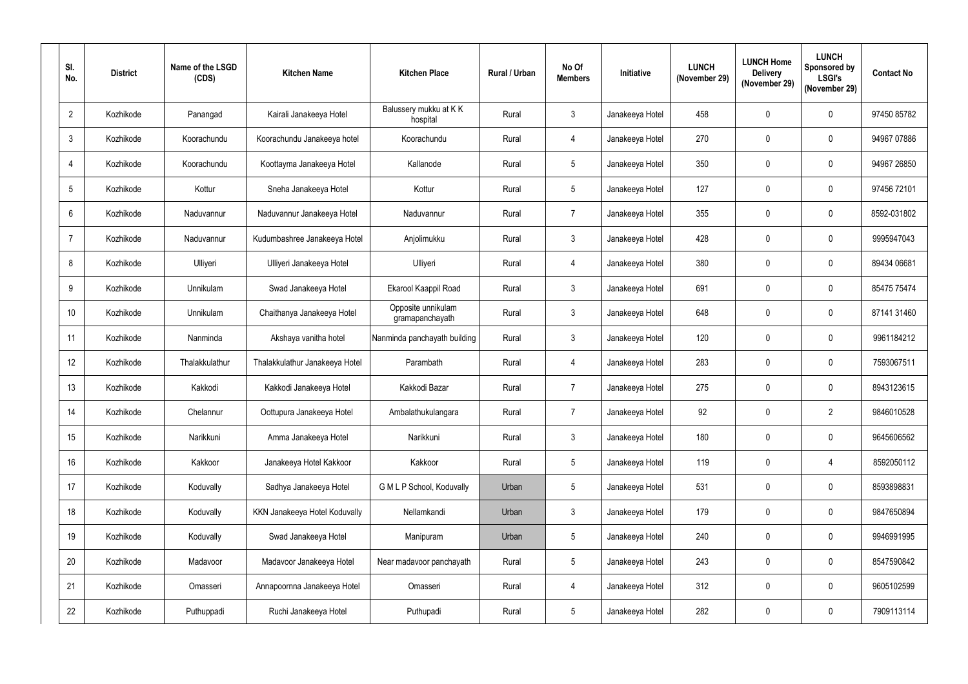| SI.<br>No.      | <b>District</b> | Name of the LSGD<br>(CDS) | <b>Kitchen Name</b>            | <b>Kitchen Place</b>                  | Rural / Urban | No Of<br><b>Members</b> | Initiative      | <b>LUNCH</b><br>(November 29) | <b>LUNCH Home</b><br><b>Delivery</b><br>(November 29) | <b>LUNCH</b><br>Sponsored by<br><b>LSGI's</b><br>(November 29) | <b>Contact No</b> |
|-----------------|-----------------|---------------------------|--------------------------------|---------------------------------------|---------------|-------------------------|-----------------|-------------------------------|-------------------------------------------------------|----------------------------------------------------------------|-------------------|
| $\overline{2}$  | Kozhikode       | Panangad                  | Kairali Janakeeya Hotel        | Balussery mukku at KK<br>hospital     | Rural         | $\mathbf{3}$            | Janakeeya Hotel | 458                           | $\mathbf 0$                                           | $\mathbf 0$                                                    | 97450 85782       |
| $\mathfrak{Z}$  | Kozhikode       | Koorachundu               | Koorachundu Janakeeya hotel    | Koorachundu                           | Rural         | 4                       | Janakeeya Hotel | 270                           | $\mathbf 0$                                           | $\mathbf 0$                                                    | 94967 07886       |
| $\overline{4}$  | Kozhikode       | Koorachundu               | Koottayma Janakeeya Hotel      | Kallanode                             | Rural         | $5\phantom{.0}$         | Janakeeya Hotel | 350                           | $\mathbf 0$                                           | $\mathbf 0$                                                    | 94967 26850       |
| $5\phantom{.0}$ | Kozhikode       | Kottur                    | Sneha Janakeeya Hotel          | Kottur                                | Rural         | $5\phantom{.0}$         | Janakeeya Hotel | 127                           | $\mathbf 0$                                           | $\mathbf 0$                                                    | 97456 72101       |
| $6\phantom{.}$  | Kozhikode       | Naduvannur                | Naduvannur Janakeeya Hotel     | Naduvannur                            | Rural         | $\overline{7}$          | Janakeeya Hotel | 355                           | $\mathbf 0$                                           | $\mathbf{0}$                                                   | 8592-031802       |
| $\overline{7}$  | Kozhikode       | Naduvannur                | Kudumbashree Janakeeya Hotel   | Anjolimukku                           | Rural         | $\mathbf{3}$            | Janakeeya Hotel | 428                           | $\mathbf 0$                                           | $\mathbf 0$                                                    | 9995947043        |
| 8               | Kozhikode       | Ulliyeri                  | Ulliyeri Janakeeya Hotel       | Ulliyeri                              | Rural         | 4                       | Janakeeya Hotel | 380                           | 0                                                     | $\mathbf 0$                                                    | 89434 06681       |
| 9               | Kozhikode       | Unnikulam                 | Swad Janakeeya Hotel           | Ekarool Kaappil Road                  | Rural         | $\mathbf{3}$            | Janakeeya Hotel | 691                           | $\mathbf 0$                                           | $\mathbf 0$                                                    | 85475 75474       |
| 10              | Kozhikode       | Unnikulam                 | Chaithanya Janakeeya Hotel     | Opposite unnikulam<br>gramapanchayath | Rural         | $\mathfrak{Z}$          | Janakeeya Hotel | 648                           | $\mathbf 0$                                           | $\mathbf 0$                                                    | 87141 31460       |
| 11              | Kozhikode       | Nanminda                  | Akshaya vanitha hotel          | Nanminda panchayath building          | Rural         | $\mathbf{3}$            | Janakeeya Hotel | 120                           | $\mathbf 0$                                           | $\mathbf 0$                                                    | 9961184212        |
| 12              | Kozhikode       | Thalakkulathur            | Thalakkulathur Janakeeya Hotel | Parambath                             | Rural         | 4                       | Janakeeya Hotel | 283                           | $\mathbf 0$                                           | $\mathbf 0$                                                    | 7593067511        |
| 13              | Kozhikode       | Kakkodi                   | Kakkodi Janakeeya Hotel        | Kakkodi Bazar                         | Rural         | $\overline{7}$          | Janakeeya Hotel | 275                           | $\mathbf 0$                                           | $\mathbf 0$                                                    | 8943123615        |
| 14              | Kozhikode       | Chelannur                 | Oottupura Janakeeya Hotel      | Ambalathukulangara                    | Rural         | 7                       | Janakeeya Hotel | 92                            | $\mathbf 0$                                           | $\overline{2}$                                                 | 9846010528        |
| 15              | Kozhikode       | Narikkuni                 | Amma Janakeeya Hotel           | Narikkuni                             | Rural         | $\mathfrak{Z}$          | Janakeeya Hotel | 180                           | $\pmb{0}$                                             | $\pmb{0}$                                                      | 9645606562        |
| 16              | Kozhikode       | Kakkoor                   | Janakeeya Hotel Kakkoor        | Kakkoor                               | Rural         | $5\phantom{.0}$         | Janakeeya Hotel | 119                           | $\pmb{0}$                                             | $\overline{4}$                                                 | 8592050112        |
| 17              | Kozhikode       | Koduvally                 | Sadhya Janakeeya Hotel         | G M L P School, Koduvally             | Urban         | $5\phantom{.0}$         | Janakeeya Hotel | 531                           | $\mathbf 0$                                           | $\mathbf 0$                                                    | 8593898831        |
| 18              | Kozhikode       | Koduvally                 | KKN Janakeeya Hotel Koduvally  | Nellamkandi                           | Urban         | $\mathfrak{Z}$          | Janakeeya Hotel | 179                           | $\mathbf 0$                                           | $\mathbf 0$                                                    | 9847650894        |
| 19              | Kozhikode       | Koduvally                 | Swad Janakeeya Hotel           | Manipuram                             | Urban         | $5\phantom{.0}$         | Janakeeya Hotel | 240                           | 0                                                     | $\mathbf 0$                                                    | 9946991995        |
| 20              | Kozhikode       | Madavoor                  | Madavoor Janakeeya Hotel       | Near madavoor panchayath              | Rural         | $5\phantom{.0}$         | Janakeeya Hotel | 243                           | 0                                                     | $\mathbf 0$                                                    | 8547590842        |
| 21              | Kozhikode       | Omasseri                  | Annapoornna Janakeeya Hotel    | Omasseri                              | Rural         | 4                       | Janakeeya Hotel | 312                           | $\pmb{0}$                                             | $\pmb{0}$                                                      | 9605102599        |
| 22              | Kozhikode       | Puthuppadi                | Ruchi Janakeeya Hotel          | Puthupadi                             | Rural         | $5\overline{)}$         | Janakeeya Hotel | 282                           | $\pmb{0}$                                             | $\boldsymbol{0}$                                               | 7909113114        |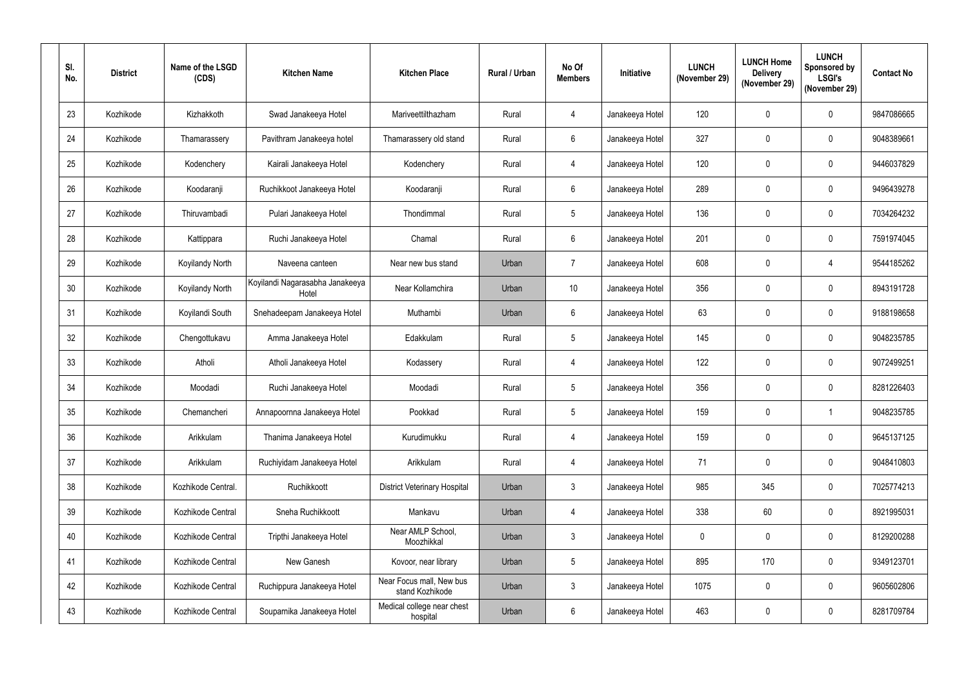| SI.<br>No. | <b>District</b> | Name of the LSGD<br>(CDS) | <b>Kitchen Name</b>                      | <b>Kitchen Place</b>                        | <b>Rural / Urban</b> | No Of<br><b>Members</b> | <b>Initiative</b> | <b>LUNCH</b><br>(November 29) | <b>LUNCH Home</b><br><b>Delivery</b><br>(November 29) | <b>LUNCH</b><br><b>Sponsored by</b><br><b>LSGI's</b><br>(November 29) | <b>Contact No</b> |
|------------|-----------------|---------------------------|------------------------------------------|---------------------------------------------|----------------------|-------------------------|-------------------|-------------------------------|-------------------------------------------------------|-----------------------------------------------------------------------|-------------------|
| 23         | Kozhikode       | Kizhakkoth                | Swad Janakeeya Hotel                     | Mariveettilthazham                          | Rural                | 4                       | Janakeeya Hotel   | 120                           | $\mathbf 0$                                           | $\mathbf 0$                                                           | 9847086665        |
| 24         | Kozhikode       | Thamarassery              | Pavithram Janakeeya hotel                | Thamarassery old stand                      | Rural                | $6\phantom{.}$          | Janakeeya Hotel   | 327                           | $\mathbf 0$                                           | $\mathbf 0$                                                           | 9048389661        |
| 25         | Kozhikode       | Kodenchery                | Kairali Janakeeya Hotel                  | Kodenchery                                  | Rural                | 4                       | Janakeeya Hotel   | 120                           | $\mathbf 0$                                           | $\mathbf{0}$                                                          | 9446037829        |
| 26         | Kozhikode       | Koodaranji                | Ruchikkoot Janakeeya Hotel               | Koodaranji                                  | Rural                | $6\phantom{.}$          | Janakeeya Hotel   | 289                           | $\mathbf 0$                                           | $\mathbf 0$                                                           | 9496439278        |
| 27         | Kozhikode       | Thiruvambadi              | Pulari Janakeeya Hotel                   | Thondimmal                                  | Rural                | $5\phantom{.0}$         | Janakeeya Hotel   | 136                           | $\mathbf 0$                                           | $\mathbf 0$                                                           | 7034264232        |
| 28         | Kozhikode       | Kattippara                | Ruchi Janakeeya Hotel                    | Chamal                                      | Rural                | $6\phantom{.}6$         | Janakeeya Hotel   | 201                           | $\mathbf 0$                                           | $\mathbf 0$                                                           | 7591974045        |
| 29         | Kozhikode       | Koyilandy North           | Naveena canteen                          | Near new bus stand                          | Urban                | $\overline{7}$          | Janakeeya Hotel   | 608                           | $\mathbf 0$                                           | $\overline{4}$                                                        | 9544185262        |
| 30         | Kozhikode       | Koyilandy North           | Koyilandi Nagarasabha Janakeeya<br>Hotel | Near Kollamchira                            | Urban                | 10 <sup>°</sup>         | Janakeeya Hotel   | 356                           | $\mathbf 0$                                           | $\mathbf 0$                                                           | 8943191728        |
| 31         | Kozhikode       | Koyilandi South           | Snehadeepam Janakeeya Hotel              | Muthambi                                    | Urban                | $6\phantom{.}$          | Janakeeya Hotel   | 63                            | 0                                                     | $\mathbf 0$                                                           | 9188198658        |
| 32         | Kozhikode       | Chengottukavu             | Amma Janakeeya Hotel                     | Edakkulam                                   | Rural                | $5\overline{)}$         | Janakeeya Hotel   | 145                           | $\mathbf 0$                                           | $\mathbf 0$                                                           | 9048235785        |
| 33         | Kozhikode       | Atholi                    | Atholi Janakeeya Hotel                   | Kodassery                                   | Rural                | 4                       | Janakeeya Hotel   | 122                           | $\mathbf 0$                                           | $\mathbf 0$                                                           | 9072499251        |
| 34         | Kozhikode       | Moodadi                   | Ruchi Janakeeya Hotel                    | Moodadi                                     | Rural                | $5\phantom{.0}$         | Janakeeya Hotel   | 356                           | $\mathbf 0$                                           | $\mathbf 0$                                                           | 8281226403        |
| 35         | Kozhikode       | Chemancheri               | Annapoornna Janakeeya Hotel              | Pookkad                                     | Rural                | 5                       | Janakeeya Hotel   | 159                           | $\mathbf 0$                                           |                                                                       | 9048235785        |
| 36         | Kozhikode       | Arikkulam                 | Thanima Janakeeya Hotel                  | Kurudimukku                                 | Rural                | 4                       | Janakeeya Hotel   | 159                           | $\mathbf 0$                                           | $\mathbf 0$                                                           | 9645137125        |
| 37         | Kozhikode       | Arikkulam                 | Ruchiyidam Janakeeya Hotel               | Arikkulam                                   | Rural                | 4                       | Janakeeya Hotel   | 71                            | $\pmb{0}$                                             | $\mathbf 0$                                                           | 9048410803        |
| 38         | Kozhikode       | Kozhikode Central.        | Ruchikkoott                              | <b>District Veterinary Hospital</b>         | Urban                | $\mathfrak{Z}$          | Janakeeya Hotel   | 985                           | 345                                                   | $\mathbf 0$                                                           | 7025774213        |
| 39         | Kozhikode       | Kozhikode Central         | Sneha Ruchikkoott                        | Mankavu                                     | Urban                | $\overline{4}$          | Janakeeya Hotel   | 338                           | 60                                                    | $\mathbf 0$                                                           | 8921995031        |
| 40         | Kozhikode       | Kozhikode Central         | Tripthi Janakeeya Hotel                  | Near AMLP School,<br>Moozhikkal             | Urban                | $\mathfrak{Z}$          | Janakeeya Hotel   | $\overline{0}$                | $\mathbf 0$                                           | $\mathbf 0$                                                           | 8129200288        |
| 41         | Kozhikode       | Kozhikode Central         | New Ganesh                               | Kovoor, near library                        | Urban                | $5\phantom{.0}$         | Janakeeya Hotel   | 895                           | 170                                                   | $\mathbf 0$                                                           | 9349123701        |
| 42         | Kozhikode       | Kozhikode Central         | Ruchippura Janakeeya Hotel               | Near Focus mall, New bus<br>stand Kozhikode | Urban                | $\mathbf{3}$            | Janakeeya Hotel   | 1075                          | $\mathbf 0$                                           | $\mathbf 0$                                                           | 9605602806        |
| 43         | Kozhikode       | Kozhikode Central         | Souparnika Janakeeya Hotel               | Medical college near chest<br>hospital      | Urban                | 6                       | Janakeeya Hotel   | 463                           | $\mathbf 0$                                           | $\boldsymbol{0}$                                                      | 8281709784        |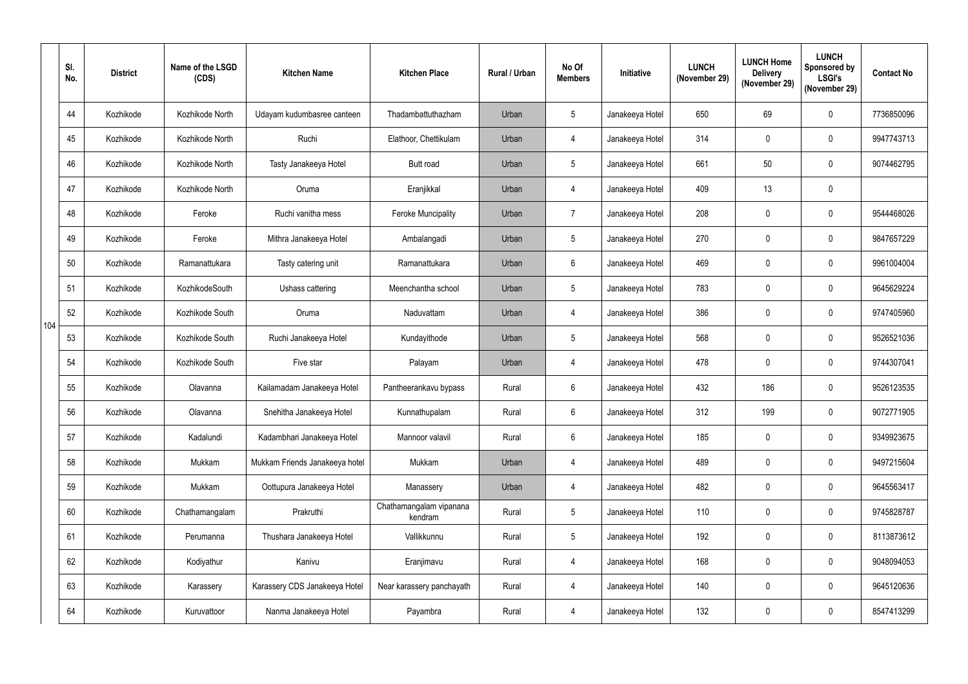|     | SI.<br>No. | <b>District</b> | Name of the LSGD<br>(CDS) | <b>Kitchen Name</b>            | <b>Kitchen Place</b>               | Rural / Urban | No Of<br><b>Members</b> | Initiative      | <b>LUNCH</b><br>(November 29) | <b>LUNCH Home</b><br><b>Delivery</b><br>(November 29) | <b>LUNCH</b><br>Sponsored by<br><b>LSGI's</b><br>(November 29) | <b>Contact No</b> |
|-----|------------|-----------------|---------------------------|--------------------------------|------------------------------------|---------------|-------------------------|-----------------|-------------------------------|-------------------------------------------------------|----------------------------------------------------------------|-------------------|
|     | 44         | Kozhikode       | Kozhikode North           | Udayam kudumbasree canteen     | Thadambattuthazham                 | Urban         | 5 <sup>5</sup>          | Janakeeya Hotel | 650                           | 69                                                    | $\mathbf 0$                                                    | 7736850096        |
|     | 45         | Kozhikode       | Kozhikode North           | Ruchi                          | Elathoor, Chettikulam              | Urban         | 4                       | Janakeeya Hotel | 314                           | $\mathbf 0$                                           | $\mathbf 0$                                                    | 9947743713        |
|     | 46         | Kozhikode       | Kozhikode North           | Tasty Janakeeya Hotel          | <b>Butt road</b>                   | Urban         | 5 <sup>5</sup>          | Janakeeya Hotel | 661                           | 50                                                    | $\mathbf 0$                                                    | 9074462795        |
|     | 47         | Kozhikode       | Kozhikode North           | Oruma                          | Eranjikkal                         | Urban         | 4                       | Janakeeya Hotel | 409                           | 13                                                    | $\pmb{0}$                                                      |                   |
|     | 48         | Kozhikode       | Feroke                    | Ruchi vanitha mess             | <b>Feroke Muncipality</b>          | Urban         | $\overline{7}$          | Janakeeya Hotel | 208                           | $\mathbf 0$                                           | $\mathbf 0$                                                    | 9544468026        |
|     | 49         | Kozhikode       | Feroke                    | Mithra Janakeeya Hotel         | Ambalangadi                        | Urban         | 5 <sup>5</sup>          | Janakeeya Hotel | 270                           | $\mathbf 0$                                           | $\mathbf 0$                                                    | 9847657229        |
|     | 50         | Kozhikode       | Ramanattukara             | Tasty catering unit            | Ramanattukara                      | Urban         | $6\overline{6}$         | Janakeeya Hotel | 469                           | $\mathbf 0$                                           | $\mathbf 0$                                                    | 9961004004        |
|     | 51         | Kozhikode       | KozhikodeSouth            | Ushass cattering               | Meenchantha school                 | Urban         | $5\phantom{.0}$         | Janakeeya Hotel | 783                           | $\mathbf 0$                                           | $\mathbf 0$                                                    | 9645629224        |
|     | 52         | Kozhikode       | Kozhikode South           | Oruma                          | Naduvattam                         | Urban         | 4                       | Janakeeya Hotel | 386                           | $\mathbf 0$                                           | $\mathbf 0$                                                    | 9747405960        |
| 104 | 53         | Kozhikode       | Kozhikode South           | Ruchi Janakeeya Hotel          | Kundayithode                       | Urban         | $5\overline{)}$         | Janakeeya Hotel | 568                           | $\boldsymbol{0}$                                      | $\mathbf 0$                                                    | 9526521036        |
|     | 54         | Kozhikode       | Kozhikode South           | Five star                      | Palayam                            | Urban         | 4                       | Janakeeya Hotel | 478                           | $\mathbf 0$                                           | $\mathbf 0$                                                    | 9744307041        |
|     | 55         | Kozhikode       | Olavanna                  | Kailamadam Janakeeya Hotel     | Pantheerankavu bypass              | Rural         | $6^{\circ}$             | Janakeeya Hotel | 432                           | 186                                                   | $\mathbf 0$                                                    | 9526123535        |
|     | 56         | Kozhikode       | Olavanna                  | Snehitha Janakeeya Hotel       | Kunnathupalam                      | Rural         | $6\phantom{.}6$         | Janakeeya Hotel | 312                           | 199                                                   | $\mathbf 0$                                                    | 9072771905        |
|     | 57         | Kozhikode       | Kadalundi                 | Kadambhari Janakeeya Hotel     | Mannoor valavil                    | Rural         | $6\overline{6}$         | Janakeeya Hotel | 185                           | $\pmb{0}$                                             | $\pmb{0}$                                                      | 9349923675        |
|     | 58         | Kozhikode       | Mukkam                    | Mukkam Friends Janakeeya hotel | Mukkam                             | Urban         | $\overline{4}$          | Janakeeya Hotel | 489                           | $\pmb{0}$                                             | $\pmb{0}$                                                      | 9497215604        |
|     | 59         | Kozhikode       | Mukkam                    | Oottupura Janakeeya Hotel      | Manassery                          | Urban         | 4                       | Janakeeya Hotel | 482                           | $\pmb{0}$                                             | $\mathbf 0$                                                    | 9645563417        |
|     | 60         | Kozhikode       | Chathamangalam            | Prakruthi                      | Chathamangalam vipanana<br>kendram | Rural         | $5\overline{)}$         | Janakeeya Hotel | 110                           | $\pmb{0}$                                             | $\mathbf 0$                                                    | 9745828787        |
|     | 61         | Kozhikode       | Perumanna                 | Thushara Janakeeya Hotel       | Vallikkunnu                        | Rural         | 5 <sub>5</sub>          | Janakeeya Hotel | 192                           | $\mathbf 0$                                           | $\mathbf 0$                                                    | 8113873612        |
|     | 62         | Kozhikode       | Kodiyathur                | Kanivu                         | Eranjimavu                         | Rural         | $\overline{4}$          | Janakeeya Hotel | 168                           | $\pmb{0}$                                             | $\pmb{0}$                                                      | 9048094053        |
|     | 63         | Kozhikode       | Karassery                 | Karassery CDS Janakeeya Hotel  | Near karassery panchayath          | Rural         | $\overline{4}$          | Janakeeya Hotel | 140                           | $\pmb{0}$                                             | $\pmb{0}$                                                      | 9645120636        |
|     | 64         | Kozhikode       | Kuruvattoor               | Nanma Janakeeya Hotel          | Payambra                           | Rural         | $\overline{4}$          | Janakeeya Hotel | 132                           | $\pmb{0}$                                             | $\boldsymbol{0}$                                               | 8547413299        |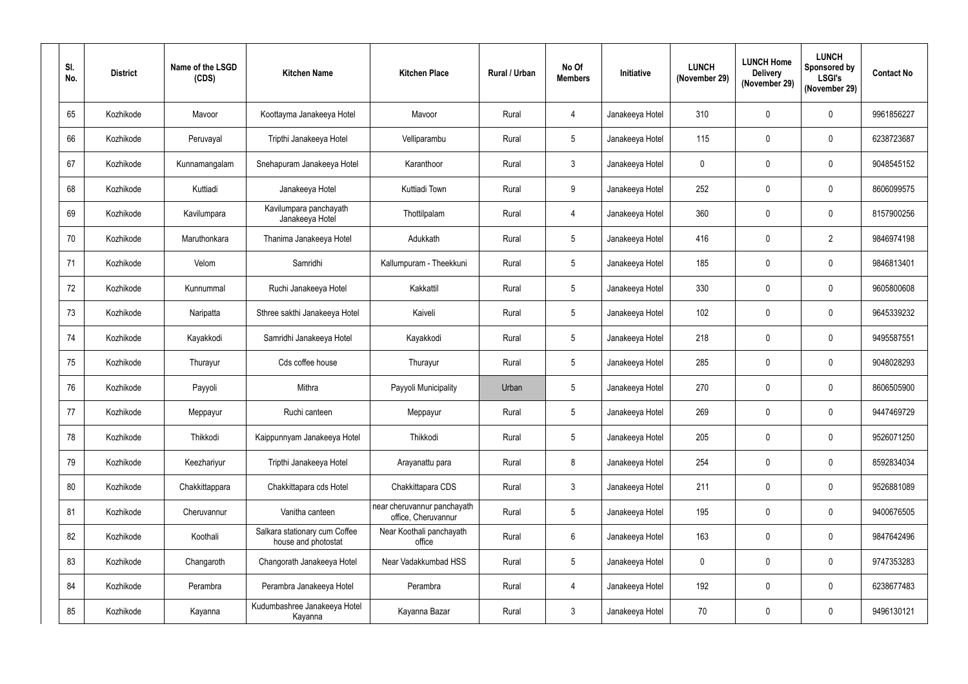| SI.<br>No. | <b>District</b> | Name of the LSGD<br>(CDS) | <b>Kitchen Name</b>                                  | <b>Kitchen Place</b>                               | <b>Rural / Urban</b> | No Of<br><b>Members</b> | Initiative      | <b>LUNCH</b><br>(November 29) | <b>LUNCH Home</b><br><b>Delivery</b><br>(November 29) | <b>LUNCH</b><br><b>Sponsored by</b><br><b>LSGI's</b><br>(November 29) | <b>Contact No</b> |
|------------|-----------------|---------------------------|------------------------------------------------------|----------------------------------------------------|----------------------|-------------------------|-----------------|-------------------------------|-------------------------------------------------------|-----------------------------------------------------------------------|-------------------|
| 65         | Kozhikode       | Mavoor                    | Koottayma Janakeeya Hotel                            | Mavoor                                             | Rural                | 4                       | Janakeeya Hotel | 310                           | $\mathbf 0$                                           | $\mathbf 0$                                                           | 9961856227        |
| 66         | Kozhikode       | Peruvayal                 | Tripthi Janakeeya Hotel                              | Velliparambu                                       | Rural                | $5\phantom{.0}$         | Janakeeya Hotel | 115                           | $\mathbf 0$                                           | $\mathbf 0$                                                           | 6238723687        |
| 67         | Kozhikode       | Kunnamangalam             | Snehapuram Janakeeya Hotel                           | Karanthoor                                         | Rural                | $\mathbf{3}$            | Janakeeya Hotel | $\mathbf 0$                   | $\mathbf 0$                                           | $\mathbf 0$                                                           | 9048545152        |
| 68         | Kozhikode       | Kuttiadi                  | Janakeeya Hotel                                      | Kuttiadi Town                                      | Rural                | 9                       | Janakeeya Hotel | 252                           | $\mathbf 0$                                           | $\mathbf 0$                                                           | 8606099575        |
| 69         | Kozhikode       | Kavilumpara               | Kavilumpara panchayath<br>Janakeeya Hotel            | Thottilpalam                                       | Rural                | 4                       | Janakeeya Hotel | 360                           | $\mathbf 0$                                           | $\mathbf 0$                                                           | 8157900256        |
| 70         | Kozhikode       | Maruthonkara              | Thanima Janakeeya Hotel                              | Adukkath                                           | Rural                | $5\phantom{.0}$         | Janakeeya Hotel | 416                           | $\mathbf 0$                                           | $\overline{2}$                                                        | 9846974198        |
| 71         | Kozhikode       | Velom                     | Samridhi                                             | Kallumpuram - Theekkuni                            | Rural                | 5                       | Janakeeya Hotel | 185                           | $\mathbf 0$                                           | $\mathbf 0$                                                           | 9846813401        |
| 72         | Kozhikode       | Kunnummal                 | Ruchi Janakeeya Hotel                                | Kakkattil                                          | Rural                | 5                       | Janakeeya Hotel | 330                           | 0                                                     | $\mathbf 0$                                                           | 9605800608        |
| 73         | Kozhikode       | Naripatta                 | Sthree sakthi Janakeeya Hotel                        | Kaiveli                                            | Rural                | 5                       | Janakeeya Hotel | 102                           | 0                                                     | $\mathbf 0$                                                           | 9645339232        |
| 74         | Kozhikode       | Kayakkodi                 | Samridhi Janakeeya Hotel                             | Kayakkodi                                          | Rural                | $5\overline{)}$         | Janakeeya Hotel | 218                           | $\mathbf 0$                                           | $\mathbf 0$                                                           | 9495587551        |
| 75         | Kozhikode       | Thurayur                  | Cds coffee house                                     | Thurayur                                           | Rural                | $5\phantom{.0}$         | Janakeeya Hotel | 285                           | 0                                                     | $\mathbf 0$                                                           | 9048028293        |
| 76         | Kozhikode       | Payyoli                   | Mithra                                               | Payyoli Municipality                               | Urban                | 5                       | Janakeeya Hotel | 270                           | $\mathbf 0$                                           | $\mathbf 0$                                                           | 8606505900        |
| 77         | Kozhikode       | Meppayur                  | Ruchi canteen                                        | Meppayur                                           | Rural                | 5                       | Janakeeya Hotel | 269                           | $\mathbf 0$                                           | $\mathbf 0$                                                           | 9447469729        |
| 78         | Kozhikode       | Thikkodi                  | Kaippunnyam Janakeeya Hotel                          | Thikkodi                                           | Rural                | $5\phantom{.0}$         | Janakeeya Hotel | 205                           | 0                                                     | $\pmb{0}$                                                             | 9526071250        |
| 79         | Kozhikode       | Keezhariyur               | Tripthi Janakeeya Hotel                              | Arayanattu para                                    | Rural                | 8                       | Janakeeya Hotel | 254                           | $\pmb{0}$                                             | $\pmb{0}$                                                             | 8592834034        |
| 80         | Kozhikode       | Chakkittappara            | Chakkittapara cds Hotel                              | Chakkittapara CDS                                  | Rural                | $\mathbf{3}$            | Janakeeya Hotel | 211                           | $\mathbf 0$                                           | $\mathbf 0$                                                           | 9526881089        |
| 81         | Kozhikode       | Cheruvannur               | Vanitha canteen                                      | near cheruvannur panchayath<br>office, Cheruvannur | Rural                | $5\phantom{.0}$         | Janakeeya Hotel | 195                           | 0                                                     | $\mathbf 0$                                                           | 9400676505        |
| 82         | Kozhikode       | Koothali                  | Salkara stationary cum Coffee<br>house and photostat | Near Koothali panchayath<br>office                 | Rural                | $6\phantom{.}6$         | Janakeeya Hotel | 163                           | $\pmb{0}$                                             | $\pmb{0}$                                                             | 9847642496        |
| 83         | Kozhikode       | Changaroth                | Changorath Janakeeya Hotel                           | Near Vadakkumbad HSS                               | Rural                | $5\phantom{.0}$         | Janakeeya Hotel | $\bf{0}$                      | $\mathbf 0$                                           | $\pmb{0}$                                                             | 9747353283        |
| 84         | Kozhikode       | Perambra                  | Perambra Janakeeya Hotel                             | Perambra                                           | Rural                | 4                       | Janakeeya Hotel | 192                           | $\mathbf 0$                                           | $\mathbf 0$                                                           | 6238677483        |
| 85         | Kozhikode       | Kayanna                   | Kudumbashree Janakeeya Hotel<br>Kayanna              | Kayanna Bazar                                      | Rural                | $\mathbf{3}$            | Janakeeya Hotel | 70                            | $\mathbf 0$                                           | $\pmb{0}$                                                             | 9496130121        |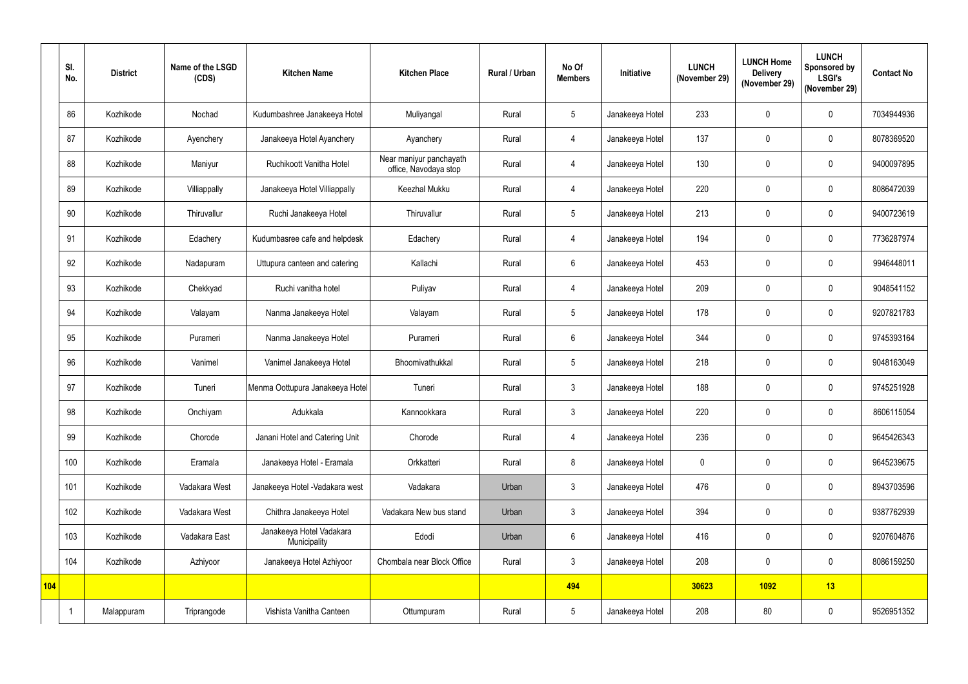|            | SI.<br>No. | <b>District</b> | Name of the LSGD<br>(CDS) | <b>Kitchen Name</b>                      | <b>Kitchen Place</b>                             | Rural / Urban | No Of<br><b>Members</b> | Initiative      | <b>LUNCH</b><br>(November 29) | <b>LUNCH Home</b><br><b>Delivery</b><br>(November 29) | <b>LUNCH</b><br>Sponsored by<br><b>LSGI's</b><br>(November 29) | <b>Contact No</b> |
|------------|------------|-----------------|---------------------------|------------------------------------------|--------------------------------------------------|---------------|-------------------------|-----------------|-------------------------------|-------------------------------------------------------|----------------------------------------------------------------|-------------------|
|            | 86         | Kozhikode       | Nochad                    | Kudumbashree Janakeeya Hotel             | Muliyangal                                       | Rural         | 5 <sup>5</sup>          | Janakeeya Hotel | 233                           | $\mathbf 0$                                           | $\mathbf 0$                                                    | 7034944936        |
|            | 87         | Kozhikode       | Ayenchery                 | Janakeeya Hotel Ayanchery                | Ayanchery                                        | Rural         | 4                       | Janakeeya Hotel | 137                           | $\mathbf 0$                                           | $\mathbf 0$                                                    | 8078369520        |
|            | 88         | Kozhikode       | Maniyur                   | Ruchikoott Vanitha Hotel                 | Near maniyur panchayath<br>office, Navodaya stop | Rural         | $\overline{4}$          | Janakeeya Hotel | 130                           | $\mathbf 0$                                           | $\mathbf 0$                                                    | 9400097895        |
|            | 89         | Kozhikode       | Villiappally              | Janakeeya Hotel Villiappally             | Keezhal Mukku                                    | Rural         | 4                       | Janakeeya Hotel | 220                           | $\mathbf 0$                                           | $\mathbf 0$                                                    | 8086472039        |
|            | 90         | Kozhikode       | Thiruvallur               | Ruchi Janakeeya Hotel                    | Thiruvallur                                      | Rural         | 5 <sup>5</sup>          | Janakeeya Hotel | 213                           | $\mathbf 0$                                           | $\mathbf{0}$                                                   | 9400723619        |
|            | 91         | Kozhikode       | Edachery                  | Kudumbasree cafe and helpdesk            | Edachery                                         | Rural         | 4                       | Janakeeya Hotel | 194                           | $\mathbf 0$                                           | $\mathbf 0$                                                    | 7736287974        |
|            | 92         | Kozhikode       | Nadapuram                 | Uttupura canteen and catering            | Kallachi                                         | Rural         | $6\overline{6}$         | Janakeeya Hotel | 453                           | $\mathbf 0$                                           | $\mathbf{0}$                                                   | 9946448011        |
|            | 93         | Kozhikode       | Chekkyad                  | Ruchi vanitha hotel                      | Puliyav                                          | Rural         | 4                       | Janakeeya Hotel | 209                           | $\mathbf 0$                                           | $\mathbf 0$                                                    | 9048541152        |
|            | 94         | Kozhikode       | Valayam                   | Nanma Janakeeya Hotel                    | Valayam                                          | Rural         | 5 <sup>5</sup>          | Janakeeya Hotel | 178                           | $\mathbf 0$                                           | $\mathbf 0$                                                    | 9207821783        |
|            | 95         | Kozhikode       | Purameri                  | Nanma Janakeeya Hotel                    | Purameri                                         | Rural         | $6^{\circ}$             | Janakeeya Hotel | 344                           | $\mathbf 0$                                           | $\mathbf{0}$                                                   | 9745393164        |
|            | 96         | Kozhikode       | Vanimel                   | Vanimel Janakeeya Hotel                  | Bhoomivathukkal                                  | Rural         | 5 <sup>5</sup>          | Janakeeya Hotel | 218                           | $\mathbf 0$                                           | $\mathbf 0$                                                    | 9048163049        |
|            | 97         | Kozhikode       | Tuneri                    | Menma Oottupura Janakeeya Hotel          | Tuneri                                           | Rural         | 3 <sup>1</sup>          | Janakeeya Hotel | 188                           | $\boldsymbol{0}$                                      | $\mathbf{0}$                                                   | 9745251928        |
|            | 98         | Kozhikode       | Onchiyam                  | Adukkala                                 | Kannookkara                                      | Rural         | $\mathbf{3}$            | Janakeeya Hotel | 220                           | $\mathbf 0$                                           | $\mathbf 0$                                                    | 8606115054        |
|            | 99         | Kozhikode       | Chorode                   | Janani Hotel and Catering Unit           | Chorode                                          | Rural         | $\overline{4}$          | Janakeeya Hotel | 236                           | $\pmb{0}$                                             | $\pmb{0}$                                                      | 9645426343        |
|            | 100        | Kozhikode       | Eramala                   | Janakeeya Hotel - Eramala                | Orkkatteri                                       | Rural         | 8                       | Janakeeya Hotel | $\mathbf 0$                   | $\pmb{0}$                                             | $\pmb{0}$                                                      | 9645239675        |
|            | 101        | Kozhikode       | Vadakara West             | Janakeeya Hotel - Vadakara west          | Vadakara                                         | Urban         | 3 <sup>1</sup>          | Janakeeya Hotel | 476                           | $\pmb{0}$                                             | $\mathbf 0$                                                    | 8943703596        |
|            | 102        | Kozhikode       | Vadakara West             | Chithra Janakeeya Hotel                  | Vadakara New bus stand                           | Urban         | 3 <sup>1</sup>          | Janakeeya Hotel | 394                           | $\pmb{0}$                                             | $\pmb{0}$                                                      | 9387762939        |
|            | 103        | Kozhikode       | Vadakara East             | Janakeeya Hotel Vadakara<br>Municipality | Edodi                                            | Urban         | $6\overline{6}$         | Janakeeya Hotel | 416                           | $\pmb{0}$                                             | $\mathbf 0$                                                    | 9207604876        |
|            | 104        | Kozhikode       | Azhiyoor                  | Janakeeya Hotel Azhiyoor                 | Chombala near Block Office                       | Rural         | 3 <sup>1</sup>          | Janakeeya Hotel | 208                           | $\pmb{0}$                                             | $\pmb{0}$                                                      | 8086159250        |
| <b>104</b> |            |                 |                           |                                          |                                                  |               | 494                     |                 | 30623                         | <b>1092</b>                                           | 13                                                             |                   |
|            |            | Malappuram      | Triprangode               | Vishista Vanitha Canteen                 | Ottumpuram                                       | Rural         | 5 <sub>5</sub>          | Janakeeya Hotel | 208                           | 80                                                    | $\boldsymbol{0}$                                               | 9526951352        |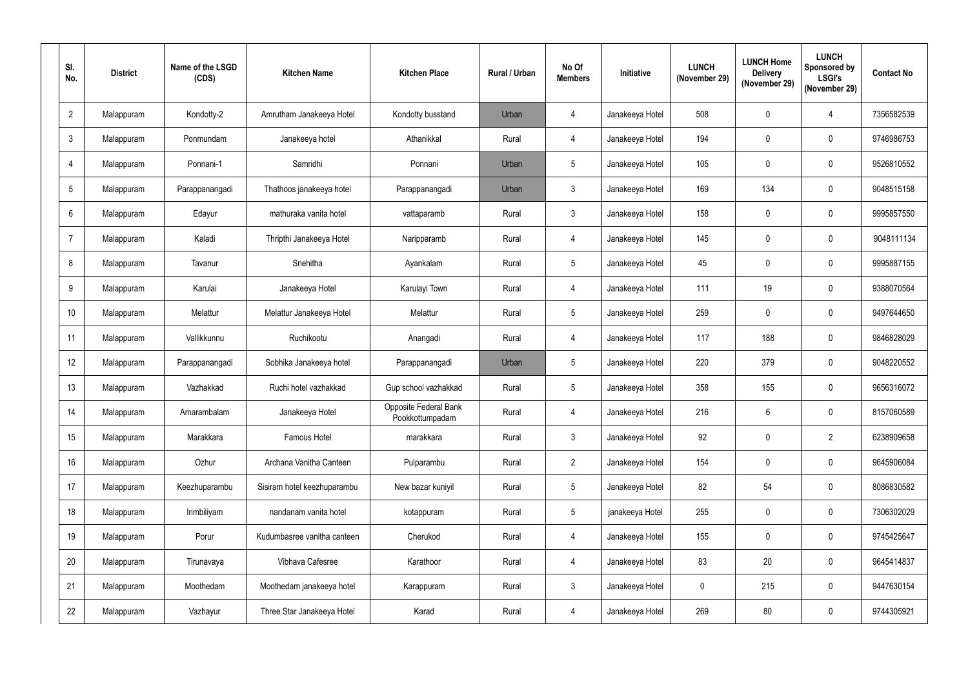| SI.<br>No.      | <b>District</b> | Name of the LSGD<br>(CDS) | <b>Kitchen Name</b>         | <b>Kitchen Place</b>                     | Rural / Urban | No Of<br><b>Members</b> | Initiative      | <b>LUNCH</b><br>(November 29) | <b>LUNCH Home</b><br><b>Delivery</b><br>(November 29) | <b>LUNCH</b><br><b>Sponsored by</b><br><b>LSGI's</b><br>(November 29) | <b>Contact No</b> |
|-----------------|-----------------|---------------------------|-----------------------------|------------------------------------------|---------------|-------------------------|-----------------|-------------------------------|-------------------------------------------------------|-----------------------------------------------------------------------|-------------------|
| $\overline{2}$  | Malappuram      | Kondotty-2                | Amrutham Janakeeya Hotel    | Kondotty busstand                        | Urban         | 4                       | Janakeeya Hotel | 508                           | $\mathbf 0$                                           | $\overline{4}$                                                        | 7356582539        |
| $\mathfrak{Z}$  | Malappuram      | Ponmundam                 | Janakeeya hotel             | Athanikkal                               | Rural         | 4                       | Janakeeya Hotel | 194                           | $\mathbf 0$                                           | $\mathbf 0$                                                           | 9746986753        |
| $\overline{4}$  | Malappuram      | Ponnani-1                 | Samridhi                    | Ponnani                                  | Urban         | $5\phantom{.0}$         | Janakeeya Hotel | 105                           | $\mathbf 0$                                           | $\mathbf 0$                                                           | 9526810552        |
| $5\phantom{.0}$ | Malappuram      | Parappanangadi            | Thathoos janakeeya hotel    | Parappanangadi                           | Urban         | $\mathbf{3}$            | Janakeeya Hotel | 169                           | 134                                                   | $\mathbf 0$                                                           | 9048515158        |
| $6\phantom{.}$  | Malappuram      | Edayur                    | mathuraka vanita hotel      | vattaparamb                              | Rural         | $\mathfrak{Z}$          | Janakeeya Hotel | 158                           | $\mathbf 0$                                           | $\mathbf 0$                                                           | 9995857550        |
| $\overline{7}$  | Malappuram      | Kaladi                    | Thripthi Janakeeya Hotel    | Naripparamb                              | Rural         | 4                       | Janakeeya Hotel | 145                           | $\mathbf 0$                                           | $\mathbf 0$                                                           | 9048111134        |
| 8               | Malappuram      | Tavanur                   | Snehitha                    | Ayankalam                                | Rural         | $5\phantom{.0}$         | Janakeeya Hotel | 45                            | $\mathbf 0$                                           | $\mathbf 0$                                                           | 9995887155        |
| 9               | Malappuram      | Karulai                   | Janakeeya Hotel             | Karulayi Town                            | Rural         | 4                       | Janakeeya Hotel | 111                           | 19                                                    | $\mathbf 0$                                                           | 9388070564        |
| 10              | Malappuram      | Melattur                  | Melattur Janakeeya Hotel    | Melattur                                 | Rural         | $5\phantom{.0}$         | Janakeeya Hotel | 259                           | $\pmb{0}$                                             | $\mathbf 0$                                                           | 9497644650        |
| 11              | Malappuram      | Vallikkunnu               | Ruchikootu                  | Anangadi                                 | Rural         | 4                       | Janakeeya Hotel | 117                           | 188                                                   | $\mathbf 0$                                                           | 9846828029        |
| 12              | Malappuram      | Parappanangadi            | Sobhika Janakeeya hotel     | Parappanangadi                           | Urban         | $5\phantom{.0}$         | Janakeeya Hotel | 220                           | 379                                                   | $\mathbf 0$                                                           | 9048220552        |
| 13              | Malappuram      | Vazhakkad                 | Ruchi hotel vazhakkad       | Gup school vazhakkad                     | Rural         | $5\overline{)}$         | Janakeeya Hotel | 358                           | 155                                                   | $\mathbf 0$                                                           | 9656316072        |
| 14              | Malappuram      | Amarambalam               | Janakeeya Hotel             | Opposite Federal Bank<br>Pookkottumpadam | Rural         | 4                       | Janakeeya Hotel | 216                           | $6\phantom{.}6$                                       | $\mathbf 0$                                                           | 8157060589        |
| 15              | Malappuram      | Marakkara                 | Famous Hotel                | marakkara                                | Rural         | $\mathfrak{Z}$          | Janakeeya Hotel | 92                            | $\pmb{0}$                                             | $\overline{2}$                                                        | 6238909658        |
| 16              | Malappuram      | Ozhur                     | Archana Vanitha Canteen     | Pulparambu                               | Rural         | $2^{\circ}$             | Janakeeya Hotel | 154                           | $\pmb{0}$                                             | $\mathbf 0$                                                           | 9645906084        |
| 17              | Malappuram      | Keezhuparambu             | Sisiram hotel keezhuparambu | New bazar kuniyil                        | Rural         | $5\phantom{.0}$         | Janakeeya Hotel | 82                            | 54                                                    | $\mathbf 0$                                                           | 8086830582        |
| 18              | Malappuram      | Irimbiliyam               | nandanam vanita hotel       | kotappuram                               | Rural         | $5\phantom{.0}$         | janakeeya Hotel | 255                           | $\mathbf 0$                                           | $\mathbf 0$                                                           | 7306302029        |
| 19              | Malappuram      | Porur                     | Kudumbasree vanitha canteen | Cherukod                                 | Rural         | 4                       | Janakeeya Hotel | 155                           | $\mathbf 0$                                           | $\mathbf 0$                                                           | 9745425647        |
| 20              | Malappuram      | Tirunavaya                | Vibhava Cafesree            | Karathoor                                | Rural         | 4                       | Janakeeya Hotel | 83                            | 20                                                    | $\boldsymbol{0}$                                                      | 9645414837        |
| 21              | Malappuram      | Moothedam                 | Moothedam janakeeya hotel   | Karappuram                               | Rural         | $\mathbf{3}$            | Janakeeya Hotel | $\overline{0}$                | 215                                                   | $\mathbf 0$                                                           | 9447630154        |
| 22              | Malappuram      | Vazhayur                  | Three Star Janakeeya Hotel  | Karad                                    | Rural         | $\overline{4}$          | Janakeeya Hotel | 269                           | 80                                                    | $\boldsymbol{0}$                                                      | 9744305921        |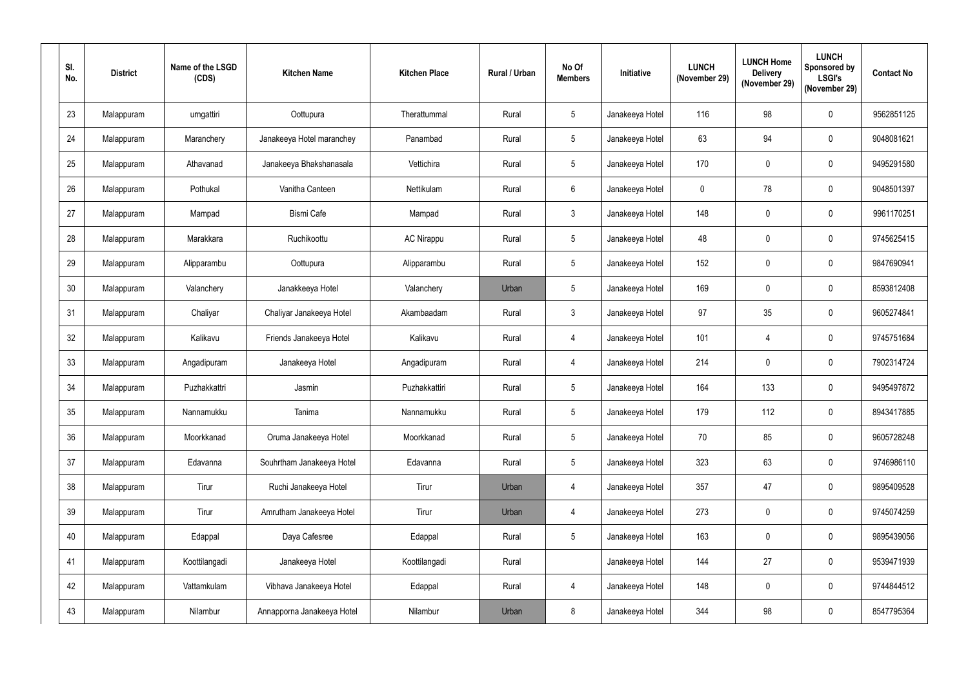| SI.<br>No. | <b>District</b> | Name of the LSGD<br>(CDS) | <b>Kitchen Name</b>        | <b>Kitchen Place</b> | <b>Rural / Urban</b> | No Of<br><b>Members</b> | Initiative      | <b>LUNCH</b><br>(November 29) | <b>LUNCH Home</b><br><b>Delivery</b><br>(November 29) | <b>LUNCH</b><br><b>Sponsored by</b><br><b>LSGI's</b><br>(November 29) | <b>Contact No</b> |
|------------|-----------------|---------------------------|----------------------------|----------------------|----------------------|-------------------------|-----------------|-------------------------------|-------------------------------------------------------|-----------------------------------------------------------------------|-------------------|
| 23         | Malappuram      | urngattiri                | Oottupura                  | Therattummal         | Rural                | $5\phantom{.0}$         | Janakeeya Hotel | 116                           | 98                                                    | $\mathbf 0$                                                           | 9562851125        |
| 24         | Malappuram      | Maranchery                | Janakeeya Hotel maranchey  | Panambad             | Rural                | $5\phantom{.0}$         | Janakeeya Hotel | 63                            | 94                                                    | $\mathbf 0$                                                           | 9048081621        |
| 25         | Malappuram      | Athavanad                 | Janakeeya Bhakshanasala    | Vettichira           | Rural                | $5\phantom{.0}$         | Janakeeya Hotel | 170                           | $\mathbf 0$                                           | $\mathbf 0$                                                           | 9495291580        |
| 26         | Malappuram      | Pothukal                  | Vanitha Canteen            | Nettikulam           | Rural                | $6\phantom{.}$          | Janakeeya Hotel | $\boldsymbol{0}$              | 78                                                    | $\mathbf 0$                                                           | 9048501397        |
| 27         | Malappuram      | Mampad                    | <b>Bismi Cafe</b>          | Mampad               | Rural                | $\mathfrak{Z}$          | Janakeeya Hotel | 148                           | $\mathbf 0$                                           | $\mathbf 0$                                                           | 9961170251        |
| 28         | Malappuram      | Marakkara                 | Ruchikoottu                | <b>AC Nirappu</b>    | Rural                | $5\phantom{.0}$         | Janakeeya Hotel | 48                            | $\mathbf 0$                                           | $\mathbf 0$                                                           | 9745625415        |
| 29         | Malappuram      | Alipparambu               | Oottupura                  | Alipparambu          | Rural                | $5\phantom{.0}$         | Janakeeya Hotel | 152                           | $\mathbf 0$                                           | $\mathbf 0$                                                           | 9847690941        |
| 30         | Malappuram      | Valanchery                | Janakkeeya Hotel           | Valanchery           | Urban                | $5\phantom{.0}$         | Janakeeya Hotel | 169                           | $\mathbf 0$                                           | $\mathbf 0$                                                           | 8593812408        |
| 31         | Malappuram      | Chaliyar                  | Chaliyar Janakeeya Hotel   | Akambaadam           | Rural                | 3 <sup>1</sup>          | Janakeeya Hotel | 97                            | 35                                                    | $\mathbf 0$                                                           | 9605274841        |
| 32         | Malappuram      | Kalikavu                  | Friends Janakeeya Hotel    | Kalikavu             | Rural                | 4                       | Janakeeya Hotel | 101                           | 4                                                     | $\mathbf 0$                                                           | 9745751684        |
| 33         | Malappuram      | Angadipuram               | Janakeeya Hotel            | Angadipuram          | Rural                | 4                       | Janakeeya Hotel | 214                           | $\mathbf 0$                                           | $\mathbf 0$                                                           | 7902314724        |
| 34         | Malappuram      | Puzhakkattri              | Jasmin                     | Puzhakkattiri        | Rural                | $5\phantom{.0}$         | Janakeeya Hotel | 164                           | 133                                                   | $\mathbf 0$                                                           | 9495497872        |
| 35         | Malappuram      | Nannamukku                | Tanima                     | Nannamukku           | Rural                | 5                       | Janakeeya Hotel | 179                           | 112                                                   | $\mathbf 0$                                                           | 8943417885        |
| 36         | Malappuram      | Moorkkanad                | Oruma Janakeeya Hotel      | Moorkkanad           | Rural                | $5\phantom{.0}$         | Janakeeya Hotel | 70                            | 85                                                    | $\mathbf 0$                                                           | 9605728248        |
| 37         | Malappuram      | Edavanna                  | Souhrtham Janakeeya Hotel  | Edavanna             | Rural                | $5\phantom{.0}$         | Janakeeya Hotel | 323                           | 63                                                    | $\mathbf 0$                                                           | 9746986110        |
| 38         | Malappuram      | Tirur                     | Ruchi Janakeeya Hotel      | Tirur                | Urban                | 4                       | Janakeeya Hotel | 357                           | 47                                                    | $\mathbf 0$                                                           | 9895409528        |
| 39         | Malappuram      | Tirur                     | Amrutham Janakeeya Hotel   | Tirur                | Urban                | $\overline{4}$          | Janakeeya Hotel | 273                           | $\mathbf 0$                                           | $\mathbf 0$                                                           | 9745074259        |
| 40         | Malappuram      | Edappal                   | Daya Cafesree              | Edappal              | Rural                | $5\phantom{.0}$         | Janakeeya Hotel | 163                           | $\mathbf 0$                                           | $\mathbf 0$                                                           | 9895439056        |
| 41         | Malappuram      | Koottilangadi             | Janakeeya Hotel            | Koottilangadi        | Rural                |                         | Janakeeya Hotel | 144                           | 27                                                    | $\pmb{0}$                                                             | 9539471939        |
| 42         | Malappuram      | Vattamkulam               | Vibhava Janakeeya Hotel    | Edappal              | Rural                | 4                       | Janakeeya Hotel | 148                           | $\mathbf 0$                                           | $\mathbf 0$                                                           | 9744844512        |
| 43         | Malappuram      | Nilambur                  | Annapporna Janakeeya Hotel | Nilambur             | Urban                | 8                       | Janakeeya Hotel | 344                           | 98                                                    | $\boldsymbol{0}$                                                      | 8547795364        |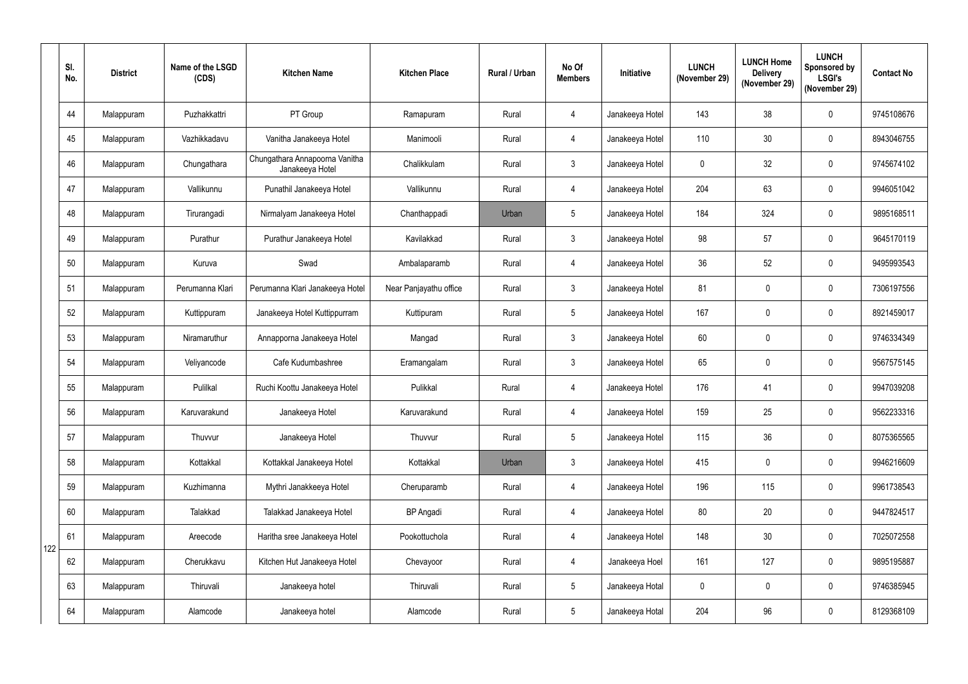|     | SI.<br>No. | <b>District</b> | Name of the LSGD<br>(CDS) | <b>Kitchen Name</b>                               | <b>Kitchen Place</b>   | Rural / Urban | No Of<br><b>Members</b> | Initiative      | <b>LUNCH</b><br>(November 29) | <b>LUNCH Home</b><br><b>Delivery</b><br>(November 29) | <b>LUNCH</b><br>Sponsored by<br><b>LSGI's</b><br>(November 29) | <b>Contact No</b> |
|-----|------------|-----------------|---------------------------|---------------------------------------------------|------------------------|---------------|-------------------------|-----------------|-------------------------------|-------------------------------------------------------|----------------------------------------------------------------|-------------------|
|     | 44         | Malappuram      | Puzhakkattri              | PT Group                                          | Ramapuram              | Rural         | 4                       | Janakeeya Hotel | 143                           | 38                                                    | $\mathbf 0$                                                    | 9745108676        |
|     | 45         | Malappuram      | Vazhikkadavu              | Vanitha Janakeeya Hotel                           | Manimooli              | Rural         | 4                       | Janakeeya Hotel | 110                           | 30                                                    | $\mathbf 0$                                                    | 8943046755        |
|     | 46         | Malappuram      | Chungathara               | Chungathara Annapoorna Vanitha<br>Janakeeya Hotel | Chalikkulam            | Rural         | $\mathbf{3}$            | Janakeeya Hotel | $\mathbf 0$                   | 32                                                    | $\mathbf 0$                                                    | 9745674102        |
|     | 47         | Malappuram      | Vallikunnu                | Punathil Janakeeya Hotel                          | Vallikunnu             | Rural         | 4                       | Janakeeya Hotel | 204                           | 63                                                    | $\mathbf 0$                                                    | 9946051042        |
|     | 48         | Malappuram      | Tirurangadi               | Nirmalyam Janakeeya Hotel                         | Chanthappadi           | Urban         | 5 <sup>5</sup>          | Janakeeya Hotel | 184                           | 324                                                   | $\mathbf{0}$                                                   | 9895168511        |
|     | 49         | Malappuram      | Purathur                  | Purathur Janakeeya Hotel                          | Kavilakkad             | Rural         | 3                       | Janakeeya Hotel | 98                            | 57                                                    | $\mathbf 0$                                                    | 9645170119        |
|     | 50         | Malappuram      | Kuruva                    | Swad                                              | Ambalaparamb           | Rural         | 4                       | Janakeeya Hotel | 36                            | 52                                                    | $\mathbf{0}$                                                   | 9495993543        |
|     | 51         | Malappuram      | Perumanna Klari           | Perumanna Klari Janakeeya Hotel                   | Near Panjayathu office | Rural         | 3 <sup>2</sup>          | Janakeeya Hotel | 81                            | $\mathbf 0$                                           | $\mathbf 0$                                                    | 7306197556        |
|     | 52         | Malappuram      | Kuttippuram               | Janakeeya Hotel Kuttippurram                      | Kuttipuram             | Rural         | 5 <sup>1</sup>          | Janakeeya Hotel | 167                           | $\mathbf 0$                                           | $\mathbf 0$                                                    | 8921459017        |
|     | 53         | Malappuram      | Niramaruthur              | Annapporna Janakeeya Hotel                        | Mangad                 | Rural         | 3 <sup>1</sup>          | Janakeeya Hotel | 60                            | $\mathbf 0$                                           | $\mathbf{0}$                                                   | 9746334349        |
|     | 54         | Malappuram      | Veliyancode               | Cafe Kudumbashree                                 | Eramangalam            | Rural         | 3 <sup>1</sup>          | Janakeeya Hotel | 65                            | $\mathbf 0$                                           | $\mathbf 0$                                                    | 9567575145        |
|     | 55         | Malappuram      | Pulilkal                  | Ruchi Koottu Janakeeya Hotel                      | Pulikkal               | Rural         | 4                       | Janakeeya Hotel | 176                           | 41                                                    | $\mathbf{0}$                                                   | 9947039208        |
|     | 56         | Malappuram      | Karuvarakund              | Janakeeya Hotel                                   | Karuvarakund           | Rural         | 4                       | Janakeeya Hotel | 159                           | 25                                                    | $\mathbf 0$                                                    | 9562233316        |
|     | 57         | Malappuram      | Thuvvur                   | Janakeeya Hotel                                   | Thuvvur                | Rural         | 5 <sub>5</sub>          | Janakeeya Hotel | 115                           | 36                                                    | $\pmb{0}$                                                      | 8075365565        |
|     | 58         | Malappuram      | Kottakkal                 | Kottakkal Janakeeya Hotel                         | Kottakkal              | Urban         | 3                       | Janakeeya Hotel | 415                           | $\pmb{0}$                                             | $\pmb{0}$                                                      | 9946216609        |
|     | 59         | Malappuram      | Kuzhimanna                | Mythri Janakkeeya Hotel                           | Cheruparamb            | Rural         | 4                       | Janakeeya Hotel | 196                           | 115                                                   | $\mathbf 0$                                                    | 9961738543        |
|     | 60         | Malappuram      | Talakkad                  | Talakkad Janakeeya Hotel                          | <b>BP</b> Angadi       | Rural         | 4                       | Janakeeya Hotel | 80                            | 20                                                    | $\pmb{0}$                                                      | 9447824517        |
| 122 | 61         | Malappuram      | Areecode                  | Haritha sree Janakeeya Hotel                      | Pookottuchola          | Rural         | $\overline{4}$          | Janakeeya Hotel | 148                           | 30                                                    | $\mathbf 0$                                                    | 7025072558        |
|     | 62         | Malappuram      | Cherukkavu                | Kitchen Hut Janakeeya Hotel                       | Chevayoor              | Rural         | 4                       | Janakeeya Hoel  | 161                           | 127                                                   | $\pmb{0}$                                                      | 9895195887        |
|     | 63         | Malappuram      | Thiruvali                 | Janakeeya hotel                                   | Thiruvali              | Rural         | 5 <sub>5</sub>          | Janakeeya Hotal | $\mathbf 0$                   | $\pmb{0}$                                             | $\mathbf 0$                                                    | 9746385945        |
|     | 64         | Malappuram      | Alamcode                  | Janakeeya hotel                                   | Alamcode               | Rural         | 5 <sub>5</sub>          | Janakeeya Hotal | 204                           | 96                                                    | $\boldsymbol{0}$                                               | 8129368109        |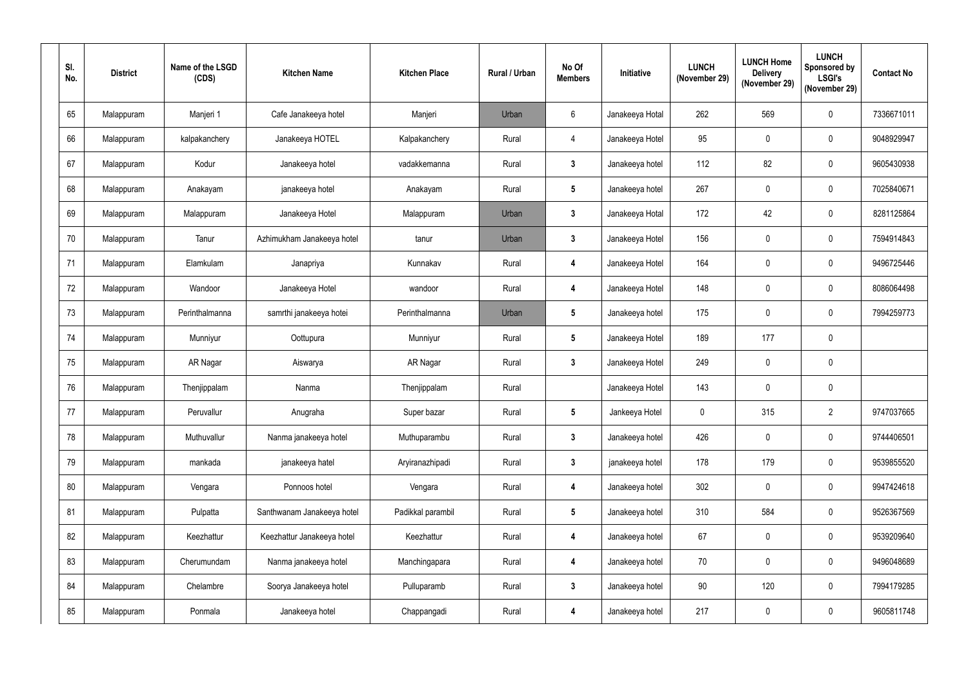| SI.<br>No. | <b>District</b> | Name of the LSGD<br>(CDS) | <b>Kitchen Name</b>        | <b>Kitchen Place</b> | Rural / Urban | No Of<br><b>Members</b> | Initiative      | <b>LUNCH</b><br>(November 29) | <b>LUNCH Home</b><br><b>Delivery</b><br>(November 29) | <b>LUNCH</b><br>Sponsored by<br><b>LSGI's</b><br>(November 29) | <b>Contact No</b> |
|------------|-----------------|---------------------------|----------------------------|----------------------|---------------|-------------------------|-----------------|-------------------------------|-------------------------------------------------------|----------------------------------------------------------------|-------------------|
| 65         | Malappuram      | Manjeri 1                 | Cafe Janakeeya hotel       | Manjeri              | Urban         | 6                       | Janakeeya Hotal | 262                           | 569                                                   | $\mathbf 0$                                                    | 7336671011        |
| 66         | Malappuram      | kalpakanchery             | Janakeeya HOTEL            | Kalpakanchery        | Rural         | 4                       | Janakeeya Hotel | 95                            | $\mathbf 0$                                           | $\mathbf 0$                                                    | 9048929947        |
| 67         | Malappuram      | Kodur                     | Janakeeya hotel            | vadakkemanna         | Rural         | $3\phantom{a}$          | Janakeeya hotel | 112                           | 82                                                    | $\mathbf 0$                                                    | 9605430938        |
| 68         | Malappuram      | Anakayam                  | janakeeya hotel            | Anakayam             | Rural         | $5\phantom{.0}$         | Janakeeya hotel | 267                           | $\mathbf 0$                                           | $\mathbf 0$                                                    | 7025840671        |
| 69         | Malappuram      | Malappuram                | Janakeeya Hotel            | Malappuram           | Urban         | 3                       | Janakeeya Hotal | 172                           | 42                                                    | $\mathbf 0$                                                    | 8281125864        |
| 70         | Malappuram      | Tanur                     | Azhimukham Janakeeya hotel | tanur                | Urban         | $\mathbf{3}$            | Janakeeya Hotel | 156                           | $\mathbf 0$                                           | $\mathbf 0$                                                    | 7594914843        |
| 71         | Malappuram      | Elamkulam                 | Janapriya                  | Kunnakav             | Rural         | 4                       | Janakeeya Hotel | 164                           | $\mathbf 0$                                           | $\mathbf 0$                                                    | 9496725446        |
| 72         | Malappuram      | Wandoor                   | Janakeeya Hotel            | wandoor              | Rural         | 4                       | Janakeeya Hotel | 148                           | $\mathbf 0$                                           | $\mathbf 0$                                                    | 8086064498        |
| 73         | Malappuram      | Perinthalmanna            | samrthi janakeeya hotei    | Perinthalmanna       | Urban         | $5\phantom{.0}$         | Janakeeya hotel | 175                           | $\mathbf 0$                                           | $\mathbf 0$                                                    | 7994259773        |
| 74         | Malappuram      | Munniyur                  | Oottupura                  | Munniyur             | Rural         | $5\phantom{.0}$         | Janakeeya Hotel | 189                           | 177                                                   | $\mathbf 0$                                                    |                   |
| 75         | Malappuram      | AR Nagar                  | Aiswarya                   | AR Nagar             | Rural         | $\mathbf{3}$            | Janakeeya Hotel | 249                           | $\mathbf 0$                                           | $\mathbf 0$                                                    |                   |
| 76         | Malappuram      | Thenjippalam              | Nanma                      | Thenjippalam         | Rural         |                         | Janakeeya Hotel | 143                           | $\mathbf 0$                                           | $\mathbf 0$                                                    |                   |
| 77         | Malappuram      | Peruvallur                | Anugraha                   | Super bazar          | Rural         | $\sqrt{5}$              | Jankeeya Hotel  | $\bf{0}$                      | 315                                                   | $\overline{2}$                                                 | 9747037665        |
| 78         | Malappuram      | Muthuvallur               | Nanma janakeeya hotel      | Muthuparambu         | Rural         | $\mathbf{3}$            | Janakeeya hotel | 426                           | $\pmb{0}$                                             | $\pmb{0}$                                                      | 9744406501        |
| 79         | Malappuram      | mankada                   | janakeeya hatel            | Aryiranazhipadi      | Rural         | $\mathbf{3}$            | janakeeya hotel | 178                           | 179                                                   | $\pmb{0}$                                                      | 9539855520        |
| 80         | Malappuram      | Vengara                   | Ponnoos hotel              | Vengara              | Rural         | 4                       | Janakeeya hotel | 302                           | $\mathbf 0$                                           | $\mathbf 0$                                                    | 9947424618        |
| 81         | Malappuram      | Pulpatta                  | Santhwanam Janakeeya hotel | Padikkal parambil    | Rural         | $5\phantom{.0}$         | Janakeeya hotel | 310                           | 584                                                   | $\mathbf 0$                                                    | 9526367569        |
| 82         | Malappuram      | Keezhattur                | Keezhattur Janakeeya hotel | Keezhattur           | Rural         | 4                       | Janakeeya hotel | 67                            | $\mathbf 0$                                           | $\mathbf 0$                                                    | 9539209640        |
| 83         | Malappuram      | Cherumundam               | Nanma janakeeya hotel      | Manchingapara        | Rural         | $\overline{\mathbf{4}}$ | Janakeeya hotel | 70                            | 0                                                     | $\pmb{0}$                                                      | 9496048689        |
| 84         | Malappuram      | Chelambre                 | Soorya Janakeeya hotel     | Pulluparamb          | Rural         | $\mathbf{3}$            | Janakeeya hotel | 90                            | 120                                                   | $\pmb{0}$                                                      | 7994179285        |
| 85         | Malappuram      | Ponmala                   | Janakeeya hotel            | Chappangadi          | Rural         | 4                       | Janakeeya hotel | 217                           | $\pmb{0}$                                             | $\boldsymbol{0}$                                               | 9605811748        |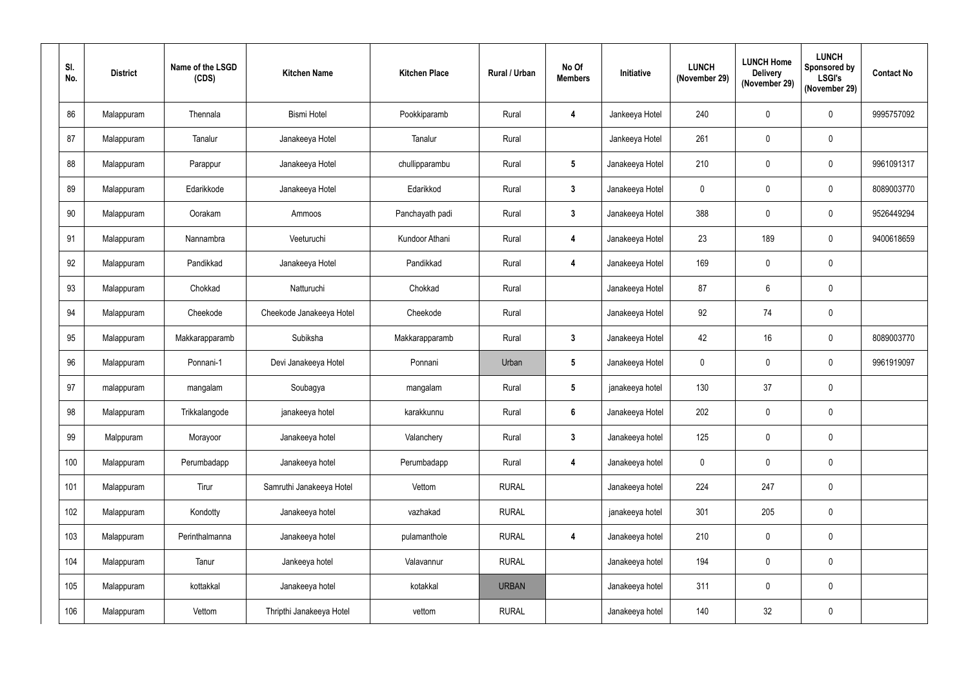| SI.<br>No. | <b>District</b> | Name of the LSGD<br>(CDS) | <b>Kitchen Name</b>      | <b>Kitchen Place</b> | <b>Rural / Urban</b> | No Of<br><b>Members</b> | Initiative      | <b>LUNCH</b><br>(November 29) | <b>LUNCH Home</b><br><b>Delivery</b><br>(November 29) | <b>LUNCH</b><br><b>Sponsored by</b><br><b>LSGI's</b><br>(November 29) | <b>Contact No</b> |
|------------|-----------------|---------------------------|--------------------------|----------------------|----------------------|-------------------------|-----------------|-------------------------------|-------------------------------------------------------|-----------------------------------------------------------------------|-------------------|
| 86         | Malappuram      | Thennala                  | <b>Bismi Hotel</b>       | Pookkiparamb         | Rural                | 4                       | Jankeeya Hotel  | 240                           | $\mathbf 0$                                           | $\mathbf 0$                                                           | 9995757092        |
| 87         | Malappuram      | Tanalur                   | Janakeeya Hotel          | Tanalur              | Rural                |                         | Jankeeya Hotel  | 261                           | $\mathbf 0$                                           | $\mathbf 0$                                                           |                   |
| 88         | Malappuram      | Parappur                  | Janakeeya Hotel          | chullipparambu       | Rural                | $5\phantom{.0}$         | Janakeeya Hotel | 210                           | $\mathbf 0$                                           | $\mathbf 0$                                                           | 9961091317        |
| 89         | Malappuram      | Edarikkode                | Janakeeya Hotel          | Edarikkod            | Rural                | $\mathbf{3}$            | Janakeeya Hotel | $\boldsymbol{0}$              | $\mathbf 0$                                           | $\mathbf 0$                                                           | 8089003770        |
| 90         | Malappuram      | Oorakam                   | Ammoos                   | Panchayath padi      | Rural                | $\mathbf{3}$            | Janakeeya Hotel | 388                           | $\mathbf 0$                                           | $\mathbf 0$                                                           | 9526449294        |
| 91         | Malappuram      | Nannambra                 | Veeturuchi               | Kundoor Athani       | Rural                | 4                       | Janakeeya Hotel | 23                            | 189                                                   | $\mathbf 0$                                                           | 9400618659        |
| 92         | Malappuram      | Pandikkad                 | Janakeeya Hotel          | Pandikkad            | Rural                | 4                       | Janakeeya Hotel | 169                           | $\boldsymbol{0}$                                      | $\mathbf 0$                                                           |                   |
| 93         | Malappuram      | Chokkad                   | Natturuchi               | Chokkad              | Rural                |                         | Janakeeya Hotel | 87                            | 6                                                     | $\mathbf 0$                                                           |                   |
| 94         | Malappuram      | Cheekode                  | Cheekode Janakeeya Hotel | Cheekode             | Rural                |                         | Janakeeya Hotel | 92                            | 74                                                    | $\mathbf 0$                                                           |                   |
| 95         | Malappuram      | Makkarapparamb            | Subiksha                 | Makkarapparamb       | Rural                | $3\phantom{.0}$         | Janakeeya Hotel | 42                            | 16                                                    | $\mathbf 0$                                                           | 8089003770        |
| 96         | Malappuram      | Ponnani-1                 | Devi Janakeeya Hotel     | Ponnani              | Urban                | $5\phantom{.0}$         | Janakeeya Hotel | $\boldsymbol{0}$              | $\mathbf 0$                                           | $\mathbf 0$                                                           | 9961919097        |
| 97         | malappuram      | mangalam                  | Soubagya                 | mangalam             | Rural                | $5\phantom{.0}$         | janakeeya hotel | 130                           | 37                                                    | $\mathbf 0$                                                           |                   |
| 98         | Malappuram      | Trikkalangode             | janakeeya hotel          | karakkunnu           | Rural                | 6                       | Janakeeya Hotel | 202                           | $\mathbf 0$                                           | $\mathbf 0$                                                           |                   |
| 99         | Malppuram       | Morayoor                  | Janakeeya hotel          | Valanchery           | Rural                | $\mathbf{3}$            | Janakeeya hotel | 125                           | $\pmb{0}$                                             | $\pmb{0}$                                                             |                   |
| 100        | Malappuram      | Perumbadapp               | Janakeeya hotel          | Perumbadapp          | Rural                | 4                       | Janakeeya hotel | $\mathbf 0$                   | $\mathbf 0$                                           | $\pmb{0}$                                                             |                   |
| 101        | Malappuram      | Tirur                     | Samruthi Janakeeya Hotel | Vettom               | <b>RURAL</b>         |                         | Janakeeya hotel | 224                           | 247                                                   | $\pmb{0}$                                                             |                   |
| 102        | Malappuram      | Kondotty                  | Janakeeya hotel          | vazhakad             | <b>RURAL</b>         |                         | janakeeya hotel | 301                           | 205                                                   | $\pmb{0}$                                                             |                   |
| 103        | Malappuram      | Perinthalmanna            | Janakeeya hotel          | pulamanthole         | <b>RURAL</b>         | $\overline{\mathbf{4}}$ | Janakeeya hotel | 210                           | $\pmb{0}$                                             | $\pmb{0}$                                                             |                   |
| 104        | Malappuram      | Tanur                     | Jankeeya hotel           | Valavannur           | <b>RURAL</b>         |                         | Janakeeya hotel | 194                           | $\pmb{0}$                                             | $\pmb{0}$                                                             |                   |
| 105        | Malappuram      | kottakkal                 | Janakeeya hotel          | kotakkal             | <b>URBAN</b>         |                         | Janakeeya hotel | 311                           | $\mathbf 0$                                           | $\pmb{0}$                                                             |                   |
| 106        | Malappuram      | Vettom                    | Thripthi Janakeeya Hotel | vettom               | <b>RURAL</b>         |                         | Janakeeya hotel | 140                           | 32                                                    | $\pmb{0}$                                                             |                   |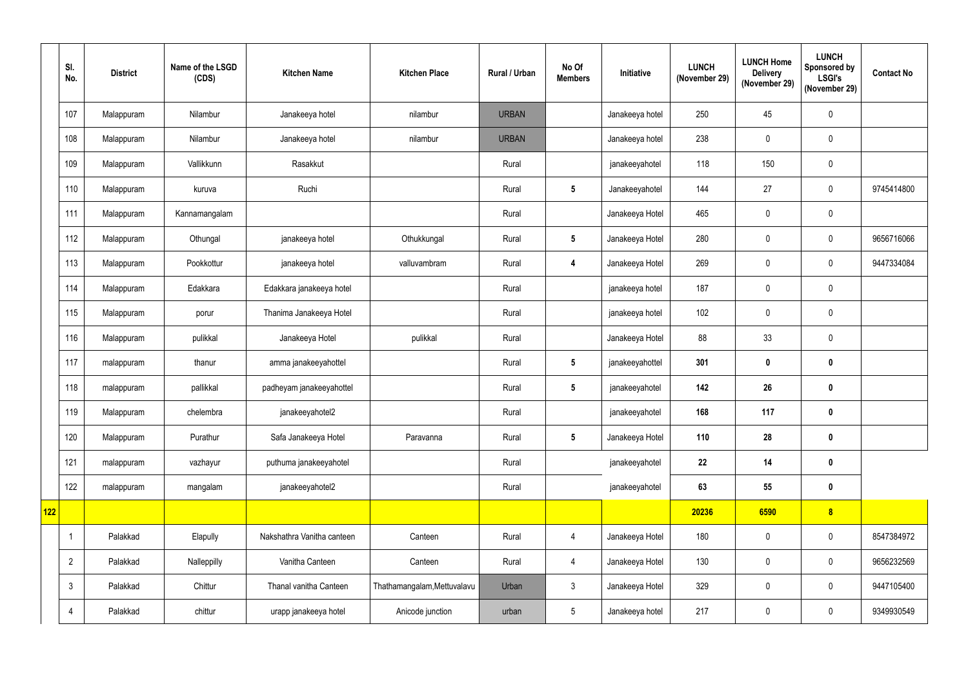|     | SI.<br>No.     | <b>District</b> | Name of the LSGD<br>(CDS) | <b>Kitchen Name</b>        | <b>Kitchen Place</b>        | Rural / Urban | No Of<br><b>Members</b> | <b>Initiative</b> | <b>LUNCH</b><br>(November 29) | <b>LUNCH Home</b><br><b>Delivery</b><br>(November 29) | <b>LUNCH</b><br><b>Sponsored by</b><br><b>LSGI's</b><br>(November 29) | <b>Contact No</b> |
|-----|----------------|-----------------|---------------------------|----------------------------|-----------------------------|---------------|-------------------------|-------------------|-------------------------------|-------------------------------------------------------|-----------------------------------------------------------------------|-------------------|
|     | 107            | Malappuram      | Nilambur                  | Janakeeya hotel            | nilambur                    | <b>URBAN</b>  |                         | Janakeeya hotel   | 250                           | 45                                                    | $\pmb{0}$                                                             |                   |
|     | 108            | Malappuram      | Nilambur                  | Janakeeya hotel            | nilambur                    | <b>URBAN</b>  |                         | Janakeeya hotel   | 238                           | $\mathbf 0$                                           | $\pmb{0}$                                                             |                   |
|     | 109            | Malappuram      | Vallikkunn                | Rasakkut                   |                             | Rural         |                         | janakeeyahotel    | 118                           | 150                                                   | $\pmb{0}$                                                             |                   |
|     | 110            | Malappuram      | kuruva                    | Ruchi                      |                             | Rural         | $5\phantom{.0}$         | Janakeeyahotel    | 144                           | 27                                                    | $\pmb{0}$                                                             | 9745414800        |
|     | 111            | Malappuram      | Kannamangalam             |                            |                             | Rural         |                         | Janakeeya Hotel   | 465                           | $\mathbf 0$                                           | $\mathbf 0$                                                           |                   |
|     | 112            | Malappuram      | Othungal                  | janakeeya hotel            | Othukkungal                 | Rural         | $5\overline{)}$         | Janakeeya Hotel   | 280                           | $\mathbf 0$                                           | $\boldsymbol{0}$                                                      | 9656716066        |
|     | 113            | Malappuram      | Pookkottur                | janakeeya hotel            | valluvambram                | Rural         | 4                       | Janakeeya Hotel   | 269                           | $\mathbf 0$                                           | $\boldsymbol{0}$                                                      | 9447334084        |
|     | 114            | Malappuram      | Edakkara                  | Edakkara janakeeya hotel   |                             | Rural         |                         | janakeeya hotel   | 187                           | $\boldsymbol{0}$                                      | $\mathbf 0$                                                           |                   |
|     | 115            | Malappuram      | porur                     | Thanima Janakeeya Hotel    |                             | Rural         |                         | janakeeya hotel   | 102                           | $\mathbf 0$                                           | $\pmb{0}$                                                             |                   |
|     | 116            | Malappuram      | pulikkal                  | Janakeeya Hotel            | pulikkal                    | Rural         |                         | Janakeeya Hotel   | 88                            | 33                                                    | $\boldsymbol{0}$                                                      |                   |
|     | 117            | malappuram      | thanur                    | amma janakeeyahottel       |                             | Rural         | 5 <sub>5</sub>          | janakeeyahottel   | 301                           | $\mathbf 0$                                           | $\pmb{0}$                                                             |                   |
|     | 118            | malappuram      | pallikkal                 | padheyam janakeeyahottel   |                             | Rural         | 5 <sub>5</sub>          | janakeeyahotel    | 142                           | 26                                                    | $\pmb{0}$                                                             |                   |
|     | 119            | Malappuram      | chelembra                 | janakeeyahotel2            |                             | Rural         |                         | janakeeyahotel    | 168                           | 117                                                   | $\pmb{0}$                                                             |                   |
|     | 120            | Malappuram      | Purathur                  | Safa Janakeeya Hotel       | Paravanna                   | Rural         | 5 <sub>5</sub>          | Janakeeya Hotel   | 110                           | 28                                                    | $\pmb{0}$                                                             |                   |
|     | 121            | malappuram      | vazhayur                  | puthuma janakeeyahotel     |                             | Rural         |                         | janakeeyahotel    | 22                            | 14                                                    | $\pmb{0}$                                                             |                   |
|     | 122            | malappuram      | mangalam                  | janakeeyahotel2            |                             | Rural         |                         | janakeeyahotel    | 63                            | 55                                                    | $\pmb{0}$                                                             |                   |
| 122 |                |                 |                           |                            |                             |               |                         |                   | 20236                         | 6590                                                  | $\boldsymbol{8}$                                                      |                   |
|     |                | Palakkad        | Elapully                  | Nakshathra Vanitha canteen | Canteen                     | Rural         | $\overline{4}$          | Janakeeya Hotel   | 180                           | $\mathbf 0$                                           | $\pmb{0}$                                                             | 8547384972        |
|     | $\overline{2}$ | Palakkad        | Nalleppilly               | Vanitha Canteen            | Canteen                     | Rural         | $\overline{4}$          | Janakeeya Hotel   | 130                           | $\mathbf 0$                                           | $\pmb{0}$                                                             | 9656232569        |
|     | $\mathbf{3}$   | Palakkad        | Chittur                   | Thanal vanitha Canteen     | Thathamangalam, Mettuvalavu | Urban         | 3 <sup>1</sup>          | Janakeeya Hotel   | 329                           | $\mathbf 0$                                           | $\pmb{0}$                                                             | 9447105400        |
|     | 4              | Palakkad        | chittur                   | urapp janakeeya hotel      | Anicode junction            | urban         | 5 <sub>5</sub>          | Janakeeya hotel   | 217                           | $\boldsymbol{0}$                                      | $\pmb{0}$                                                             | 9349930549        |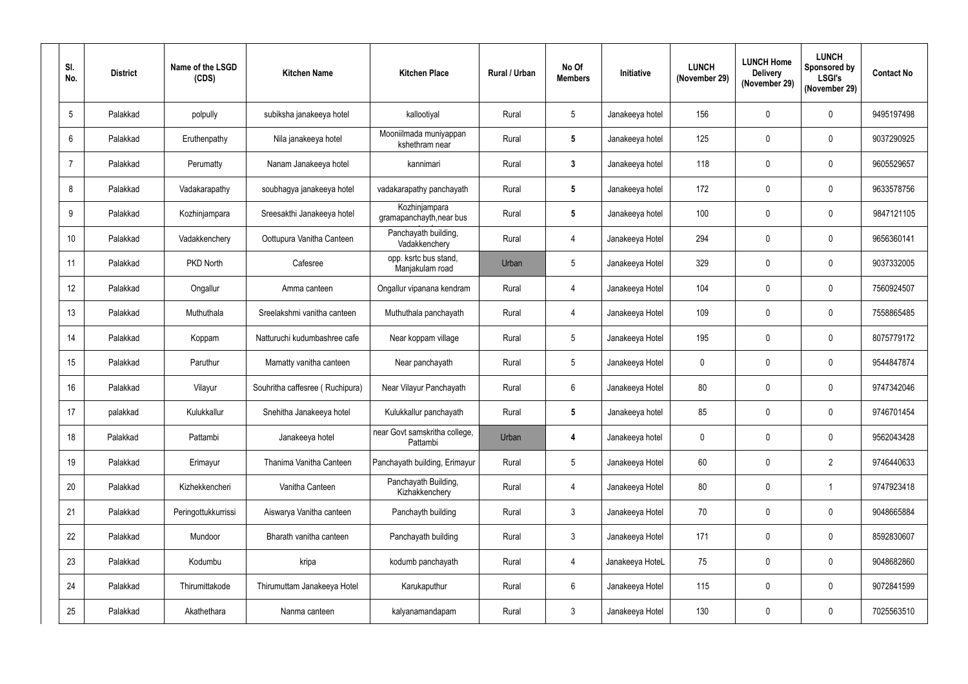| SI.<br>No.      | <b>District</b> | Name of the LSGD<br>(CDS) | <b>Kitchen Name</b>             | <b>Kitchen Place</b>                      | Rural / Urban | No Of<br><b>Members</b> | Initiative      | <b>LUNCH</b><br>(November 29) | <b>LUNCH Home</b><br><b>Delivery</b><br>(November 29) | <b>LUNCH</b><br>Sponsored by<br><b>LSGI's</b><br>(November 29) | <b>Contact No</b> |
|-----------------|-----------------|---------------------------|---------------------------------|-------------------------------------------|---------------|-------------------------|-----------------|-------------------------------|-------------------------------------------------------|----------------------------------------------------------------|-------------------|
| $5\phantom{.0}$ | Palakkad        | polpully                  | subiksha janakeeya hotel        | kallootiyal                               | Rural         | $5\phantom{.0}$         | Janakeeya hotel | 156                           | $\mathbf{0}$                                          | $\mathbf 0$                                                    | 9495197498        |
| $6\phantom{.}$  | Palakkad        | Eruthenpathy              | Nila janakeeya hotel            | Mooniilmada muniyappan<br>kshethram near  | Rural         | $5\phantom{.0}$         | Janakeeya hotel | 125                           | $\mathbf 0$                                           | $\mathbf 0$                                                    | 9037290925        |
| $\overline{7}$  | Palakkad        | Perumatty                 | Nanam Janakeeya hotel           | kannimari                                 | Rural         | $3\phantom{a}$          | Janakeeya hotel | 118                           | $\mathbf 0$                                           | $\mathbf 0$                                                    | 9605529657        |
| 8               | Palakkad        | Vadakarapathy             | soubhagya janakeeya hotel       | vadakarapathy panchayath                  | Rural         | $5\phantom{.0}$         | Janakeeya hotel | 172                           | $\mathbf 0$                                           | $\mathbf 0$                                                    | 9633578756        |
| 9               | Palakkad        | Kozhinjampara             | Sreesakthi Janakeeya hotel      | Kozhinjampara<br>gramapanchayth, near bus | Rural         | 5                       | Janakeeya hotel | 100                           | $\mathbf{0}$                                          | $\mathbf 0$                                                    | 9847121105        |
| 10              | Palakkad        | Vadakkenchery             | Oottupura Vanitha Canteen       | Panchayath building,<br>Vadakkenchery     | Rural         | 4                       | Janakeeya Hotel | 294                           | $\mathbf{0}$                                          | $\mathbf 0$                                                    | 9656360141        |
| 11              | Palakkad        | PKD North                 | Cafesree                        | opp. ksrtc bus stand,<br>Manjakulam road  | Urban         | $5\phantom{.0}$         | Janakeeya Hotel | 329                           | $\mathbf{0}$                                          | $\mathbf 0$                                                    | 9037332005        |
| 12              | Palakkad        | Ongallur                  | Amma canteen                    | Ongallur vipanana kendram                 | Rural         | 4                       | Janakeeya Hotel | 104                           | $\mathbf{0}$                                          | $\mathbf 0$                                                    | 7560924507        |
| 13              | Palakkad        | Muthuthala                | Sreelakshmi vanitha canteen     | Muthuthala panchayath                     | Rural         | 4                       | Janakeeya Hotel | 109                           | $\mathbf 0$                                           | $\mathbf 0$                                                    | 7558865485        |
| 14              | Palakkad        | Koppam                    | Natturuchi kudumbashree cafe    | Near koppam village                       | Rural         | $5\overline{)}$         | Janakeeya Hotel | 195                           | $\mathbf{0}$                                          | $\mathbf 0$                                                    | 8075779172        |
| 15              | Palakkad        | Paruthur                  | Mamatty vanitha canteen         | Near panchayath                           | Rural         | $5\phantom{.0}$         | Janakeeya Hotel | $\boldsymbol{0}$              | $\mathbf 0$                                           | $\mathbf 0$                                                    | 9544847874        |
| 16              | Palakkad        | Vilayur                   | Souhritha caffesree (Ruchipura) | Near Vilayur Panchayath                   | Rural         | 6                       | Janakeeya Hotel | 80                            | $\mathbf 0$                                           | $\mathbf 0$                                                    | 9747342046        |
| 17              | palakkad        | Kulukkallur               | Snehitha Janakeeya hotel        | Kulukkallur panchayath                    | Rural         | 5                       | Janakeeya hotel | 85                            | $\mathbf 0$                                           | $\mathbf 0$                                                    | 9746701454        |
| 18              | Palakkad        | Pattambi                  | Janakeeya hotel                 | near Govt samskritha college,<br>Pattambi | Urban         | 4                       | Janakeeya hotel | $\mathbf 0$                   | $\mathbf 0$                                           | $\pmb{0}$                                                      | 9562043428        |
| 19              | Palakkad        | Erimayur                  | Thanima Vanitha Canteen         | Panchayath building, Erimayur             | Rural         | $5\phantom{.0}$         | Janakeeya Hotel | 60                            | $\mathbf 0$                                           | $\overline{2}$                                                 | 9746440633        |
| 20              | Palakkad        | Kizhekkencheri            | Vanitha Canteen                 | Panchayath Building,<br>Kizhakkenchery    | Rural         | 4                       | Janakeeya Hotel | 80                            | $\mathbf 0$                                           | $\overline{1}$                                                 | 9747923418        |
| 21              | Palakkad        | Peringottukkurrissi       | Aiswarya Vanitha canteen        | Panchayth building                        | Rural         | $\mathbf{3}$            | Janakeeya Hotel | 70                            | 0                                                     | $\mathbf 0$                                                    | 9048665884        |
| 22              | Palakkad        | Mundoor                   | Bharath vanitha canteen         | Panchayath building                       | Rural         | $\mathfrak{Z}$          | Janakeeya Hotel | 171                           | 0                                                     | $\mathbf 0$                                                    | 8592830607        |
| 23              | Palakkad        | Kodumbu                   | kripa                           | kodumb panchayath                         | Rural         | 4                       | Janakeeya HoteL | 75                            | 0                                                     | $\mathbf 0$                                                    | 9048682860        |
| 24              | Palakkad        | Thirumittakode            | Thirumuttam Janakeeya Hotel     | Karukaputhur                              | Rural         | $6\phantom{.0}$         | Janakeeya Hotel | 115                           | $\mathbf 0$                                           | $\mathbf 0$                                                    | 9072841599        |
| 25              | Palakkad        | Akathethara               | Nanma canteen                   | kalyanamandapam                           | Rural         | $\mathfrak{Z}$          | Janakeeya Hotel | 130                           | $\pmb{0}$                                             | $\boldsymbol{0}$                                               | 7025563510        |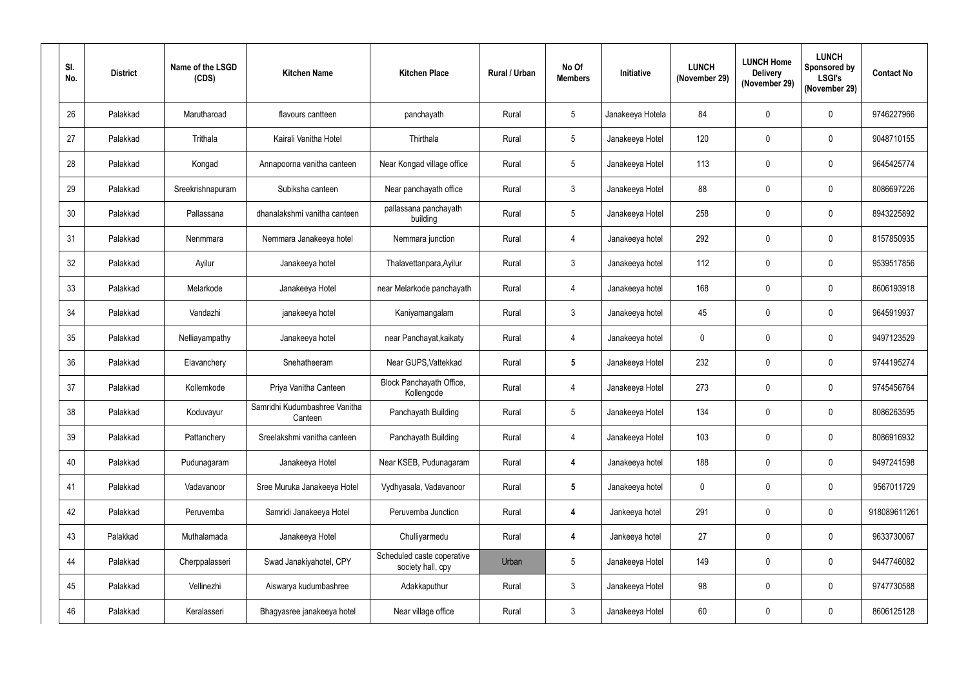| SI.<br>No. | <b>District</b> | Name of the LSGD<br>(CDS) | <b>Kitchen Name</b>                      | <b>Kitchen Place</b>                            | <b>Rural / Urban</b> | No Of<br><b>Members</b> | Initiative       | <b>LUNCH</b><br>(November 29) | <b>LUNCH Home</b><br><b>Delivery</b><br>(November 29) | <b>LUNCH</b><br><b>Sponsored by</b><br><b>LSGI's</b><br>(November 29) | <b>Contact No</b> |
|------------|-----------------|---------------------------|------------------------------------------|-------------------------------------------------|----------------------|-------------------------|------------------|-------------------------------|-------------------------------------------------------|-----------------------------------------------------------------------|-------------------|
| 26         | Palakkad        | Marutharoad               | flavours cantteen                        | panchayath                                      | Rural                | $5\overline{)}$         | Janakeeya Hotela | 84                            | $\mathbf 0$                                           | $\mathbf 0$                                                           | 9746227966        |
| 27         | Palakkad        | Trithala                  | Kairali Vanitha Hotel                    | Thirthala                                       | Rural                | $5\phantom{.0}$         | Janakeeya Hotel  | 120                           | 0                                                     | $\boldsymbol{0}$                                                      | 9048710155        |
| 28         | Palakkad        | Kongad                    | Annapoorna vanitha canteen               | Near Kongad village office                      | Rural                | 5                       | Janakeeya Hotel  | 113                           | 0                                                     | $\mathbf 0$                                                           | 9645425774        |
| 29         | Palakkad        | Sreekrishnapuram          | Subiksha canteen                         | Near panchayath office                          | Rural                | 3                       | Janakeeya Hotel  | 88                            | 0                                                     | $\boldsymbol{0}$                                                      | 8086697226        |
| 30         | Palakkad        | Pallassana                | dhanalakshmi vanitha canteen             | pallassana panchayath<br>building               | Rural                | 5                       | Janakeeya Hotel  | 258                           | 0                                                     | $\mathbf 0$                                                           | 8943225892        |
| 31         | Palakkad        | Nenmmara                  | Nemmara Janakeeya hotel                  | Nemmara junction                                | Rural                | 4                       | Janakeeya hotel  | 292                           | $\mathbf 0$                                           | $\mathbf 0$                                                           | 8157850935        |
| 32         | Palakkad        | Ayilur                    | Janakeeya hotel                          | Thalavettanpara, Ayilur                         | Rural                | 3                       | Janakeeya hotel  | 112                           | 0                                                     | $\mathbf 0$                                                           | 9539517856        |
| 33         | Palakkad        | Melarkode                 | Janakeeya Hotel                          | near Melarkode panchayath                       | Rural                | 4                       | Janakeeya hotel  | 168                           | 0                                                     | $\mathbf 0$                                                           | 8606193918        |
| 34         | Palakkad        | Vandazhi                  | janakeeya hotel                          | Kaniyamangalam                                  | Rural                | 3                       | Janakeeya hotel  | 45                            | 0                                                     | $\mathbf 0$                                                           | 9645919937        |
| 35         | Palakkad        | Nelliayampathy            | Janakeeya hotel                          | near Panchayat, kaikaty                         | Rural                | 4                       | Janakeeya hotel  | $\mathbf 0$                   | $\mathbf 0$                                           | $\mathbf 0$                                                           | 9497123529        |
| 36         | Palakkad        | Elavanchery               | Snehatheeram                             | Near GUPS, Vattekkad                            | Rural                | $5\phantom{.0}$         | Janakeeya Hotel  | 232                           | 0                                                     | $\mathbf 0$                                                           | 9744195274        |
| 37         | Palakkad        | Kollemkode                | Priya Vanitha Canteen                    | Block Panchayath Office,<br>Kollengode          | Rural                | 4                       | Janakeeya Hotel  | 273                           | 0                                                     | $\mathbf 0$                                                           | 9745456764        |
| 38         | Palakkad        | Koduvayur                 | Samridhi Kudumbashree Vanitha<br>Canteen | Panchayath Building                             | Rural                | 5                       | Janakeeya Hotel  | 134                           | 0                                                     | $\mathbf 0$                                                           | 8086263595        |
| 39         | Palakkad        | Pattanchery               | Sreelakshmi vanitha canteen              | Panchayath Building                             | Rural                | 4                       | Janakeeya Hotel  | 103                           | 0                                                     | $\pmb{0}$                                                             | 8086916932        |
| 40         | Palakkad        | Pudunagaram               | Janakeeya Hotel                          | Near KSEB, Pudunagaram                          | Rural                | 4                       | Janakeeya hotel  | 188                           | $\pmb{0}$                                             | $\boldsymbol{0}$                                                      | 9497241598        |
| 41         | Palakkad        | Vadavanoor                | Sree Muruka Janakeeya Hotel              | Vydhyasala, Vadavanoor                          | Rural                | $5\phantom{.0}$         | Janakeeya hotel  | $\mathbf 0$                   | $\pmb{0}$                                             | $\mathbf 0$                                                           | 9567011729        |
| 42         | Palakkad        | Peruvemba                 | Samridi Janakeeya Hotel                  | Peruvemba Junction                              | Rural                | 4                       | Jankeeya hotel   | 291                           | 0                                                     | $\mathbf 0$                                                           | 918089611261      |
| 43         | Palakkad        | Muthalamada               | Janakeeya Hotel                          | Chulliyarmedu                                   | Rural                | 4                       | Jankeeya hotel   | 27                            | $\pmb{0}$                                             | $\boldsymbol{0}$                                                      | 9633730067        |
| 44         | Palakkad        | Cherppalasseri            | Swad Janakiyahotel, CPY                  | Scheduled caste coperative<br>society hall, cpy | Urban                | $5\phantom{.0}$         | Janakeeya Hotel  | 149                           | 0                                                     | $\pmb{0}$                                                             | 9447746082        |
| 45         | Palakkad        | Vellinezhi                | Aiswarya kudumbashree                    | Adakkaputhur                                    | Rural                | $\mathbf{3}$            | Janakeeya Hotel  | 98                            | 0                                                     | $\boldsymbol{0}$                                                      | 9747730588        |
| 46         | Palakkad        | Keralasseri               | Bhagyasree janakeeya hotel               | Near village office                             | Rural                | $\mathbf{3}$            | Janakeeya Hotel  | 60                            | 0                                                     | $\pmb{0}$                                                             | 8606125128        |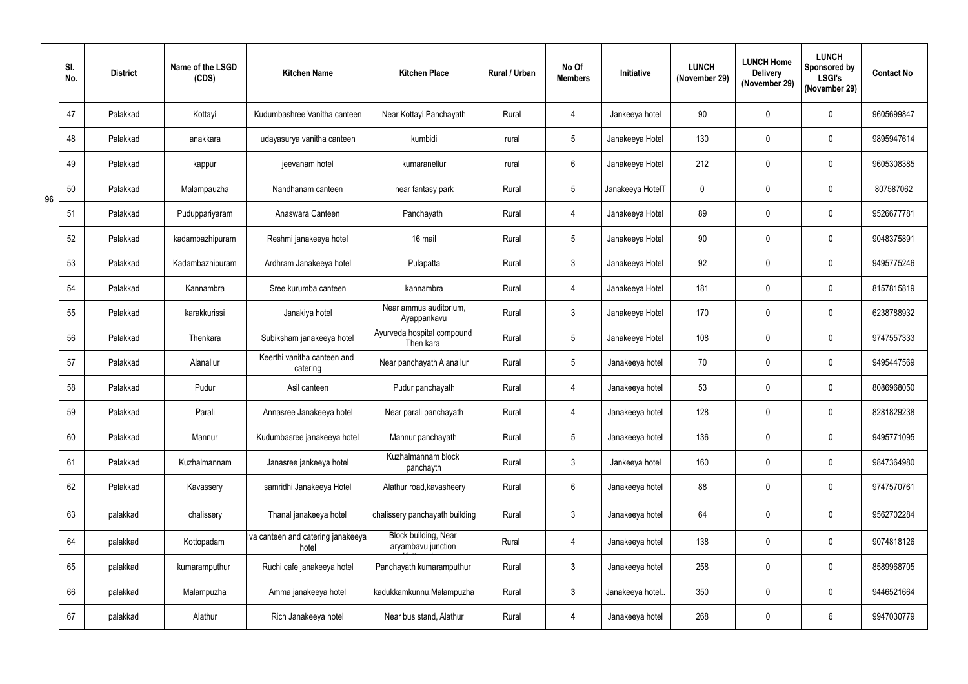|    | SI.<br>No. | <b>District</b> | Name of the LSGD<br>(CDS) | <b>Kitchen Name</b>                         | <b>Kitchen Place</b>                       | Rural / Urban | No Of<br><b>Members</b> | Initiative       | <b>LUNCH</b><br>(November 29) | <b>LUNCH Home</b><br><b>Delivery</b><br>(November 29) | <b>LUNCH</b><br>Sponsored by<br><b>LSGI's</b><br>(November 29) | <b>Contact No</b> |
|----|------------|-----------------|---------------------------|---------------------------------------------|--------------------------------------------|---------------|-------------------------|------------------|-------------------------------|-------------------------------------------------------|----------------------------------------------------------------|-------------------|
|    | 47         | Palakkad        | Kottayi                   | Kudumbashree Vanitha canteen                | Near Kottayi Panchayath                    | Rural         | 4                       | Jankeeya hotel   | 90                            | $\mathbf 0$                                           | $\mathbf{0}$                                                   | 9605699847        |
|    | 48         | Palakkad        | anakkara                  | udayasurya vanitha canteen                  | kumbidi                                    | rural         | $5\overline{)}$         | Janakeeya Hotel  | 130                           | $\mathbf 0$                                           | $\mathbf 0$                                                    | 9895947614        |
|    | 49         | Palakkad        | kappur                    | jeevanam hotel                              | kumaranellur                               | rural         | 6                       | Janakeeya Hotel  | 212                           | $\mathbf 0$                                           | $\mathbf 0$                                                    | 9605308385        |
| 96 | 50         | Palakkad        | Malampauzha               | Nandhanam canteen                           | near fantasy park                          | Rural         | $5\overline{)}$         | Janakeeya HotelT | $\mathbf 0$                   | 0                                                     | $\mathbf 0$                                                    | 807587062         |
|    | 51         | Palakkad        | Puduppariyaram            | Anaswara Canteen                            | Panchayath                                 | Rural         | 4                       | Janakeeya Hotel  | 89                            | $\mathbf 0$                                           | $\mathbf{0}$                                                   | 9526677781        |
|    | 52         | Palakkad        | kadambazhipuram           | Reshmi janakeeya hotel                      | 16 mail                                    | Rural         | $5\overline{)}$         | Janakeeya Hotel  | 90                            | $\mathbf 0$                                           | $\mathbf 0$                                                    | 9048375891        |
|    | 53         | Palakkad        | Kadambazhipuram           | Ardhram Janakeeya hotel                     | Pulapatta                                  | Rural         | 3 <sup>1</sup>          | Janakeeya Hotel  | 92                            | $\mathbf 0$                                           | $\mathbf{0}$                                                   | 9495775246        |
|    | 54         | Palakkad        | Kannambra                 | Sree kurumba canteen                        | kannambra                                  | Rural         | 4                       | Janakeeya Hotel  | 181                           | $\mathbf 0$                                           | $\mathbf 0$                                                    | 8157815819        |
|    | 55         | Palakkad        | karakkurissi              | Janakiya hotel                              | Near ammus auditorium,<br>Ayappankavu      | Rural         | 3 <sup>5</sup>          | Janakeeya Hotel  | 170                           | 0                                                     | $\mathbf 0$                                                    | 6238788932        |
|    | 56         | Palakkad        | Thenkara                  | Subiksham janakeeya hotel                   | Ayurveda hospital compound<br>Then kara    | Rural         | $5\overline{)}$         | Janakeeya Hotel  | 108                           | $\mathbf{0}$                                          | $\mathbf{0}$                                                   | 9747557333        |
|    | 57         | Palakkad        | Alanallur                 | Keerthi vanitha canteen and<br>catering     | Near panchayath Alanallur                  | Rural         | $5\overline{)}$         | Janakeeya hotel  | 70                            | 0                                                     | $\mathbf 0$                                                    | 9495447569        |
|    | 58         | Palakkad        | Pudur                     | Asil canteen                                | Pudur panchayath                           | Rural         | 4                       | Janakeeya hotel  | 53                            | $\mathbf 0$                                           | $\mathbf{0}$                                                   | 8086968050        |
|    | 59         | Palakkad        | Parali                    | Annasree Janakeeya hotel                    | Near parali panchayath                     | Rural         | 4                       | Janakeeya hotel  | 128                           | 0                                                     | $\mathbf 0$                                                    | 8281829238        |
|    | 60         | Palakkad        | Mannur                    | Kudumbasree janakeeya hotel                 | Mannur panchayath                          | Rural         | $5\phantom{.0}$         | Janakeeya hotel  | 136                           | $\pmb{0}$                                             | $\pmb{0}$                                                      | 9495771095        |
|    | 61         | Palakkad        | Kuzhalmannam              | Janasree jankeeya hotel                     | Kuzhalmannam block<br>panchayth            | Rural         | 3 <sup>1</sup>          | Jankeeya hotel   | 160                           | $\pmb{0}$                                             | $\pmb{0}$                                                      | 9847364980        |
|    | 62         | Palakkad        | Kavassery                 | samridhi Janakeeya Hotel                    | Alathur road, kavasheery                   | Rural         | 6                       | Janakeeya hotel  | 88                            | $\mathbf 0$                                           | $\mathbf 0$                                                    | 9747570761        |
|    | 63         | palakkad        | chalissery                | Thanal janakeeya hotel                      | chalissery panchayath building             | Rural         | $\mathbf{3}$            | Janakeeya hotel  | 64                            | $\pmb{0}$                                             | $\pmb{0}$                                                      | 9562702284        |
|    | 64         | palakkad        | Kottopadam                | Iva canteen and catering janakeeya<br>hotel | Block building, Near<br>aryambavu junction | Rural         | 4                       | Janakeeya hotel  | 138                           | $\pmb{0}$                                             | $\pmb{0}$                                                      | 9074818126        |
|    | 65         | palakkad        | kumaramputhur             | Ruchi cafe janakeeya hotel                  | Panchayath kumaramputhur                   | Rural         | $3\phantom{a}$          | Janakeeya hotel  | 258                           | $\pmb{0}$                                             | $\pmb{0}$                                                      | 8589968705        |
|    | 66         | palakkad        | Malampuzha                | Amma janakeeya hotel                        | kadukkamkunnu, Malampuzha                  | Rural         | 3 <sup>1</sup>          | Janakeeya hotel  | 350                           | $\pmb{0}$                                             | $\mathbf 0$                                                    | 9446521664        |
|    | 67         | palakkad        | Alathur                   | Rich Janakeeya hotel                        | Near bus stand, Alathur                    | Rural         | 4                       | Janakeeya hotel  | 268                           | $\pmb{0}$                                             | $6\,$                                                          | 9947030779        |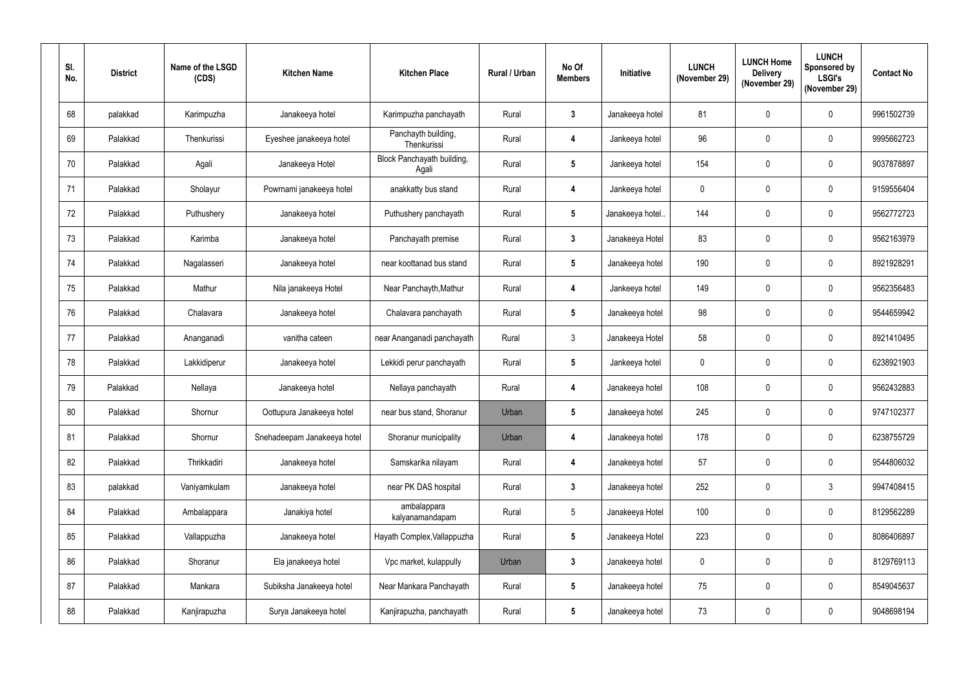| SI.<br>No. | <b>District</b> | Name of the LSGD<br>(CDS) | <b>Kitchen Name</b>         | <b>Kitchen Place</b>                | Rural / Urban | No Of<br><b>Members</b> | Initiative      | <b>LUNCH</b><br>(November 29) | <b>LUNCH Home</b><br><b>Delivery</b><br>(November 29) | <b>LUNCH</b><br>Sponsored by<br><b>LSGI's</b><br>(November 29) | <b>Contact No</b> |
|------------|-----------------|---------------------------|-----------------------------|-------------------------------------|---------------|-------------------------|-----------------|-------------------------------|-------------------------------------------------------|----------------------------------------------------------------|-------------------|
| 68         | palakkad        | Karimpuzha                | Janakeeya hotel             | Karimpuzha panchayath               | Rural         | 3                       | Janakeeya hotel | 81                            | $\mathbf 0$                                           | $\mathbf 0$                                                    | 9961502739        |
| 69         | Palakkad        | Thenkurissi               | Eyeshee janakeeya hotel     | Panchayth building,<br>Thenkurissi  | Rural         | 4                       | Jankeeya hotel  | 96                            | $\mathbf 0$                                           | $\mathbf 0$                                                    | 9995662723        |
| 70         | Palakkad        | Agali                     | Janakeeya Hotel             | Block Panchayath building,<br>Agali | Rural         | $5\phantom{.0}$         | Jankeeya hotel  | 154                           | $\mathbf 0$                                           | $\mathbf 0$                                                    | 9037878897        |
| 71         | Palakkad        | Sholayur                  | Powrnami janakeeya hotel    | anakkatty bus stand                 | Rural         | 4                       | Jankeeya hotel  | $\boldsymbol{0}$              | $\mathbf 0$                                           | $\mathbf 0$                                                    | 9159556404        |
| 72         | Palakkad        | Puthushery                | Janakeeya hotel             | Puthushery panchayath               | Rural         | 5                       | Janakeeya hotel | 144                           | $\mathbf 0$                                           | $\mathbf 0$                                                    | 9562772723        |
| 73         | Palakkad        | Karimba                   | Janakeeya hotel             | Panchayath premise                  | Rural         | $\mathbf{3}$            | Janakeeya Hotel | 83                            | $\mathbf 0$                                           | $\mathbf 0$                                                    | 9562163979        |
| 74         | Palakkad        | Nagalasseri               | Janakeeya hotel             | near koottanad bus stand            | Rural         | $5\overline{)}$         | Janakeeya hotel | 190                           | $\mathbf 0$                                           | $\mathbf 0$                                                    | 8921928291        |
| 75         | Palakkad        | Mathur                    | Nila janakeeya Hotel        | Near Panchayth, Mathur              | Rural         | 4                       | Jankeeya hotel  | 149                           | $\mathbf 0$                                           | $\mathbf 0$                                                    | 9562356483        |
| 76         | Palakkad        | Chalavara                 | Janakeeya hotel             | Chalavara panchayath                | Rural         | $5\overline{)}$         | Janakeeya hotel | 98                            | $\mathbf 0$                                           | $\mathbf 0$                                                    | 9544659942        |
| 77         | Palakkad        | Ananganadi                | vanitha cateen              | near Ananganadi panchayath          | Rural         | $\mathbf{3}$            | Janakeeya Hotel | 58                            | $\mathbf 0$                                           | $\mathbf 0$                                                    | 8921410495        |
| 78         | Palakkad        | Lakkidiperur              | Janakeeya hotel             | Lekkidi perur panchayath            | Rural         | $5\overline{)}$         | Jankeeya hotel  | $\mathbf 0$                   | $\mathbf 0$                                           | $\mathbf 0$                                                    | 6238921903        |
| 79         | Palakkad        | Nellaya                   | Janakeeya hotel             | Nellaya panchayath                  | Rural         | 4                       | Janakeeya hotel | 108                           | $\mathbf 0$                                           | $\mathbf 0$                                                    | 9562432883        |
| 80         | Palakkad        | Shornur                   | Oottupura Janakeeya hotel   | near bus stand, Shoranur            | Urban         | $5\phantom{.0}$         | Janakeeya hotel | 245                           | $\mathbf 0$                                           | $\mathbf 0$                                                    | 9747102377        |
| 81         | Palakkad        | Shornur                   | Snehadeepam Janakeeya hotel | Shoranur municipality               | Urban         | 4                       | Janakeeya hotel | 178                           | $\pmb{0}$                                             | $\pmb{0}$                                                      | 6238755729        |
| 82         | Palakkad        | Thrikkadiri               | Janakeeya hotel             | Samskarika nilayam                  | Rural         | 4                       | Janakeeya hotel | 57                            | $\pmb{0}$                                             | $\pmb{0}$                                                      | 9544806032        |
| 83         | palakkad        | Vaniyamkulam              | Janakeeya hotel             | near PK DAS hospital                | Rural         | $\mathbf{3}$            | Janakeeya hotel | 252                           | $\mathbf 0$                                           | $\mathfrak{Z}$                                                 | 9947408415        |
| 84         | Palakkad        | Ambalappara               | Janakiya hotel              | ambalappara<br>kalyanamandapam      | Rural         | 5 <sub>5</sub>          | Janakeeya Hotel | 100                           | $\mathbf 0$                                           | $\mathbf 0$                                                    | 8129562289        |
| 85         | Palakkad        | Vallappuzha               | Janakeeya hotel             | Hayath Complex, Vallappuzha         | Rural         | $5\phantom{.0}$         | Janakeeya Hotel | 223                           | $\mathbf 0$                                           | $\mathbf 0$                                                    | 8086406897        |
| 86         | Palakkad        | Shoranur                  | Ela janakeeya hotel         | Vpc market, kulappully              | Urban         | $3\phantom{a}$          | Janakeeya hotel | $\boldsymbol{0}$              | 0                                                     | $\mathbf 0$                                                    | 8129769113        |
| 87         | Palakkad        | Mankara                   | Subiksha Janakeeya hotel    | Near Mankara Panchayath             | Rural         | 5 <sub>5</sub>          | Janakeeya hotel | 75                            | $\pmb{0}$                                             | $\pmb{0}$                                                      | 8549045637        |
| 88         | Palakkad        | Kanjirapuzha              | Surya Janakeeya hotel       | Kanjirapuzha, panchayath            | Rural         | $5\overline{)}$         | Janakeeya hotel | 73                            | $\pmb{0}$                                             | $\boldsymbol{0}$                                               | 9048698194        |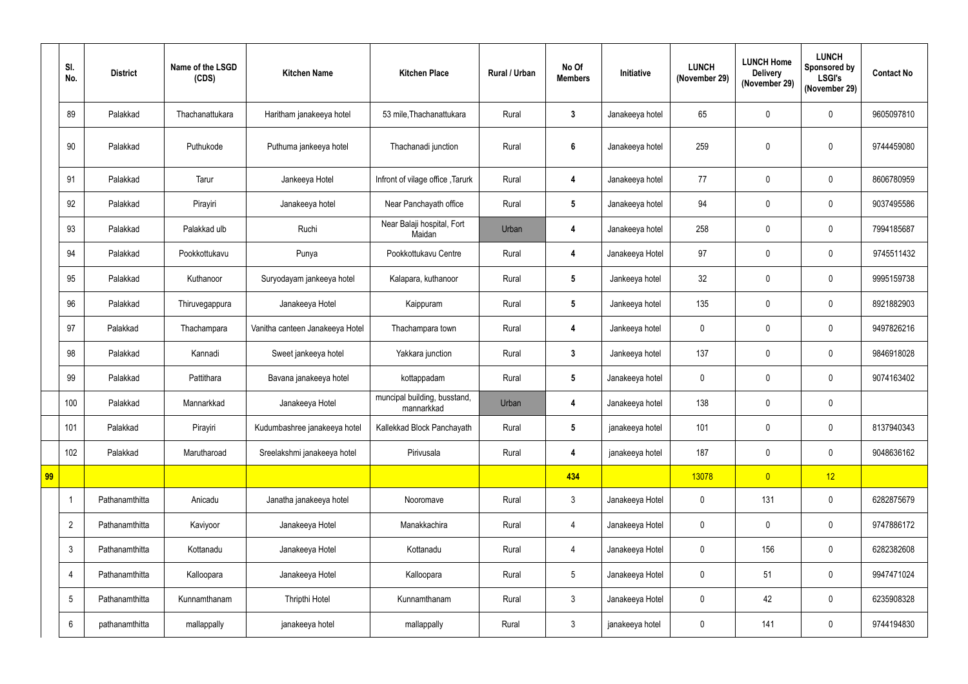|    | SI.<br>No.      | <b>District</b> | Name of the LSGD<br>(CDS) | <b>Kitchen Name</b>             | <b>Kitchen Place</b>                       | Rural / Urban | No Of<br><b>Members</b> | <b>Initiative</b> | <b>LUNCH</b><br>(November 29) | <b>LUNCH Home</b><br><b>Delivery</b><br>(November 29) | <b>LUNCH</b><br><b>Sponsored by</b><br><b>LSGI's</b><br>(November 29) | <b>Contact No</b> |
|----|-----------------|-----------------|---------------------------|---------------------------------|--------------------------------------------|---------------|-------------------------|-------------------|-------------------------------|-------------------------------------------------------|-----------------------------------------------------------------------|-------------------|
|    | 89              | Palakkad        | Thachanattukara           | Haritham janakeeya hotel        | 53 mile, Thachanattukara                   | Rural         | $3\phantom{a}$          | Janakeeya hotel   | 65                            | $\boldsymbol{0}$                                      | $\mathbf 0$                                                           | 9605097810        |
|    | 90              | Palakkad        | Puthukode                 | Puthuma jankeeya hotel          | Thachanadi junction                        | Rural         | $6\phantom{1}$          | Janakeeya hotel   | 259                           | $\mathbf 0$                                           | $\mathbf 0$                                                           | 9744459080        |
|    | 91              | Palakkad        | Tarur                     | Jankeeya Hotel                  | Infront of vilage office, Tarurk           | Rural         | 4                       | Janakeeya hotel   | 77                            | $\pmb{0}$                                             | $\mathbf 0$                                                           | 8606780959        |
|    | 92              | Palakkad        | Pirayiri                  | Janakeeya hotel                 | Near Panchayath office                     | Rural         | $5\phantom{.0}$         | Janakeeya hotel   | 94                            | $\boldsymbol{0}$                                      | $\mathbf 0$                                                           | 9037495586        |
|    | 93              | Palakkad        | Palakkad ulb              | Ruchi                           | Near Balaji hospital, Fort<br>Maidan       | Urban         | 4                       | Janakeeya hotel   | 258                           | $\boldsymbol{0}$                                      | $\mathbf 0$                                                           | 7994185687        |
|    | 94              | Palakkad        | Pookkottukavu             | Punya                           | Pookkottukavu Centre                       | Rural         | 4                       | Janakeeya Hotel   | 97                            | $\boldsymbol{0}$                                      | $\mathbf 0$                                                           | 9745511432        |
|    | 95              | Palakkad        | Kuthanoor                 | Suryodayam jankeeya hotel       | Kalapara, kuthanoor                        | Rural         | $5\phantom{.0}$         | Jankeeya hotel    | 32                            | $\mathbf 0$                                           | $\mathbf 0$                                                           | 9995159738        |
|    | 96              | Palakkad        | Thiruvegappura            | Janakeeya Hotel                 | Kaippuram                                  | Rural         | $5\overline{)}$         | Jankeeya hotel    | 135                           | $\boldsymbol{0}$                                      | $\mathbf 0$                                                           | 8921882903        |
|    | 97              | Palakkad        | Thachampara               | Vanitha canteen Janakeeya Hotel | Thachampara town                           | Rural         | 4                       | Jankeeya hotel    | $\mathbf 0$                   | $\pmb{0}$                                             | $\mathbf 0$                                                           | 9497826216        |
|    | 98              | Palakkad        | Kannadi                   | Sweet jankeeya hotel            | Yakkara junction                           | Rural         | $3\phantom{a}$          | Jankeeya hotel    | 137                           | $\pmb{0}$                                             | $\boldsymbol{0}$                                                      | 9846918028        |
|    | 99              | Palakkad        | Pattithara                | Bavana janakeeya hotel          | kottappadam                                | Rural         | $5\overline{)}$         | Janakeeya hotel   | $\mathbf 0$                   | $\pmb{0}$                                             | $\mathbf 0$                                                           | 9074163402        |
|    | 100             | Palakkad        | Mannarkkad                | Janakeeya Hotel                 | muncipal building, busstand,<br>mannarkkad | Urban         |                         | Janakeeya hotel   | 138                           | $\mathbf 0$                                           | $\mathbf 0$                                                           |                   |
|    | 101             | Palakkad        | Pirayiri                  | Kudumbashree janakeeya hotel    | Kallekkad Block Panchayath                 | Rural         | $5\phantom{.0}$         | janakeeya hotel   | 101                           | $\mathbf 0$                                           | $\pmb{0}$                                                             | 8137940343        |
|    | 102             | Palakkad        | Marutharoad               | Sreelakshmi janakeeya hotel     | Pirivusala                                 | Rural         | 4                       | janakeeya hotel   | 187                           | $\pmb{0}$                                             | $\mathbf 0$                                                           | 9048636162        |
| 99 |                 |                 |                           |                                 |                                            |               | 434                     |                   | 13078                         | $\overline{0}$                                        | 12                                                                    |                   |
|    |                 | Pathanamthitta  | Anicadu                   | Janatha janakeeya hotel         | Nooromave                                  | Rural         | $\mathbf{3}$            | Janakeeya Hotel   | $\mathbf 0$                   | 131                                                   | $\mathbf 0$                                                           | 6282875679        |
|    | $\overline{2}$  | Pathanamthitta  | Kaviyoor                  | Janakeeya Hotel                 | Manakkachira                               | Rural         | $\overline{4}$          | Janakeeya Hotel   | $\mathbf 0$                   | $\pmb{0}$                                             | $\mathbf 0$                                                           | 9747886172        |
|    | $\mathfrak{Z}$  | Pathanamthitta  | Kottanadu                 | Janakeeya Hotel                 | Kottanadu                                  | Rural         | $\overline{4}$          | Janakeeya Hotel   | $\mathbf 0$                   | 156                                                   | $\mathbf 0$                                                           | 6282382608        |
|    | 4               | Pathanamthitta  | Kalloopara                | Janakeeya Hotel                 | Kalloopara                                 | Rural         | 5 <sub>5</sub>          | Janakeeya Hotel   | $\mathbf 0$                   | 51                                                    | $\mathbf 0$                                                           | 9947471024        |
|    | $5\phantom{.0}$ | Pathanamthitta  | Kunnamthanam              | Thripthi Hotel                  | Kunnamthanam                               | Rural         | $3\overline{3}$         | Janakeeya Hotel   | $\pmb{0}$                     | 42                                                    | $\mathbf 0$                                                           | 6235908328        |
|    | $6\phantom{.0}$ | pathanamthitta  | mallappally               | janakeeya hotel                 | mallappally                                | Rural         | $\mathbf{3}$            | janakeeya hotel   | $\pmb{0}$                     | 141                                                   | $\boldsymbol{0}$                                                      | 9744194830        |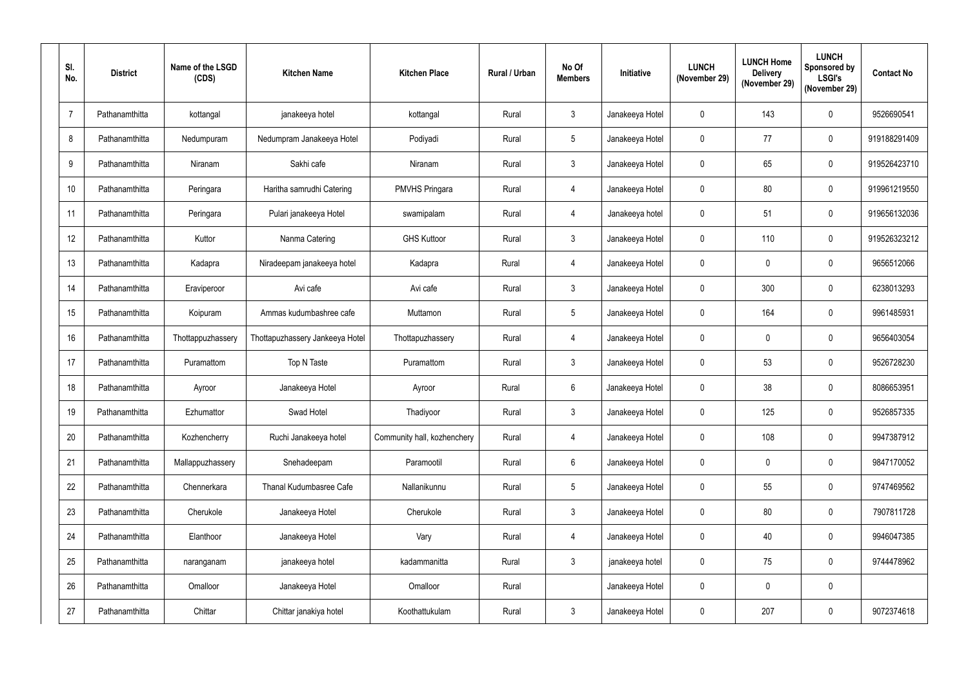| SI.<br>No.      | <b>District</b> | Name of the LSGD<br>(CDS) | <b>Kitchen Name</b>             | <b>Kitchen Place</b>        | Rural / Urban | No Of<br><b>Members</b> | Initiative      | <b>LUNCH</b><br>(November 29) | <b>LUNCH Home</b><br><b>Delivery</b><br>(November 29) | <b>LUNCH</b><br>Sponsored by<br><b>LSGI's</b><br>(November 29) | <b>Contact No</b> |
|-----------------|-----------------|---------------------------|---------------------------------|-----------------------------|---------------|-------------------------|-----------------|-------------------------------|-------------------------------------------------------|----------------------------------------------------------------|-------------------|
| $\overline{7}$  | Pathanamthitta  | kottangal                 | janakeeya hotel                 | kottangal                   | Rural         | $\mathfrak{Z}$          | Janakeeya Hotel | $\mathbf 0$                   | 143                                                   | $\mathbf 0$                                                    | 9526690541        |
| 8               | Pathanamthitta  | Nedumpuram                | Nedumpram Janakeeya Hotel       | Podiyadi                    | Rural         | $5\phantom{.0}$         | Janakeeya Hotel | $\boldsymbol{0}$              | 77                                                    | $\mathbf 0$                                                    | 919188291409      |
| $9\phantom{.0}$ | Pathanamthitta  | Niranam                   | Sakhi cafe                      | Niranam                     | Rural         | $\mathfrak{Z}$          | Janakeeya Hotel | $\mathbf 0$                   | 65                                                    | $\mathbf 0$                                                    | 919526423710      |
| 10              | Pathanamthitta  | Peringara                 | Haritha samrudhi Catering       | <b>PMVHS Pringara</b>       | Rural         | 4                       | Janakeeya Hotel | $\boldsymbol{0}$              | 80                                                    | $\mathbf 0$                                                    | 919961219550      |
| 11              | Pathanamthitta  | Peringara                 | Pulari janakeeya Hotel          | swamipalam                  | Rural         | 4                       | Janakeeya hotel | $\mathbf 0$                   | 51                                                    | $\mathbf 0$                                                    | 919656132036      |
| 12              | Pathanamthitta  | Kuttor                    | Nanma Catering                  | <b>GHS Kuttoor</b>          | Rural         | $\mathbf{3}$            | Janakeeya Hotel | $\mathbf 0$                   | 110                                                   | $\mathbf 0$                                                    | 919526323212      |
| 13              | Pathanamthitta  | Kadapra                   | Niradeepam janakeeya hotel      | Kadapra                     | Rural         | 4                       | Janakeeya Hotel | $\boldsymbol{0}$              | $\mathbf{0}$                                          | $\mathbf 0$                                                    | 9656512066        |
| 14              | Pathanamthitta  | Eraviperoor               | Avi cafe                        | Avi cafe                    | Rural         | $\mathbf{3}$            | Janakeeya Hotel | $\mathbf 0$                   | 300                                                   | $\mathbf 0$                                                    | 6238013293        |
| 15              | Pathanamthitta  | Koipuram                  | Ammas kudumbashree cafe         | Muttamon                    | Rural         | $5\phantom{.0}$         | Janakeeya Hotel | $\boldsymbol{0}$              | 164                                                   | $\mathbf 0$                                                    | 9961485931        |
| 16              | Pathanamthitta  | Thottappuzhassery         | Thottapuzhassery Jankeeya Hotel | Thottapuzhassery            | Rural         | 4                       | Janakeeya Hotel | $\mathbf 0$                   | $\mathbf 0$                                           | $\mathbf 0$                                                    | 9656403054        |
| 17              | Pathanamthitta  | Puramattom                | Top N Taste                     | Puramattom                  | Rural         | $\mathfrak{Z}$          | Janakeeya Hotel | $\mathbf 0$                   | 53                                                    | $\mathbf 0$                                                    | 9526728230        |
| 18              | Pathanamthitta  | Ayroor                    | Janakeeya Hotel                 | Ayroor                      | Rural         | 6                       | Janakeeya Hotel | $\mathbf 0$                   | 38                                                    | $\mathbf 0$                                                    | 8086653951        |
| 19              | Pathanamthitta  | Ezhumattor                | Swad Hotel                      | Thadiyoor                   | Rural         | $\mathbf{3}$            | Janakeeya Hotel | $\overline{0}$                | 125                                                   | $\mathbf 0$                                                    | 9526857335        |
| 20              | Pathanamthitta  | Kozhencherry              | Ruchi Janakeeya hotel           | Community hall, kozhenchery | Rural         | 4                       | Janakeeya Hotel | $\overline{0}$                | 108                                                   | $\pmb{0}$                                                      | 9947387912        |
| 21              | Pathanamthitta  | Mallappuzhassery          | Snehadeepam                     | Paramootil                  | Rural         | $6\phantom{.0}$         | Janakeeya Hotel | $\pmb{0}$                     | $\pmb{0}$                                             | $\pmb{0}$                                                      | 9847170052        |
| 22              | Pathanamthitta  | Chennerkara               | Thanal Kudumbasree Cafe         | Nallanikunnu                | Rural         | $5\phantom{.0}$         | Janakeeya Hotel | $\overline{0}$                | 55                                                    | $\mathbf 0$                                                    | 9747469562        |
| 23              | Pathanamthitta  | Cherukole                 | Janakeeya Hotel                 | Cherukole                   | Rural         | $\mathbf{3}$            | Janakeeya Hotel | $\overline{0}$                | 80                                                    | $\mathbf 0$                                                    | 7907811728        |
| 24              | Pathanamthitta  | Elanthoor                 | Janakeeya Hotel                 | Vary                        | Rural         | 4                       | Janakeeya Hotel | $\overline{0}$                | 40                                                    | $\mathbf 0$                                                    | 9946047385        |
| 25              | Pathanamthitta  | naranganam                | janakeeya hotel                 | kadammanitta                | Rural         | $\mathfrak{Z}$          | janakeeya hotel | $\pmb{0}$                     | 75                                                    | $\mathbf 0$                                                    | 9744478962        |
| 26              | Pathanamthitta  | Omalloor                  | Janakeeya Hotel                 | Omalloor                    | Rural         |                         | Janakeeya Hotel | $\mathbf 0$                   | $\mathbf 0$                                           | $\pmb{0}$                                                      |                   |
| 27              | Pathanamthitta  | Chittar                   | Chittar janakiya hotel          | Koothattukulam              | Rural         | $\mathbf{3}$            | Janakeeya Hotel | $\pmb{0}$                     | 207                                                   | $\boldsymbol{0}$                                               | 9072374618        |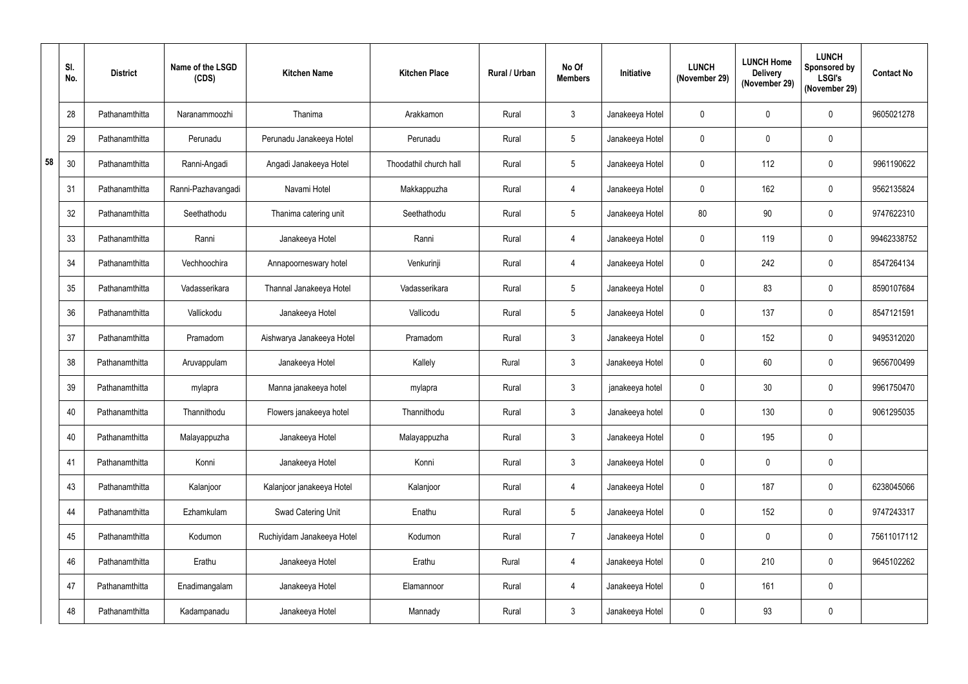|    | SI.<br>No. | <b>District</b> | Name of the LSGD<br>(CDS) | <b>Kitchen Name</b>        | <b>Kitchen Place</b>   | <b>Rural / Urban</b> | No Of<br><b>Members</b> | Initiative      | <b>LUNCH</b><br>(November 29) | <b>LUNCH Home</b><br><b>Delivery</b><br>(November 29) | <b>LUNCH</b><br><b>Sponsored by</b><br><b>LSGI's</b><br>(November 29) | <b>Contact No</b> |
|----|------------|-----------------|---------------------------|----------------------------|------------------------|----------------------|-------------------------|-----------------|-------------------------------|-------------------------------------------------------|-----------------------------------------------------------------------|-------------------|
|    | 28         | Pathanamthitta  | Naranammoozhi             | Thanima                    | Arakkamon              | Rural                | $\mathbf{3}$            | Janakeeya Hotel | $\mathbf 0$                   | $\mathbf 0$                                           | $\mathbf{0}$                                                          | 9605021278        |
|    | 29         | Pathanamthitta  | Perunadu                  | Perunadu Janakeeya Hotel   | Perunadu               | Rural                | $5\overline{)}$         | Janakeeya Hotel | $\mathbf 0$                   | $\mathbf 0$                                           | $\mathbf 0$                                                           |                   |
| 58 | 30         | Pathanamthitta  | Ranni-Angadi              | Angadi Janakeeya Hotel     | Thoodathil church hall | Rural                | 5                       | Janakeeya Hotel | $\mathbf 0$                   | 112                                                   | $\mathbf 0$                                                           | 9961190622        |
|    | 31         | Pathanamthitta  | Ranni-Pazhavangadi        | Navami Hotel               | Makkappuzha            | Rural                | 4                       | Janakeeya Hotel | $\mathbf 0$                   | 162                                                   | $\mathbf 0$                                                           | 9562135824        |
|    | 32         | Pathanamthitta  | Seethathodu               | Thanima catering unit      | Seethathodu            | Rural                | $5\overline{)}$         | Janakeeya Hotel | 80                            | 90                                                    | $\mathbf 0$                                                           | 9747622310        |
|    | 33         | Pathanamthitta  | Ranni                     | Janakeeya Hotel            | Ranni                  | Rural                | 4                       | Janakeeya Hotel | $\mathbf 0$                   | 119                                                   | $\mathbf 0$                                                           | 99462338752       |
|    | 34         | Pathanamthitta  | Vechhoochira              | Annapoorneswary hotel      | Venkurinji             | Rural                | 4                       | Janakeeya Hotel | $\mathbf 0$                   | 242                                                   | $\mathbf 0$                                                           | 8547264134        |
|    | 35         | Pathanamthitta  | Vadasserikara             | Thannal Janakeeya Hotel    | Vadasserikara          | Rural                | 5                       | Janakeeya Hotel | $\mathbf 0$                   | 83                                                    | $\mathbf 0$                                                           | 8590107684        |
|    | 36         | Pathanamthitta  | Vallickodu                | Janakeeya Hotel            | Vallicodu              | Rural                | $5\phantom{.0}$         | Janakeeya Hotel | $\mathbf 0$                   | 137                                                   | $\mathbf 0$                                                           | 8547121591        |
|    | 37         | Pathanamthitta  | Pramadom                  | Aishwarya Janakeeya Hotel  | Pramadom               | Rural                | 3 <sup>1</sup>          | Janakeeya Hotel | $\mathbf 0$                   | 152                                                   | $\mathbf 0$                                                           | 9495312020        |
|    | 38         | Pathanamthitta  | Aruvappulam               | Janakeeya Hotel            | Kallely                | Rural                | $\mathbf{3}$            | Janakeeya Hotel | $\mathbf 0$                   | 60                                                    | $\mathbf 0$                                                           | 9656700499        |
|    | 39         | Pathanamthitta  | mylapra                   | Manna janakeeya hotel      | mylapra                | Rural                | 3                       | janakeeya hotel | $\mathbf 0$                   | 30                                                    | $\mathbf 0$                                                           | 9961750470        |
|    | 40         | Pathanamthitta  | Thannithodu               | Flowers janakeeya hotel    | Thannithodu            | Rural                | 3                       | Janakeeya hotel | $\mathbf 0$                   | 130                                                   | $\mathbf 0$                                                           | 9061295035        |
|    | 40         | Pathanamthitta  | Malayappuzha              | Janakeeya Hotel            | Malayappuzha           | Rural                | 3 <sup>1</sup>          | Janakeeya Hotel | $\mathbf 0$                   | 195                                                   | $\pmb{0}$                                                             |                   |
|    | 41         | Pathanamthitta  | Konni                     | Janakeeya Hotel            | Konni                  | Rural                | 3 <sup>1</sup>          | Janakeeya Hotel | $\mathbf 0$                   | $\mathbf 0$                                           | $\pmb{0}$                                                             |                   |
|    | 43         | Pathanamthitta  | Kalanjoor                 | Kalanjoor janakeeya Hotel  | Kalanjoor              | Rural                | 4                       | Janakeeya Hotel | $\mathbf 0$                   | 187                                                   | $\mathbf 0$                                                           | 6238045066        |
|    | 44         | Pathanamthitta  | Ezhamkulam                | Swad Catering Unit         | Enathu                 | Rural                | 5 <sub>5</sub>          | Janakeeya Hotel | $\mathbf 0$                   | 152                                                   | $\mathbf 0$                                                           | 9747243317        |
|    | 45         | Pathanamthitta  | Kodumon                   | Ruchiyidam Janakeeya Hotel | Kodumon                | Rural                | $\overline{7}$          | Janakeeya Hotel | $\mathbf 0$                   | $\mathbf 0$                                           | $\mathbf 0$                                                           | 75611017112       |
|    | 46         | Pathanamthitta  | Erathu                    | Janakeeya Hotel            | Erathu                 | Rural                | $\overline{4}$          | Janakeeya Hotel | $\mathbf 0$                   | 210                                                   | $\mathbf 0$                                                           | 9645102262        |
|    | 47         | Pathanamthitta  | Enadimangalam             | Janakeeya Hotel            | Elamannoor             | Rural                | $\overline{4}$          | Janakeeya Hotel | $\mathbf 0$                   | 161                                                   | $\pmb{0}$                                                             |                   |
|    | 48         | Pathanamthitta  | Kadampanadu               | Janakeeya Hotel            | Mannady                | Rural                | 3 <sup>7</sup>          | Janakeeya Hotel | $\overline{0}$                | 93                                                    | $\pmb{0}$                                                             |                   |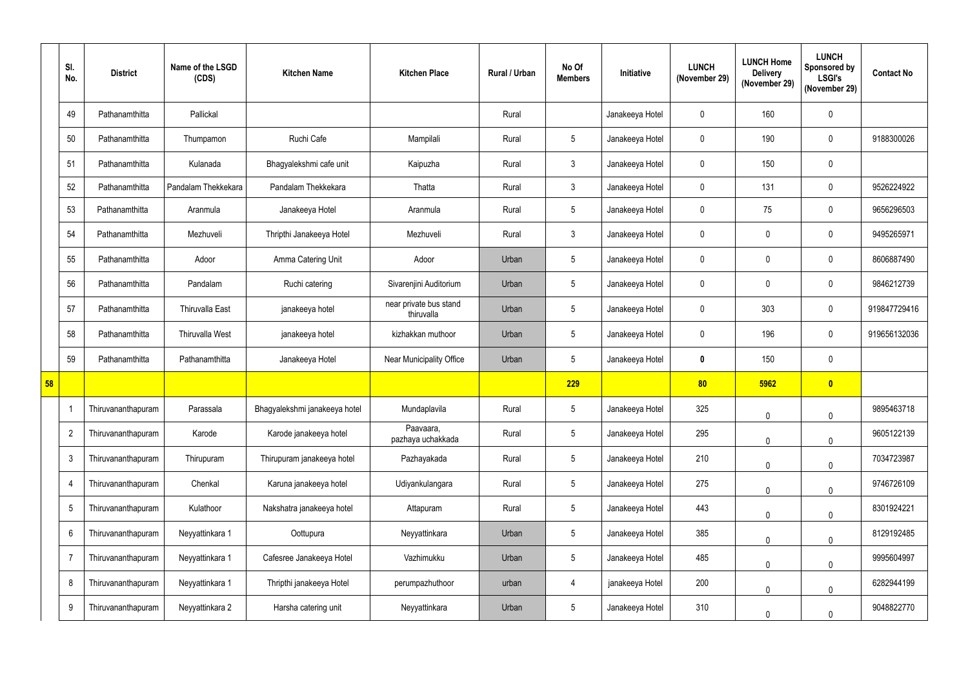|    | SI.<br>No.      | <b>District</b>    | Name of the LSGD<br>(CDS) | <b>Kitchen Name</b>           | <b>Kitchen Place</b>                 | Rural / Urban | No Of<br><b>Members</b> | <b>Initiative</b> | <b>LUNCH</b><br>(November 29) | <b>LUNCH Home</b><br><b>Delivery</b><br>(November 29) | <b>LUNCH</b><br><b>Sponsored by</b><br><b>LSGI's</b><br>(November 29) | <b>Contact No</b> |
|----|-----------------|--------------------|---------------------------|-------------------------------|--------------------------------------|---------------|-------------------------|-------------------|-------------------------------|-------------------------------------------------------|-----------------------------------------------------------------------|-------------------|
|    | 49              | Pathanamthitta     | Pallickal                 |                               |                                      | Rural         |                         | Janakeeya Hotel   | $\mathbf 0$                   | 160                                                   | $\mathbf 0$                                                           |                   |
|    | 50              | Pathanamthitta     | Thumpamon                 | Ruchi Cafe                    | Mampilali                            | Rural         | $5\phantom{.0}$         | Janakeeya Hotel   | $\mathbf 0$                   | 190                                                   | $\mathbf 0$                                                           | 9188300026        |
|    | 51              | Pathanamthitta     | Kulanada                  | Bhagyalekshmi cafe unit       | Kaipuzha                             | Rural         | 3 <sup>1</sup>          | Janakeeya Hotel   | $\mathbf 0$                   | 150                                                   | $\mathbf 0$                                                           |                   |
|    | 52              | Pathanamthitta     | Pandalam Thekkekara       | Pandalam Thekkekara           | Thatta                               | Rural         | 3 <sup>1</sup>          | Janakeeya Hotel   | $\mathbf 0$                   | 131                                                   | $\mathbf 0$                                                           | 9526224922        |
|    | 53              | Pathanamthitta     | Aranmula                  | Janakeeya Hotel               | Aranmula                             | Rural         | 5 <sub>5</sub>          | Janakeeya Hotel   | $\mathbf 0$                   | 75                                                    | $\mathbf 0$                                                           | 9656296503        |
|    | 54              | Pathanamthitta     | Mezhuveli                 | Thripthi Janakeeya Hotel      | Mezhuveli                            | Rural         | 3 <sup>1</sup>          | Janakeeya Hotel   | $\boldsymbol{0}$              | $\boldsymbol{0}$                                      | $\mathbf 0$                                                           | 9495265971        |
|    | 55              | Pathanamthitta     | Adoor                     | Amma Catering Unit            | Adoor                                | Urban         | 5 <sub>5</sub>          | Janakeeya Hotel   | $\mathbf 0$                   | $\mathbf 0$                                           | $\mathbf 0$                                                           | 8606887490        |
|    | 56              | Pathanamthitta     | Pandalam                  | Ruchi catering                | Sivarenjini Auditorium               | Urban         | 5 <sub>5</sub>          | Janakeeya Hotel   | $\boldsymbol{0}$              | $\boldsymbol{0}$                                      | $\mathbf 0$                                                           | 9846212739        |
|    | 57              | Pathanamthitta     | <b>Thiruvalla East</b>    | janakeeya hotel               | near private bus stand<br>thiruvalla | Urban         | 5 <sup>5</sup>          | Janakeeya Hotel   | $\mathbf 0$                   | 303                                                   | $\mathbf 0$                                                           | 919847729416      |
|    | 58              | Pathanamthitta     | Thiruvalla West           | janakeeya hotel               | kizhakkan muthoor                    | Urban         | 5 <sub>5</sub>          | Janakeeya Hotel   | $\mathbf 0$                   | 196                                                   | $\mathbf 0$                                                           | 919656132036      |
|    | 59              | Pathanamthitta     | Pathanamthitta            | Janakeeya Hotel               | Near Municipality Office             | Urban         | 5 <sup>5</sup>          | Janakeeya Hotel   | 0                             | 150                                                   | $\mathbf 0$                                                           |                   |
| 58 |                 |                    |                           |                               |                                      |               | 229                     |                   | 80                            | 5962                                                  | $\bullet$                                                             |                   |
|    |                 | Thiruvananthapuram | Parassala                 | Bhagyalekshmi janakeeya hotel | Mundaplavila                         | Rural         | 5 <sup>5</sup>          | Janakeeya Hotel   | 325                           | $\mathbf 0$                                           | $\mathbf 0$                                                           | 9895463718        |
|    | $\overline{2}$  | Thiruvananthapuram | Karode                    | Karode janakeeya hotel        | Paavaara,<br>pazhaya uchakkada       | Rural         | $5\phantom{.0}$         | Janakeeya Hotel   | 295                           | $\mathbf 0$                                           | $\mathbf 0$                                                           | 9605122139        |
|    | 3               | Thiruvananthapuram | Thirupuram                | Thirupuram janakeeya hotel    | Pazhayakada                          | Rural         | 5 <sub>5</sub>          | Janakeeya Hotel   | 210                           | $\mathbf 0$                                           | $\mathbf 0$                                                           | 7034723987        |
|    | 4               | Thiruvananthapuram | Chenkal                   | Karuna janakeeya hotel        | Udiyankulangara                      | Rural         | $5\phantom{.0}$         | Janakeeya Hotel   | 275                           | $\mathbf 0$                                           | $\mathbf 0$                                                           | 9746726109        |
|    | $5\phantom{.0}$ | Thiruvananthapuram | Kulathoor                 | Nakshatra janakeeya hotel     | Attapuram                            | Rural         | 5 <sub>5</sub>          | Janakeeya Hotel   | 443                           | $\mathbf 0$                                           | $\mathbf 0$                                                           | 8301924221        |
|    | 6               | Thiruvananthapuram | Neyyattinkara 1           | Oottupura                     | Neyyattinkara                        | Urban         | $5\phantom{.0}$         | Janakeeya Hotel   | 385                           | $\pmb{0}$                                             | $\mathbf 0$                                                           | 8129192485        |
|    | $\overline{7}$  | Thiruvananthapuram | Neyyattinkara 1           | Cafesree Janakeeya Hotel      | Vazhimukku                           | Urban         | 5 <sub>5</sub>          | Janakeeya Hotel   | 485                           | $\mathbf 0$                                           | $\mathbf 0$                                                           | 9995604997        |
|    | 8               | Thiruvananthapuram | Neyyattinkara 1           | Thripthi janakeeya Hotel      | perumpazhuthoor                      | urban         | 4                       | janakeeya Hotel   | 200                           | $\mathbf 0$                                           | $\mathbf 0$                                                           | 6282944199        |
|    | 9               | Thiruvananthapuram | Neyyattinkara 2           | Harsha catering unit          | Neyyattinkara                        | Urban         | 5 <sub>5</sub>          | Janakeeya Hotel   | 310                           | $\pmb{0}$                                             | $\pmb{0}$                                                             | 9048822770        |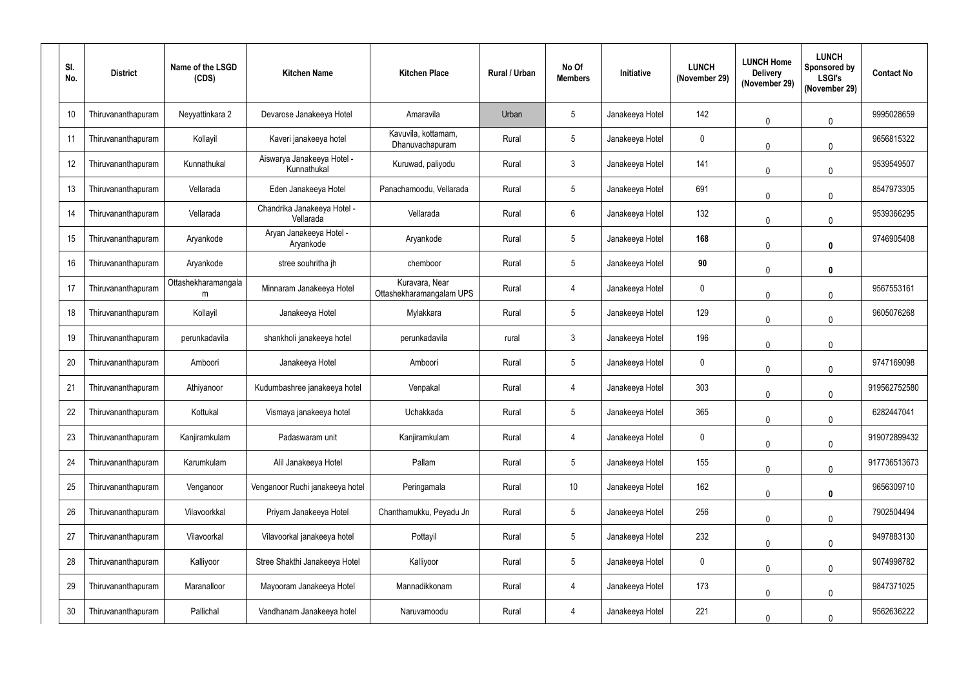| SI.<br>No. | <b>District</b>    | Name of the LSGD<br>(CDS) | <b>Kitchen Name</b>                       | <b>Kitchen Place</b>                       | Rural / Urban | No Of<br><b>Members</b> | Initiative      | <b>LUNCH</b><br>(November 29) | <b>LUNCH Home</b><br><b>Delivery</b><br>(November 29) | <b>LUNCH</b><br>Sponsored by<br><b>LSGI's</b><br>(November 29) | <b>Contact No</b> |
|------------|--------------------|---------------------------|-------------------------------------------|--------------------------------------------|---------------|-------------------------|-----------------|-------------------------------|-------------------------------------------------------|----------------------------------------------------------------|-------------------|
| 10         | Thiruvananthapuram | Neyyattinkara 2           | Devarose Janakeeya Hotel                  | Amaravila                                  | Urban         | $5\overline{)}$         | Janakeeya Hotel | 142                           | $\mathbf 0$                                           | $\mathbf 0$                                                    | 9995028659        |
| 11         | Thiruvananthapuram | Kollayil                  | Kaveri janakeeya hotel                    | Kavuvila, kottamam,<br>Dhanuvachapuram     | Rural         | 5                       | Janakeeya Hotel | $\mathbf 0$                   | $\mathbf{0}$                                          | $\Omega$                                                       | 9656815322        |
| 12         | Thiruvananthapuram | Kunnathukal               | Aiswarya Janakeeya Hotel -<br>Kunnathukal | Kuruwad, paliyodu                          | Rural         | $\mathfrak{Z}$          | Janakeeya Hotel | 141                           | $\mathbf{0}$                                          | $\mathbf{0}$                                                   | 9539549507        |
| 13         | Thiruvananthapuram | Vellarada                 | Eden Janakeeya Hotel                      | Panachamoodu, Vellarada                    | Rural         | 5                       | Janakeeya Hotel | 691                           | $\mathbf{0}$                                          | $\Omega$                                                       | 8547973305        |
| 14         | Thiruvananthapuram | Vellarada                 | Chandrika Janakeeya Hotel -<br>Vellarada  | Vellarada                                  | Rural         | 6                       | Janakeeya Hotel | 132                           | $\mathbf{0}$                                          | $\mathbf 0$                                                    | 9539366295        |
| 15         | Thiruvananthapuram | Aryankode                 | Aryan Janakeeya Hotel -<br>Aryankode      | Aryankode                                  | Rural         | $5\overline{)}$         | Janakeeya Hotel | 168                           | $\mathbf 0$                                           | $\mathbf{0}$                                                   | 9746905408        |
| 16         | Thiruvananthapuram | Aryankode                 | stree souhritha jh                        | chemboor                                   | Rural         | 5                       | Janakeeya Hotel | 90                            | $\mathbf{0}$                                          | $\mathbf{0}$                                                   |                   |
| 17         | Thiruvananthapuram | Ottashekharamangala<br>m  | Minnaram Janakeeya Hotel                  | Kuravara, Near<br>Ottashekharamangalam UPS | Rural         | 4                       | Janakeeya Hotel | $\mathbf 0$                   | $\mathbf 0$                                           | $\Omega$                                                       | 9567553161        |
| 18         | Thiruvananthapuram | Kollayil                  | Janakeeya Hotel                           | Mylakkara                                  | Rural         | 5                       | Janakeeya Hotel | 129                           | $\mathbf 0$                                           | $\theta$                                                       | 9605076268        |
| 19         | Thiruvananthapuram | perunkadavila             | shankholi janakeeya hotel                 | perunkadavila                              | rural         | 3                       | Janakeeya Hotel | 196                           | $\mathbf{0}$                                          | $\mathbf{0}$                                                   |                   |
| 20         | Thiruvananthapuram | Amboori                   | Janakeeya Hotel                           | Amboori                                    | Rural         | 5                       | Janakeeya Hotel | $\mathbf 0$                   | $\mathbf 0$                                           | $\mathbf 0$                                                    | 9747169098        |
| 21         | Thiruvananthapuram | Athiyanoor                | Kudumbashree janakeeya hotel              | Venpakal                                   | Rural         | 4                       | Janakeeya Hotel | 303                           | 0                                                     | $\mathbf 0$                                                    | 919562752580      |
| 22         | Thiruvananthapuram | Kottukal                  | Vismaya janakeeya hotel                   | Uchakkada                                  | Rural         | 5                       | Janakeeya Hotel | 365                           | $\mathbf 0$                                           | $\mathbf 0$                                                    | 6282447041        |
| 23         | Thiruvananthapuram | Kanjiramkulam             | Padaswaram unit                           | Kanjiramkulam                              | Rural         | 4                       | Janakeeya Hotel | $\mathbf 0$                   | $\mathbf 0$                                           | $\mathbf 0$                                                    | 919072899432      |
| 24         | Thiruvananthapuram | Karumkulam                | Alil Janakeeya Hotel                      | Pallam                                     | Rural         | 5                       | Janakeeya Hotel | 155                           | $\mathbf 0$                                           | $\mathbf 0$                                                    | 917736513673      |
| 25         | Thiruvananthapuram | Venganoor                 | Venganoor Ruchi janakeeya hotel           | Peringamala                                | Rural         | 10                      | Janakeeya Hotel | 162                           | $\mathbf 0$                                           | $\mathbf 0$                                                    | 9656309710        |
| 26         | Thiruvananthapuram | Vilavoorkkal              | Priyam Janakeeya Hotel                    | Chanthamukku, Peyadu Jn                    | Rural         | 5                       | Janakeeya Hotel | 256                           | $\mathbf 0$                                           | $\mathbf 0$                                                    | 7902504494        |
| 27         | Thiruvananthapuram | Vilavoorkal               | Vilavoorkal janakeeya hotel               | Pottayil                                   | Rural         | $5\phantom{.0}$         | Janakeeya Hotel | 232                           | $\mathbf 0$                                           | $\mathbf 0$                                                    | 9497883130        |
| 28         | Thiruvananthapuram | Kalliyoor                 | Stree Shakthi Janakeeya Hotel             | Kalliyoor                                  | Rural         | 5                       | Janakeeya Hotel | $\bf{0}$                      | $\mathbf 0$                                           | $\mathbf{0}$                                                   | 9074998782        |
| 29         | Thiruvananthapuram | Maranalloor               | Mayooram Janakeeya Hotel                  | Mannadikkonam                              | Rural         | 4                       | Janakeeya Hotel | 173                           | $\mathbf 0$                                           | $\pmb{0}$                                                      | 9847371025        |
| 30         | Thiruvananthapuram | Pallichal                 | Vandhanam Janakeeya hotel                 | Naruvamoodu                                | Rural         | 4                       | Janakeeya Hotel | 221                           | 0                                                     | $\mathbf 0$                                                    | 9562636222        |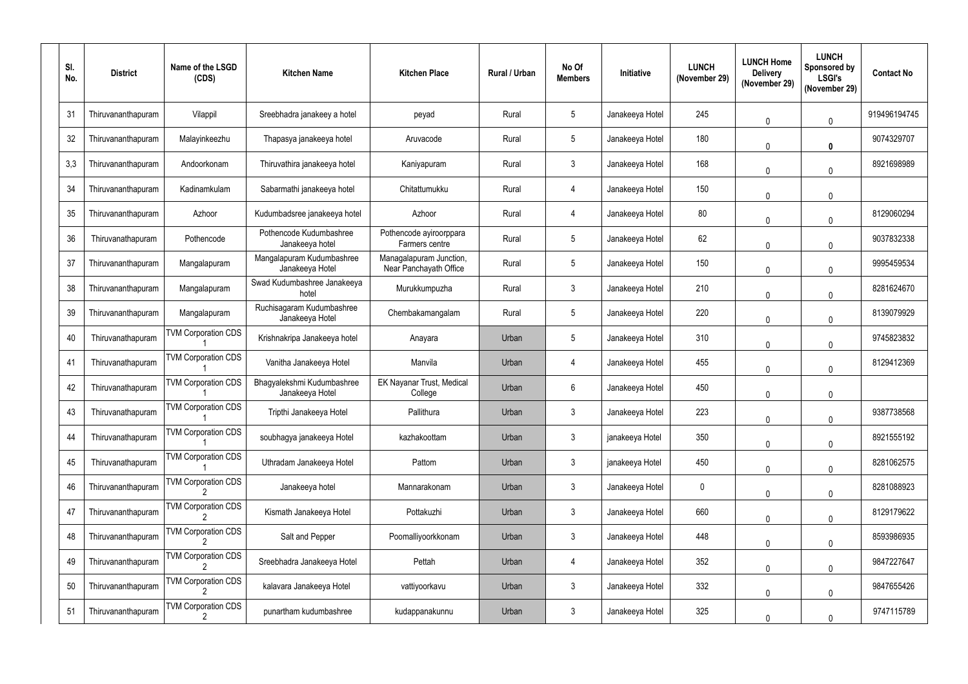| SI.<br>No. | <b>District</b>    | Name of the LSGD<br>(CDS)  | <b>Kitchen Name</b>                           | <b>Kitchen Place</b>                              | <b>Rural / Urban</b> | No Of<br><b>Members</b> | Initiative      | <b>LUNCH</b><br>(November 29) | <b>LUNCH Home</b><br><b>Delivery</b><br>(November 29) | <b>LUNCH</b><br>Sponsored by<br><b>LSGI's</b><br>(November 29) | <b>Contact No</b> |
|------------|--------------------|----------------------------|-----------------------------------------------|---------------------------------------------------|----------------------|-------------------------|-----------------|-------------------------------|-------------------------------------------------------|----------------------------------------------------------------|-------------------|
| 31         | Thiruvananthapuram | Vilappil                   | Sreebhadra janakeey a hotel                   | peyad                                             | Rural                | 5                       | Janakeeya Hotel | 245                           | $\mathbf 0$                                           | $\mathbf 0$                                                    | 919496194745      |
| 32         | Thiruvananthapuram | Malayinkeezhu              | Thapasya janakeeya hotel                      | Aruvacode                                         | Rural                | 5                       | Janakeeya Hotel | 180                           | 0                                                     | $\mathbf{0}$                                                   | 9074329707        |
| 3,3        | Thiruvananthapuram | Andoorkonam                | Thiruvathira janakeeya hotel                  | Kaniyapuram                                       | Rural                | 3                       | Janakeeya Hotel | 168                           | $\mathbf 0$                                           | $\mathbf{0}$                                                   | 8921698989        |
| 34         | Thiruvananthapuram | Kadinamkulam               | Sabarmathi janakeeya hotel                    | Chitattumukku                                     | Rural                | 4                       | Janakeeya Hotel | 150                           | $\mathbf 0$                                           | $\mathbf{0}$                                                   |                   |
| 35         | Thiruvananthapuram | Azhoor                     | Kudumbadsree janakeeya hotel                  | Azhoor                                            | Rural                | 4                       | Janakeeya Hotel | 80                            | $\mathbf{0}$                                          | $\mathbf 0$                                                    | 8129060294        |
| 36         | Thiruvanathapuram  | Pothencode                 | Pothencode Kudumbashree<br>Janakeeya hotel    | Pothencode ayiroorppara<br>Farmers centre         | Rural                | 5                       | Janakeeya Hotel | 62                            | $\mathbf 0$                                           | $\mathbf 0$                                                    | 9037832338        |
| 37         | Thiruvananthapuram | Mangalapuram               | Mangalapuram Kudumbashree<br>Janakeeya Hotel  | Managalapuram Junction,<br>Near Panchayath Office | Rural                | 5                       | Janakeeya Hotel | 150                           | $\theta$                                              | $\Omega$                                                       | 9995459534        |
| 38         | Thiruvananthapuram | Mangalapuram               | Swad Kudumbashree Janakeeya<br>hotel          | Murukkumpuzha                                     | Rural                | $\mathfrak{Z}$          | Janakeeya Hotel | 210                           | $\mathbf 0$                                           | $\mathbf 0$                                                    | 8281624670        |
| 39         | Thiruvananthapuram | Mangalapuram               | Ruchisagaram Kudumbashree<br>Janakeeya Hotel  | Chembakamangalam                                  | Rural                | 5                       | Janakeeya Hotel | 220                           | $\mathbf 0$                                           | $\theta$                                                       | 8139079929        |
| 40         | Thiruvanathapuram  | <b>TVM Corporation CDS</b> | Krishnakripa Janakeeya hotel                  | Anayara                                           | Urban                | 5                       | Janakeeya Hotel | 310                           | $\mathbf{0}$                                          | $\mathbf{0}$                                                   | 9745823832        |
| 41         | Thiruvanathapuram  | <b>TVM Corporation CDS</b> | Vanitha Janakeeya Hotel                       | Manvila                                           | Urban                | 4                       | Janakeeya Hotel | 455                           | $\mathbf 0$                                           | $\mathbf 0$                                                    | 8129412369        |
| 42         | Thiruvanathapuram  | <b>TVM Corporation CDS</b> | Bhagyalekshmi Kudumbashree<br>Janakeeya Hotel | EK Nayanar Trust, Medical<br>College              | Urban                | 6                       | Janakeeya Hotel | 450                           | 0                                                     | $\mathbf 0$                                                    |                   |
| 43         | Thiruvanathapuram  | <b>TVM Corporation CDS</b> | Tripthi Janakeeya Hotel                       | Pallithura                                        | Urban                | 3                       | Janakeeya Hotel | 223                           | 0                                                     | $\mathbf 0$                                                    | 9387738568        |
| 44         | Thiruvanathapuram  | <b>TVM Corporation CDS</b> | soubhagya janakeeya Hotel                     | kazhakoottam                                      | Urban                | $\mathfrak{Z}$          | janakeeya Hotel | 350                           | $\mathbf 0$                                           | $\mathbf 0$                                                    | 8921555192        |
| 45         | Thiruvanathapuram  | <b>TVM Corporation CDS</b> | Uthradam Janakeeya Hotel                      | Pattom                                            | Urban                | $\mathbf{3}$            | janakeeya Hotel | 450                           | $\mathbf 0$                                           | $\mathbf 0$                                                    | 8281062575        |
| 46         | Thiruvananthapuram | <b>TVM Corporation CDS</b> | Janakeeya hotel                               | Mannarakonam                                      | Urban                | $\mathfrak{Z}$          | Janakeeya Hotel | $\bf{0}$                      | $\mathbf 0$                                           | $\pmb{0}$                                                      | 8281088923        |
| 47         | Thiruvananthapuram | <b>TVM Corporation CDS</b> | Kismath Janakeeya Hotel                       | Pottakuzhi                                        | Urban                | $\mathfrak{Z}$          | Janakeeya Hotel | 660                           | $\mathbf 0$                                           | $\mathbf 0$                                                    | 8129179622        |
| 48         | Thiruvananthapuram | <b>TVM Corporation CDS</b> | Salt and Pepper                               | Poomalliyoorkkonam                                | Urban                | $\mathfrak{Z}$          | Janakeeya Hotel | 448                           | $\mathbf 0$                                           | $\mathbf 0$                                                    | 8593986935        |
| 49         | Thiruvananthapuram | <b>TVM Corporation CDS</b> | Sreebhadra Janakeeya Hotel                    | Pettah                                            | Urban                | 4                       | Janakeeya Hotel | 352                           | $\mathbf 0$                                           | $\mathbf 0$                                                    | 9847227647        |
| 50         | Thiruvananthapuram | <b>TVM Corporation CDS</b> | kalavara Janakeeya Hotel                      | vattiyoorkavu                                     | Urban                | $\mathfrak{Z}$          | Janakeeya Hotel | 332                           | $\mathbf 0$                                           | $\mathbf 0$                                                    | 9847655426        |
| 51         | Thiruvananthapuram | <b>TVM Corporation CDS</b> | punartham kudumbashree                        | kudappanakunnu                                    | Urban                | $\mathfrak{Z}$          | Janakeeya Hotel | 325                           | 0                                                     | $\mathbf 0$                                                    | 9747115789        |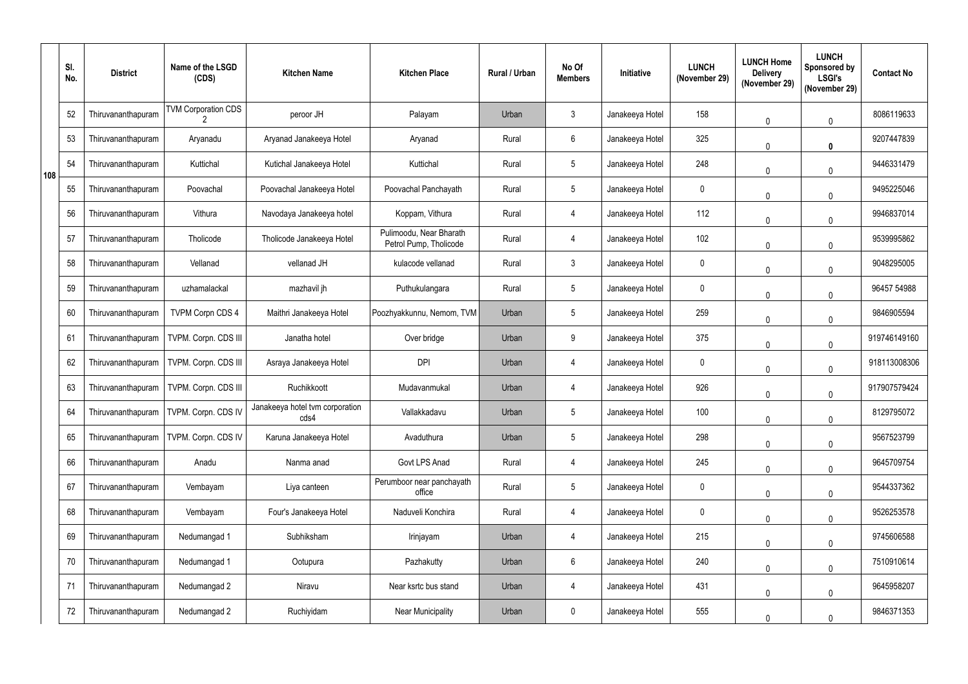|     | SI.<br>No. | <b>District</b>    | Name of the LSGD<br>(CDS)  | <b>Kitchen Name</b>                     | <b>Kitchen Place</b>                              | Rural / Urban | No Of<br><b>Members</b> | <b>Initiative</b> | <b>LUNCH</b><br>(November 29) | <b>LUNCH Home</b><br><b>Delivery</b><br>(November 29) | <b>LUNCH</b><br><b>Sponsored by</b><br><b>LSGI's</b><br>(November 29) | <b>Contact No</b> |
|-----|------------|--------------------|----------------------------|-----------------------------------------|---------------------------------------------------|---------------|-------------------------|-------------------|-------------------------------|-------------------------------------------------------|-----------------------------------------------------------------------|-------------------|
|     | 52         | Thiruvananthapuram | <b>TVM Corporation CDS</b> | peroor JH                               | Palayam                                           | Urban         | 3 <sup>5</sup>          | Janakeeya Hotel   | 158                           | $\mathbf{0}$                                          | $\mathbf 0$                                                           | 8086119633        |
|     | 53         | Thiruvananthapuram | Aryanadu                   | Aryanad Janakeeya Hotel                 | Aryanad                                           | Rural         | $6\phantom{.}$          | Janakeeya Hotel   | 325                           | $\mathbf 0$                                           | $\mathbf 0$                                                           | 9207447839        |
| 108 | 54         | Thiruvananthapuram | Kuttichal                  | Kutichal Janakeeya Hotel                | Kuttichal                                         | Rural         | 5 <sub>5</sub>          | Janakeeya Hotel   | 248                           | $\Omega$                                              | $\mathbf 0$                                                           | 9446331479        |
|     | 55         | Thiruvananthapuram | Poovachal                  | Poovachal Janakeeya Hotel               | Poovachal Panchayath                              | Rural         | 5                       | Janakeeya Hotel   | $\mathbf 0$                   | $\mathbf{0}$                                          | $\overline{0}$                                                        | 9495225046        |
|     | 56         | Thiruvananthapuram | Vithura                    | Navodaya Janakeeya hotel                | Koppam, Vithura                                   | Rural         |                         | Janakeeya Hotel   | 112                           | $\mathbf{0}$                                          | $\mathbf 0$                                                           | 9946837014        |
|     | 57         | Thiruvananthapuram | Tholicode                  | Tholicode Janakeeya Hotel               | Pulimoodu, Near Bharath<br>Petrol Pump, Tholicode | Rural         |                         | Janakeeya Hotel   | 102                           | $\mathbf{0}$                                          | $\mathbf 0$                                                           | 9539995862        |
|     | 58         | Thiruvananthapuram | Vellanad                   | vellanad JH                             | kulacode vellanad                                 | Rural         | $\mathbf{3}$            | Janakeeya Hotel   | $\mathbf 0$                   | $\mathbf{0}$                                          | $\mathbf 0$                                                           | 9048295005        |
|     | 59         | Thiruvananthapuram | uzhamalackal               | mazhavil jh                             | Puthukulangara                                    | Rural         | 5 <sub>5</sub>          | Janakeeya Hotel   | 0                             | $\mathbf{0}$                                          | $\mathbf 0$                                                           | 96457 54988       |
|     | 60         | Thiruvananthapuram | <b>TVPM Corpn CDS 4</b>    | Maithri Janakeeya Hotel                 | Poozhyakkunnu, Nemom, TVM                         | Urban         | $5\phantom{.0}$         | Janakeeya Hotel   | 259                           | $\mathbf 0$                                           | $\Omega$                                                              | 9846905594        |
|     | 61         | Thiruvananthapuram | TVPM. Corpn. CDS III       | Janatha hotel                           | Over bridge                                       | Urban         | 9                       | Janakeeya Hotel   | 375                           | $\mathbf 0$                                           | $\mathbf 0$                                                           | 919746149160      |
|     | 62         | Thiruvananthapuram | TVPM. Corpn. CDS III       | Asraya Janakeeya Hotel                  | <b>DPI</b>                                        | Urban         | 4                       | Janakeeya Hotel   | $\mathbf 0$                   | $\mathbf{0}$                                          | $\mathbf 0$                                                           | 918113008306      |
|     | 63         | Thiruvananthapuram | TVPM. Corpn. CDS III       | Ruchikkoott                             | Mudavanmukal                                      | Urban         |                         | Janakeeya Hotel   | 926                           | $\mathbf 0$                                           | $\mathbf 0$                                                           | 917907579424      |
|     | 64         | Thiruvananthapuram | TVPM. Corpn. CDS IV        | Janakeeya hotel tvm corporation<br>cds4 | Vallakkadavu                                      | Urban         | 5                       | Janakeeya Hotel   | 100                           | $\mathbf 0$                                           | $\mathbf 0$                                                           | 8129795072        |
|     | 65         | Thiruvananthapuram | TVPM. Corpn. CDS IV        | Karuna Janakeeya Hotel                  | Avaduthura                                        | Urban         | 5 <sub>5</sub>          | Janakeeya Hotel   | 298                           | $\mathbf{0}$                                          | $\mathbf 0$                                                           | 9567523799        |
|     | 66         | Thiruvananthapuram | Anadu                      | Nanma anad                              | Govt LPS Anad                                     | Rural         | 4                       | Janakeeya Hotel   | 245                           | $\mathbf 0$                                           | $\mathbf 0$                                                           | 9645709754        |
|     | 67         | Thiruvananthapuram | Vembayam                   | Liya canteen                            | Perumboor near panchayath<br>office               | Rural         | 5 <sub>5</sub>          | Janakeeya Hotel   | $\mathbf 0$                   | $\mathbf{0}$                                          | $\mathbf 0$                                                           | 9544337362        |
|     | 68         | Thiruvananthapuram | Vembayam                   | Four's Janakeeya Hotel                  | Naduveli Konchira                                 | Rural         | 4                       | Janakeeya Hotel   | $\mathbf 0$                   | $\mathbf 0$                                           | $\mathbf 0$                                                           | 9526253578        |
|     | 69         | Thiruvananthapuram | Nedumangad 1               | Subhiksham                              | Irinjayam                                         | Urban         | 4                       | Janakeeya Hotel   | 215                           | $\mathbf 0$                                           | $\mathbf 0$                                                           | 9745606588        |
|     | 70         | Thiruvananthapuram | Nedumangad 1               | Ootupura                                | Pazhakutty                                        | Urban         | $6\overline{6}$         | Janakeeya Hotel   | 240                           | $\mathbf 0$                                           | $\mathbf{0}$                                                          | 7510910614        |
|     | 71         | Thiruvananthapuram | Nedumangad 2               | Niravu                                  | Near ksrtc bus stand                              | Urban         | 4                       | Janakeeya Hotel   | 431                           | $\mathbf 0$                                           | $\mathbf 0$                                                           | 9645958207        |
|     | 72         | Thiruvananthapuram | Nedumangad 2               | Ruchiyidam                              | <b>Near Municipality</b>                          | Urban         | $\pmb{0}$               | Janakeeya Hotel   | 555                           | $\boldsymbol{0}$                                      | $\mathbf 0$                                                           | 9846371353        |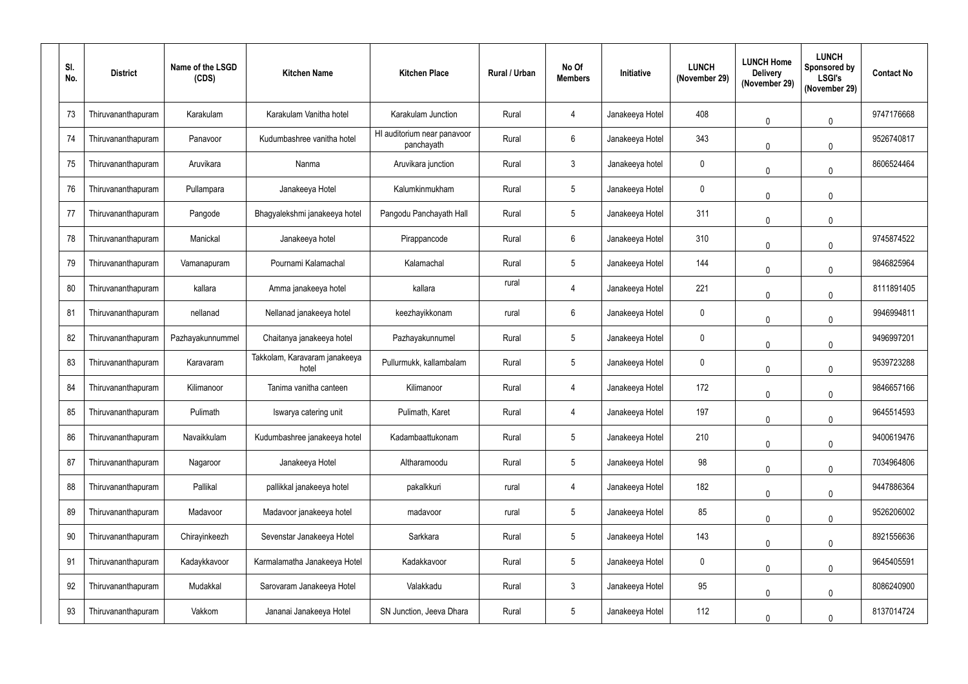| SI.<br>No. | <b>District</b>    | Name of the LSGD<br>(CDS) | <b>Kitchen Name</b>                    | <b>Kitchen Place</b>                      | Rural / Urban | No Of<br><b>Members</b> | Initiative      | <b>LUNCH</b><br>(November 29) | <b>LUNCH Home</b><br><b>Delivery</b><br>(November 29) | <b>LUNCH</b><br>Sponsored by<br><b>LSGI's</b><br>(November 29) | <b>Contact No</b> |
|------------|--------------------|---------------------------|----------------------------------------|-------------------------------------------|---------------|-------------------------|-----------------|-------------------------------|-------------------------------------------------------|----------------------------------------------------------------|-------------------|
| 73         | Thiruvananthapuram | Karakulam                 | Karakulam Vanitha hotel                | Karakulam Junction                        | Rural         | 4                       | Janakeeya Hotel | 408                           | $\mathbf 0$                                           | $\mathbf 0$                                                    | 9747176668        |
| 74         | Thiruvananthapuram | Panavoor                  | Kudumbashree vanitha hotel             | HI auditorium near panavoor<br>panchayath | Rural         | 6                       | Janakeeya Hotel | 343                           | $\mathbf{0}$                                          | $\Omega$                                                       | 9526740817        |
| 75         | Thiruvananthapuram | Aruvikara                 | Nanma                                  | Aruvikara junction                        | Rural         | $\mathfrak{Z}$          | Janakeeya hotel | $\mathbf 0$                   | $\mathbf{0}$                                          | $\Omega$                                                       | 8606524464        |
| 76         | Thiruvananthapuram | Pullampara                | Janakeeya Hotel                        | Kalumkinmukham                            | Rural         | 5                       | Janakeeya Hotel | $\mathbf 0$                   | $\mathbf{0}$                                          | $\mathbf{0}$                                                   |                   |
| 77         | Thiruvananthapuram | Pangode                   | Bhagyalekshmi janakeeya hotel          | Pangodu Panchayath Hall                   | Rural         | 5                       | Janakeeya Hotel | 311                           | $\mathbf{0}$                                          | $\mathbf{0}$                                                   |                   |
| 78         | Thiruvananthapuram | Manickal                  | Janakeeya hotel                        | Pirappancode                              | Rural         | 6                       | Janakeeya Hotel | 310                           | $\mathbf 0$                                           | $\mathbf 0$                                                    | 9745874522        |
| 79         | Thiruvananthapuram | Vamanapuram               | Pournami Kalamachal                    | Kalamachal                                | Rural         | 5                       | Janakeeya Hotel | 144                           | $\mathbf{0}$                                          | $\Omega$                                                       | 9846825964        |
| 80         | Thiruvananthapuram | kallara                   | Amma janakeeya hotel                   | kallara                                   | rural         | 4                       | Janakeeya Hotel | 221                           | $\mathbf 0$                                           | $\mathbf 0$                                                    | 8111891405        |
| 81         | Thiruvananthapuram | nellanad                  | Nellanad janakeeya hotel               | keezhayikkonam                            | rural         | 6                       | Janakeeya Hotel | $\mathbf 0$                   | $\mathbf 0$                                           | $\Omega$                                                       | 9946994811        |
| 82         | Thiruvananthapuram | Pazhayakunnummel          | Chaitanya janakeeya hotel              | Pazhayakunnumel                           | Rural         | 5                       | Janakeeya Hotel | $\mathbf 0$                   | $\mathbf{0}$                                          | $\mathbf{0}$                                                   | 9496997201        |
| 83         | Thiruvananthapuram | Karavaram                 | Takkolam, Karavaram janakeeya<br>hotel | Pullurmukk, kallambalam                   | Rural         | 5                       | Janakeeya Hotel | $\mathbf 0$                   | 0                                                     | $\mathbf 0$                                                    | 9539723288        |
| 84         | Thiruvananthapuram | Kilimanoor                | Tanima vanitha canteen                 | Kilimanoor                                | Rural         | 4                       | Janakeeya Hotel | 172                           | 0                                                     | $\mathbf 0$                                                    | 9846657166        |
| 85         | Thiruvananthapuram | Pulimath                  | Iswarya catering unit                  | Pulimath, Karet                           | Rural         | 4                       | Janakeeya Hotel | 197                           | $\mathbf 0$                                           | $\mathbf 0$                                                    | 9645514593        |
| 86         | Thiruvananthapuram | Navaikkulam               | Kudumbashree janakeeya hotel           | Kadambaattukonam                          | Rural         | 5                       | Janakeeya Hotel | 210                           | $\mathbf 0$                                           | $\mathbf 0$                                                    | 9400619476        |
| 87         | Thiruvananthapuram | Nagaroor                  | Janakeeya Hotel                        | Altharamoodu                              | Rural         | 5                       | Janakeeya Hotel | 98                            | $\mathbf 0$                                           | $\mathbf 0$                                                    | 7034964806        |
| 88         | Thiruvananthapuram | Pallikal                  | pallikkal janakeeya hotel              | pakalkkuri                                | rural         | 4                       | Janakeeya Hotel | 182                           | $\mathbf 0$                                           | $\pmb{0}$                                                      | 9447886364        |
| 89         | Thiruvananthapuram | Madavoor                  | Madavoor janakeeya hotel               | madavoor                                  | rural         | 5                       | Janakeeya Hotel | 85                            | $\mathbf 0$                                           | $\mathbf 0$                                                    | 9526206002        |
| 90         | Thiruvananthapuram | Chirayinkeezh             | Sevenstar Janakeeya Hotel              | Sarkkara                                  | Rural         | $5\phantom{.0}$         | Janakeeya Hotel | 143                           | $\mathbf 0$                                           | $\mathbf 0$                                                    | 8921556636        |
| 91         | Thiruvananthapuram | Kadaykkavoor              | Karmalamatha Janakeeya Hotel           | Kadakkavoor                               | Rural         | 5                       | Janakeeya Hotel | $\pmb{0}$                     | $\mathbf 0$                                           | $\mathbf 0$                                                    | 9645405591        |
| 92         | Thiruvananthapuram | Mudakkal                  | Sarovaram Janakeeya Hotel              | Valakkadu                                 | Rural         | $\mathbf{3}$            | Janakeeya Hotel | 95                            | $\mathbf 0$                                           | $\pmb{0}$                                                      | 8086240900        |
| 93         | Thiruvananthapuram | Vakkom                    | Jananai Janakeeya Hotel                | SN Junction, Jeeva Dhara                  | Rural         | $5\phantom{.0}$         | Janakeeya Hotel | 112                           | 0                                                     | $\mathbf 0$                                                    | 8137014724        |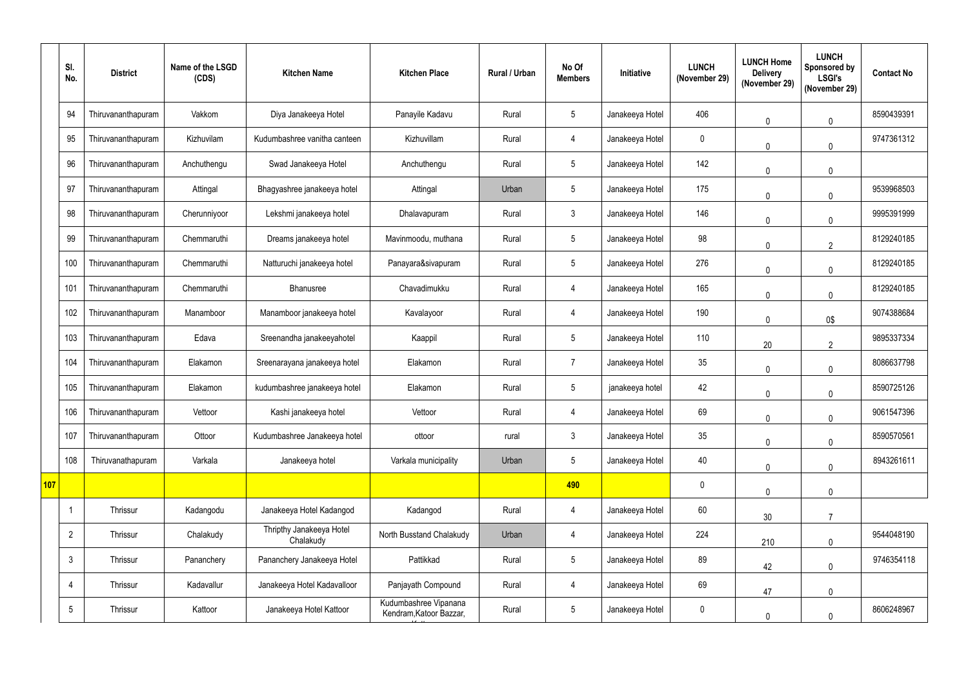|            | SI.<br>No.      | <b>District</b>    | Name of the LSGD<br>(CDS) | <b>Kitchen Name</b>                   | <b>Kitchen Place</b>                             | Rural / Urban | No Of<br><b>Members</b> | Initiative      | <b>LUNCH</b><br>(November 29) | <b>LUNCH Home</b><br><b>Delivery</b><br>(November 29) | <b>LUNCH</b><br><b>Sponsored by</b><br><b>LSGI's</b><br>(November 29) | <b>Contact No</b> |
|------------|-----------------|--------------------|---------------------------|---------------------------------------|--------------------------------------------------|---------------|-------------------------|-----------------|-------------------------------|-------------------------------------------------------|-----------------------------------------------------------------------|-------------------|
|            | 94              | Thiruvananthapuram | Vakkom                    | Diya Janakeeya Hotel                  | Panayile Kadavu                                  | Rural         | 5 <sup>5</sup>          | Janakeeya Hotel | 406                           | $\mathbf 0$                                           | $\mathbf 0$                                                           | 8590439391        |
|            | 95              | Thiruvananthapuram | Kizhuvilam                | Kudumbashree vanitha canteen          | Kizhuvillam                                      | Rural         | $\overline{4}$          | Janakeeya Hotel | $\mathbf 0$                   | $\mathbf{0}$                                          | $\mathbf{0}$                                                          | 9747361312        |
|            | 96              | Thiruvananthapuram | Anchuthengu               | Swad Janakeeya Hotel                  | Anchuthengu                                      | Rural         | 5 <sup>5</sup>          | Janakeeya Hotel | 142                           | $\Omega$                                              | $\mathbf 0$                                                           |                   |
|            | 97              | Thiruvananthapuram | Attingal                  | Bhagyashree janakeeya hotel           | Attingal                                         | Urban         | 5 <sup>5</sup>          | Janakeeya Hotel | 175                           | $\mathbf{0}$                                          | $\mathbf{0}$                                                          | 9539968503        |
|            | 98              | Thiruvananthapuram | Cherunniyoor              | Lekshmi janakeeya hotel               | Dhalavapuram                                     | Rural         | 3 <sup>1</sup>          | Janakeeya Hotel | 146                           | $\Omega$                                              | $\mathbf 0$                                                           | 9995391999        |
|            | 99              | Thiruvananthapuram | Chemmaruthi               | Dreams janakeeya hotel                | Mavinmoodu, muthana                              | Rural         | 5 <sup>5</sup>          | Janakeeya Hotel | 98                            | $\Omega$                                              | $\overline{2}$                                                        | 8129240185        |
|            | 100             | Thiruvananthapuram | Chemmaruthi               | Natturuchi janakeeya hotel            | Panayara&sivapuram                               | Rural         | 5 <sup>5</sup>          | Janakeeya Hotel | 276                           | $\Omega$                                              | $\mathbf{0}$                                                          | 8129240185        |
|            | 101             | Thiruvananthapuram | Chemmaruthi               | Bhanusree                             | Chavadimukku                                     | Rural         | 4                       | Janakeeya Hotel | 165                           | $\Omega$                                              | $\mathbf 0$                                                           | 8129240185        |
|            | 102             | Thiruvananthapuram | Manamboor                 | Manamboor janakeeya hotel             | Kavalayoor                                       | Rural         | 4                       | Janakeeya Hotel | 190                           | $\mathbf{0}$                                          | 0\$                                                                   | 9074388684        |
|            | 103             | Thiruvananthapuram | Edava                     | Sreenandha janakeeyahotel             | Kaappil                                          | Rural         | 5 <sup>5</sup>          | Janakeeya Hotel | 110                           | 20                                                    | $\overline{2}$                                                        | 9895337334        |
|            | 104             | Thiruvananthapuram | Elakamon                  | Sreenarayana janakeeya hotel          | Elakamon                                         | Rural         | $\overline{7}$          | Janakeeya Hotel | 35                            | $\mathbf 0$                                           | $\mathbf 0$                                                           | 8086637798        |
|            | 105             | Thiruvananthapuram | Elakamon                  | kudumbashree janakeeya hotel          | Elakamon                                         | Rural         | 5 <sup>5</sup>          | janakeeya hotel | 42                            | $\mathbf 0$                                           | $\mathbf 0$                                                           | 8590725126        |
|            | 106             | Thiruvananthapuram | Vettoor                   | Kashi janakeeya hotel                 | Vettoor                                          | Rural         | 4                       | Janakeeya Hotel | 69                            | $\mathbf 0$                                           | $\pmb{0}$                                                             | 9061547396        |
|            | 107             | Thiruvananthapuram | Ottoor                    | Kudumbashree Janakeeya hotel          | ottoor                                           | rural         | 3 <sup>1</sup>          | Janakeeya Hotel | 35                            | $\mathbf 0$                                           | $\pmb{0}$                                                             | 8590570561        |
|            | 108             | Thiruvanathapuram  | Varkala                   | Janakeeya hotel                       | Varkala municipality                             | Urban         | 5 <sup>5</sup>          | Janakeeya Hotel | 40                            | $\mathbf 0$                                           | $\pmb{0}$                                                             | 8943261611        |
| <b>107</b> |                 |                    |                           |                                       |                                                  |               | 490                     |                 | $\pmb{0}$                     | $\mathbf 0$                                           | $\pmb{0}$                                                             |                   |
|            |                 | Thrissur           | Kadangodu                 | Janakeeya Hotel Kadangod              | Kadangod                                         | Rural         | $\overline{4}$          | Janakeeya Hotel | 60                            | 30                                                    | $\overline{7}$                                                        |                   |
|            | $\overline{2}$  | Thrissur           | Chalakudy                 | Thripthy Janakeeya Hotel<br>Chalakudy | North Busstand Chalakudy                         | Urban         | 4                       | Janakeeya Hotel | 224                           | 210                                                   | $\pmb{0}$                                                             | 9544048190        |
|            | $\mathfrak{Z}$  | Thrissur           | Pananchery                | Pananchery Janakeeya Hotel            | Pattikkad                                        | Rural         | 5 <sup>5</sup>          | Janakeeya Hotel | 89                            | 42                                                    | $\mathbf 0$                                                           | 9746354118        |
|            | 4               | Thrissur           | Kadavallur                | Janakeeya Hotel Kadavalloor           | Panjayath Compound                               | Rural         | $\overline{4}$          | Janakeeya Hotel | 69                            | 47                                                    | $\pmb{0}$                                                             |                   |
|            | $5\phantom{.0}$ | Thrissur           | Kattoor                   | Janakeeya Hotel Kattoor               | Kudumbashree Vipanana<br>Kendram, Katoor Bazzar, | Rural         | 5 <sub>5</sub>          | Janakeeya Hotel | $\pmb{0}$                     | $\pmb{0}$                                             | $\mathbf 0$                                                           | 8606248967        |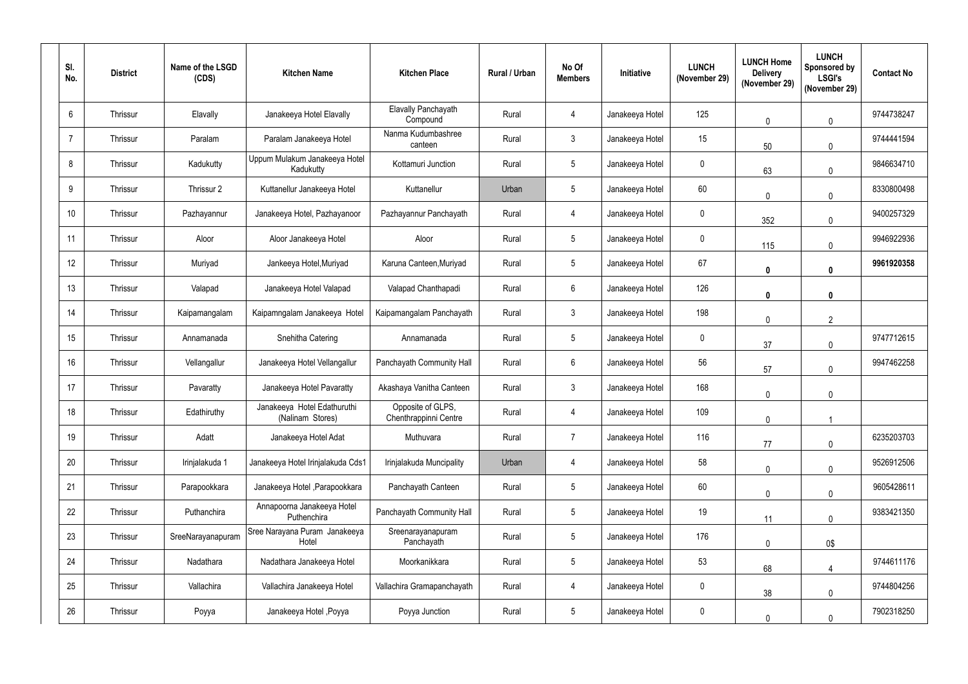| SI.<br>No.     | <b>District</b> | Name of the LSGD<br>(CDS) | <b>Kitchen Name</b>                             | <b>Kitchen Place</b>                       | Rural / Urban | No Of<br><b>Members</b> | Initiative      | <b>LUNCH</b><br>(November 29) | <b>LUNCH Home</b><br><b>Delivery</b><br>(November 29) | <b>LUNCH</b><br><b>Sponsored by</b><br><b>LSGI's</b><br>(November 29) | <b>Contact No</b> |
|----------------|-----------------|---------------------------|-------------------------------------------------|--------------------------------------------|---------------|-------------------------|-----------------|-------------------------------|-------------------------------------------------------|-----------------------------------------------------------------------|-------------------|
| $6^{\circ}$    | Thrissur        | Elavally                  | Janakeeya Hotel Elavally                        | <b>Elavally Panchayath</b><br>Compound     | Rural         | 4                       | Janakeeya Hotel | 125                           | $\mathbf 0$                                           | $\pmb{0}$                                                             | 9744738247        |
| $\overline{7}$ | Thrissur        | Paralam                   | Paralam Janakeeya Hotel                         | Nanma Kudumbashree<br>canteen              | Rural         | $\mathfrak{Z}$          | Janakeeya Hotel | 15                            | 50                                                    | $\mathbf{0}$                                                          | 9744441594        |
| 8              | Thrissur        | Kadukutty                 | Uppum Mulakum Janakeeya Hotel<br>Kadukutty      | Kottamuri Junction                         | Rural         | $5\phantom{.0}$         | Janakeeya Hotel | $\boldsymbol{0}$              | 63                                                    | $\mathbf{0}$                                                          | 9846634710        |
| 9              | Thrissur        | Thrissur 2                | Kuttanellur Janakeeya Hotel                     | Kuttanellur                                | Urban         | $5\overline{)}$         | Janakeeya Hotel | 60                            | $\mathbf 0$                                           | $\mathbf{0}$                                                          | 8330800498        |
| 10             | Thrissur        | Pazhayannur               | Janakeeya Hotel, Pazhayanoor                    | Pazhayannur Panchayath                     | Rural         | 4                       | Janakeeya Hotel | $\boldsymbol{0}$              | 352                                                   | $\mathbf 0$                                                           | 9400257329        |
| 11             | Thrissur        | Aloor                     | Aloor Janakeeya Hotel                           | Aloor                                      | Rural         | $5\overline{)}$         | Janakeeya Hotel | $\mathbf 0$                   | 115                                                   | $\mathbf 0$                                                           | 9946922936        |
| 12             | Thrissur        | Muriyad                   | Jankeeya Hotel, Muriyad                         | Karuna Canteen, Muriyad                    | Rural         | $5\phantom{.0}$         | Janakeeya Hotel | 67                            | $\boldsymbol{0}$                                      | $\mathbf{0}$                                                          | 9961920358        |
| 13             | Thrissur        | Valapad                   | Janakeeya Hotel Valapad                         | Valapad Chanthapadi                        | Rural         | $6\phantom{.0}$         | Janakeeya Hotel | 126                           | $\boldsymbol{0}$                                      | $\mathbf 0$                                                           |                   |
| 14             | Thrissur        | Kaipamangalam             | Kaipamngalam Janakeeya Hotel                    | Kaipamangalam Panchayath                   | Rural         | $\mathfrak{Z}$          | Janakeeya Hotel | 198                           | $\mathbf 0$                                           | $\overline{2}$                                                        |                   |
| 15             | Thrissur        | Annamanada                | Snehitha Catering                               | Annamanada                                 | Rural         | $5\phantom{.0}$         | Janakeeya Hotel | $\mathbf 0$                   | 37                                                    | $\pmb{0}$                                                             | 9747712615        |
| 16             | Thrissur        | Vellangallur              | Janakeeya Hotel Vellangallur                    | Panchayath Community Hall                  | Rural         | 6                       | Janakeeya Hotel | 56                            | 57                                                    | $\mathbf 0$                                                           | 9947462258        |
| 17             | Thrissur        | Pavaratty                 | Janakeeya Hotel Pavaratty                       | Akashaya Vanitha Canteen                   | Rural         | $\mathbf{3}$            | Janakeeya Hotel | 168                           | $\mathbf 0$                                           | $\mathbf 0$                                                           |                   |
| 18             | Thrissur        | Edathiruthy               | Janakeeya Hotel Edathuruthi<br>(Nalinam Stores) | Opposite of GLPS,<br>Chenthrappinni Centre | Rural         | 4                       | Janakeeya Hotel | 109                           | $\mathbf 0$                                           |                                                                       |                   |
| 19             | Thrissur        | Adatt                     | Janakeeya Hotel Adat                            | Muthuvara                                  | Rural         | $\overline{7}$          | Janakeeya Hotel | 116                           | 77                                                    | $\mathbf 0$                                                           | 6235203703        |
| 20             | Thrissur        | Irinjalakuda 1            | Janakeeya Hotel Irinjalakuda Cds1               | Irinjalakuda Muncipality                   | Urban         | 4                       | Janakeeya Hotel | 58                            | $\pmb{0}$                                             | $\mathbf 0$                                                           | 9526912506        |
| 21             | Thrissur        | Parapookkara              | Janakeeya Hotel , Parapookkara                  | Panchayath Canteen                         | Rural         | $5\phantom{.0}$         | Janakeeya Hotel | 60                            | $\mathbf 0$                                           | $\pmb{0}$                                                             | 9605428611        |
| 22             | Thrissur        | Puthanchira               | Annapoorna Janakeeya Hotel<br>Puthenchira       | Panchayath Community Hall                  | Rural         | $5\phantom{.0}$         | Janakeeya Hotel | 19                            | 11                                                    | $\pmb{0}$                                                             | 9383421350        |
| 23             | Thrissur        | SreeNarayanapuram         | Sree Narayana Puram Janakeeya<br>Hotel          | Sreenarayanapuram<br>Panchayath            | Rural         | $5\overline{)}$         | Janakeeya Hotel | 176                           | $\pmb{0}$                                             | 0\$                                                                   |                   |
| 24             | Thrissur        | Nadathara                 | Nadathara Janakeeya Hotel                       | Moorkanikkara                              | Rural         | $5\phantom{.0}$         | Janakeeya Hotel | 53                            | 68                                                    | $\overline{4}$                                                        | 9744611176        |
| 25             | Thrissur        | Vallachira                | Vallachira Janakeeya Hotel                      | Vallachira Gramapanchayath                 | Rural         | 4                       | Janakeeya Hotel | $\mathbf 0$                   | 38                                                    | $\pmb{0}$                                                             | 9744804256        |
| 26             | Thrissur        | Poyya                     | Janakeeya Hotel, Poyya                          | Poyya Junction                             | Rural         | $5\phantom{.0}$         | Janakeeya Hotel | $\overline{0}$                | $\mathbf 0$                                           | $\mathbf 0$                                                           | 7902318250        |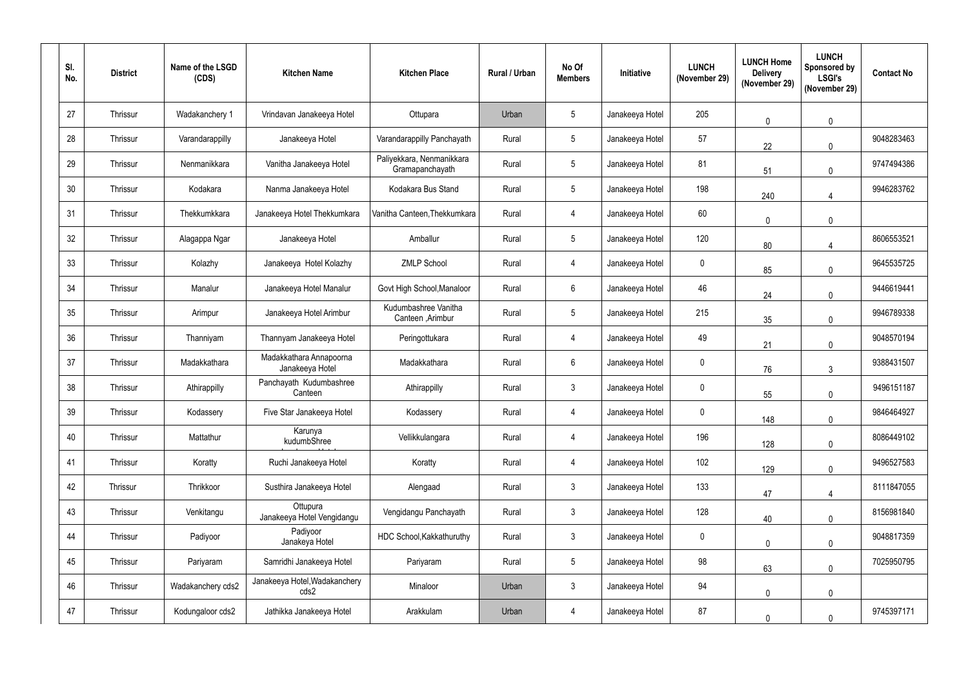| SI.<br>No. | <b>District</b> | Name of the LSGD<br>(CDS) | <b>Kitchen Name</b>                        | <b>Kitchen Place</b>                         | <b>Rural / Urban</b> | No Of<br><b>Members</b> | <b>Initiative</b> | <b>LUNCH</b><br>(November 29) | <b>LUNCH Home</b><br><b>Delivery</b><br>(November 29) | <b>LUNCH</b><br>Sponsored by<br><b>LSGI's</b><br>(November 29) | <b>Contact No</b> |
|------------|-----------------|---------------------------|--------------------------------------------|----------------------------------------------|----------------------|-------------------------|-------------------|-------------------------------|-------------------------------------------------------|----------------------------------------------------------------|-------------------|
| 27         | Thrissur        | Wadakanchery 1            | Vrindavan Janakeeya Hotel                  | Ottupara                                     | Urban                | $5\phantom{.0}$         | Janakeeya Hotel   | 205                           | $\mathbf 0$                                           | $\pmb{0}$                                                      |                   |
| 28         | Thrissur        | Varandarappilly           | Janakeeya Hotel                            | Varandarappilly Panchayath                   | Rural                | $5\phantom{.0}$         | Janakeeya Hotel   | 57                            | 22                                                    | $\mathbf{0}$                                                   | 9048283463        |
| 29         | Thrissur        | Nenmanikkara              | Vanitha Janakeeya Hotel                    | Paliyekkara, Nenmanikkara<br>Gramapanchayath | Rural                | $5\phantom{.0}$         | Janakeeya Hotel   | 81                            | 51                                                    | $\mathbf{0}$                                                   | 9747494386        |
| 30         | Thrissur        | Kodakara                  | Nanma Janakeeya Hotel                      | Kodakara Bus Stand                           | Rural                | $5\overline{)}$         | Janakeeya Hotel   | 198                           | 240                                                   | $\overline{4}$                                                 | 9946283762        |
| 31         | Thrissur        | Thekkumkkara              | Janakeeya Hotel Thekkumkara                | Vanitha Canteen, Thekkumkara                 | Rural                | $\overline{4}$          | Janakeeya Hotel   | 60                            | $\mathbf 0$                                           | $\mathbf 0$                                                    |                   |
| 32         | Thrissur        | Alagappa Ngar             | Janakeeya Hotel                            | Amballur                                     | Rural                | $5\phantom{.0}$         | Janakeeya Hotel   | 120                           | 80                                                    | $\boldsymbol{\varDelta}$                                       | 8606553521        |
| 33         | Thrissur        | Kolazhy                   | Janakeeya Hotel Kolazhy                    | <b>ZMLP School</b>                           | Rural                | 4                       | Janakeeya Hotel   | $\mathbf 0$                   | 85                                                    | $\mathbf{0}$                                                   | 9645535725        |
| 34         | Thrissur        | Manalur                   | Janakeeya Hotel Manalur                    | Govt High School, Manaloor                   | Rural                | $6\phantom{.}$          | Janakeeya Hotel   | 46                            | 24                                                    | $\mathbf{0}$                                                   | 9446619441        |
| 35         | Thrissur        | Arimpur                   | Janakeeya Hotel Arimbur                    | Kudumbashree Vanitha<br>Canteen , Arimbur    | Rural                | $5\overline{)}$         | Janakeeya Hotel   | 215                           | 35                                                    | $\mathbf{0}$                                                   | 9946789338        |
| 36         | Thrissur        | Thanniyam                 | Thannyam Janakeeya Hotel                   | Peringottukara                               | Rural                | 4                       | Janakeeya Hotel   | 49                            | 21                                                    | $\mathbf 0$                                                    | 9048570194        |
| 37         | Thrissur        | Madakkathara              | Madakkathara Annapoorna<br>Janakeeya Hotel | Madakkathara                                 | Rural                | 6                       | Janakeeya Hotel   | $\boldsymbol{0}$              | 76                                                    | $\mathbf{3}$                                                   | 9388431507        |
| 38         | Thrissur        | Athirappilly              | Panchayath Kudumbashree<br>Canteen         | Athirappilly                                 | Rural                | 3                       | Janakeeya Hotel   | $\mathbf 0$                   | 55                                                    | $\mathbf 0$                                                    | 9496151187        |
| 39         | Thrissur        | Kodassery                 | Five Star Janakeeya Hotel                  | Kodassery                                    | Rural                | 4                       | Janakeeya Hotel   | $\mathbf 0$                   | 148                                                   | $\pmb{0}$                                                      | 9846464927        |
| 40         | Thrissur        | Mattathur                 | Karunya<br>kudumbShree                     | Vellikkulangara                              | Rural                | 4                       | Janakeeya Hotel   | 196                           | 128                                                   | $\mathbf 0$                                                    | 8086449102        |
| 41         | Thrissur        | Koratty                   | Ruchi Janakeeya Hotel                      | Koratty                                      | Rural                | 4                       | Janakeeya Hotel   | 102                           | 129                                                   | $\mathbf 0$                                                    | 9496527583        |
| 42         | Thrissur        | Thrikkoor                 | Susthira Janakeeya Hotel                   | Alengaad                                     | Rural                | $\mathfrak{Z}$          | Janakeeya Hotel   | 133                           | 47                                                    | $\overline{4}$                                                 | 8111847055        |
| 43         | Thrissur        | Venkitangu                | Ottupura<br>Janakeeya Hotel Vengidangu     | Vengidangu Panchayath                        | Rural                | $\mathfrak{Z}$          | Janakeeya Hotel   | 128                           | 40                                                    | $\mathbf 0$                                                    | 8156981840        |
| 44         | Thrissur        | Padiyoor                  | Padiyoor<br>Janakeya Hotel                 | HDC School, Kakkathuruthy                    | Rural                | $\mathfrak{Z}$          | Janakeeya Hotel   | $\mathbf 0$                   | $\pmb{0}$                                             | $\pmb{0}$                                                      | 9048817359        |
| 45         | Thrissur        | Pariyaram                 | Samridhi Janakeeya Hotel                   | Pariyaram                                    | Rural                | $5\phantom{.0}$         | Janakeeya Hotel   | 98                            | 63                                                    | $\mathbf 0$                                                    | 7025950795        |
| 46         | Thrissur        | Wadakanchery cds2         | Janakeeya Hotel, Wadakanchery<br>cds2      | Minaloor                                     | Urban                | $\mathfrak{Z}$          | Janakeeya Hotel   | 94                            | $\mathbf 0$                                           | $\pmb{0}$                                                      |                   |
| 47         | Thrissur        | Kodungaloor cds2          | Jathikka Janakeeya Hotel                   | Arakkulam                                    | Urban                | 4                       | Janakeeya Hotel   | 87                            | $\mathbf 0$                                           | $\mathbf 0$                                                    | 9745397171        |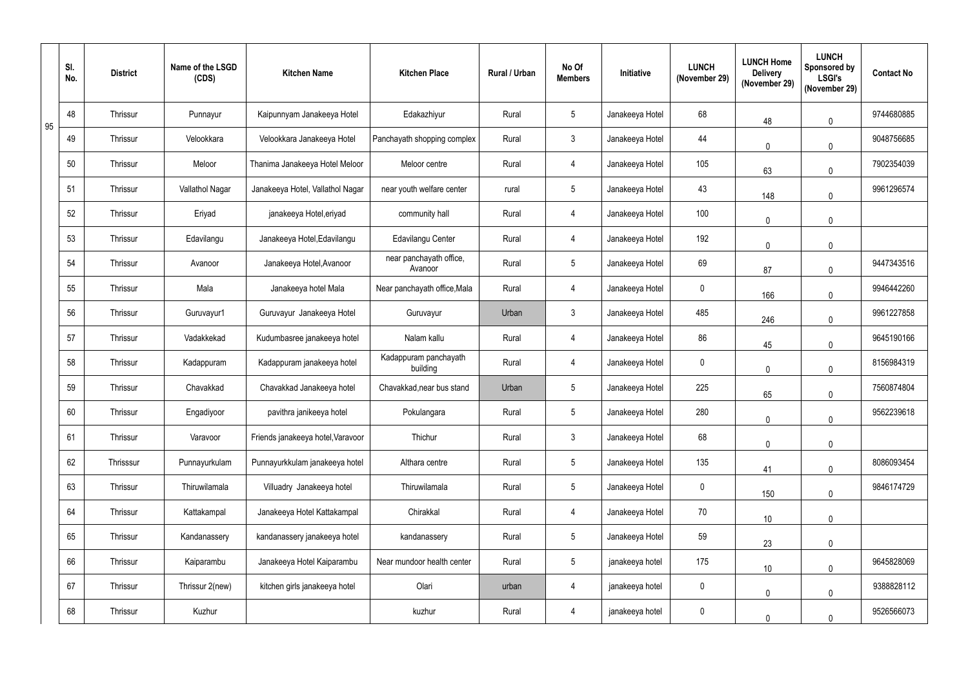|    | SI.<br>No. | <b>District</b> | Name of the LSGD<br>(CDS) | <b>Kitchen Name</b>               | <b>Kitchen Place</b>               | Rural / Urban | No Of<br><b>Members</b> | Initiative      | <b>LUNCH</b><br>(November 29) | <b>LUNCH Home</b><br><b>Delivery</b><br>(November 29) | <b>LUNCH</b><br>Sponsored by<br><b>LSGI's</b><br>(November 29) | <b>Contact No</b> |
|----|------------|-----------------|---------------------------|-----------------------------------|------------------------------------|---------------|-------------------------|-----------------|-------------------------------|-------------------------------------------------------|----------------------------------------------------------------|-------------------|
| 95 | 48         | Thrissur        | Punnayur                  | Kaipunnyam Janakeeya Hotel        | Edakazhiyur                        | Rural         | 5 <sup>5</sup>          | Janakeeya Hotel | 68                            | 48                                                    | $\pmb{0}$                                                      | 9744680885        |
|    | 49         | Thrissur        | Velookkara                | Velookkara Janakeeya Hotel        | Panchayath shopping complex        | Rural         | 3 <sup>1</sup>          | Janakeeya Hotel | 44                            | $\mathbf 0$                                           | $\mathbf{0}$                                                   | 9048756685        |
|    | 50         | Thrissur        | Meloor                    | Thanima Janakeeya Hotel Meloor    | Meloor centre                      | Rural         | 4                       | Janakeeya Hotel | 105                           | 63                                                    | $\mathbf 0$                                                    | 7902354039        |
|    | 51         | Thrissur        | Vallathol Nagar           | Janakeeya Hotel, Vallathol Nagar  | near youth welfare center          | rural         | 5 <sup>5</sup>          | Janakeeya Hotel | 43                            | 148                                                   | $\mathbf 0$                                                    | 9961296574        |
|    | 52         | Thrissur        | Eriyad                    | janakeeya Hotel, eriyad           | community hall                     | Rural         | 4                       | Janakeeya Hotel | 100                           | $\mathbf{0}$                                          | $\mathbf 0$                                                    |                   |
|    | 53         | Thrissur        | Edavilangu                | Janakeeya Hotel, Edavilangu       | <b>Edavilangu Center</b>           | Rural         | 4                       | Janakeeya Hotel | 192                           | $\mathbf 0$                                           | $\mathbf 0$                                                    |                   |
|    | 54         | Thrissur        | Avanoor                   | Janakeeya Hotel, Avanoor          | near panchayath office,<br>Avanoor | Rural         | 5 <sup>5</sup>          | Janakeeya Hotel | 69                            | 87                                                    | $\mathbf 0$                                                    | 9447343516        |
|    | 55         | Thrissur        | Mala                      | Janakeeya hotel Mala              | Near panchayath office, Mala       | Rural         | 4                       | Janakeeya Hotel | $\mathbf 0$                   | 166                                                   | $\mathbf 0$                                                    | 9946442260        |
|    | 56         | Thrissur        | Guruvayur1                | Guruvayur Janakeeya Hotel         | Guruvayur                          | Urban         | $\mathbf{3}$            | Janakeeya Hotel | 485                           | 246                                                   | $\mathbf{0}$                                                   | 9961227858        |
|    | 57         | Thrissur        | Vadakkekad                | Kudumbasree janakeeya hotel       | Nalam kallu                        | Rural         | 4                       | Janakeeya Hotel | 86                            | 45                                                    | $\mathbf 0$                                                    | 9645190166        |
|    | 58         | Thrissur        | Kadappuram                | Kadappuram janakeeya hotel        | Kadappuram panchayath<br>building  | Rural         | 4                       | Janakeeya Hotel | $\mathbf 0$                   | $\mathbf 0$                                           | $\mathbf 0$                                                    | 8156984319        |
|    | 59         | Thrissur        | Chavakkad                 | Chavakkad Janakeeya hotel         | Chavakkad, near bus stand          | Urban         | 5 <sup>5</sup>          | Janakeeya Hotel | 225                           | 65                                                    | $\mathbf 0$                                                    | 7560874804        |
|    | 60         | Thrissur        | Engadiyoor                | pavithra janikeeya hotel          | Pokulangara                        | Rural         | $5\phantom{.0}$         | Janakeeya Hotel | 280                           | $\mathbf 0$                                           | $\pmb{0}$                                                      | 9562239618        |
|    | 61         | Thrissur        | Varavoor                  | Friends janakeeya hotel, Varavoor | Thichur                            | Rural         | 3 <sup>1</sup>          | Janakeeya Hotel | 68                            | $\mathbf 0$                                           | $\mathbf 0$                                                    |                   |
|    | 62         | Thrisssur       | Punnayurkulam             | Punnayurkkulam janakeeya hotel    | Althara centre                     | Rural         | 5 <sup>5</sup>          | Janakeeya Hotel | 135                           | 41                                                    | $\pmb{0}$                                                      | 8086093454        |
|    | 63         | Thrissur        | Thiruwilamala             | Villuadry Janakeeya hotel         | Thiruwilamala                      | Rural         | 5 <sub>5</sub>          | Janakeeya Hotel | $\mathbf 0$                   | 150                                                   | $\pmb{0}$                                                      | 9846174729        |
|    | 64         | Thrissur        | Kattakampal               | Janakeeya Hotel Kattakampal       | Chirakkal                          | Rural         | $\overline{4}$          | Janakeeya Hotel | 70                            | 10                                                    | $\pmb{0}$                                                      |                   |
|    | 65         | Thrissur        | Kandanassery              | kandanassery janakeeya hotel      | kandanassery                       | Rural         | 5 <sub>5</sub>          | Janakeeya Hotel | 59                            | 23                                                    | $\pmb{0}$                                                      |                   |
|    | 66         | Thrissur        | Kaiparambu                | Janakeeya Hotel Kaiparambu        | Near mundoor health center         | Rural         | 5 <sub>5</sub>          | janakeeya hotel | 175                           | 10                                                    | $\mathbf 0$                                                    | 9645828069        |
|    | 67         | Thrissur        | Thrissur 2(new)           | kitchen girls janakeeya hotel     | Olari                              | urban         | 4                       | janakeeya hotel | $\pmb{0}$                     | $\mathbf 0$                                           | $\pmb{0}$                                                      | 9388828112        |
|    | 68         | Thrissur        | Kuzhur                    |                                   | kuzhur                             | Rural         | 4                       | janakeeya hotel | $\pmb{0}$                     | $\mathbf 0$                                           | $\mathbf 0$                                                    | 9526566073        |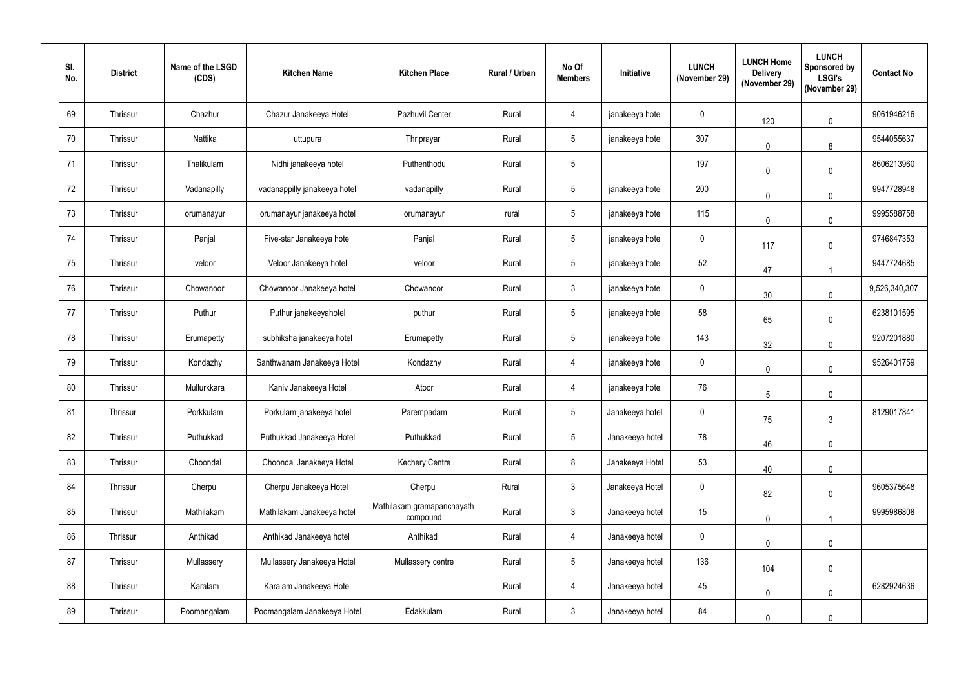| SI.<br>No. | <b>District</b> | Name of the LSGD<br>(CDS) | <b>Kitchen Name</b>          | <b>Kitchen Place</b>                   | <b>Rural / Urban</b> | No Of<br><b>Members</b> | Initiative      | <b>LUNCH</b><br>(November 29) | <b>LUNCH Home</b><br><b>Delivery</b><br>(November 29) | <b>LUNCH</b><br><b>Sponsored by</b><br><b>LSGI's</b><br>(November 29) | <b>Contact No</b> |
|------------|-----------------|---------------------------|------------------------------|----------------------------------------|----------------------|-------------------------|-----------------|-------------------------------|-------------------------------------------------------|-----------------------------------------------------------------------|-------------------|
| 69         | Thrissur        | Chazhur                   | Chazur Janakeeya Hotel       | Pazhuvil Center                        | Rural                | 4                       | janakeeya hotel | $\mathbf 0$                   | 120                                                   | $\mathbf 0$                                                           | 9061946216        |
| 70         | Thrissur        | Nattika                   | uttupura                     | Thriprayar                             | Rural                | 5 <sup>5</sup>          | janakeeya hotel | 307                           | $\mathbf 0$                                           | 8                                                                     | 9544055637        |
| 71         | Thrissur        | Thalikulam                | Nidhi janakeeya hotel        | Puthenthodu                            | Rural                | $5\phantom{.0}$         |                 | 197                           | $\mathbf 0$                                           | $\mathbf{0}$                                                          | 8606213960        |
| 72         | Thrissur        | Vadanapilly               | vadanappilly janakeeya hotel | vadanapilly                            | Rural                | $5\phantom{.0}$         | janakeeya hotel | 200                           | $\mathbf 0$                                           | $\mathbf{0}$                                                          | 9947728948        |
| 73         | Thrissur        | orumanayur                | orumanayur janakeeya hotel   | orumanayur                             | rural                | $5\overline{)}$         | janakeeya hotel | 115                           | $\mathbf 0$                                           | $\mathbf 0$                                                           | 9995588758        |
| 74         | Thrissur        | Panjal                    | Five-star Janakeeya hotel    | Panjal                                 | Rural                | $5\phantom{.0}$         | janakeeya hotel | $\mathbf 0$                   | 117                                                   | $\mathbf 0$                                                           | 9746847353        |
| 75         | Thrissur        | veloor                    | Veloor Janakeeya hotel       | veloor                                 | Rural                | $5\phantom{.0}$         | janakeeya hotel | 52                            | 47                                                    |                                                                       | 9447724685        |
| 76         | Thrissur        | Chowanoor                 | Chowanoor Janakeeya hotel    | Chowanoor                              | Rural                | $\mathfrak{Z}$          | janakeeya hotel | $\boldsymbol{0}$              | 30                                                    | $\mathbf 0$                                                           | 9,526,340,307     |
| 77         | Thrissur        | Puthur                    | Puthur janakeeyahotel        | puthur                                 | Rural                | 5 <sup>5</sup>          | janakeeya hotel | 58                            | 65                                                    | $\mathbf 0$                                                           | 6238101595        |
| 78         | Thrissur        | Erumapetty                | subhiksha janakeeya hotel    | Erumapetty                             | Rural                | $5\overline{)}$         | janakeeya hotel | 143                           | 32                                                    | $\pmb{0}$                                                             | 9207201880        |
| 79         | Thrissur        | Kondazhy                  | Santhwanam Janakeeya Hotel   | Kondazhy                               | Rural                | 4                       | janakeeya hotel | $\mathbf 0$                   | $\mathbf 0$                                           | $\mathbf 0$                                                           | 9526401759        |
| 80         | Thrissur        | Mullurkkara               | Kaniv Janakeeya Hotel        | Atoor                                  | Rural                | 4                       | janakeeya hotel | 76                            | 5                                                     | $\mathbf 0$                                                           |                   |
| 81         | Thrissur        | Porkkulam                 | Porkulam janakeeya hotel     | Parempadam                             | Rural                | $5\overline{)}$         | Janakeeya hotel | $\mathbf 0$                   | 75                                                    | $\mathbf{3}$                                                          | 8129017841        |
| 82         | Thrissur        | Puthukkad                 | Puthukkad Janakeeya Hotel    | Puthukkad                              | Rural                | $5\phantom{.0}$         | Janakeeya hotel | 78                            | 46                                                    | $\mathbf 0$                                                           |                   |
| 83         | Thrissur        | Choondal                  | Choondal Janakeeya Hotel     | <b>Kechery Centre</b>                  | Rural                | 8                       | Janakeeya Hotel | 53                            | 40                                                    | $\mathbf 0$                                                           |                   |
| 84         | Thrissur        | Cherpu                    | Cherpu Janakeeya Hotel       | Cherpu                                 | Rural                | $\mathfrak{Z}$          | Janakeeya Hotel | $\mathbf 0$                   | 82                                                    | $\mathbf 0$                                                           | 9605375648        |
| 85         | Thrissur        | Mathilakam                | Mathilakam Janakeeya hotel   | Mathilakam gramapanchayath<br>compound | Rural                | 3 <sup>1</sup>          | Janakeeya hotel | 15                            | $\mathbf 0$                                           |                                                                       | 9995986808        |
| 86         | Thrissur        | Anthikad                  | Anthikad Janakeeya hotel     | Anthikad                               | Rural                | 4                       | Janakeeya hotel | $\mathbf 0$                   | $\pmb{0}$                                             | $\pmb{0}$                                                             |                   |
| 87         | Thrissur        | Mullassery                | Mullassery Janakeeya Hotel   | Mullassery centre                      | Rural                | 5 <sub>5</sub>          | Janakeeya hotel | 136                           | 104                                                   | $\pmb{0}$                                                             |                   |
| 88         | Thrissur        | Karalam                   | Karalam Janakeeya Hotel      |                                        | Rural                | $\overline{4}$          | Janakeeya hotel | 45                            | $\mathbf 0$                                           | $\pmb{0}$                                                             | 6282924636        |
| 89         | Thrissur        | Poomangalam               | Poomangalam Janakeeya Hotel  | Edakkulam                              | Rural                | $\mathfrak{Z}$          | Janakeeya hotel | 84                            | $\mathbf 0$                                           | $\mathbf 0$                                                           |                   |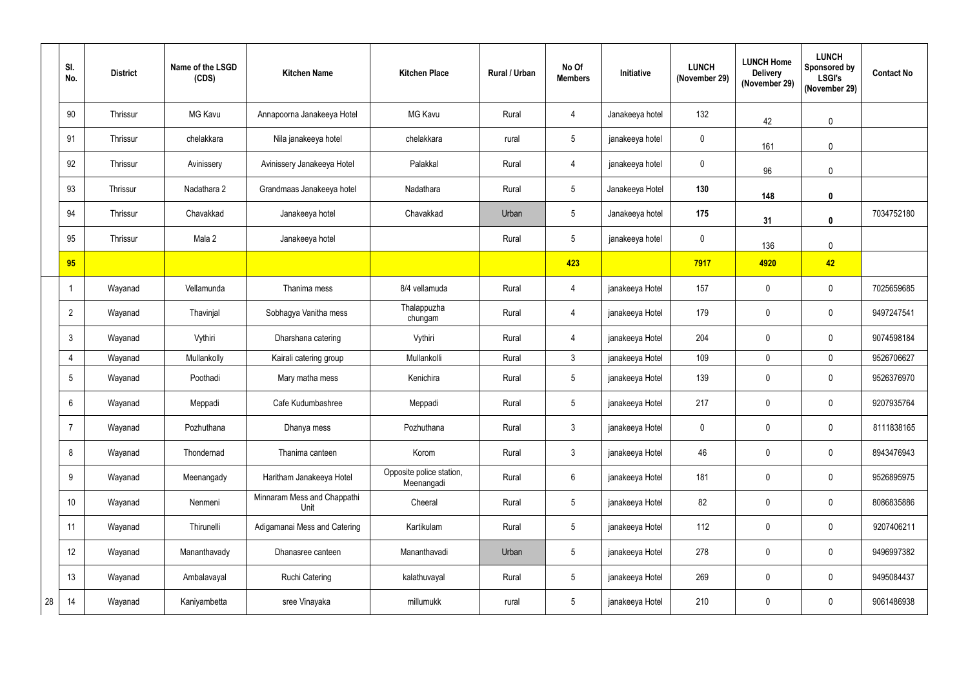|    | SI.<br>No.      | <b>District</b> | Name of the LSGD<br>(CDS) | <b>Kitchen Name</b>                 | <b>Kitchen Place</b>                   | Rural / Urban | No Of<br><b>Members</b> | Initiative      | <b>LUNCH</b><br>(November 29) | <b>LUNCH Home</b><br><b>Delivery</b><br>(November 29) | <b>LUNCH</b><br><b>Sponsored by</b><br><b>LSGI's</b><br>(November 29) | <b>Contact No</b> |
|----|-----------------|-----------------|---------------------------|-------------------------------------|----------------------------------------|---------------|-------------------------|-----------------|-------------------------------|-------------------------------------------------------|-----------------------------------------------------------------------|-------------------|
|    | 90              | Thrissur        | <b>MG Kavu</b>            | Annapoorna Janakeeya Hotel          | MG Kavu                                | Rural         | 4                       | Janakeeya hotel | 132                           | 42                                                    | $\mathbf 0$                                                           |                   |
|    | 91              | Thrissur        | chelakkara                | Nila janakeeya hotel                | chelakkara                             | rural         | 5 <sup>5</sup>          | janakeeya hotel | $\mathbf 0$                   | 161                                                   | $\mathbf{0}$                                                          |                   |
|    | 92              | Thrissur        | Avinissery                | Avinissery Janakeeya Hotel          | Palakkal                               | Rural         | 4                       | janakeeya hotel | $\mathbf 0$                   | 96                                                    | $\mathbf 0$                                                           |                   |
|    | 93              | Thrissur        | Nadathara 2               | Grandmaas Janakeeya hotel           | Nadathara                              | Rural         | 5 <sub>5</sub>          | Janakeeya Hotel | 130                           | 148                                                   | $\mathbf 0$                                                           |                   |
|    | 94              | Thrissur        | Chavakkad                 | Janakeeya hotel                     | Chavakkad                              | Urban         | 5 <sub>5</sub>          | Janakeeya hotel | 175                           | 31                                                    | $\mathbf 0$                                                           | 7034752180        |
|    | 95              | Thrissur        | Mala 2                    | Janakeeya hotel                     |                                        | Rural         | 5 <sup>5</sup>          | janakeeya hotel | $\mathbf 0$                   | 136                                                   | $\mathbf 0$                                                           |                   |
|    | 95              |                 |                           |                                     |                                        |               | 423                     |                 | 7917                          | 4920                                                  | 42                                                                    |                   |
|    |                 | Wayanad         | Vellamunda                | Thanima mess                        | 8/4 vellamuda                          | Rural         | 4                       | janakeeya Hotel | 157                           | $\mathbf 0$                                           | $\mathbf 0$                                                           | 7025659685        |
|    | $\overline{2}$  | Wayanad         | Thavinjal                 | Sobhagya Vanitha mess               | Thalappuzha<br>chungam                 | Rural         | 4                       | janakeeya Hotel | 179                           | $\mathbf 0$                                           | $\mathbf 0$                                                           | 9497247541        |
|    | $\mathbf{3}$    | Wayanad         | Vythiri                   | Dharshana catering                  | Vythiri                                | Rural         | 4                       | janakeeya Hotel | 204                           | $\mathbf 0$                                           | $\mathbf 0$                                                           | 9074598184        |
|    | 4               | Wayanad         | Mullankolly               | Kairali catering group              | Mullankolli                            | Rural         | 3 <sup>1</sup>          | janakeeya Hotel | 109                           | $\mathbf 0$                                           | $\mathbf 0$                                                           | 9526706627        |
|    | $5\phantom{.0}$ | Wayanad         | Poothadi                  | Mary matha mess                     | Kenichira                              | Rural         | 5 <sub>5</sub>          | janakeeya Hotel | 139                           | $\mathbf 0$                                           | $\mathbf 0$                                                           | 9526376970        |
|    | 6               | Wayanad         | Meppadi                   | Cafe Kudumbashree                   | Meppadi                                | Rural         | 5                       | janakeeya Hotel | 217                           | $\mathbf 0$                                           | $\mathbf{0}$                                                          | 9207935764        |
|    | $\overline{7}$  | Wayanad         | Pozhuthana                | Dhanya mess                         | Pozhuthana                             | Rural         | 3 <sup>1</sup>          | janakeeya Hotel | $\mathbf 0$                   | $\mathbf 0$                                           | $\mathbf 0$                                                           | 8111838165        |
|    | 8               | Wayanad         | Thondernad                | Thanima canteen                     | Korom                                  | Rural         | 3 <sup>7</sup>          | janakeeya Hotel | 46                            | $\pmb{0}$                                             | $\mathbf 0$                                                           | 8943476943        |
|    | 9               | Wayanad         | Meenangady                | Haritham Janakeeya Hotel            | Opposite police station,<br>Meenangadi | Rural         | $6\overline{6}$         | janakeeya Hotel | 181                           | $\pmb{0}$                                             | $\mathbf 0$                                                           | 9526895975        |
|    | 10              | Wayanad         | Nenmeni                   | Minnaram Mess and Chappathi<br>Unit | Cheeral                                | Rural         | 5 <sub>5</sub>          | janakeeya Hotel | 82                            | $\pmb{0}$                                             | $\mathbf 0$                                                           | 8086835886        |
|    | 11              | Wayanad         | Thirunelli                | Adigamanai Mess and Catering        | Kartikulam                             | Rural         | 5 <sub>5</sub>          | janakeeya Hotel | 112                           | $\pmb{0}$                                             | $\mathbf 0$                                                           | 9207406211        |
|    | 12              | Wayanad         | Mananthavady              | Dhanasree canteen                   | Mananthavadi                           | Urban         | 5 <sub>5</sub>          | janakeeya Hotel | 278                           | $\mathbf 0$                                           | $\boldsymbol{0}$                                                      | 9496997382        |
|    | 13              | Wayanad         | Ambalavayal               | Ruchi Catering                      | kalathuvayal                           | Rural         | 5 <sub>5</sub>          | janakeeya Hotel | 269                           | $\pmb{0}$                                             | $\mathbf 0$                                                           | 9495084437        |
| 28 | 14              | Wayanad         | Kaniyambetta              | sree Vinayaka                       | millumukk                              | rural         | 5 <sub>5</sub>          | janakeeya Hotel | 210                           | $\pmb{0}$                                             | $\boldsymbol{0}$                                                      | 9061486938        |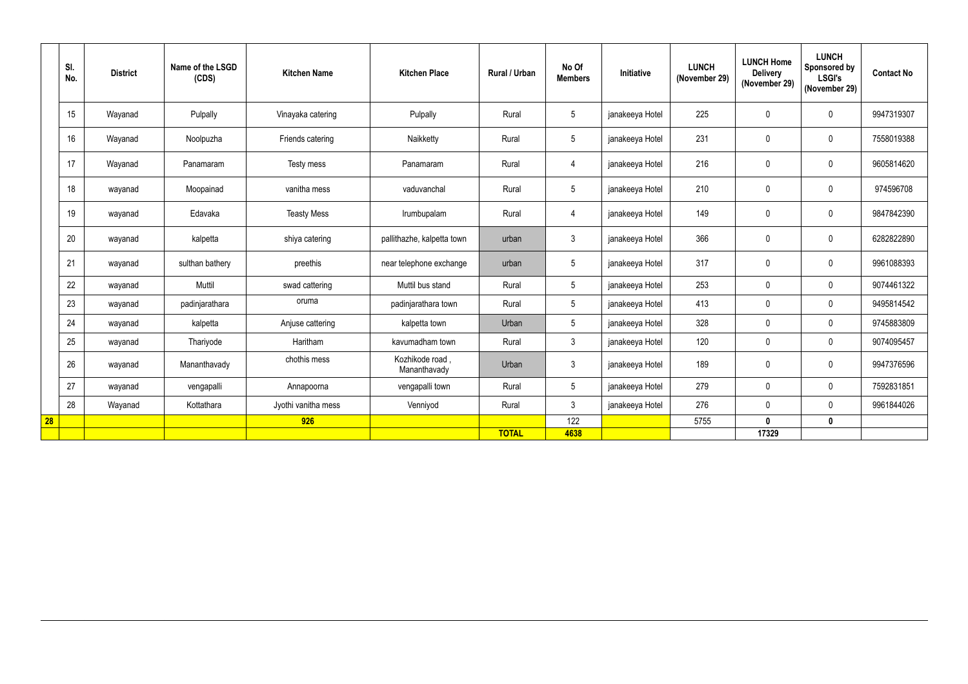|    | SI.<br>No. | <b>District</b> | Name of the LSGD<br>(CDS) | <b>Kitchen Name</b> | <b>Kitchen Place</b>           | Rural / Urban | No Of<br><b>Members</b> | Initiative      | <b>LUNCH</b><br>(November 29) | <b>LUNCH Home</b><br><b>Delivery</b><br>(November 29) | <b>LUNCH</b><br>Sponsored by<br><b>LSGI's</b><br>(November 29) | <b>Contact No</b> |
|----|------------|-----------------|---------------------------|---------------------|--------------------------------|---------------|-------------------------|-----------------|-------------------------------|-------------------------------------------------------|----------------------------------------------------------------|-------------------|
|    | 15         | Wayanad         | Pulpally                  | Vinayaka catering   | Pulpally                       | Rural         | 5 <sup>5</sup>          | janakeeya Hotel | 225                           | $\mathbf 0$                                           | $\mathbf 0$                                                    | 9947319307        |
|    | 16         | Wayanad         | Noolpuzha                 | Friends catering    | Naikketty                      | Rural         | 5 <sup>5</sup>          | janakeeya Hotel | 231                           | $\pmb{0}$                                             | $\pmb{0}$                                                      | 7558019388        |
|    | 17         | Wayanad         | Panamaram                 | Testy mess          | Panamaram                      | Rural         | 4                       | janakeeya Hotel | 216                           | $\mathbf 0$                                           | $\mathbf 0$                                                    | 9605814620        |
|    | 18         | wayanad         | Moopainad                 | vanitha mess        | vaduvanchal                    | Rural         | $5\overline{)}$         | janakeeya Hotel | 210                           | $\mathbf 0$                                           | $\mathbf 0$                                                    | 974596708         |
|    | 19         | wayanad         | Edavaka                   | <b>Teasty Mess</b>  | Irumbupalam                    | Rural         | $\overline{4}$          | janakeeya Hotel | 149                           | $\mathbf 0$                                           | $\pmb{0}$                                                      | 9847842390        |
|    | 20         | wayanad         | kalpetta                  | shiya catering      | pallithazhe, kalpetta town     | urban         | $\mathbf{3}$            | janakeeya Hotel | 366                           | $\mathbf 0$                                           | $\mathbf 0$                                                    | 6282822890        |
|    | 21         | wayanad         | sulthan bathery           | preethis            | near telephone exchange        | urban         | 5 <sup>5</sup>          | janakeeya Hotel | 317                           | $\pmb{0}$                                             | $\pmb{0}$                                                      | 9961088393        |
|    | 22         | wayanad         | Muttil                    | swad cattering      | Muttil bus stand               | Rural         | 5 <sup>5</sup>          | janakeeya Hotel | 253                           | $\mathbf 0$                                           | $\mathbf 0$                                                    | 9074461322        |
|    | 23         | wayanad         | padinjarathara            | oruma               | padinjarathara town            | Rural         | 5 <sup>5</sup>          | janakeeya Hotel | 413                           | $\pmb{0}$                                             | $\mathbf 0$                                                    | 9495814542        |
|    | 24         | wayanad         | kalpetta                  | Anjuse cattering    | kalpetta town                  | Urban         | 5 <sup>5</sup>          | janakeeya Hotel | 328                           | $\pmb{0}$                                             | $\mathbf 0$                                                    | 9745883809        |
|    | 25         | wayanad         | Thariyode                 | Haritham            | kavumadham town                | Rural         | 3 <sup>1</sup>          | janakeeya Hotel | 120                           | $\mathbf 0$                                           | $\mathbf 0$                                                    | 9074095457        |
|    | 26         | wayanad         | Mananthavady              | chothis mess        | Kozhikode road<br>Mananthavady | Urban         | $\mathbf{3}$            | janakeeya Hotel | 189                           | $\mathbf 0$                                           | $\mathbf 0$                                                    | 9947376596        |
|    | 27         | wayanad         | vengapalli                | Annapoorna          | vengapalli town                | Rural         | 5 <sup>5</sup>          | janakeeya Hotel | 279                           | $\mathbf 0$                                           | $\pmb{0}$                                                      | 7592831851        |
|    | 28         | Wayanad         | Kottathara                | Jyothi vanitha mess | Venniyod                       | Rural         | 3 <sup>1</sup>          | janakeeya Hotel | 276                           | $\pmb{0}$                                             | $\mathbf 0$                                                    | 9961844026        |
| 28 |            |                 |                           | 926                 |                                |               | 122                     |                 | 5755                          | $\mathbf 0$                                           | $\mathbf 0$                                                    |                   |
|    |            |                 |                           |                     |                                | <b>TOTAL</b>  | 4638                    |                 |                               | 17329                                                 |                                                                |                   |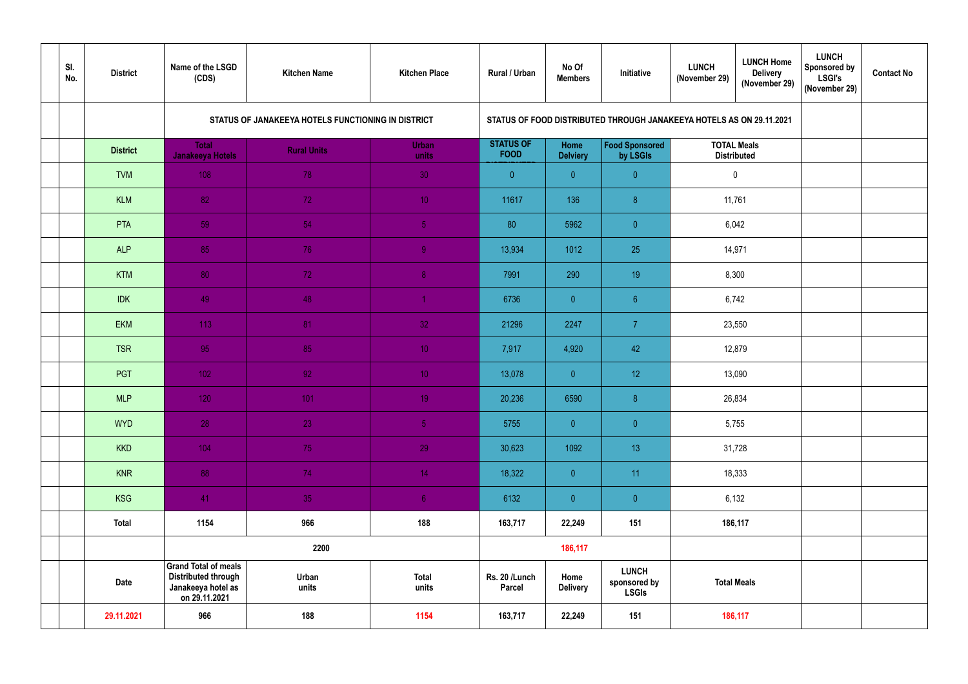| SI.<br>No. | <b>District</b> | Name of the LSGD<br>(CDS)                                                                        | <b>Kitchen Name</b>                                | <b>Kitchen Place</b>  | Rural / Urban                   | No Of<br><b>Members</b> | Initiative                                                         | <b>LUNCH Home</b><br><b>LUNCH</b><br><b>Delivery</b><br>(November 29)<br>(November 29) | <b>LUNCH</b><br><b>Sponsored by</b><br><b>LSGI's</b><br>(November 29) | <b>Contact No</b> |
|------------|-----------------|--------------------------------------------------------------------------------------------------|----------------------------------------------------|-----------------------|---------------------------------|-------------------------|--------------------------------------------------------------------|----------------------------------------------------------------------------------------|-----------------------------------------------------------------------|-------------------|
|            |                 |                                                                                                  | STATUS OF JANAKEEYA HOTELS FUNCTIONING IN DISTRICT |                       |                                 |                         |                                                                    | STATUS OF FOOD DISTRIBUTED THROUGH JANAKEEYA HOTELS AS ON 29.11.2021                   |                                                                       |                   |
|            | <b>District</b> | <b>Total</b><br><b>Janakeeya Hotels</b>                                                          | <b>Rural Units</b>                                 | <b>Urban</b><br>units | <b>STATUS OF</b><br><b>FOOD</b> | Home<br><b>Delviery</b> | <b>Food Sponsored</b><br>by LSGIs                                  | <b>TOTAL Meals</b><br><b>Distributed</b>                                               |                                                                       |                   |
|            | <b>TVM</b>      | 108                                                                                              | 78                                                 | 30                    | $\overline{0}$                  | $\mathbf{0}$            | $\overline{0}$                                                     | $\mathbf 0$                                                                            |                                                                       |                   |
|            | <b>KLM</b>      | 82                                                                                               | 72                                                 | 10 <sup>°</sup>       | 11617                           | 136                     | 8 <sup>8</sup>                                                     | 11,761                                                                                 |                                                                       |                   |
|            | PTA             | 59                                                                                               | 54                                                 | 5 <sub>1</sub>        | 80                              | 5962                    | $\overline{0}$                                                     | 6,042                                                                                  |                                                                       |                   |
|            | <b>ALP</b>      | 85                                                                                               | 76                                                 | $\overline{9}$        | 13,934                          | 1012                    | 25                                                                 | 14,971                                                                                 |                                                                       |                   |
|            | <b>KTM</b>      | 80                                                                                               | 72                                                 | $\bf 8$               | 7991                            | 290                     | 19                                                                 | 8,300                                                                                  |                                                                       |                   |
|            | <b>IDK</b>      | 49                                                                                               | 48                                                 | -1                    | 6736                            | $\overline{0}$          | $6\phantom{.}6$                                                    | 6,742                                                                                  |                                                                       |                   |
|            | <b>EKM</b>      | 113                                                                                              | 81                                                 | 32                    | 21296                           | 2247                    | $\overline{7}$                                                     | 23,550                                                                                 |                                                                       |                   |
|            | <b>TSR</b>      | 95                                                                                               | 85                                                 | 10 <sub>1</sub>       | 7,917                           | 4,920                   | 42                                                                 | 12,879                                                                                 |                                                                       |                   |
|            | PGT             | 102                                                                                              | 92 <sub>1</sub>                                    | 10 <sub>1</sub>       | 13,078                          | $\overline{0}$          | 12 <sub>2</sub>                                                    | 13,090                                                                                 |                                                                       |                   |
|            | <b>MLP</b>      | 120                                                                                              | 101                                                | 19                    | 20,236                          | 6590                    | $\boldsymbol{8}$                                                   | 26,834                                                                                 |                                                                       |                   |
|            | <b>WYD</b>      | 28                                                                                               | 23                                                 | 5 <sub>1</sub>        | 5755                            | $\overline{0}$          | $\overline{0}$                                                     | 5,755                                                                                  |                                                                       |                   |
|            | <b>KKD</b>      | 104                                                                                              | 75                                                 | 29                    | 30,623                          | 1092                    | 13                                                                 | 31,728                                                                                 |                                                                       |                   |
|            | <b>KNR</b>      | 88                                                                                               | 74                                                 | 14                    | 18,322                          | $\overline{0}$          | 11                                                                 | 18,333                                                                                 |                                                                       |                   |
|            | <b>KSG</b>      | 41                                                                                               | 35                                                 | 6 <sub>1</sub>        | 6132                            | $\overline{0}$          | $\overline{0}$                                                     | 6,132                                                                                  |                                                                       |                   |
|            | <b>Total</b>    | 1154                                                                                             | 966                                                | 188                   | 163,717                         | 22,249                  | 151                                                                | 186,117                                                                                |                                                                       |                   |
|            |                 |                                                                                                  | 2200                                               |                       |                                 | 186,117                 |                                                                    |                                                                                        |                                                                       |                   |
|            | <b>Date</b>     | <b>Grand Total of meals</b><br><b>Distributed through</b><br>Janakeeya hotel as<br>on 29.11.2021 | Urban<br>units                                     | <b>Total</b><br>units | Rs. 20 /Lunch<br><b>Parcel</b>  | Home<br><b>Delivery</b> | <b>LUNCH</b><br><b>Total Meals</b><br>sponsored by<br><b>LSGIs</b> |                                                                                        |                                                                       |                   |
|            | 29.11.2021      | 966                                                                                              | 188                                                | 1154                  | 163,717                         | 22,249<br>151           |                                                                    | 186,117                                                                                |                                                                       |                   |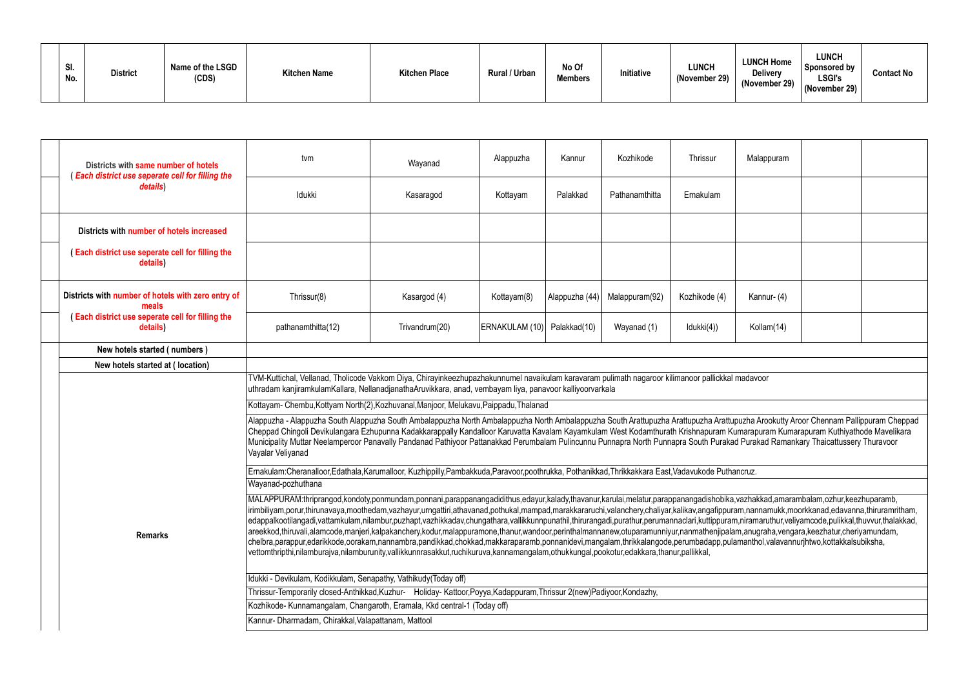| SI.<br>No. | <b>District</b> | Name of the LSGD<br>(CDS) | <b>Kitchen Name</b> | <b>Kitchen Place</b> | <b>Rural / Urban</b> | No Of<br><b>Members</b> | Initiative | <b>LUNCH</b><br>(November 29) | <b>LUNCH Home</b><br><b>Delivery</b><br>(November 29) | <b>LUNCH</b><br>$_1$ Sponsored by<br><b>LSGI's</b><br>(November 29) | <b>Contact No</b> |
|------------|-----------------|---------------------------|---------------------|----------------------|----------------------|-------------------------|------------|-------------------------------|-------------------------------------------------------|---------------------------------------------------------------------|-------------------|
|------------|-----------------|---------------------------|---------------------|----------------------|----------------------|-------------------------|------------|-------------------------------|-------------------------------------------------------|---------------------------------------------------------------------|-------------------|

|  |                                                                                                | Kozhikode<br>Thrissur<br>Kannur<br>Malappuram<br>tvm<br>Alappuzha<br>Wayanad<br>Idukki<br>Palakkad<br>Ernakulam<br>Kasaragod<br>Kottayam<br>Pathanamthitta<br>Kannur- (4)<br>Thrissur(8)<br>Kasargod (4)<br>Kottayam(8)<br>Alappuzha (44)<br>Malappuram(92)<br>Kozhikode (4)<br>Trivandrum(20)<br>ERNAKULAM (10)   Palakkad(10)<br>Wayanad (1)<br>Idukki(4))<br>pathanamthitta(12)<br>Kollam(14)<br>TVM-Kuttichal, Vellanad, Tholicode Vakkom Diya, Chirayinkeezhupazhakunnumel navaikulam karavaram pulimath nagaroor kilimanoor pallickkal madavoor                                                                                                                                                                                                                                                                                                                                                                                                                                                                                                                                           |  |  |  |  |  |  |  |  |  |  |
|--|------------------------------------------------------------------------------------------------|-------------------------------------------------------------------------------------------------------------------------------------------------------------------------------------------------------------------------------------------------------------------------------------------------------------------------------------------------------------------------------------------------------------------------------------------------------------------------------------------------------------------------------------------------------------------------------------------------------------------------------------------------------------------------------------------------------------------------------------------------------------------------------------------------------------------------------------------------------------------------------------------------------------------------------------------------------------------------------------------------------------------------------------------------------------------------------------------------|--|--|--|--|--|--|--|--|--|--|
|  | Districts with same number of hotels<br><b>Each district use seperate cell for filling the</b> |                                                                                                                                                                                                                                                                                                                                                                                                                                                                                                                                                                                                                                                                                                                                                                                                                                                                                                                                                                                                                                                                                                 |  |  |  |  |  |  |  |  |  |  |
|  | details)                                                                                       |                                                                                                                                                                                                                                                                                                                                                                                                                                                                                                                                                                                                                                                                                                                                                                                                                                                                                                                                                                                                                                                                                                 |  |  |  |  |  |  |  |  |  |  |
|  | Districts with number of hotels increased                                                      |                                                                                                                                                                                                                                                                                                                                                                                                                                                                                                                                                                                                                                                                                                                                                                                                                                                                                                                                                                                                                                                                                                 |  |  |  |  |  |  |  |  |  |  |
|  | Each district use seperate cell for filling the<br>details)                                    |                                                                                                                                                                                                                                                                                                                                                                                                                                                                                                                                                                                                                                                                                                                                                                                                                                                                                                                                                                                                                                                                                                 |  |  |  |  |  |  |  |  |  |  |
|  | Districts with number of hotels with zero entry of<br>meals                                    |                                                                                                                                                                                                                                                                                                                                                                                                                                                                                                                                                                                                                                                                                                                                                                                                                                                                                                                                                                                                                                                                                                 |  |  |  |  |  |  |  |  |  |  |
|  | (Each district use seperate cell for filling the<br>details)                                   |                                                                                                                                                                                                                                                                                                                                                                                                                                                                                                                                                                                                                                                                                                                                                                                                                                                                                                                                                                                                                                                                                                 |  |  |  |  |  |  |  |  |  |  |
|  | New hotels started (numbers)                                                                   |                                                                                                                                                                                                                                                                                                                                                                                                                                                                                                                                                                                                                                                                                                                                                                                                                                                                                                                                                                                                                                                                                                 |  |  |  |  |  |  |  |  |  |  |
|  | New hotels started at (location)                                                               |                                                                                                                                                                                                                                                                                                                                                                                                                                                                                                                                                                                                                                                                                                                                                                                                                                                                                                                                                                                                                                                                                                 |  |  |  |  |  |  |  |  |  |  |
|  |                                                                                                | uthradam kanjiramkulamKallara, NellanadjanathaAruvikkara, anad, vembayam liya, panavoor kalliyoorvarkala                                                                                                                                                                                                                                                                                                                                                                                                                                                                                                                                                                                                                                                                                                                                                                                                                                                                                                                                                                                        |  |  |  |  |  |  |  |  |  |  |
|  |                                                                                                | Kottayam- Chembu, Kottyam North(2), Kozhuvanal, Manjoor, Melukavu, Paippadu, Thalanad                                                                                                                                                                                                                                                                                                                                                                                                                                                                                                                                                                                                                                                                                                                                                                                                                                                                                                                                                                                                           |  |  |  |  |  |  |  |  |  |  |
|  |                                                                                                | Alappuzha - Alappuzha South Alappuzha South Ambalappuzha North Ambalappuzha North Ambalappuzha South Arattupuzha Arattupuzha Arattupuzha Arookutty Aroor Chennam Pallippuram Cheppad<br>Cheppad Chingoli Devikulangara Ezhupunna Kadakkarappally Kandalloor Karuvatta Kavalam Kayamkulam West Kodamthurath Krishnapuram Kumarapuram Kumarapuram Kuthiyathode Mavelikara<br>Municipality Muttar Neelamperoor Panavally Pandanad Pathiyoor Pattanakkad Perumbalam Pulincunnu Punnapra North Punnapra South Purakad Purakad Ramankary Thaicattussery Thuravoor<br>Vayalar Veliyanad                                                                                                                                                                                                                                                                                                                                                                                                                                                                                                                |  |  |  |  |  |  |  |  |  |  |
|  |                                                                                                | Ernakulam:Cheranalloor,Edathala,Karumalloor, Kuzhippilly,Pambakkuda,Paravoor,poothrukka, Pothanikkad,Thrikkakkara East,Vadavukode Puthancruz.                                                                                                                                                                                                                                                                                                                                                                                                                                                                                                                                                                                                                                                                                                                                                                                                                                                                                                                                                   |  |  |  |  |  |  |  |  |  |  |
|  |                                                                                                | Wayanad-pozhuthana                                                                                                                                                                                                                                                                                                                                                                                                                                                                                                                                                                                                                                                                                                                                                                                                                                                                                                                                                                                                                                                                              |  |  |  |  |  |  |  |  |  |  |
|  | <b>Remarks</b>                                                                                 | MALAPPURAM:thriprangod,kondoty,ponmundam,ponnani,parappanangadidithus,edayur,kalady,thavanur,karulai,melatur,parappanangadishobika,vazhakkad,amarambalam,ozhur,keezhuparamb,<br>irimbiliyam,porur,thirunavaya,moothedam,vazhayur,urngattiri,athavanad,pothukal,mampad,marakkararuchi,valanchery,chaliyar,kalikav,angafippuram,nannamukk,moorkkanad,edavanna,thiruramritham,<br>edappalkootilangadi,vattamkulam,nilambur,puzhapt,vazhikkadav,chungathara,vallikkunnpunathil,thirurangadi,purathur,perumannaclari,kuttippuram,niramaruthur,veliyamcode,pulikkal,thuvvur,thalakkad,<br>areekkod,thiruvali,alamcode,manjeri,kalpakanchery,kodur,malappuramone,thanur,wandoor,perinthalmannanew,otuparamunniyur,nanmathenjipalam,anugraha,vengara,keezhatur,cheriyamundam,<br>chelbra,parappur,edarikkode,oorakam,nannambra,pandikkad,chokkad,makkaraparamb,ponnanidevi,mangalam,thrikkalangode,perumbadapp,pulamanthol,valavannurjhtwo,kottakkalsubiksha,<br>vettomthripthi,nilamburajva,nilamburunity,vallikkunnrasakkut,ruchikuruva,kannamangalam,othukkungal,pookotur,edakkara,thanur,pallikkal, |  |  |  |  |  |  |  |  |  |  |
|  |                                                                                                | Idukki - Devikulam, Kodikkulam, Senapathy, Vathikudy(Today off)                                                                                                                                                                                                                                                                                                                                                                                                                                                                                                                                                                                                                                                                                                                                                                                                                                                                                                                                                                                                                                 |  |  |  |  |  |  |  |  |  |  |
|  |                                                                                                | Thrissur-Temporarily closed-Anthikkad, Kuzhur- Holiday-Kattoor, Poyya, Kadappuram, Thrissur 2(new) Padiyoor, Kondazhy,                                                                                                                                                                                                                                                                                                                                                                                                                                                                                                                                                                                                                                                                                                                                                                                                                                                                                                                                                                          |  |  |  |  |  |  |  |  |  |  |
|  |                                                                                                | Kozhikode- Kunnamangalam, Changaroth, Eramala, Kkd central-1 (Today off)                                                                                                                                                                                                                                                                                                                                                                                                                                                                                                                                                                                                                                                                                                                                                                                                                                                                                                                                                                                                                        |  |  |  |  |  |  |  |  |  |  |
|  |                                                                                                | Kannur- Dharmadam, Chirakkal, Valapattanam, Mattool                                                                                                                                                                                                                                                                                                                                                                                                                                                                                                                                                                                                                                                                                                                                                                                                                                                                                                                                                                                                                                             |  |  |  |  |  |  |  |  |  |  |